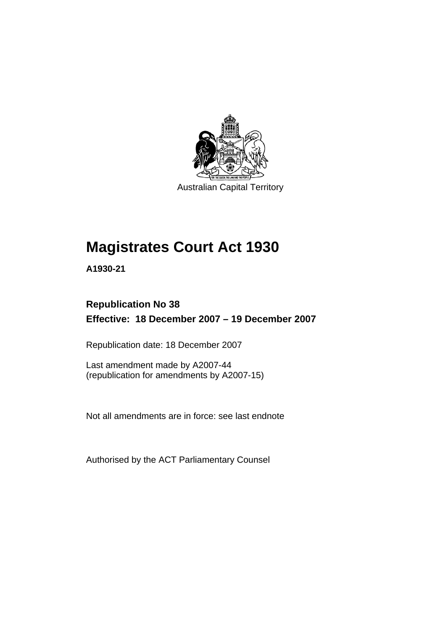

Australian Capital Territory

# **Magistrates Court Act 1930**

**A1930-21** 

# **Republication No 38 Effective: 18 December 2007 – 19 December 2007**

Republication date: 18 December 2007

Last amendment made by A2007-44 (republication for amendments by A2007-15)

Not all amendments are in force: see last endnote

Authorised by the ACT Parliamentary Counsel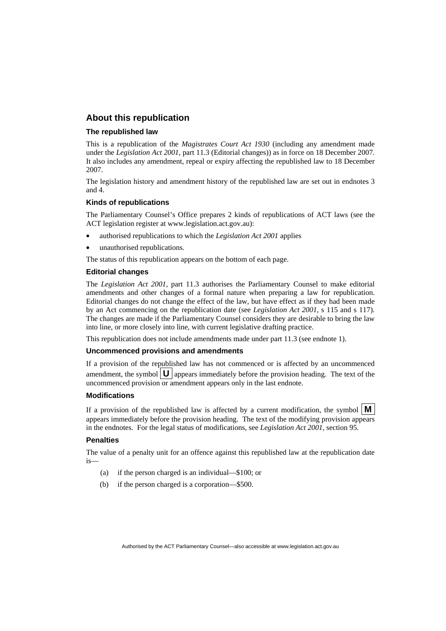#### **About this republication**

#### **The republished law**

This is a republication of the *Magistrates Court Act 1930* (including any amendment made under the *Legislation Act 2001*, part 11.3 (Editorial changes)) as in force on 18 December 2007*.*  It also includes any amendment, repeal or expiry affecting the republished law to 18 December 2007.

The legislation history and amendment history of the republished law are set out in endnotes 3 and 4.

#### **Kinds of republications**

The Parliamentary Counsel's Office prepares 2 kinds of republications of ACT laws (see the ACT legislation register at www.legislation.act.gov.au):

- authorised republications to which the *Legislation Act 2001* applies
- unauthorised republications.

The status of this republication appears on the bottom of each page.

#### **Editorial changes**

The *Legislation Act 2001*, part 11.3 authorises the Parliamentary Counsel to make editorial amendments and other changes of a formal nature when preparing a law for republication. Editorial changes do not change the effect of the law, but have effect as if they had been made by an Act commencing on the republication date (see *Legislation Act 2001*, s 115 and s 117). The changes are made if the Parliamentary Counsel considers they are desirable to bring the law into line, or more closely into line, with current legislative drafting practice.

This republication does not include amendments made under part 11.3 (see endnote 1).

#### **Uncommenced provisions and amendments**

If a provision of the republished law has not commenced or is affected by an uncommenced amendment, the symbol  $\mathbf{U}$  appears immediately before the provision heading. The text of the uncommenced provision  $\overline{or}$  amendment appears only in the last endnote.

#### **Modifications**

If a provision of the republished law is affected by a current modification, the symbol  $\mathbf{M}$ appears immediately before the provision heading. The text of the modifying provision appears in the endnotes. For the legal status of modifications, see *Legislation Act 2001*, section 95.

#### **Penalties**

The value of a penalty unit for an offence against this republished law at the republication date is—

- (a) if the person charged is an individual—\$100; or
- (b) if the person charged is a corporation—\$500.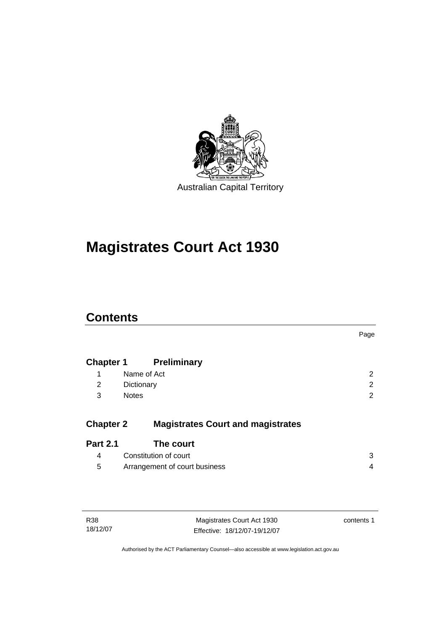

# **Magistrates Court Act 1930**

# **Contents**

|                                          | Page                                 |
|------------------------------------------|--------------------------------------|
| <b>Preliminary</b>                       |                                      |
| Name of Act                              | 2                                    |
| Dictionary                               | $\overline{2}$                       |
| <b>Notes</b>                             | 2                                    |
| <b>Magistrates Court and magistrates</b> |                                      |
| The court                                |                                      |
| Constitution of court                    | 3                                    |
| Arrangement of court business            | 4                                    |
|                                          | <b>Chapter 1</b><br><b>Chapter 2</b> |

| R38      | Magistrates Court Act 1930   | contents 1 |
|----------|------------------------------|------------|
| 18/12/07 | Effective: 18/12/07-19/12/07 |            |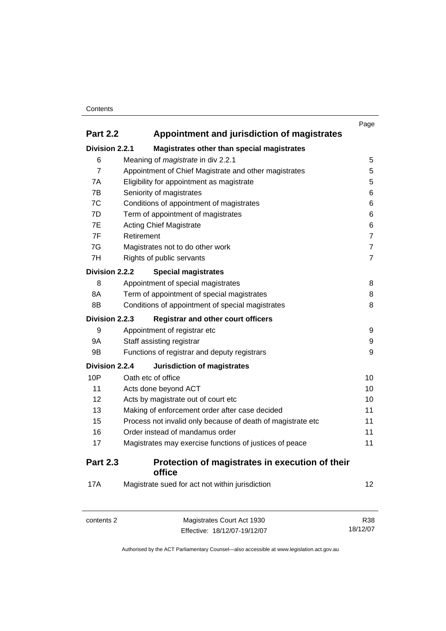#### **Contents**

|                                                                |                                                             | Page           |
|----------------------------------------------------------------|-------------------------------------------------------------|----------------|
| <b>Part 2.2</b><br>Appointment and jurisdiction of magistrates |                                                             |                |
| Division 2.2.1                                                 | Magistrates other than special magistrates                  |                |
| 6                                                              | Meaning of magistrate in div 2.2.1                          | 5              |
| $\overline{7}$                                                 | Appointment of Chief Magistrate and other magistrates       | 5              |
| 7A                                                             | Eligibility for appointment as magistrate                   | 5              |
| 7B                                                             | Seniority of magistrates                                    | 6              |
| 7C                                                             | Conditions of appointment of magistrates                    | 6              |
| 7D                                                             | Term of appointment of magistrates                          | 6              |
| 7E                                                             | <b>Acting Chief Magistrate</b>                              | 6              |
| 7F                                                             | Retirement                                                  | $\overline{7}$ |
| 7G                                                             | Magistrates not to do other work                            | $\overline{7}$ |
| 7H                                                             | Rights of public servants                                   | $\overline{7}$ |
| Division 2.2.2                                                 | <b>Special magistrates</b>                                  |                |
| 8                                                              | Appointment of special magistrates                          | 8              |
| 8A                                                             | Term of appointment of special magistrates                  | 8              |
| 8B                                                             | Conditions of appointment of special magistrates            | 8              |
| <b>Division 2.2.3</b>                                          | <b>Registrar and other court officers</b>                   |                |
| 9                                                              | Appointment of registrar etc                                | 9              |
| 9Α                                                             | Staff assisting registrar                                   | 9              |
| 9B                                                             | Functions of registrar and deputy registrars                | 9              |
| Division 2.2.4                                                 | <b>Jurisdiction of magistrates</b>                          |                |
| 10P                                                            | Oath etc of office                                          | 10             |
| 11                                                             | Acts done beyond ACT                                        | 10             |
| 12                                                             | Acts by magistrate out of court etc                         | 10             |
| 13                                                             | Making of enforcement order after case decided              | 11             |
| 15                                                             | Process not invalid only because of death of magistrate etc | 11             |
| 16                                                             | Order instead of mandamus order                             | 11             |
| 17                                                             | Magistrates may exercise functions of justices of peace     | 11             |
| <b>Part 2.3</b>                                                | Protection of magistrates in execution of their<br>office   |                |
| <b>17A</b>                                                     | Magistrate sued for act not within jurisdiction             | 12             |

| Magistrates Court Act 1930<br>contents 2 |                              | R38      |
|------------------------------------------|------------------------------|----------|
|                                          | Effective: 18/12/07-19/12/07 | 18/12/07 |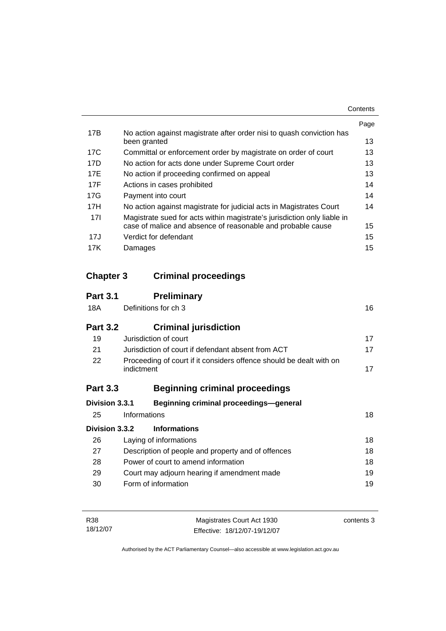| Contents |
|----------|
|----------|

|     |                                                                          | Page |
|-----|--------------------------------------------------------------------------|------|
| 17B | No action against magistrate after order nisi to quash conviction has    |      |
|     | been granted                                                             | 13   |
| 17C | Committal or enforcement order by magistrate on order of court           | 13   |
| 17D | No action for acts done under Supreme Court order                        | 13   |
| 17E | No action if proceeding confirmed on appeal                              | 13   |
| 17F | Actions in cases prohibited                                              | 14   |
| 17G | Payment into court                                                       | 14   |
| 17H | No action against magistrate for judicial acts in Magistrates Court      | 14   |
| 17I | Magistrate sued for acts within magistrate's jurisdiction only liable in |      |
|     | case of malice and absence of reasonable and probable cause              | 15   |
| 17J | Verdict for defendant                                                    | 15   |
| 17K | Damages                                                                  | 15   |

# **Chapter 3 Criminal proceedings**

| <b>Part 3.1</b> | <b>Preliminary</b>                                                                |    |
|-----------------|-----------------------------------------------------------------------------------|----|
| 18A             | Definitions for ch 3                                                              | 16 |
| <b>Part 3.2</b> | <b>Criminal jurisdiction</b>                                                      |    |
| 19              | Jurisdiction of court                                                             | 17 |
| 21              | Jurisdiction of court if defendant absent from ACT                                | 17 |
| 22              | Proceeding of court if it considers offence should be dealt with on<br>indictment | 17 |
| <b>Part 3.3</b> | <b>Beginning criminal proceedings</b>                                             |    |
| Division 3.3.1  | Beginning criminal proceedings-general                                            |    |
| 25              | Informations                                                                      | 18 |
| Division 3.3.2  | <b>Informations</b>                                                               |    |
| 26              | Laying of informations                                                            | 18 |
| 27              | Description of people and property and of offences                                | 18 |
| 28              | Power of court to amend information                                               | 18 |
| 29              | Court may adjourn hearing if amendment made                                       | 19 |
| 30              | Form of information                                                               | 19 |

| R38      | Magistrates Court Act 1930   | contents 3 |
|----------|------------------------------|------------|
| 18/12/07 | Effective: 18/12/07-19/12/07 |            |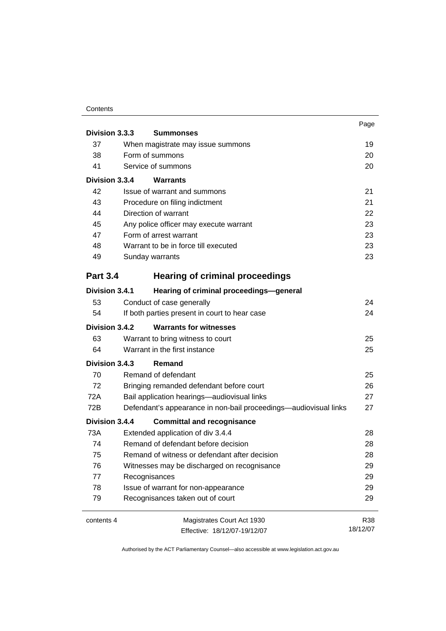#### **Contents**

|                 |                                                                  | Page     |
|-----------------|------------------------------------------------------------------|----------|
| Division 3.3.3  | <b>Summonses</b>                                                 |          |
| 37              | When magistrate may issue summons                                | 19       |
| 38              | Form of summons                                                  | 20       |
| 41              | Service of summons                                               | 20       |
| Division 3.3.4  | Warrants                                                         |          |
| 42              | Issue of warrant and summons                                     | 21       |
| 43              | Procedure on filing indictment                                   | 21       |
| 44              | Direction of warrant                                             | 22       |
| 45              | Any police officer may execute warrant                           | 23       |
| 47              | Form of arrest warrant                                           | 23       |
| 48              | Warrant to be in force till executed                             | 23       |
| 49              | Sunday warrants                                                  | 23       |
| <b>Part 3.4</b> | <b>Hearing of criminal proceedings</b>                           |          |
| Division 3.4.1  | Hearing of criminal proceedings-general                          |          |
| 53              | Conduct of case generally                                        | 24       |
| 54              | If both parties present in court to hear case                    | 24       |
| Division 3.4.2  | <b>Warrants for witnesses</b>                                    |          |
| 63              | Warrant to bring witness to court                                | 25       |
| 64              | Warrant in the first instance                                    | 25       |
| Division 3.4.3  | Remand                                                           |          |
| 70              | Remand of defendant                                              | 25       |
| 72              | Bringing remanded defendant before court                         | 26       |
| 72A             | Bail application hearings-audiovisual links                      | 27       |
| 72B             | Defendant's appearance in non-bail proceedings—audiovisual links | 27       |
| Division 3.4.4  | <b>Committal and recognisance</b>                                |          |
| 73A             | Extended application of div 3.4.4                                | 28       |
| 74              | Remand of defendant before decision                              | 28       |
| 75              | Remand of witness or defendant after decision                    | 28       |
| 76              | Witnesses may be discharged on recognisance                      | 29       |
| 77              | Recognisances                                                    | 29       |
| 78              | Issue of warrant for non-appearance                              | 29       |
| 79              | Recognisances taken out of court                                 | 29       |
| contents 4      | Magistrates Court Act 1930                                       | R38      |
|                 | Effective: 18/12/07-19/12/07                                     | 18/12/07 |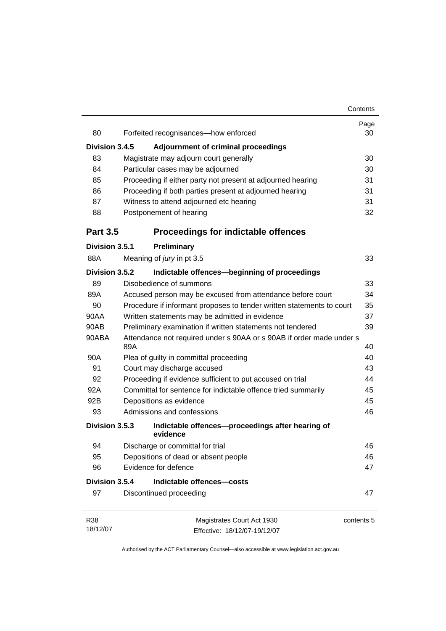|                 |                                                                             | Contents   |
|-----------------|-----------------------------------------------------------------------------|------------|
| 80              | Forfeited recognisances-how enforced                                        | Page<br>30 |
|                 |                                                                             |            |
| Division 3.4.5  | <b>Adjournment of criminal proceedings</b>                                  |            |
| 83              | Magistrate may adjourn court generally                                      | 30         |
| 84              | Particular cases may be adjourned                                           | 30         |
| 85              | Proceeding if either party not present at adjourned hearing                 | 31         |
| 86              | Proceeding if both parties present at adjourned hearing                     | 31         |
| 87              | Witness to attend adjourned etc hearing                                     | 31         |
| 88              | Postponement of hearing                                                     | 32         |
| <b>Part 3.5</b> | <b>Proceedings for indictable offences</b>                                  |            |
| Division 3.5.1  | <b>Preliminary</b>                                                          |            |
| 88A             | Meaning of jury in pt 3.5                                                   | 33         |
| Division 3.5.2  | Indictable offences-beginning of proceedings                                |            |
| 89              | Disobedience of summons                                                     | 33         |
| 89A             | Accused person may be excused from attendance before court                  | 34         |
| 90              | Procedure if informant proposes to tender written statements to court       | 35         |
| 90AA            | Written statements may be admitted in evidence                              |            |
| 90AB            | Preliminary examination if written statements not tendered                  | 39         |
| 90ABA           | Attendance not required under s 90AA or s 90AB if order made under s<br>89A | 40         |
| 90A             | Plea of guilty in committal proceeding                                      | 40         |
| 91              | Court may discharge accused                                                 | 43         |
| 92              | Proceeding if evidence sufficient to put accused on trial                   | 44         |
| 92A             | Committal for sentence for indictable offence tried summarily               | 45         |
| 92B             | Depositions as evidence                                                     | 45         |
| 93              | Admissions and confessions                                                  | 46         |
| Division 3.5.3  | Indictable offences-proceedings after hearing of<br>evidence                |            |
| 94              | Discharge or committal for trial                                            | 46         |
| 95              | Depositions of dead or absent people                                        | 46         |
| 96              | Evidence for defence                                                        | 47         |
| Division 3.5.4  | Indictable offences-costs                                                   |            |
| 97              | Discontinued proceeding                                                     | 47         |
| R38             | Magistrates Court Act 1930                                                  | contents 5 |
| 18/12/07        | Effective: 18/12/07-19/12/07                                                |            |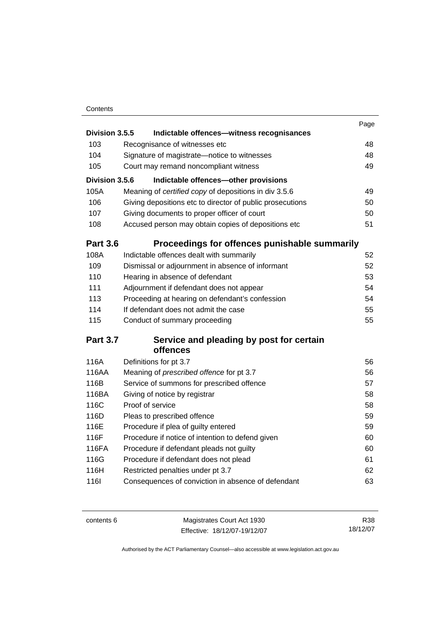#### **Contents**

|                 |                                                       |                                                           | Page |
|-----------------|-------------------------------------------------------|-----------------------------------------------------------|------|
| Division 3.5.5  |                                                       | Indictable offences-witness recognisances                 |      |
| 103             | Recognisance of witnesses etc                         |                                                           | 48   |
| 104             | Signature of magistrate-notice to witnesses           |                                                           | 48   |
| 105             | Court may remand noncompliant witness                 |                                                           | 49   |
| Division 3.5.6  |                                                       | Indictable offences-other provisions                      |      |
| 105A            | Meaning of certified copy of depositions in div 3.5.6 |                                                           | 49   |
| 106             |                                                       | Giving depositions etc to director of public prosecutions | 50   |
| 107             | Giving documents to proper officer of court           |                                                           | 50   |
| 108             | Accused person may obtain copies of depositions etc   |                                                           | 51   |
| <b>Part 3.6</b> |                                                       | Proceedings for offences punishable summarily             |      |
| 108A            | Indictable offences dealt with summarily              |                                                           | 52   |
| 109             | Dismissal or adjournment in absence of informant      |                                                           | 52   |
| 110             | Hearing in absence of defendant                       |                                                           | 53   |
| 111             | Adjournment if defendant does not appear              |                                                           | 54   |
| 113             | Proceeding at hearing on defendant's confession       |                                                           | 54   |
| 114             | If defendant does not admit the case                  |                                                           | 55   |
| 115             | Conduct of summary proceeding                         |                                                           | 55   |
| <b>Part 3.7</b> |                                                       | Service and pleading by post for certain                  |      |
|                 | offences                                              |                                                           |      |
| 116A            | Definitions for pt 3.7                                |                                                           | 56   |
| 116AA           | Meaning of prescribed offence for pt 3.7              |                                                           | 56   |
| 116B            | Service of summons for prescribed offence             |                                                           | 57   |
| 116BA           | Giving of notice by registrar                         |                                                           | 58   |
| 116C            | Proof of service                                      |                                                           | 58   |
| 116D            | Pleas to prescribed offence                           |                                                           | 59   |
| 116E            | Procedure if plea of guilty entered                   |                                                           | 59   |
| 116F            | Procedure if notice of intention to defend given      |                                                           | 60   |
| 116FA           | Procedure if defendant pleads not guilty              |                                                           | 60   |
| 116G            | Procedure if defendant does not plead                 |                                                           | 61   |
| 116H            | Restricted penalties under pt 3.7                     |                                                           | 62   |
| <b>116l</b>     | Consequences of conviction in absence of defendant    |                                                           | 63   |
|                 |                                                       |                                                           |      |

| contents 6 | Magistrates Court Act 1930 |                              |
|------------|----------------------------|------------------------------|
|            |                            | Effective: 18/12/07-19/12/07 |

R38 18/12/07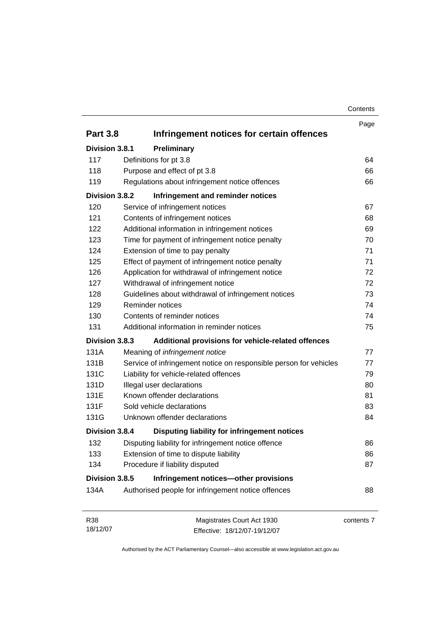| Contents |
|----------|
|----------|

|                 |                                                                   | Page       |
|-----------------|-------------------------------------------------------------------|------------|
| <b>Part 3.8</b> | Infringement notices for certain offences                         |            |
| Division 3.8.1  | Preliminary                                                       |            |
| 117             | Definitions for pt 3.8                                            | 64         |
| 118             | Purpose and effect of pt 3.8                                      | 66         |
| 119             | Regulations about infringement notice offences                    | 66         |
| Division 3.8.2  | Infringement and reminder notices                                 |            |
| 120             | Service of infringement notices                                   | 67         |
| 121             | Contents of infringement notices                                  | 68         |
| 122             | Additional information in infringement notices                    | 69         |
| 123             | Time for payment of infringement notice penalty                   | 70         |
| 124             | Extension of time to pay penalty                                  | 71         |
| 125             | Effect of payment of infringement notice penalty                  | 71         |
| 126             | Application for withdrawal of infringement notice                 | 72         |
| 127             | Withdrawal of infringement notice                                 | 72         |
| 128             | Guidelines about withdrawal of infringement notices               | 73         |
| 129             | Reminder notices                                                  | 74         |
| 130             | Contents of reminder notices                                      | 74         |
| 131             | Additional information in reminder notices                        | 75         |
| Division 3.8.3  | Additional provisions for vehicle-related offences                |            |
| 131A            | Meaning of infringement notice                                    | 77         |
| 131B            | Service of infringement notice on responsible person for vehicles | 77         |
| 131C            | Liability for vehicle-related offences                            | 79         |
| 131D            | Illegal user declarations                                         | 80         |
| 131E            | Known offender declarations                                       | 81         |
| 131F            | Sold vehicle declarations                                         | 83         |
| 131G            | Unknown offender declarations                                     | 84         |
| Division 3.8.4  | Disputing liability for infringement notices                      |            |
| 132             | Disputing liability for infringement notice offence               | 86         |
| 133             | Extension of time to dispute liability                            | 86         |
| 134             | Procedure if liability disputed                                   | 87         |
| Division 3.8.5  | Infringement notices-other provisions                             |            |
| 134A            | Authorised people for infringement notice offences                | 88         |
|                 |                                                                   |            |
| R38             | Magistrates Court Act 1930                                        | contents 7 |
| 18/12/07        | Effective: 18/12/07-19/12/07                                      |            |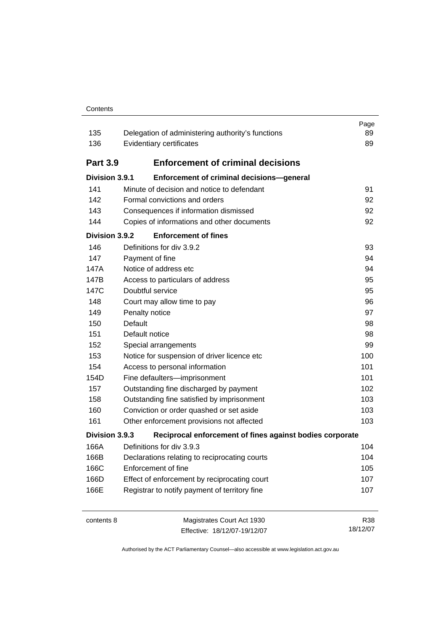#### Contents

| 135<br>136      | Delegation of administering authority's functions<br>Evidentiary certificates | Page<br>89<br>89 |
|-----------------|-------------------------------------------------------------------------------|------------------|
| <b>Part 3.9</b> | <b>Enforcement of criminal decisions</b>                                      |                  |
| Division 3.9.1  | Enforcement of criminal decisions-general                                     |                  |
| 141             | Minute of decision and notice to defendant                                    | 91               |
| 142             | Formal convictions and orders                                                 | 92               |
| 143             | Consequences if information dismissed                                         | 92               |
| 144             | Copies of informations and other documents                                    | 92               |
| Division 3.9.2  | <b>Enforcement of fines</b>                                                   |                  |
| 146             | Definitions for div 3.9.2                                                     | 93               |
| 147             | Payment of fine                                                               | 94               |
| 147A            | Notice of address etc                                                         | 94               |
| 147B            | Access to particulars of address                                              | 95               |
| 147C            | Doubtful service                                                              | 95               |
| 148             | Court may allow time to pay                                                   | 96               |
| 149             | Penalty notice                                                                | 97               |
| 150             | Default                                                                       | 98               |
| 151             | Default notice                                                                | 98               |
| 152             | Special arrangements                                                          | 99               |
| 153             | Notice for suspension of driver licence etc                                   | 100              |
| 154             | Access to personal information                                                | 101              |
| 154D            | Fine defaulters-imprisonment                                                  | 101              |
| 157             | Outstanding fine discharged by payment                                        | 102              |
| 158             | Outstanding fine satisfied by imprisonment                                    | 103              |
| 160             | Conviction or order quashed or set aside                                      | 103              |
| 161             | Other enforcement provisions not affected                                     | 103              |
| Division 3.9.3  | Reciprocal enforcement of fines against bodies corporate                      |                  |
| 166A            | Definitions for div 3.9.3                                                     | 104              |
| 166B            | Declarations relating to reciprocating courts                                 | 104              |
| 166C            | Enforcement of fine                                                           | 105              |
| 166D            | Effect of enforcement by reciprocating court                                  | 107              |
| 166E            | Registrar to notify payment of territory fine                                 | 107              |
| contents 8      | Magistrates Court Act 1930<br>Effective: 18/12/07-19/12/07                    | R38<br>18/12/07  |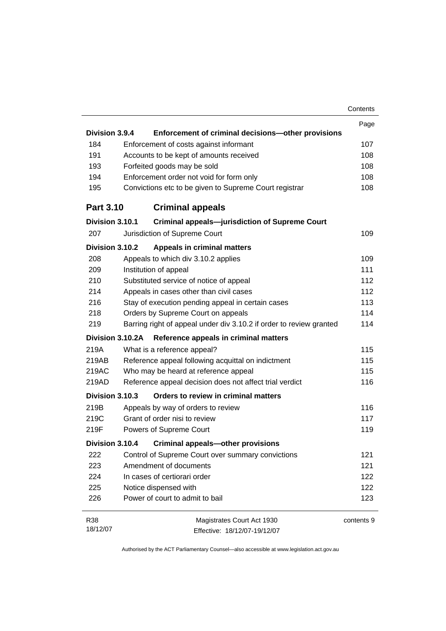|                  |                                                                     | Contents   |
|------------------|---------------------------------------------------------------------|------------|
|                  |                                                                     | Page       |
| Division 3.9.4   | Enforcement of criminal decisions-other provisions                  |            |
| 184              | Enforcement of costs against informant                              | 107        |
| 191              | Accounts to be kept of amounts received                             | 108        |
| 193              | Forfeited goods may be sold                                         | 108        |
| 194              | Enforcement order not void for form only                            | 108        |
| 195              | Convictions etc to be given to Supreme Court registrar              | 108        |
| <b>Part 3.10</b> | <b>Criminal appeals</b>                                             |            |
| Division 3.10.1  | <b>Criminal appeals-jurisdiction of Supreme Court</b>               |            |
| 207              | Jurisdiction of Supreme Court                                       | 109        |
| Division 3.10.2  | <b>Appeals in criminal matters</b>                                  |            |
| 208              | Appeals to which div 3.10.2 applies                                 | 109        |
| 209              | Institution of appeal                                               | 111        |
| 210              | Substituted service of notice of appeal                             | 112        |
| 214              | Appeals in cases other than civil cases                             | 112        |
| 216              | Stay of execution pending appeal in certain cases                   | 113        |
| 218              | Orders by Supreme Court on appeals                                  | 114        |
| 219              | Barring right of appeal under div 3.10.2 if order to review granted | 114        |
| Division 3.10.2A | Reference appeals in criminal matters                               |            |
| 219A             | What is a reference appeal?                                         | 115        |
| 219AB            | Reference appeal following acquittal on indictment                  | 115        |
| 219AC            | Who may be heard at reference appeal                                | 115        |
| 219AD            | Reference appeal decision does not affect trial verdict             | 116        |
| Division 3.10.3  | Orders to review in criminal matters                                |            |
| 219B             | Appeals by way of orders to review                                  | 116        |
| 219C             | Grant of order nisi to review                                       | 117        |
| 219F             | Powers of Supreme Court                                             | 119        |
|                  | Division 3.10.4 Criminal appeals-other provisions                   |            |
| 222              | Control of Supreme Court over summary convictions                   | 121        |
| 223              | Amendment of documents                                              | 121        |
| 224              | In cases of certiorari order                                        | 122        |
| 225              | Notice dispensed with                                               | 122        |
| 226              | Power of court to admit to bail                                     | 123        |
| R38              | Magistrates Court Act 1930                                          | contents 9 |
| 18/12/07         | Effective: 18/12/07-19/12/07                                        |            |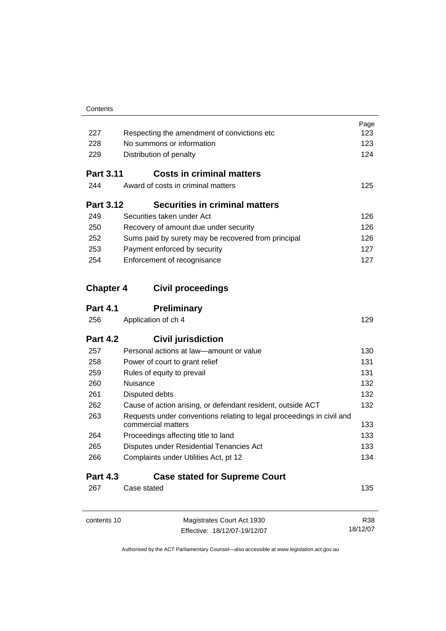| Contents |
|----------|
|          |

| 227              | Respecting the amendment of convictions etc                                                 | Page<br>123 |
|------------------|---------------------------------------------------------------------------------------------|-------------|
| 228              | No summons or information                                                                   |             |
| 229              | Distribution of penalty                                                                     | 124         |
| <b>Part 3.11</b> | <b>Costs in criminal matters</b>                                                            |             |
| 244              | Award of costs in criminal matters                                                          | 125         |
| <b>Part 3.12</b> | <b>Securities in criminal matters</b>                                                       |             |
| 249              | Securities taken under Act                                                                  | 126         |
| 250              | Recovery of amount due under security                                                       | 126         |
| 252              | Sums paid by surety may be recovered from principal                                         | 126         |
| 253              | Payment enforced by security                                                                | 127         |
| 254              | Enforcement of recognisance                                                                 | 127         |
| <b>Chapter 4</b> | <b>Civil proceedings</b>                                                                    |             |
| <b>Part 4.1</b>  | <b>Preliminary</b>                                                                          |             |
| 256              | Application of ch 4                                                                         | 129         |
| <b>Part 4.2</b>  | <b>Civil jurisdiction</b>                                                                   |             |
| 257              | Personal actions at law-amount or value                                                     | 130         |
| 258              | Power of court to grant relief                                                              | 131         |
| 259              | Rules of equity to prevail                                                                  | 131         |
| 260              | Nuisance                                                                                    | 132         |
| 261              | Disputed debts                                                                              | 132         |
| 262              | Cause of action arising, or defendant resident, outside ACT                                 | 132         |
| 263              | Requests under conventions relating to legal proceedings in civil and<br>commercial matters | 133         |
| 264              | Proceedings affecting title to land                                                         | 133         |
| 265              | Disputes under Residential Tenancies Act                                                    | 133         |
| 266              | Complaints under Utilities Act, pt 12                                                       | 134         |
| <b>Part 4.3</b>  | <b>Case stated for Supreme Court</b>                                                        |             |
| 267              | Case stated                                                                                 | 135         |
| contents 10      | Magistrates Court Act 1930                                                                  | R38         |
|                  | Effective: 18/12/07-19/12/07                                                                | 18/12/07    |

Effective: 18/12/07-19/12/07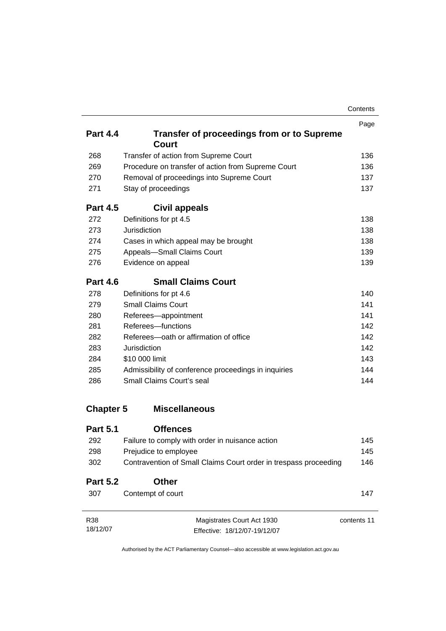|                  |                                                                  | Contents |
|------------------|------------------------------------------------------------------|----------|
|                  |                                                                  | Page     |
| <b>Part 4.4</b>  | <b>Transfer of proceedings from or to Supreme</b><br>Court       |          |
| 268              | Transfer of action from Supreme Court                            | 136      |
| 269              | Procedure on transfer of action from Supreme Court               | 136      |
| 270              | Removal of proceedings into Supreme Court                        | 137      |
| 271              | Stay of proceedings                                              | 137      |
| <b>Part 4.5</b>  | Civil appeals                                                    |          |
| 272              | Definitions for pt 4.5                                           | 138      |
| 273              | Jurisdiction                                                     | 138      |
| 274              | Cases in which appeal may be brought                             | 138      |
| 275              | Appeals-Small Claims Court                                       | 139      |
| 276              | Evidence on appeal                                               | 139      |
| <b>Part 4.6</b>  | <b>Small Claims Court</b>                                        |          |
| 278              | Definitions for pt 4.6                                           | 140      |
| 279              | <b>Small Claims Court</b>                                        | 141      |
| 280              | Referees-appointment                                             | 141      |
| 281              | Referees-functions                                               | 142      |
| 282              | Referees-oath or affirmation of office                           | 142      |
| 283              | Jurisdiction                                                     | 142      |
| 284              | \$10 000 limit                                                   | 143      |
| 285              | Admissibility of conference proceedings in inquiries             | 144      |
| 286              | Small Claims Court's seal                                        | 144      |
| <b>Chapter 5</b> | <b>Miscellaneous</b>                                             |          |
| <b>Part 5.1</b>  | <b>Offences</b>                                                  |          |
| 292              | Failure to comply with order in nuisance action                  | 145      |
| 298              | Prejudice to employee                                            | 145      |
| 302              | Contravention of Small Claims Court order in trespass proceeding | 146      |
| <b>Part 5.2</b>  | <b>Other</b>                                                     |          |

| R38      | Magistrates Court Act 1930   | contents 11 |
|----------|------------------------------|-------------|
| 18/12/07 | Effective: 18/12/07-19/12/07 |             |

307 Contempt of court 2007 2007 2008 2009 2012 2020 2030 2047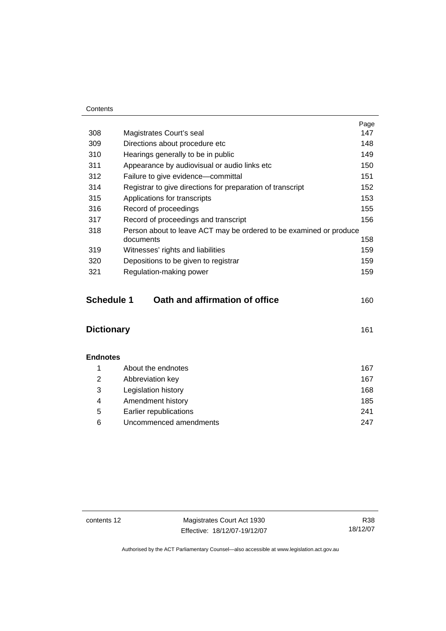#### **Contents**

|     |                                                                    | Page |
|-----|--------------------------------------------------------------------|------|
| 308 | Magistrates Court's seal                                           | 147  |
| 309 | Directions about procedure etc                                     | 148  |
| 310 | Hearings generally to be in public                                 | 149  |
| 311 | Appearance by audiovisual or audio links etc                       | 150  |
| 312 | Failure to give evidence-committal                                 | 151  |
| 314 | Registrar to give directions for preparation of transcript         | 152  |
| 315 | Applications for transcripts                                       | 153  |
| 316 | Record of proceedings                                              | 155  |
| 317 | Record of proceedings and transcript                               | 156  |
| 318 | Person about to leave ACT may be ordered to be examined or produce |      |
|     | documents                                                          | 158  |
| 319 | Witnesses' rights and liabilities                                  | 159  |
| 320 | Depositions to be given to registrar                               | 159  |
| 321 | Regulation-making power                                            | 159  |
|     |                                                                    |      |

| <b>Schedule 1</b> | Oath and affirmation of office | 160 |
|-------------------|--------------------------------|-----|
|-------------------|--------------------------------|-----|

| <b>Dictionary</b> |  |
|-------------------|--|
|                   |  |

| <b>Endnotes</b> |                        |     |
|-----------------|------------------------|-----|
|                 | About the endnotes     | 167 |
| 2               | Abbreviation key       | 167 |
| 3               | Legislation history    | 168 |
| 4               | Amendment history      | 185 |
| 5               | Earlier republications | 241 |
| 6               | Uncommenced amendments | 247 |

contents 12 Magistrates Court Act 1930 Effective: 18/12/07-19/12/07

R38 18/12/07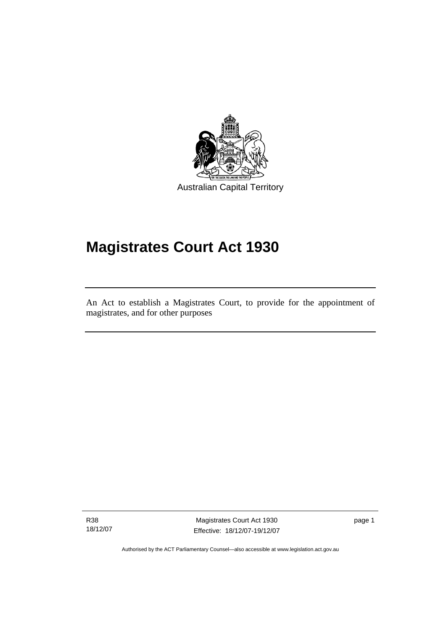

Australian Capital Territory

# **Magistrates Court Act 1930**

An Act to establish a Magistrates Court, to provide for the appointment of magistrates, and for other purposes

R38 18/12/07

l

Magistrates Court Act 1930 Effective: 18/12/07-19/12/07 page 1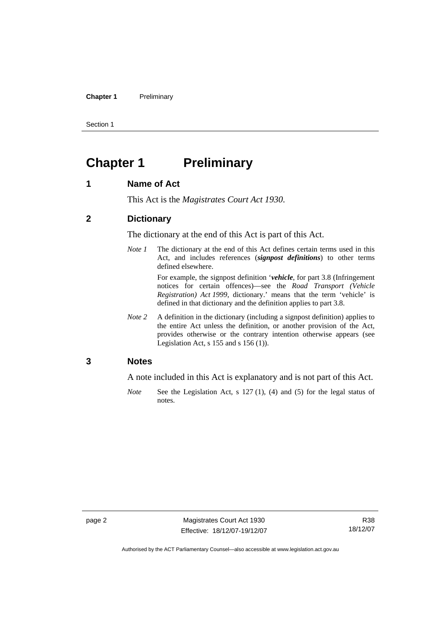#### **Chapter 1** Preliminary

Section 1

# **Chapter 1 Preliminary**

#### **1 Name of Act**

This Act is the *Magistrates Court Act 1930*.

#### **2 Dictionary**

The dictionary at the end of this Act is part of this Act.

*Note 1* The dictionary at the end of this Act defines certain terms used in this Act, and includes references (*signpost definitions*) to other terms defined elsewhere.

> For example, the signpost definition '*vehicle*, for part 3.8 (Infringement notices for certain offences)—see the *Road Transport (Vehicle Registration) Act 1999*, dictionary.' means that the term 'vehicle' is defined in that dictionary and the definition applies to part 3.8.

*Note* 2 A definition in the dictionary (including a signpost definition) applies to the entire Act unless the definition, or another provision of the Act, provides otherwise or the contrary intention otherwise appears (see Legislation Act,  $s$  155 and  $s$  156 (1)).

#### **3 Notes**

A note included in this Act is explanatory and is not part of this Act.

*Note* See the Legislation Act, s 127 (1), (4) and (5) for the legal status of notes.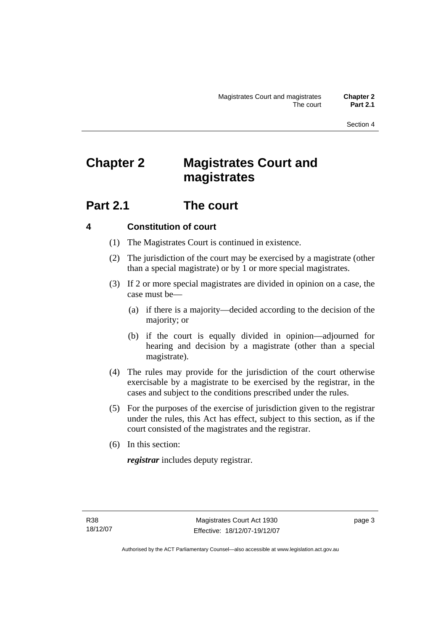Section 4

# **Chapter 2 Magistrates Court and magistrates**

# **Part 2.1 The court**

# **4 Constitution of court**

- (1) The Magistrates Court is continued in existence.
- (2) The jurisdiction of the court may be exercised by a magistrate (other than a special magistrate) or by 1 or more special magistrates.
- (3) If 2 or more special magistrates are divided in opinion on a case, the case must be—
	- (a) if there is a majority—decided according to the decision of the majority; or
	- (b) if the court is equally divided in opinion—adjourned for hearing and decision by a magistrate (other than a special magistrate).
- (4) The rules may provide for the jurisdiction of the court otherwise exercisable by a magistrate to be exercised by the registrar, in the cases and subject to the conditions prescribed under the rules.
- (5) For the purposes of the exercise of jurisdiction given to the registrar under the rules, this Act has effect, subject to this section, as if the court consisted of the magistrates and the registrar.
- (6) In this section:

*registrar* includes deputy registrar.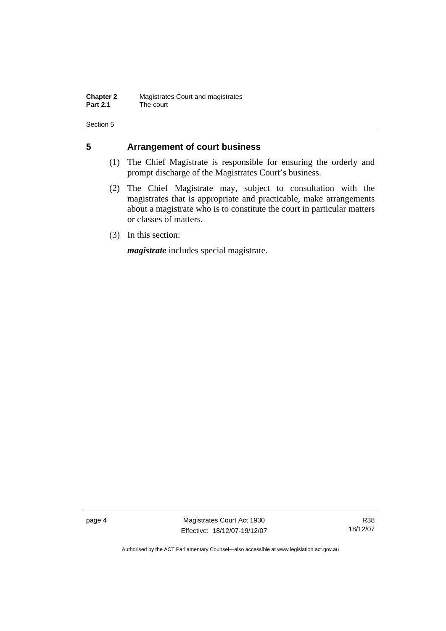**Chapter 2** Magistrates Court and magistrates<br>**Part 2.1** The court The court

Section 5

#### **5 Arrangement of court business**

- (1) The Chief Magistrate is responsible for ensuring the orderly and prompt discharge of the Magistrates Court's business.
- (2) The Chief Magistrate may, subject to consultation with the magistrates that is appropriate and practicable, make arrangements about a magistrate who is to constitute the court in particular matters or classes of matters.
- (3) In this section:

*magistrate* includes special magistrate.

page 4 Magistrates Court Act 1930 Effective: 18/12/07-19/12/07

R38 18/12/07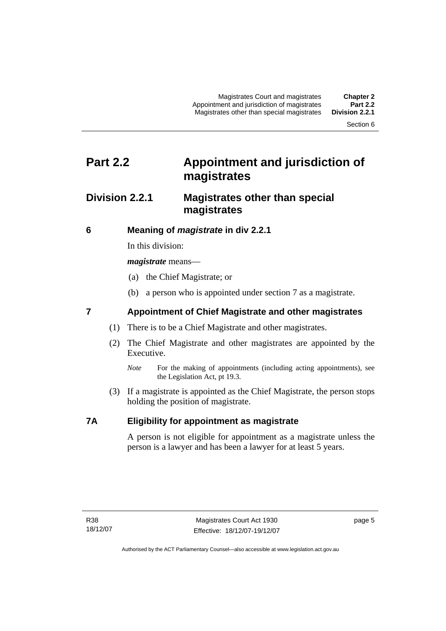Magistrates Court and magistrates **Chapter 2**  Appointment and jurisdiction of magistrates **Part 2.2**  Magistrates other than special magistrates

Section 6

# **Part 2.2 Appointment and jurisdiction of magistrates**

# **Division 2.2.1 Magistrates other than special magistrates**

# **6 Meaning of** *magistrate* **in div 2.2.1**

In this division:

*magistrate* means—

- (a) the Chief Magistrate; or
- (b) a person who is appointed under section 7 as a magistrate.

# **7 Appointment of Chief Magistrate and other magistrates**

- (1) There is to be a Chief Magistrate and other magistrates.
- (2) The Chief Magistrate and other magistrates are appointed by the Executive.
	- *Note* For the making of appointments (including acting appointments), see the Legislation Act, pt 19.3.
- (3) If a magistrate is appointed as the Chief Magistrate, the person stops holding the position of magistrate.

## **7A Eligibility for appointment as magistrate**

A person is not eligible for appointment as a magistrate unless the person is a lawyer and has been a lawyer for at least 5 years.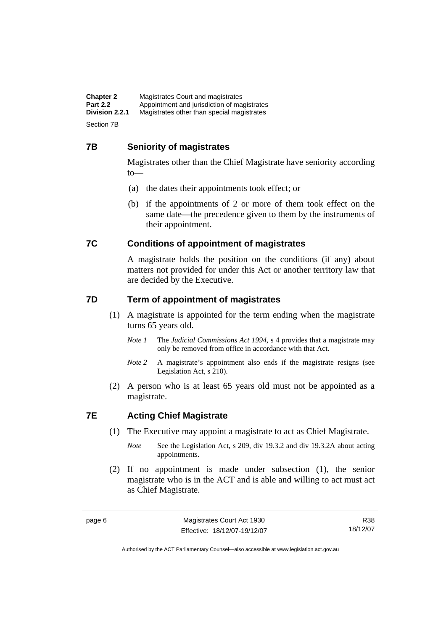**Chapter 2** Magistrates Court and magistrates<br>**Part 2.2** Appointment and jurisdiction of magi **Part 2.2** Appointment and jurisdiction of magistrates<br>**Division 2.2.1** Magistrates other than special magistrates **Division 2.2.1** Magistrates other than special magistrates

Section 7B

## **7B Seniority of magistrates**

Magistrates other than the Chief Magistrate have seniority according to—

- (a) the dates their appointments took effect; or
- (b) if the appointments of 2 or more of them took effect on the same date—the precedence given to them by the instruments of their appointment.

#### **7C Conditions of appointment of magistrates**

A magistrate holds the position on the conditions (if any) about matters not provided for under this Act or another territory law that are decided by the Executive.

#### **7D Term of appointment of magistrates**

- (1) A magistrate is appointed for the term ending when the magistrate turns 65 years old.
	- *Note 1* The *Judicial Commissions Act 1994*, s 4 provides that a magistrate may only be removed from office in accordance with that Act.
	- *Note 2* A magistrate's appointment also ends if the magistrate resigns (see Legislation Act, s 210).
- (2) A person who is at least 65 years old must not be appointed as a magistrate.

## **7E Acting Chief Magistrate**

- (1) The Executive may appoint a magistrate to act as Chief Magistrate.
	- *Note* See the Legislation Act, s 209, div 19.3.2 and div 19.3.2A about acting appointments.
- (2) If no appointment is made under subsection (1), the senior magistrate who is in the ACT and is able and willing to act must act as Chief Magistrate.

R38 18/12/07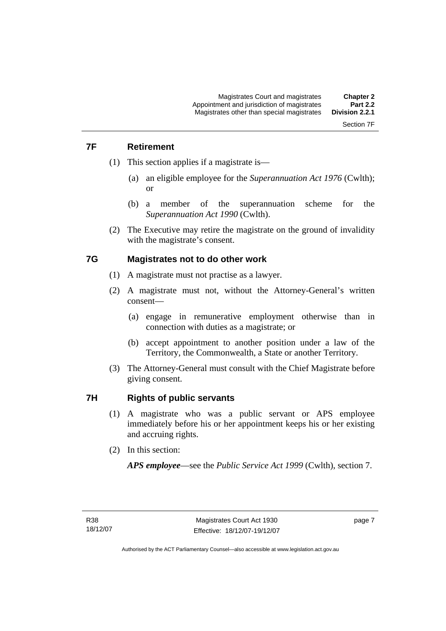# Section 7F

# **7F Retirement**

- (1) This section applies if a magistrate is—
	- (a) an eligible employee for the *Superannuation Act 1976* (Cwlth); or
	- (b) a member of the superannuation scheme for the *Superannuation Act 1990* (Cwlth).
- (2) The Executive may retire the magistrate on the ground of invalidity with the magistrate's consent.

#### **7G Magistrates not to do other work**

- (1) A magistrate must not practise as a lawyer.
- (2) A magistrate must not, without the Attorney-General's written consent—
	- (a) engage in remunerative employment otherwise than in connection with duties as a magistrate; or
	- (b) accept appointment to another position under a law of the Territory, the Commonwealth, a State or another Territory.
- (3) The Attorney-General must consult with the Chief Magistrate before giving consent.

#### **7H Rights of public servants**

- (1) A magistrate who was a public servant or APS employee immediately before his or her appointment keeps his or her existing and accruing rights.
- (2) In this section:

*APS employee*—see the *Public Service Act 1999* (Cwlth), section 7.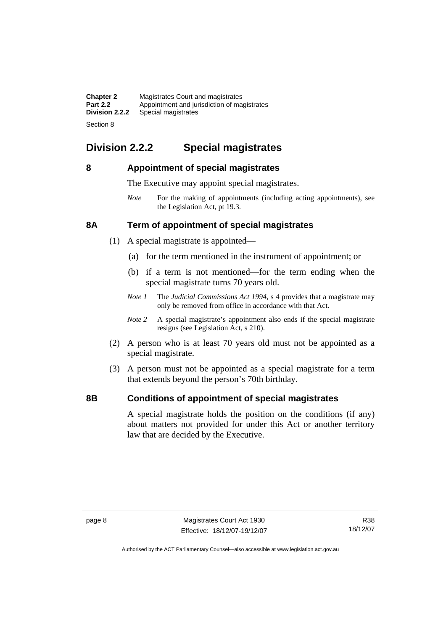| <b>Chapter 2</b> | Magistrates Court and magistrates           |
|------------------|---------------------------------------------|
| <b>Part 2.2</b>  | Appointment and jurisdiction of magistrates |
| Division 2.2.2   | Special magistrates                         |
|                  |                                             |

Section 8

# **Division 2.2.2 Special magistrates**

## **8 Appointment of special magistrates**

The Executive may appoint special magistrates.

*Note* For the making of appointments (including acting appointments), see the Legislation Act, pt 19.3.

## **8A Term of appointment of special magistrates**

- (1) A special magistrate is appointed—
	- (a) for the term mentioned in the instrument of appointment; or
	- (b) if a term is not mentioned—for the term ending when the special magistrate turns 70 years old.
	- *Note 1* The *Judicial Commissions Act 1994*, s 4 provides that a magistrate may only be removed from office in accordance with that Act.
	- *Note 2* A special magistrate's appointment also ends if the special magistrate resigns (see Legislation Act, s 210).
- (2) A person who is at least 70 years old must not be appointed as a special magistrate.
- (3) A person must not be appointed as a special magistrate for a term that extends beyond the person's 70th birthday.

## **8B Conditions of appointment of special magistrates**

A special magistrate holds the position on the conditions (if any) about matters not provided for under this Act or another territory law that are decided by the Executive.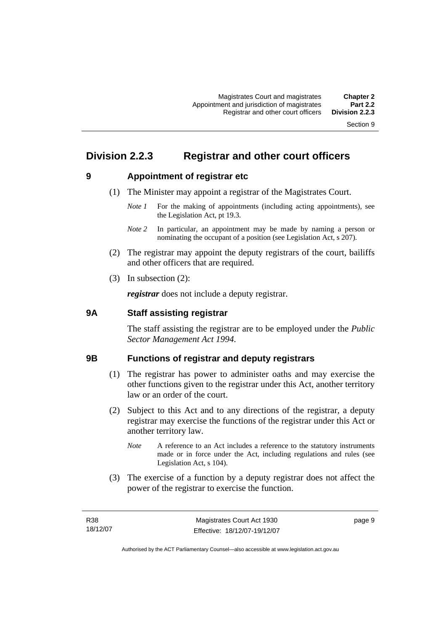Section 9

# **Division 2.2.3 Registrar and other court officers**

# **9 Appointment of registrar etc**

- (1) The Minister may appoint a registrar of the Magistrates Court.
	- *Note 1* For the making of appointments (including acting appointments), see the Legislation Act, pt 19.3.
	- *Note 2* In particular, an appointment may be made by naming a person or nominating the occupant of a position (see Legislation Act, s 207).
- (2) The registrar may appoint the deputy registrars of the court, bailiffs and other officers that are required.
- (3) In subsection (2):

*registrar* does not include a deputy registrar.

#### **9A Staff assisting registrar**

The staff assisting the registrar are to be employed under the *Public Sector Management Act 1994*.

#### **9B Functions of registrar and deputy registrars**

- (1) The registrar has power to administer oaths and may exercise the other functions given to the registrar under this Act, another territory law or an order of the court.
- (2) Subject to this Act and to any directions of the registrar, a deputy registrar may exercise the functions of the registrar under this Act or another territory law.
	- *Note* A reference to an Act includes a reference to the statutory instruments made or in force under the Act, including regulations and rules (see Legislation Act, s 104).
- (3) The exercise of a function by a deputy registrar does not affect the power of the registrar to exercise the function.

page 9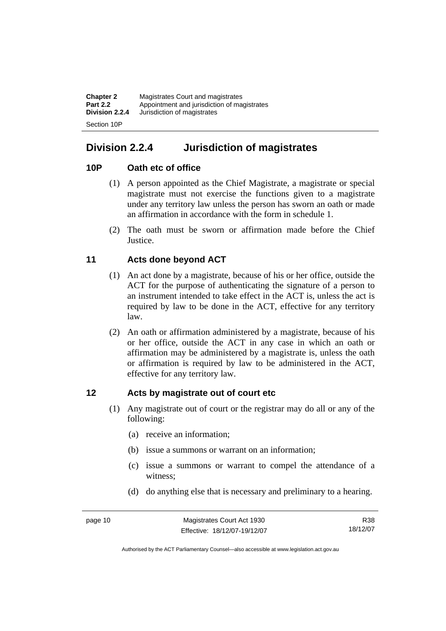| <b>Chapter 2</b> | Magistrates Court and magistrates           |
|------------------|---------------------------------------------|
| <b>Part 2.2</b>  | Appointment and jurisdiction of magistrates |
| Division 2.2.4   | Jurisdiction of magistrates                 |
| Section 10P      |                                             |

# **Division 2.2.4 Jurisdiction of magistrates**

#### **10P Oath etc of office**

- (1) A person appointed as the Chief Magistrate, a magistrate or special magistrate must not exercise the functions given to a magistrate under any territory law unless the person has sworn an oath or made an affirmation in accordance with the form in schedule 1.
- (2) The oath must be sworn or affirmation made before the Chief Justice.

## **11 Acts done beyond ACT**

- (1) An act done by a magistrate, because of his or her office, outside the ACT for the purpose of authenticating the signature of a person to an instrument intended to take effect in the ACT is, unless the act is required by law to be done in the ACT, effective for any territory law.
- (2) An oath or affirmation administered by a magistrate, because of his or her office, outside the ACT in any case in which an oath or affirmation may be administered by a magistrate is, unless the oath or affirmation is required by law to be administered in the ACT, effective for any territory law.

#### **12 Acts by magistrate out of court etc**

- (1) Any magistrate out of court or the registrar may do all or any of the following:
	- (a) receive an information;
	- (b) issue a summons or warrant on an information;
	- (c) issue a summons or warrant to compel the attendance of a witness;
	- (d) do anything else that is necessary and preliminary to a hearing.

R38 18/12/07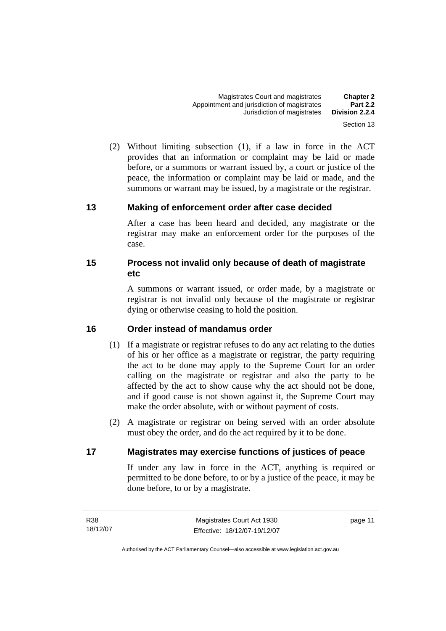- 
- (2) Without limiting subsection (1), if a law in force in the ACT provides that an information or complaint may be laid or made before, or a summons or warrant issued by, a court or justice of the peace, the information or complaint may be laid or made, and the summons or warrant may be issued, by a magistrate or the registrar.

#### **13 Making of enforcement order after case decided**

After a case has been heard and decided, any magistrate or the registrar may make an enforcement order for the purposes of the case.

#### **15 Process not invalid only because of death of magistrate etc**

A summons or warrant issued, or order made, by a magistrate or registrar is not invalid only because of the magistrate or registrar dying or otherwise ceasing to hold the position.

#### **16 Order instead of mandamus order**

- (1) If a magistrate or registrar refuses to do any act relating to the duties of his or her office as a magistrate or registrar, the party requiring the act to be done may apply to the Supreme Court for an order calling on the magistrate or registrar and also the party to be affected by the act to show cause why the act should not be done, and if good cause is not shown against it, the Supreme Court may make the order absolute, with or without payment of costs.
- (2) A magistrate or registrar on being served with an order absolute must obey the order, and do the act required by it to be done.

#### **17 Magistrates may exercise functions of justices of peace**

If under any law in force in the ACT, anything is required or permitted to be done before, to or by a justice of the peace, it may be done before, to or by a magistrate.

page 11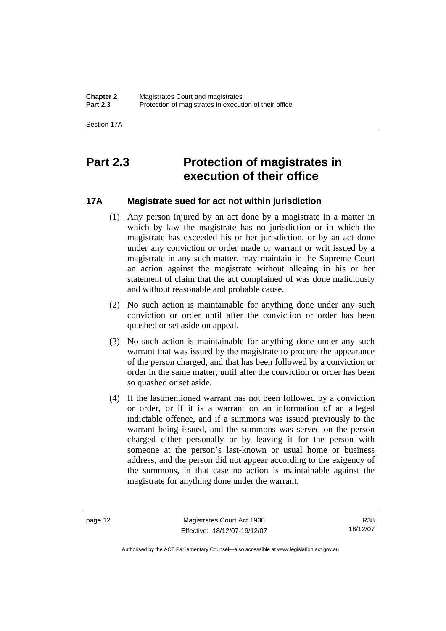Section 17A

# **Part 2.3 Protection of magistrates in execution of their office**

## **17A Magistrate sued for act not within jurisdiction**

- (1) Any person injured by an act done by a magistrate in a matter in which by law the magistrate has no jurisdiction or in which the magistrate has exceeded his or her jurisdiction, or by an act done under any conviction or order made or warrant or writ issued by a magistrate in any such matter, may maintain in the Supreme Court an action against the magistrate without alleging in his or her statement of claim that the act complained of was done maliciously and without reasonable and probable cause.
- (2) No such action is maintainable for anything done under any such conviction or order until after the conviction or order has been quashed or set aside on appeal.
- (3) No such action is maintainable for anything done under any such warrant that was issued by the magistrate to procure the appearance of the person charged, and that has been followed by a conviction or order in the same matter, until after the conviction or order has been so quashed or set aside.
- (4) If the lastmentioned warrant has not been followed by a conviction or order, or if it is a warrant on an information of an alleged indictable offence, and if a summons was issued previously to the warrant being issued, and the summons was served on the person charged either personally or by leaving it for the person with someone at the person's last-known or usual home or business address, and the person did not appear according to the exigency of the summons, in that case no action is maintainable against the magistrate for anything done under the warrant.

page 12 Magistrates Court Act 1930 Effective: 18/12/07-19/12/07

R38 18/12/07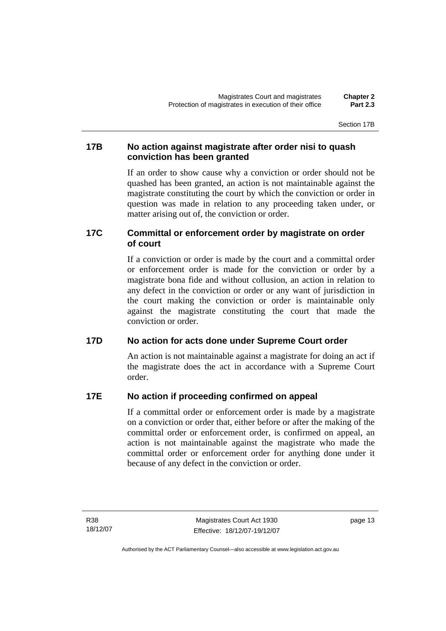Section 17B

#### **17B No action against magistrate after order nisi to quash conviction has been granted**

If an order to show cause why a conviction or order should not be quashed has been granted, an action is not maintainable against the magistrate constituting the court by which the conviction or order in question was made in relation to any proceeding taken under, or matter arising out of, the conviction or order.

## **17C Committal or enforcement order by magistrate on order of court**

If a conviction or order is made by the court and a committal order or enforcement order is made for the conviction or order by a magistrate bona fide and without collusion, an action in relation to any defect in the conviction or order or any want of jurisdiction in the court making the conviction or order is maintainable only against the magistrate constituting the court that made the conviction or order.

## **17D No action for acts done under Supreme Court order**

An action is not maintainable against a magistrate for doing an act if the magistrate does the act in accordance with a Supreme Court order.

## **17E No action if proceeding confirmed on appeal**

If a committal order or enforcement order is made by a magistrate on a conviction or order that, either before or after the making of the committal order or enforcement order, is confirmed on appeal, an action is not maintainable against the magistrate who made the committal order or enforcement order for anything done under it because of any defect in the conviction or order.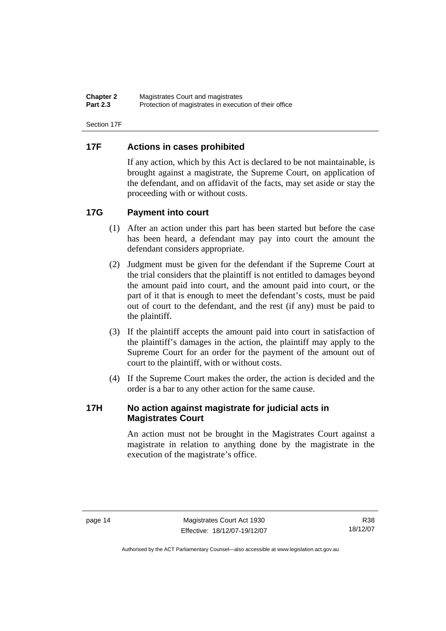**Chapter 2** Magistrates Court and magistrates<br>**Part 2.3** Protection of magistrates in executive Protection of magistrates in execution of their office

Section 17F

#### **17F Actions in cases prohibited**

If any action, which by this Act is declared to be not maintainable, is brought against a magistrate, the Supreme Court, on application of the defendant, and on affidavit of the facts, may set aside or stay the proceeding with or without costs.

#### **17G Payment into court**

- (1) After an action under this part has been started but before the case has been heard, a defendant may pay into court the amount the defendant considers appropriate.
- (2) Judgment must be given for the defendant if the Supreme Court at the trial considers that the plaintiff is not entitled to damages beyond the amount paid into court, and the amount paid into court, or the part of it that is enough to meet the defendant's costs, must be paid out of court to the defendant, and the rest (if any) must be paid to the plaintiff.
- (3) If the plaintiff accepts the amount paid into court in satisfaction of the plaintiff's damages in the action, the plaintiff may apply to the Supreme Court for an order for the payment of the amount out of court to the plaintiff, with or without costs.
- (4) If the Supreme Court makes the order, the action is decided and the order is a bar to any other action for the same cause.

#### **17H No action against magistrate for judicial acts in Magistrates Court**

An action must not be brought in the Magistrates Court against a magistrate in relation to anything done by the magistrate in the execution of the magistrate's office.

R38 18/12/07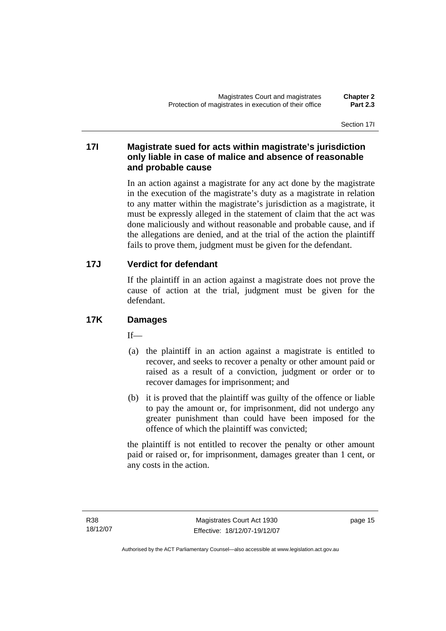#### **17I Magistrate sued for acts within magistrate's jurisdiction only liable in case of malice and absence of reasonable and probable cause**

In an action against a magistrate for any act done by the magistrate in the execution of the magistrate's duty as a magistrate in relation to any matter within the magistrate's jurisdiction as a magistrate, it must be expressly alleged in the statement of claim that the act was done maliciously and without reasonable and probable cause, and if the allegations are denied, and at the trial of the action the plaintiff fails to prove them, judgment must be given for the defendant.

## **17J Verdict for defendant**

If the plaintiff in an action against a magistrate does not prove the cause of action at the trial, judgment must be given for the defendant.

## **17K Damages**

 $If$ <sub> $\equiv$ </sub>

- (a) the plaintiff in an action against a magistrate is entitled to recover, and seeks to recover a penalty or other amount paid or raised as a result of a conviction, judgment or order or to recover damages for imprisonment; and
- (b) it is proved that the plaintiff was guilty of the offence or liable to pay the amount or, for imprisonment, did not undergo any greater punishment than could have been imposed for the offence of which the plaintiff was convicted;

the plaintiff is not entitled to recover the penalty or other amount paid or raised or, for imprisonment, damages greater than 1 cent, or any costs in the action.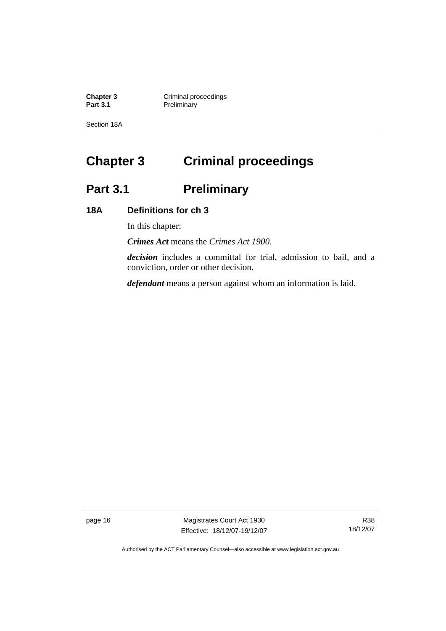**Chapter 3 Criminal proceedings Part 3.1** Preliminary

Section 18A

# **Chapter 3 Criminal proceedings**

# Part 3.1 **Preliminary**

## **18A Definitions for ch 3**

In this chapter:

*Crimes Act* means the *Crimes Act 1900*.

*decision* includes a committal for trial, admission to bail, and a conviction, order or other decision.

*defendant* means a person against whom an information is laid.

page 16 Magistrates Court Act 1930 Effective: 18/12/07-19/12/07

R38 18/12/07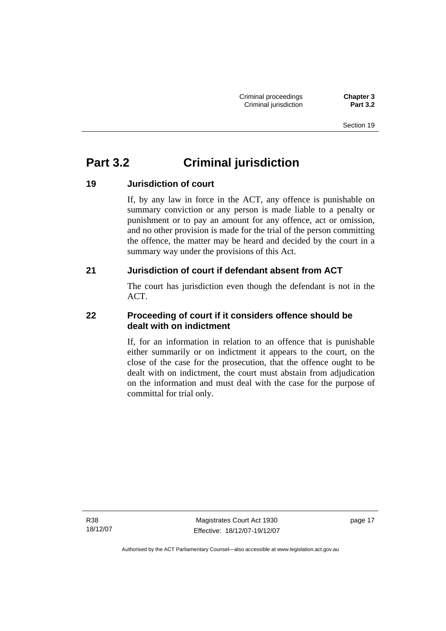Section 19

# **Part 3.2 Criminal jurisdiction**

# **19 Jurisdiction of court**

If, by any law in force in the ACT, any offence is punishable on summary conviction or any person is made liable to a penalty or punishment or to pay an amount for any offence, act or omission, and no other provision is made for the trial of the person committing the offence, the matter may be heard and decided by the court in a summary way under the provisions of this Act.

## **21 Jurisdiction of court if defendant absent from ACT**

The court has jurisdiction even though the defendant is not in the ACT.

## **22 Proceeding of court if it considers offence should be dealt with on indictment**

If, for an information in relation to an offence that is punishable either summarily or on indictment it appears to the court, on the close of the case for the prosecution, that the offence ought to be dealt with on indictment, the court must abstain from adjudication on the information and must deal with the case for the purpose of committal for trial only.

R38 18/12/07

Magistrates Court Act 1930 Effective: 18/12/07-19/12/07 page 17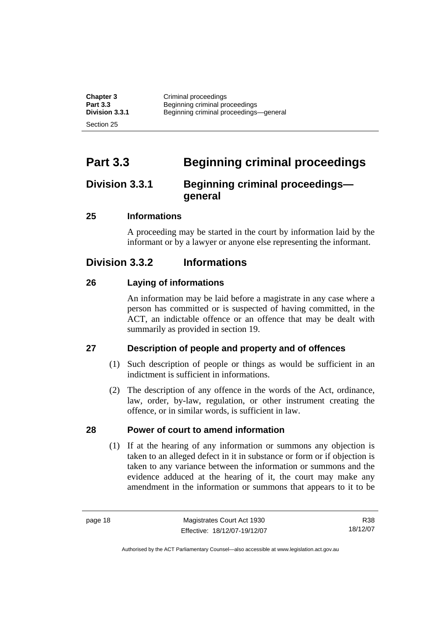| <b>Chapter 3</b> | Criminal proceedings                   |
|------------------|----------------------------------------|
| <b>Part 3.3</b>  | Beginning criminal proceedings         |
| Division 3.3.1   | Beginning criminal proceedings-general |
| Section 25       |                                        |

# **Part 3.3 Beginning criminal proceedings**

# **Division 3.3.1 Beginning criminal proceedings general**

#### **25 Informations**

A proceeding may be started in the court by information laid by the informant or by a lawyer or anyone else representing the informant.

# **Division 3.3.2 Informations**

#### **26 Laying of informations**

An information may be laid before a magistrate in any case where a person has committed or is suspected of having committed, in the ACT, an indictable offence or an offence that may be dealt with summarily as provided in section 19.

## **27 Description of people and property and of offences**

- (1) Such description of people or things as would be sufficient in an indictment is sufficient in informations.
- (2) The description of any offence in the words of the Act, ordinance, law, order, by-law, regulation, or other instrument creating the offence, or in similar words, is sufficient in law.

#### **28 Power of court to amend information**

 (1) If at the hearing of any information or summons any objection is taken to an alleged defect in it in substance or form or if objection is taken to any variance between the information or summons and the evidence adduced at the hearing of it, the court may make any amendment in the information or summons that appears to it to be

R38 18/12/07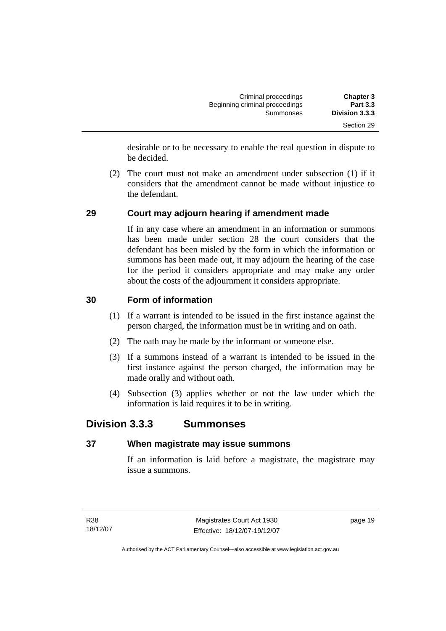| <b>Chapter 3</b>                  | Criminal proceedings                        |  |
|-----------------------------------|---------------------------------------------|--|
| <b>Part 3.3</b><br>Division 3.3.3 | Beginning criminal proceedings<br>Summonses |  |
| Section 29                        |                                             |  |

desirable or to be necessary to enable the real question in dispute to be decided.

 (2) The court must not make an amendment under subsection (1) if it considers that the amendment cannot be made without injustice to the defendant.

## **29 Court may adjourn hearing if amendment made**

If in any case where an amendment in an information or summons has been made under section 28 the court considers that the defendant has been misled by the form in which the information or summons has been made out, it may adjourn the hearing of the case for the period it considers appropriate and may make any order about the costs of the adjournment it considers appropriate.

#### **30 Form of information**

- (1) If a warrant is intended to be issued in the first instance against the person charged, the information must be in writing and on oath.
- (2) The oath may be made by the informant or someone else.
- (3) If a summons instead of a warrant is intended to be issued in the first instance against the person charged, the information may be made orally and without oath.
- (4) Subsection (3) applies whether or not the law under which the information is laid requires it to be in writing.

# **Division 3.3.3 Summonses**

## **37 When magistrate may issue summons**

If an information is laid before a magistrate, the magistrate may issue a summons.

page 19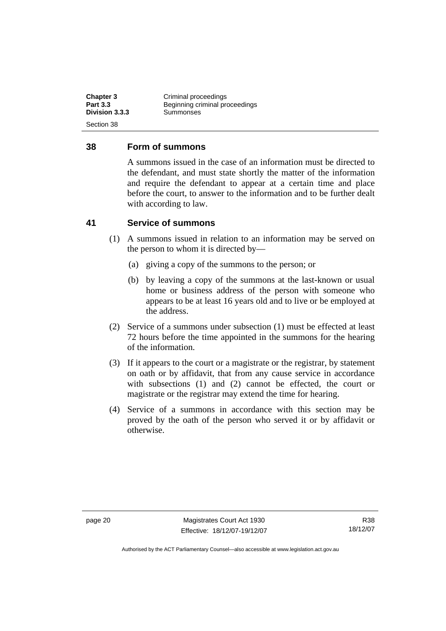| <b>Chapter 3</b><br><b>Part 3.3</b> | Criminal proceedings<br>Beginning criminal proceedings |
|-------------------------------------|--------------------------------------------------------|
| Division 3.3.3                      | Summonses                                              |
| Section 38                          |                                                        |

#### **38 Form of summons**

A summons issued in the case of an information must be directed to the defendant, and must state shortly the matter of the information and require the defendant to appear at a certain time and place before the court, to answer to the information and to be further dealt with according to law.

#### **41 Service of summons**

- (1) A summons issued in relation to an information may be served on the person to whom it is directed by—
	- (a) giving a copy of the summons to the person; or
	- (b) by leaving a copy of the summons at the last-known or usual home or business address of the person with someone who appears to be at least 16 years old and to live or be employed at the address.
- (2) Service of a summons under subsection (1) must be effected at least 72 hours before the time appointed in the summons for the hearing of the information.
- (3) If it appears to the court or a magistrate or the registrar, by statement on oath or by affidavit, that from any cause service in accordance with subsections (1) and (2) cannot be effected, the court or magistrate or the registrar may extend the time for hearing.
- (4) Service of a summons in accordance with this section may be proved by the oath of the person who served it or by affidavit or otherwise.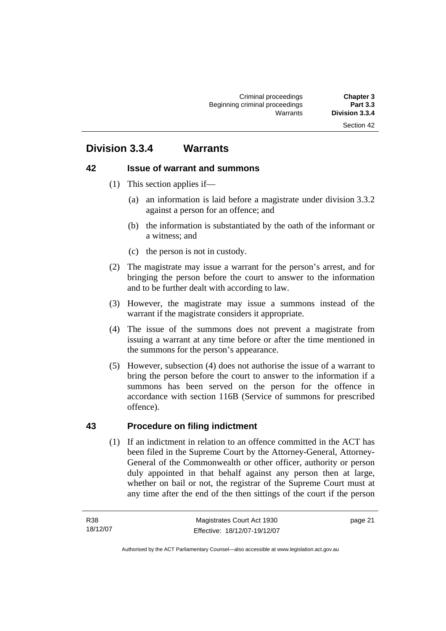#### Section 42

# **Division 3.3.4 Warrants**

#### **42 Issue of warrant and summons**

- (1) This section applies if—
	- (a) an information is laid before a magistrate under division 3.3.2 against a person for an offence; and
	- (b) the information is substantiated by the oath of the informant or a witness; and
	- (c) the person is not in custody.
- (2) The magistrate may issue a warrant for the person's arrest, and for bringing the person before the court to answer to the information and to be further dealt with according to law.
- (3) However, the magistrate may issue a summons instead of the warrant if the magistrate considers it appropriate.
- (4) The issue of the summons does not prevent a magistrate from issuing a warrant at any time before or after the time mentioned in the summons for the person's appearance.
- (5) However, subsection (4) does not authorise the issue of a warrant to bring the person before the court to answer to the information if a summons has been served on the person for the offence in accordance with section 116B (Service of summons for prescribed offence).

#### **43 Procedure on filing indictment**

 (1) If an indictment in relation to an offence committed in the ACT has been filed in the Supreme Court by the Attorney-General, Attorney-General of the Commonwealth or other officer, authority or person duly appointed in that behalf against any person then at large, whether on bail or not, the registrar of the Supreme Court must at any time after the end of the then sittings of the court if the person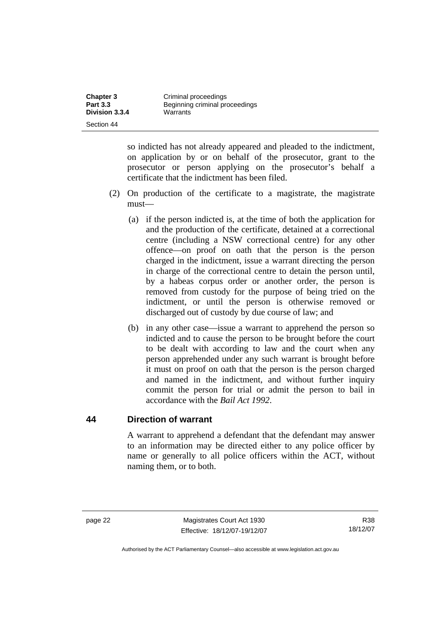| <b>Chapter 3</b><br><b>Part 3.3</b> | Criminal proceedings                       |  |
|-------------------------------------|--------------------------------------------|--|
| Division 3.3.4                      | Beginning criminal proceedings<br>Warrants |  |
| Section 44                          |                                            |  |

so indicted has not already appeared and pleaded to the indictment, on application by or on behalf of the prosecutor, grant to the prosecutor or person applying on the prosecutor's behalf a certificate that the indictment has been filed.

- (2) On production of the certificate to a magistrate, the magistrate must—
	- (a) if the person indicted is, at the time of both the application for and the production of the certificate, detained at a correctional centre (including a NSW correctional centre) for any other offence—on proof on oath that the person is the person charged in the indictment, issue a warrant directing the person in charge of the correctional centre to detain the person until, by a habeas corpus order or another order, the person is removed from custody for the purpose of being tried on the indictment, or until the person is otherwise removed or discharged out of custody by due course of law; and
	- (b) in any other case—issue a warrant to apprehend the person so indicted and to cause the person to be brought before the court to be dealt with according to law and the court when any person apprehended under any such warrant is brought before it must on proof on oath that the person is the person charged and named in the indictment, and without further inquiry commit the person for trial or admit the person to bail in accordance with the *Bail Act 1992*.

## **44 Direction of warrant**

A warrant to apprehend a defendant that the defendant may answer to an information may be directed either to any police officer by name or generally to all police officers within the ACT, without naming them, or to both.

R38 18/12/07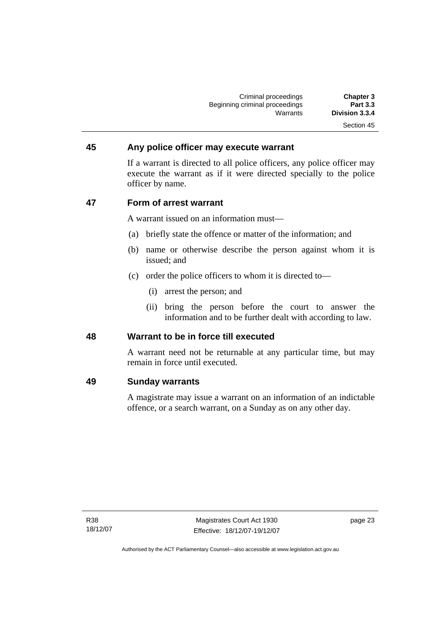| <b>Chapter 3</b> | Criminal proceedings           |
|------------------|--------------------------------|
| <b>Part 3.3</b>  | Beginning criminal proceedings |
| Division 3.3.4   | Warrants                       |
| Section 45       |                                |

#### **45 Any police officer may execute warrant**

If a warrant is directed to all police officers, any police officer may execute the warrant as if it were directed specially to the police officer by name.

### **47 Form of arrest warrant**

A warrant issued on an information must—

- (a) briefly state the offence or matter of the information; and
- (b) name or otherwise describe the person against whom it is issued; and
- (c) order the police officers to whom it is directed to—
	- (i) arrest the person; and
	- (ii) bring the person before the court to answer the information and to be further dealt with according to law.

#### **48 Warrant to be in force till executed**

A warrant need not be returnable at any particular time, but may remain in force until executed.

#### **49 Sunday warrants**

A magistrate may issue a warrant on an information of an indictable offence, or a search warrant, on a Sunday as on any other day.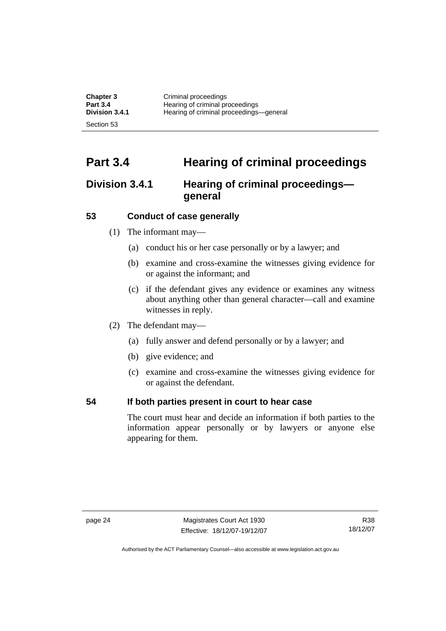| <b>Chapter 3</b> | Criminal proceedings                    |
|------------------|-----------------------------------------|
| <b>Part 3.4</b>  | Hearing of criminal proceedings         |
| Division 3.4.1   | Hearing of criminal proceedings-general |
| Section 53       |                                         |

# **Part 3.4 Hearing of criminal proceedings**

## **Division 3.4.1 Hearing of criminal proceedings general**

#### **53 Conduct of case generally**

- (1) The informant may—
	- (a) conduct his or her case personally or by a lawyer; and
	- (b) examine and cross-examine the witnesses giving evidence for or against the informant; and
	- (c) if the defendant gives any evidence or examines any witness about anything other than general character—call and examine witnesses in reply.
- (2) The defendant may—
	- (a) fully answer and defend personally or by a lawyer; and
	- (b) give evidence; and
	- (c) examine and cross-examine the witnesses giving evidence for or against the defendant.

### **54 If both parties present in court to hear case**

The court must hear and decide an information if both parties to the information appear personally or by lawyers or anyone else appearing for them.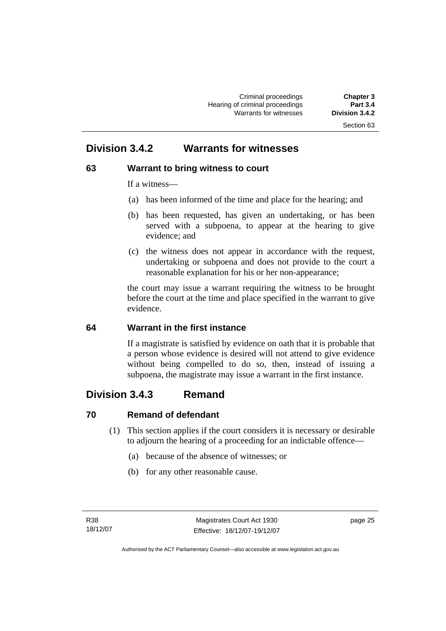## **Division 3.4.2 Warrants for witnesses**

### **63 Warrant to bring witness to court**

If a witness—

- (a) has been informed of the time and place for the hearing; and
- (b) has been requested, has given an undertaking, or has been served with a subpoena, to appear at the hearing to give evidence; and
- (c) the witness does not appear in accordance with the request, undertaking or subpoena and does not provide to the court a reasonable explanation for his or her non-appearance;

the court may issue a warrant requiring the witness to be brought before the court at the time and place specified in the warrant to give evidence.

#### **64 Warrant in the first instance**

If a magistrate is satisfied by evidence on oath that it is probable that a person whose evidence is desired will not attend to give evidence without being compelled to do so, then, instead of issuing a subpoena, the magistrate may issue a warrant in the first instance.

## **Division 3.4.3 Remand**

#### **70 Remand of defendant**

- (1) This section applies if the court considers it is necessary or desirable to adjourn the hearing of a proceeding for an indictable offence—
	- (a) because of the absence of witnesses; or
	- (b) for any other reasonable cause.

page 25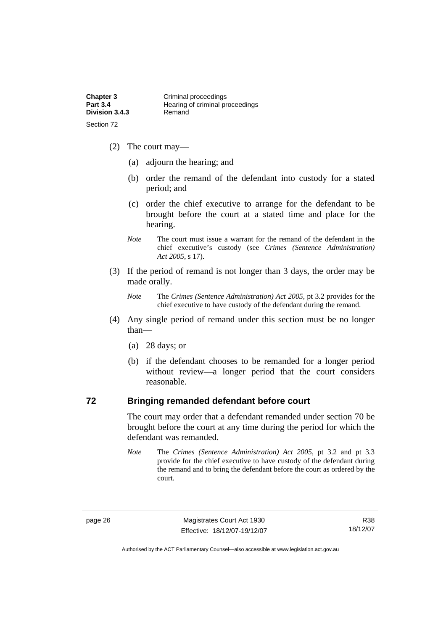- (2) The court may—
	- (a) adjourn the hearing; and
	- (b) order the remand of the defendant into custody for a stated period; and
	- (c) order the chief executive to arrange for the defendant to be brought before the court at a stated time and place for the hearing.
	- *Note* The court must issue a warrant for the remand of the defendant in the chief executive's custody (see *Crimes (Sentence Administration) Act 2005*, s 17).
- (3) If the period of remand is not longer than 3 days, the order may be made orally.
	- *Note* The *Crimes (Sentence Administration) Act 2005*, pt 3.2 provides for the chief executive to have custody of the defendant during the remand.
- (4) Any single period of remand under this section must be no longer than—
	- (a) 28 days; or
	- (b) if the defendant chooses to be remanded for a longer period without review—a longer period that the court considers reasonable.

#### **72 Bringing remanded defendant before court**

The court may order that a defendant remanded under section 70 be brought before the court at any time during the period for which the defendant was remanded.

*Note* The *Crimes (Sentence Administration) Act 2005*, pt 3.2 and pt 3.3 provide for the chief executive to have custody of the defendant during the remand and to bring the defendant before the court as ordered by the court.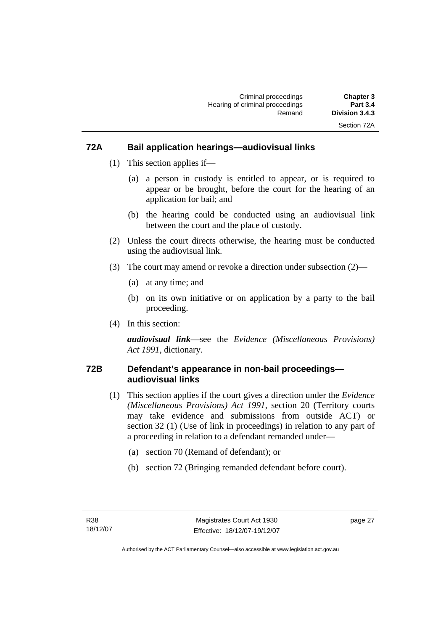#### **72A Bail application hearings—audiovisual links**

- (1) This section applies if—
	- (a) a person in custody is entitled to appear, or is required to appear or be brought, before the court for the hearing of an application for bail; and
	- (b) the hearing could be conducted using an audiovisual link between the court and the place of custody.
- (2) Unless the court directs otherwise, the hearing must be conducted using the audiovisual link.
- (3) The court may amend or revoke a direction under subsection (2)—
	- (a) at any time; and
	- (b) on its own initiative or on application by a party to the bail proceeding.
- (4) In this section:

*audiovisual link*—see the *Evidence (Miscellaneous Provisions) Act 1991*, dictionary.

#### **72B Defendant's appearance in non-bail proceedings audiovisual links**

- (1) This section applies if the court gives a direction under the *Evidence (Miscellaneous Provisions) Act 1991*, section 20 (Territory courts may take evidence and submissions from outside ACT) or section 32 (1) (Use of link in proceedings) in relation to any part of a proceeding in relation to a defendant remanded under—
	- (a) section 70 (Remand of defendant); or
	- (b) section 72 (Bringing remanded defendant before court).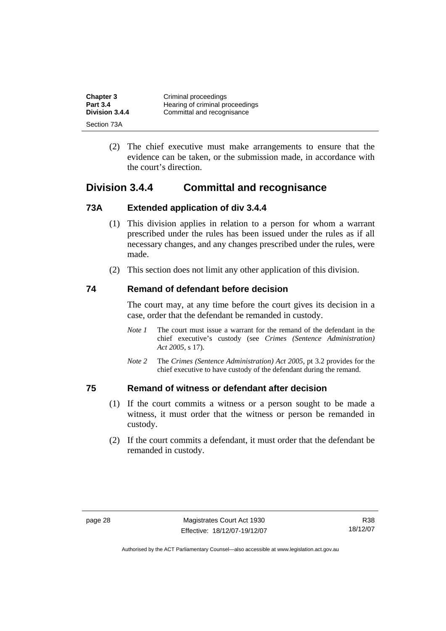| <b>Chapter 3</b> | Criminal proceedings            |
|------------------|---------------------------------|
| <b>Part 3.4</b>  | Hearing of criminal proceedings |
| Division 3.4.4   | Committal and recognisance      |
| Section 73A      |                                 |

 (2) The chief executive must make arrangements to ensure that the evidence can be taken, or the submission made, in accordance with the court's direction.

## **Division 3.4.4 Committal and recognisance**

#### **73A Extended application of div 3.4.4**

- (1) This division applies in relation to a person for whom a warrant prescribed under the rules has been issued under the rules as if all necessary changes, and any changes prescribed under the rules, were made.
- (2) This section does not limit any other application of this division.

#### **74 Remand of defendant before decision**

The court may, at any time before the court gives its decision in a case, order that the defendant be remanded in custody.

- *Note 1* The court must issue a warrant for the remand of the defendant in the chief executive's custody (see *Crimes (Sentence Administration) Act 2005*, s 17).
- *Note 2* The *Crimes (Sentence Administration) Act 2005*, pt 3.2 provides for the chief executive to have custody of the defendant during the remand.

#### **75 Remand of witness or defendant after decision**

- (1) If the court commits a witness or a person sought to be made a witness, it must order that the witness or person be remanded in custody.
- (2) If the court commits a defendant, it must order that the defendant be remanded in custody.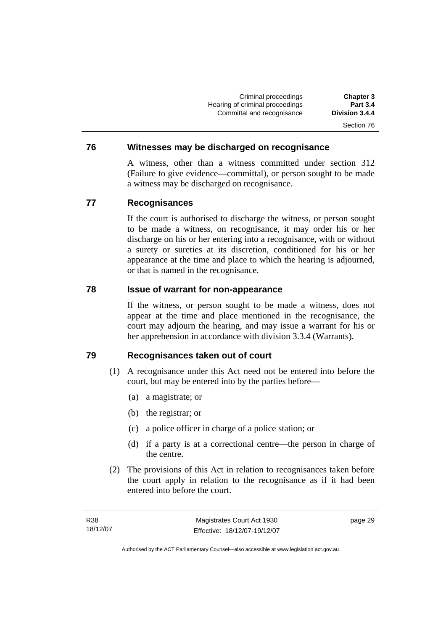Criminal proceedings **Chapter 3 Hearing of criminal proceedings** Committal and recognisance **Division 3.4.4**  Section 76

#### **76 Witnesses may be discharged on recognisance**

A witness, other than a witness committed under section 312 (Failure to give evidence—committal), or person sought to be made a witness may be discharged on recognisance.

#### **77 Recognisances**

If the court is authorised to discharge the witness, or person sought to be made a witness, on recognisance, it may order his or her discharge on his or her entering into a recognisance, with or without a surety or sureties at its discretion, conditioned for his or her appearance at the time and place to which the hearing is adjourned, or that is named in the recognisance.

#### **78 Issue of warrant for non-appearance**

If the witness, or person sought to be made a witness, does not appear at the time and place mentioned in the recognisance, the court may adjourn the hearing, and may issue a warrant for his or her apprehension in accordance with division 3.3.4 (Warrants).

#### **79 Recognisances taken out of court**

- (1) A recognisance under this Act need not be entered into before the court, but may be entered into by the parties before—
	- (a) a magistrate; or
	- (b) the registrar; or
	- (c) a police officer in charge of a police station; or
	- (d) if a party is at a correctional centre—the person in charge of the centre.
- (2) The provisions of this Act in relation to recognisances taken before the court apply in relation to the recognisance as if it had been entered into before the court.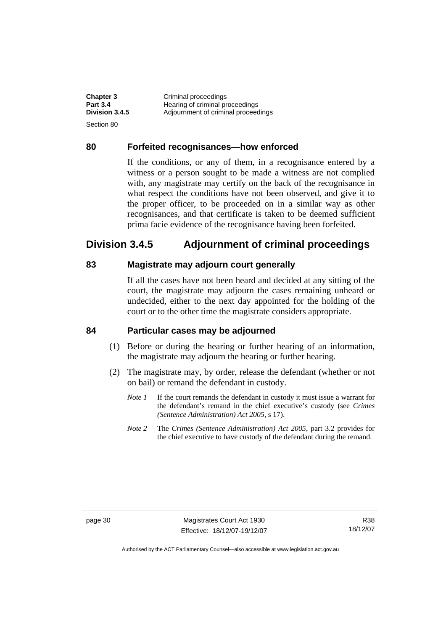| <b>Chapter 3</b> | Criminal proceedings                |
|------------------|-------------------------------------|
| <b>Part 3.4</b>  | Hearing of criminal proceedings     |
| Division 3.4.5   | Adjournment of criminal proceedings |
| -Section 80      |                                     |

#### **80 Forfeited recognisances—how enforced**

If the conditions, or any of them, in a recognisance entered by a witness or a person sought to be made a witness are not complied with, any magistrate may certify on the back of the recognisance in what respect the conditions have not been observed, and give it to the proper officer, to be proceeded on in a similar way as other recognisances, and that certificate is taken to be deemed sufficient prima facie evidence of the recognisance having been forfeited.

## **Division 3.4.5 Adjournment of criminal proceedings**

#### **83 Magistrate may adjourn court generally**

If all the cases have not been heard and decided at any sitting of the court, the magistrate may adjourn the cases remaining unheard or undecided, either to the next day appointed for the holding of the court or to the other time the magistrate considers appropriate.

#### **84 Particular cases may be adjourned**

- (1) Before or during the hearing or further hearing of an information, the magistrate may adjourn the hearing or further hearing.
- (2) The magistrate may, by order, release the defendant (whether or not on bail) or remand the defendant in custody.
	- *Note 1* If the court remands the defendant in custody it must issue a warrant for the defendant's remand in the chief executive's custody (see *Crimes (Sentence Administration) Act 2005*, s 17).
	- *Note 2* The *Crimes (Sentence Administration) Act 2005*, part 3.2 provides for the chief executive to have custody of the defendant during the remand.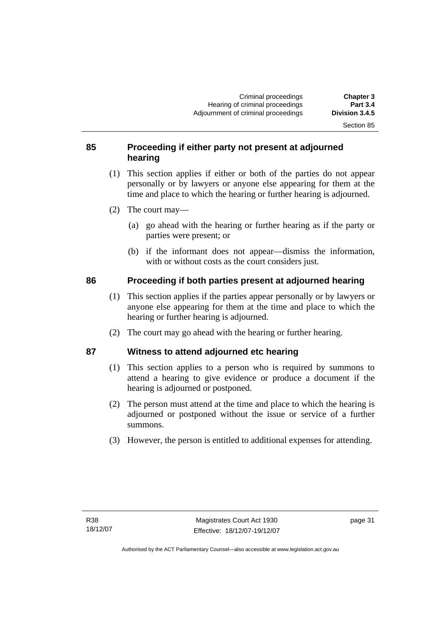Section 85

### **85 Proceeding if either party not present at adjourned hearing**

- (1) This section applies if either or both of the parties do not appear personally or by lawyers or anyone else appearing for them at the time and place to which the hearing or further hearing is adjourned.
- (2) The court may—
	- (a) go ahead with the hearing or further hearing as if the party or parties were present; or
	- (b) if the informant does not appear—dismiss the information, with or without costs as the court considers just.

#### **86 Proceeding if both parties present at adjourned hearing**

- (1) This section applies if the parties appear personally or by lawyers or anyone else appearing for them at the time and place to which the hearing or further hearing is adjourned.
- (2) The court may go ahead with the hearing or further hearing.

## **87 Witness to attend adjourned etc hearing**

- (1) This section applies to a person who is required by summons to attend a hearing to give evidence or produce a document if the hearing is adjourned or postponed.
- (2) The person must attend at the time and place to which the hearing is adjourned or postponed without the issue or service of a further summons.
- (3) However, the person is entitled to additional expenses for attending.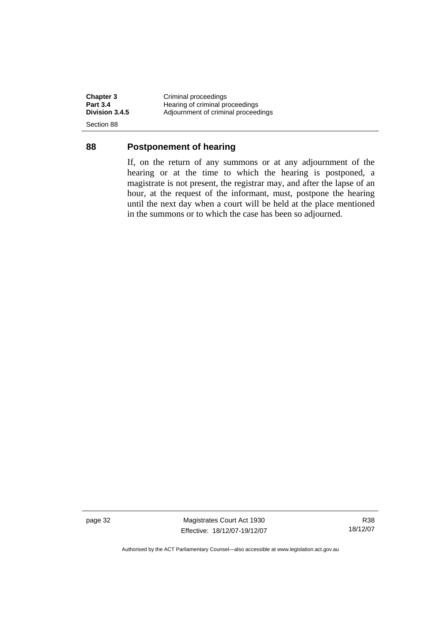**Chapter 3 Criminal proceedings**<br> **Part 3.4 Hearing of criminal proceedings Part 3.4 Hearing of criminal proceedings**<br> **Division 3.4.5** Adjournment of criminal proceedings **Division 3.4.5** Adjournment of criminal proceedings Section 88

#### **88 Postponement of hearing**

If, on the return of any summons or at any adjournment of the hearing or at the time to which the hearing is postponed, a magistrate is not present, the registrar may, and after the lapse of an hour, at the request of the informant, must, postpone the hearing until the next day when a court will be held at the place mentioned in the summons or to which the case has been so adjourned.

page 32 Magistrates Court Act 1930 Effective: 18/12/07-19/12/07

R38 18/12/07

Authorised by the ACT Parliamentary Counsel—also accessible at www.legislation.act.gov.au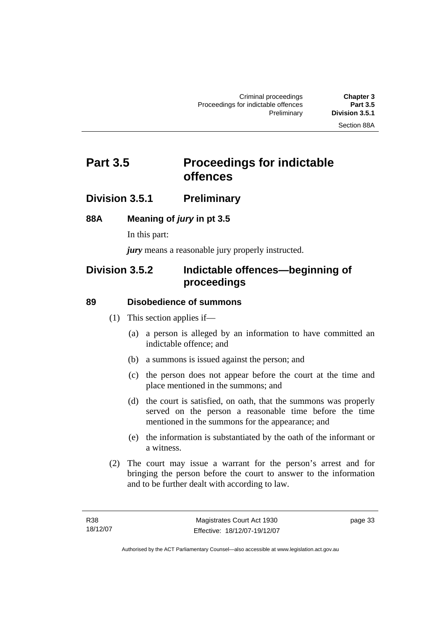# **Part 3.5** Proceedings for indictable **offences**

## **Division 3.5.1 Preliminary**

#### **88A Meaning of** *jury* **in pt 3.5**

In this part:

*jury* means a reasonable jury properly instructed.

## **Division 3.5.2 Indictable offences—beginning of proceedings**

#### **89 Disobedience of summons**

- (1) This section applies if—
	- (a) a person is alleged by an information to have committed an indictable offence; and
	- (b) a summons is issued against the person; and
	- (c) the person does not appear before the court at the time and place mentioned in the summons; and
	- (d) the court is satisfied, on oath, that the summons was properly served on the person a reasonable time before the time mentioned in the summons for the appearance; and
	- (e) the information is substantiated by the oath of the informant or a witness.
- (2) The court may issue a warrant for the person's arrest and for bringing the person before the court to answer to the information and to be further dealt with according to law.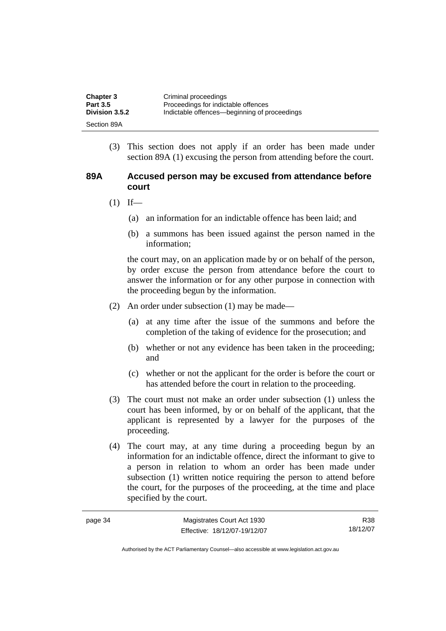| <b>Chapter 3</b>      | Criminal proceedings                         |
|-----------------------|----------------------------------------------|
| <b>Part 3.5</b>       | Proceedings for indictable offences          |
| <b>Division 3.5.2</b> | Indictable offences—beginning of proceedings |
| Section 89A           |                                              |

 (3) This section does not apply if an order has been made under section 89A (1) excusing the person from attending before the court.

#### **89A Accused person may be excused from attendance before court**

- $(1)$  If—
	- (a) an information for an indictable offence has been laid; and
	- (b) a summons has been issued against the person named in the information;

the court may, on an application made by or on behalf of the person, by order excuse the person from attendance before the court to answer the information or for any other purpose in connection with the proceeding begun by the information.

- (2) An order under subsection (1) may be made—
	- (a) at any time after the issue of the summons and before the completion of the taking of evidence for the prosecution; and
	- (b) whether or not any evidence has been taken in the proceeding; and
	- (c) whether or not the applicant for the order is before the court or has attended before the court in relation to the proceeding.
- (3) The court must not make an order under subsection (1) unless the court has been informed, by or on behalf of the applicant, that the applicant is represented by a lawyer for the purposes of the proceeding.
- (4) The court may, at any time during a proceeding begun by an information for an indictable offence, direct the informant to give to a person in relation to whom an order has been made under subsection (1) written notice requiring the person to attend before the court, for the purposes of the proceeding, at the time and place specified by the court.

| page 34 | Magistrates Court Act 1930   | R38      |
|---------|------------------------------|----------|
|         | Effective: 18/12/07-19/12/07 | 18/12/07 |

Authorised by the ACT Parliamentary Counsel—also accessible at www.legislation.act.gov.au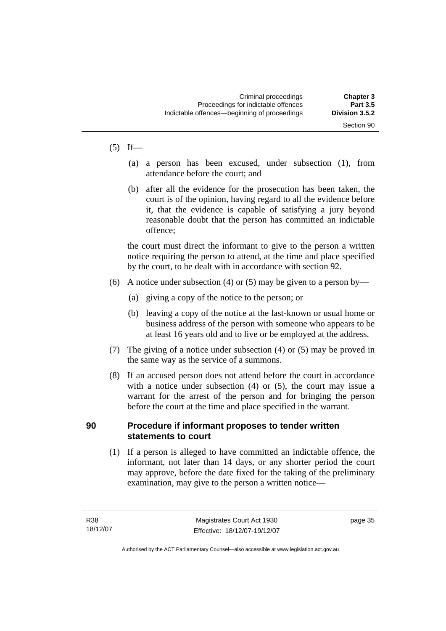#### $(5)$  If—

- (a) a person has been excused, under subsection (1), from attendance before the court; and
- (b) after all the evidence for the prosecution has been taken, the court is of the opinion, having regard to all the evidence before it, that the evidence is capable of satisfying a jury beyond reasonable doubt that the person has committed an indictable offence;

the court must direct the informant to give to the person a written notice requiring the person to attend, at the time and place specified by the court, to be dealt with in accordance with section 92.

- (6) A notice under subsection (4) or (5) may be given to a person by—
	- (a) giving a copy of the notice to the person; or
	- (b) leaving a copy of the notice at the last-known or usual home or business address of the person with someone who appears to be at least 16 years old and to live or be employed at the address.
- (7) The giving of a notice under subsection (4) or (5) may be proved in the same way as the service of a summons.
- (8) If an accused person does not attend before the court in accordance with a notice under subsection (4) or (5), the court may issue a warrant for the arrest of the person and for bringing the person before the court at the time and place specified in the warrant.

#### **90 Procedure if informant proposes to tender written statements to court**

 (1) If a person is alleged to have committed an indictable offence, the informant, not later than 14 days, or any shorter period the court may approve, before the date fixed for the taking of the preliminary examination, may give to the person a written notice—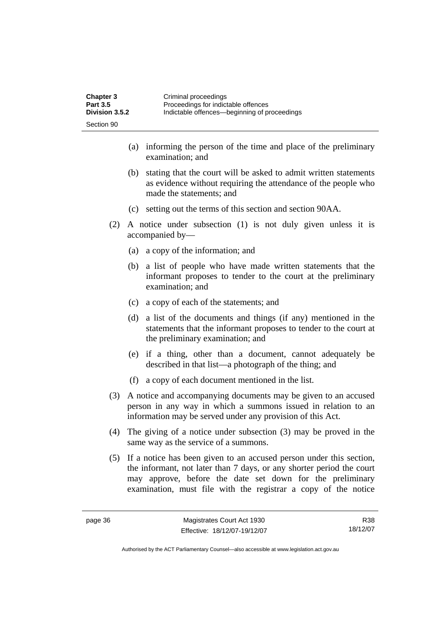| <b>Chapter 3</b> | Criminal proceedings                         |
|------------------|----------------------------------------------|
| <b>Part 3.5</b>  | Proceedings for indictable offences          |
| Division 3.5.2   | Indictable offences—beginning of proceedings |
| Section 90       |                                              |

- (a) informing the person of the time and place of the preliminary examination; and
- (b) stating that the court will be asked to admit written statements as evidence without requiring the attendance of the people who made the statements; and
- (c) setting out the terms of this section and section 90AA.
- (2) A notice under subsection (1) is not duly given unless it is accompanied by—
	- (a) a copy of the information; and
	- (b) a list of people who have made written statements that the informant proposes to tender to the court at the preliminary examination; and
	- (c) a copy of each of the statements; and
	- (d) a list of the documents and things (if any) mentioned in the statements that the informant proposes to tender to the court at the preliminary examination; and
	- (e) if a thing, other than a document, cannot adequately be described in that list—a photograph of the thing; and
	- (f) a copy of each document mentioned in the list.
- (3) A notice and accompanying documents may be given to an accused person in any way in which a summons issued in relation to an information may be served under any provision of this Act.
- (4) The giving of a notice under subsection (3) may be proved in the same way as the service of a summons.
- (5) If a notice has been given to an accused person under this section, the informant, not later than 7 days, or any shorter period the court may approve, before the date set down for the preliminary examination, must file with the registrar a copy of the notice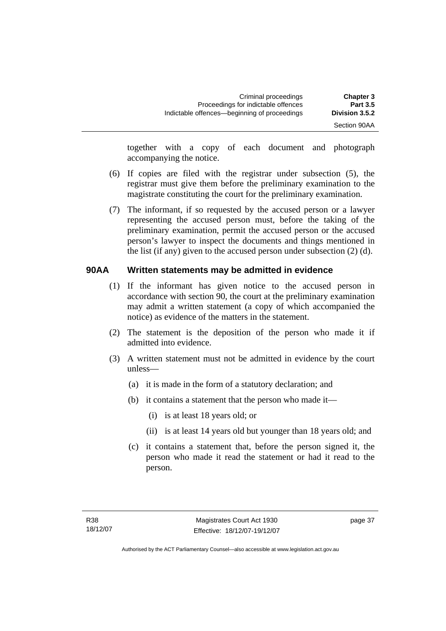Section 90AA

together with a copy of each document and photograph accompanying the notice.

- (6) If copies are filed with the registrar under subsection (5), the registrar must give them before the preliminary examination to the magistrate constituting the court for the preliminary examination.
- (7) The informant, if so requested by the accused person or a lawyer representing the accused person must, before the taking of the preliminary examination, permit the accused person or the accused person's lawyer to inspect the documents and things mentioned in the list (if any) given to the accused person under subsection (2) (d).

#### **90AA Written statements may be admitted in evidence**

- (1) If the informant has given notice to the accused person in accordance with section 90, the court at the preliminary examination may admit a written statement (a copy of which accompanied the notice) as evidence of the matters in the statement.
- (2) The statement is the deposition of the person who made it if admitted into evidence.
- (3) A written statement must not be admitted in evidence by the court unless—
	- (a) it is made in the form of a statutory declaration; and
	- (b) it contains a statement that the person who made it—
		- (i) is at least 18 years old; or
		- (ii) is at least 14 years old but younger than 18 years old; and
	- (c) it contains a statement that, before the person signed it, the person who made it read the statement or had it read to the person.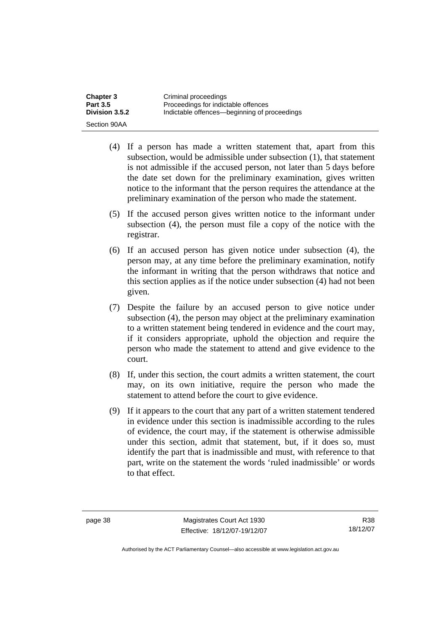| <b>Chapter 3</b> | Criminal proceedings                         |
|------------------|----------------------------------------------|
| <b>Part 3.5</b>  | Proceedings for indictable offences          |
| Division 3.5.2   | Indictable offences—beginning of proceedings |
| Section 90AA     |                                              |

- (4) If a person has made a written statement that, apart from this subsection, would be admissible under subsection (1), that statement is not admissible if the accused person, not later than 5 days before the date set down for the preliminary examination, gives written notice to the informant that the person requires the attendance at the preliminary examination of the person who made the statement.
- (5) If the accused person gives written notice to the informant under subsection (4), the person must file a copy of the notice with the registrar.
- (6) If an accused person has given notice under subsection (4), the person may, at any time before the preliminary examination, notify the informant in writing that the person withdraws that notice and this section applies as if the notice under subsection (4) had not been given.
- (7) Despite the failure by an accused person to give notice under subsection (4), the person may object at the preliminary examination to a written statement being tendered in evidence and the court may, if it considers appropriate, uphold the objection and require the person who made the statement to attend and give evidence to the court.
- (8) If, under this section, the court admits a written statement, the court may, on its own initiative, require the person who made the statement to attend before the court to give evidence.
- (9) If it appears to the court that any part of a written statement tendered in evidence under this section is inadmissible according to the rules of evidence, the court may, if the statement is otherwise admissible under this section, admit that statement, but, if it does so, must identify the part that is inadmissible and must, with reference to that part, write on the statement the words 'ruled inadmissible' or words to that effect.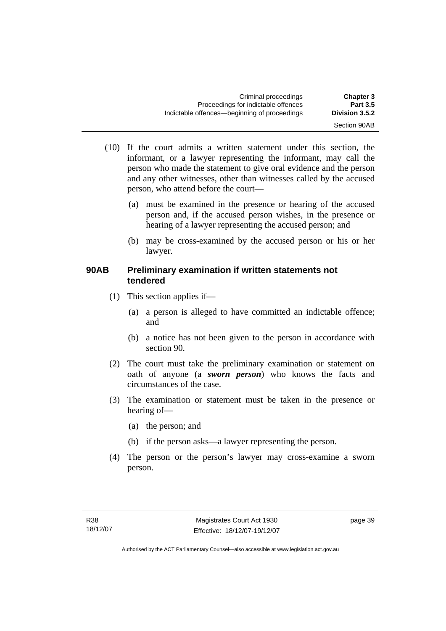| Criminal proceedings<br>Proceedings for indictable offences | <b>Chapter 3</b><br><b>Part 3.5</b> |
|-------------------------------------------------------------|-------------------------------------|
| Indictable offences—beginning of proceedings                | Division 3.5.2                      |
|                                                             | Section 90AB                        |

- (10) If the court admits a written statement under this section, the informant, or a lawyer representing the informant, may call the person who made the statement to give oral evidence and the person and any other witnesses, other than witnesses called by the accused person, who attend before the court—
	- (a) must be examined in the presence or hearing of the accused person and, if the accused person wishes, in the presence or hearing of a lawyer representing the accused person; and
	- (b) may be cross-examined by the accused person or his or her lawyer.

#### **90AB Preliminary examination if written statements not tendered**

- (1) This section applies if—
	- (a) a person is alleged to have committed an indictable offence; and
	- (b) a notice has not been given to the person in accordance with section 90.
- (2) The court must take the preliminary examination or statement on oath of anyone (a *sworn person*) who knows the facts and circumstances of the case.
- (3) The examination or statement must be taken in the presence or hearing of—
	- (a) the person; and
	- (b) if the person asks—a lawyer representing the person.
- (4) The person or the person's lawyer may cross-examine a sworn person.

page 39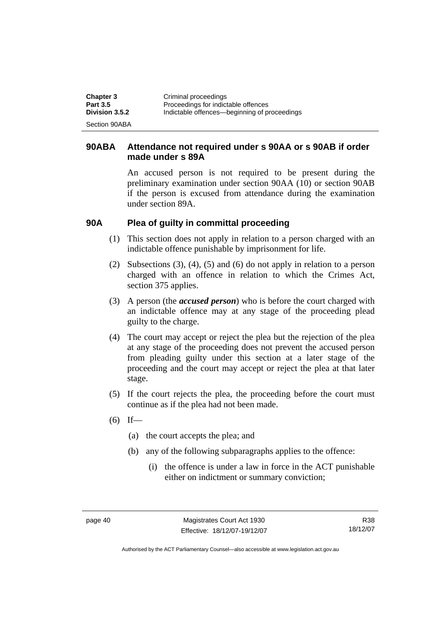| <b>Chapter 3</b> | Criminal proceedings                         |
|------------------|----------------------------------------------|
| <b>Part 3.5</b>  | Proceedings for indictable offences          |
| Division 3.5.2   | Indictable offences—beginning of proceedings |
| Section 90ABA    |                                              |

#### **90ABA Attendance not required under s 90AA or s 90AB if order made under s 89A**

An accused person is not required to be present during the preliminary examination under section 90AA (10) or section 90AB if the person is excused from attendance during the examination under section 89A.

#### **90A Plea of guilty in committal proceeding**

- (1) This section does not apply in relation to a person charged with an indictable offence punishable by imprisonment for life.
- (2) Subsections (3), (4), (5) and (6) do not apply in relation to a person charged with an offence in relation to which the Crimes Act, section 375 applies.
- (3) A person (the *accused person*) who is before the court charged with an indictable offence may at any stage of the proceeding plead guilty to the charge.
- (4) The court may accept or reject the plea but the rejection of the plea at any stage of the proceeding does not prevent the accused person from pleading guilty under this section at a later stage of the proceeding and the court may accept or reject the plea at that later stage.
- (5) If the court rejects the plea, the proceeding before the court must continue as if the plea had not been made.
- $(6)$  If—
	- (a) the court accepts the plea; and
	- (b) any of the following subparagraphs applies to the offence:
		- (i) the offence is under a law in force in the ACT punishable either on indictment or summary conviction;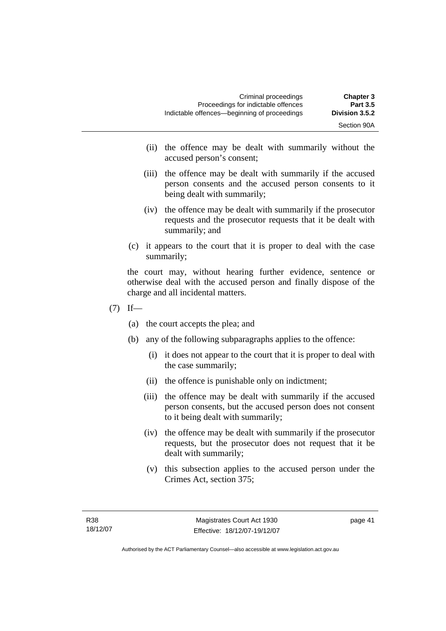- (ii) the offence may be dealt with summarily without the accused person's consent;
- (iii) the offence may be dealt with summarily if the accused person consents and the accused person consents to it being dealt with summarily;
- (iv) the offence may be dealt with summarily if the prosecutor requests and the prosecutor requests that it be dealt with summarily; and
- (c) it appears to the court that it is proper to deal with the case summarily;

the court may, without hearing further evidence, sentence or otherwise deal with the accused person and finally dispose of the charge and all incidental matters.

- $(7)$  If—
	- (a) the court accepts the plea; and
	- (b) any of the following subparagraphs applies to the offence:
		- (i) it does not appear to the court that it is proper to deal with the case summarily;
		- (ii) the offence is punishable only on indictment;
		- (iii) the offence may be dealt with summarily if the accused person consents, but the accused person does not consent to it being dealt with summarily;
		- (iv) the offence may be dealt with summarily if the prosecutor requests, but the prosecutor does not request that it be dealt with summarily;
		- (v) this subsection applies to the accused person under the Crimes Act, section 375;

page 41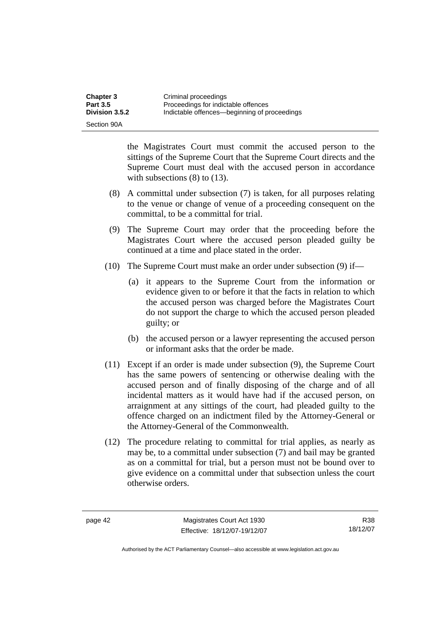| <b>Chapter 3</b> | Criminal proceedings                         |
|------------------|----------------------------------------------|
| <b>Part 3.5</b>  | Proceedings for indictable offences          |
| Division 3.5.2   | Indictable offences—beginning of proceedings |
| Section 90A      |                                              |

the Magistrates Court must commit the accused person to the sittings of the Supreme Court that the Supreme Court directs and the Supreme Court must deal with the accused person in accordance with subsections (8) to (13).

- (8) A committal under subsection (7) is taken, for all purposes relating to the venue or change of venue of a proceeding consequent on the committal, to be a committal for trial.
- (9) The Supreme Court may order that the proceeding before the Magistrates Court where the accused person pleaded guilty be continued at a time and place stated in the order.
- (10) The Supreme Court must make an order under subsection (9) if—
	- (a) it appears to the Supreme Court from the information or evidence given to or before it that the facts in relation to which the accused person was charged before the Magistrates Court do not support the charge to which the accused person pleaded guilty; or
	- (b) the accused person or a lawyer representing the accused person or informant asks that the order be made.
- (11) Except if an order is made under subsection (9), the Supreme Court has the same powers of sentencing or otherwise dealing with the accused person and of finally disposing of the charge and of all incidental matters as it would have had if the accused person, on arraignment at any sittings of the court, had pleaded guilty to the offence charged on an indictment filed by the Attorney-General or the Attorney-General of the Commonwealth.
- (12) The procedure relating to committal for trial applies, as nearly as may be, to a committal under subsection (7) and bail may be granted as on a committal for trial, but a person must not be bound over to give evidence on a committal under that subsection unless the court otherwise orders.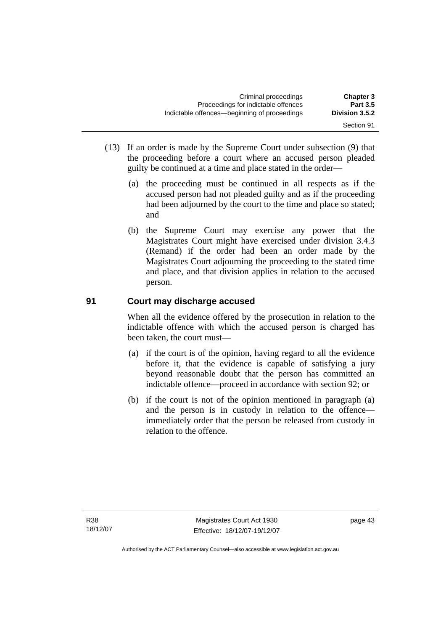- (13) If an order is made by the Supreme Court under subsection (9) that the proceeding before a court where an accused person pleaded guilty be continued at a time and place stated in the order—
	- (a) the proceeding must be continued in all respects as if the accused person had not pleaded guilty and as if the proceeding had been adjourned by the court to the time and place so stated; and
	- (b) the Supreme Court may exercise any power that the Magistrates Court might have exercised under division 3.4.3 (Remand) if the order had been an order made by the Magistrates Court adjourning the proceeding to the stated time and place, and that division applies in relation to the accused person.

## **91 Court may discharge accused**

When all the evidence offered by the prosecution in relation to the indictable offence with which the accused person is charged has been taken, the court must—

- (a) if the court is of the opinion, having regard to all the evidence before it, that the evidence is capable of satisfying a jury beyond reasonable doubt that the person has committed an indictable offence—proceed in accordance with section 92; or
- (b) if the court is not of the opinion mentioned in paragraph (a) and the person is in custody in relation to the offence immediately order that the person be released from custody in relation to the offence.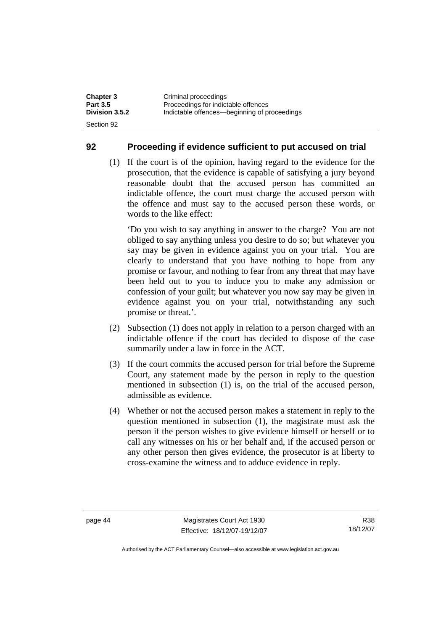| <b>Chapter 3</b> | Criminal proceedings                         |
|------------------|----------------------------------------------|
| <b>Part 3.5</b>  | Proceedings for indictable offences          |
| Division 3.5.2   | Indictable offences—beginning of proceedings |
| Section 92       |                                              |

#### **92 Proceeding if evidence sufficient to put accused on trial**

 (1) If the court is of the opinion, having regard to the evidence for the prosecution, that the evidence is capable of satisfying a jury beyond reasonable doubt that the accused person has committed an indictable offence, the court must charge the accused person with the offence and must say to the accused person these words, or words to the like effect:

'Do you wish to say anything in answer to the charge? You are not obliged to say anything unless you desire to do so; but whatever you say may be given in evidence against you on your trial. You are clearly to understand that you have nothing to hope from any promise or favour, and nothing to fear from any threat that may have been held out to you to induce you to make any admission or confession of your guilt; but whatever you now say may be given in evidence against you on your trial, notwithstanding any such promise or threat.'.

- (2) Subsection (1) does not apply in relation to a person charged with an indictable offence if the court has decided to dispose of the case summarily under a law in force in the ACT.
- (3) If the court commits the accused person for trial before the Supreme Court, any statement made by the person in reply to the question mentioned in subsection (1) is, on the trial of the accused person, admissible as evidence.
- (4) Whether or not the accused person makes a statement in reply to the question mentioned in subsection (1), the magistrate must ask the person if the person wishes to give evidence himself or herself or to call any witnesses on his or her behalf and, if the accused person or any other person then gives evidence, the prosecutor is at liberty to cross-examine the witness and to adduce evidence in reply.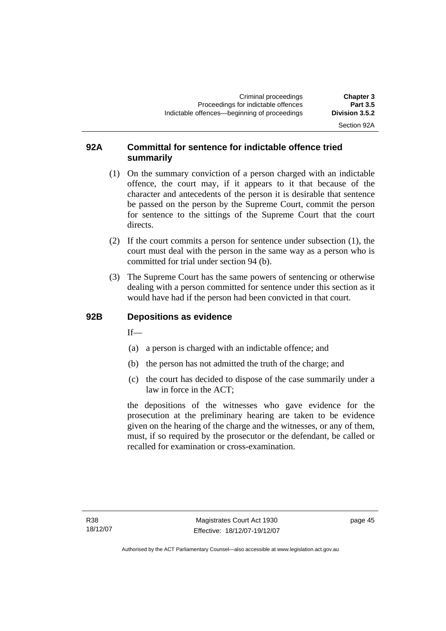Section 92A

### **92A Committal for sentence for indictable offence tried summarily**

- (1) On the summary conviction of a person charged with an indictable offence, the court may, if it appears to it that because of the character and antecedents of the person it is desirable that sentence be passed on the person by the Supreme Court, commit the person for sentence to the sittings of the Supreme Court that the court directs.
- (2) If the court commits a person for sentence under subsection (1), the court must deal with the person in the same way as a person who is committed for trial under section 94 (b).
- (3) The Supreme Court has the same powers of sentencing or otherwise dealing with a person committed for sentence under this section as it would have had if the person had been convicted in that court.

#### **92B Depositions as evidence**

If—

- (a) a person is charged with an indictable offence; and
- (b) the person has not admitted the truth of the charge; and
- (c) the court has decided to dispose of the case summarily under a law in force in the ACT;

the depositions of the witnesses who gave evidence for the prosecution at the preliminary hearing are taken to be evidence given on the hearing of the charge and the witnesses, or any of them, must, if so required by the prosecutor or the defendant, be called or recalled for examination or cross-examination.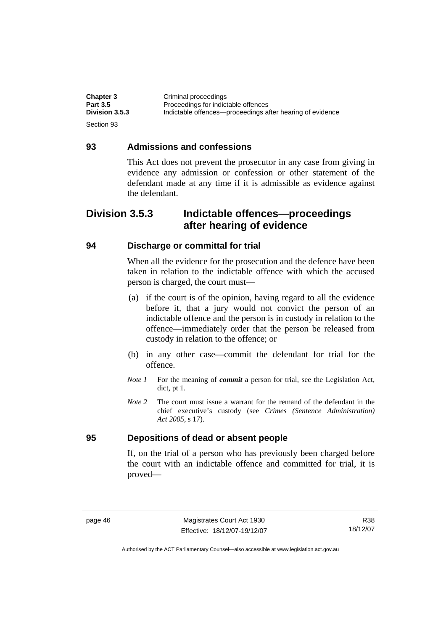| <b>Chapter 3</b> | Criminal proceedings                                      |
|------------------|-----------------------------------------------------------|
| <b>Part 3.5</b>  | Proceedings for indictable offences                       |
| Division 3.5.3   | Indictable offences—proceedings after hearing of evidence |
| Section 93       |                                                           |

#### **93 Admissions and confessions**

This Act does not prevent the prosecutor in any case from giving in evidence any admission or confession or other statement of the defendant made at any time if it is admissible as evidence against the defendant.

## **Division 3.5.3 Indictable offences—proceedings after hearing of evidence**

#### **94 Discharge or committal for trial**

When all the evidence for the prosecution and the defence have been taken in relation to the indictable offence with which the accused person is charged, the court must—

- (a) if the court is of the opinion, having regard to all the evidence before it, that a jury would not convict the person of an indictable offence and the person is in custody in relation to the offence—immediately order that the person be released from custody in relation to the offence; or
- (b) in any other case—commit the defendant for trial for the offence.
- *Note 1* For the meaning of *commit* a person for trial, see the Legislation Act, dict, pt 1.
- *Note 2* The court must issue a warrant for the remand of the defendant in the chief executive's custody (see *Crimes (Sentence Administration) Act 2005*, s 17).

#### **95 Depositions of dead or absent people**

If, on the trial of a person who has previously been charged before the court with an indictable offence and committed for trial, it is proved—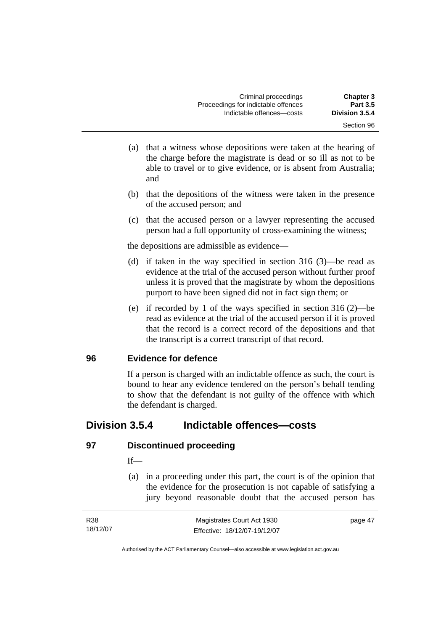- (a) that a witness whose depositions were taken at the hearing of the charge before the magistrate is dead or so ill as not to be able to travel or to give evidence, or is absent from Australia; and
- (b) that the depositions of the witness were taken in the presence of the accused person; and
- (c) that the accused person or a lawyer representing the accused person had a full opportunity of cross-examining the witness;

the depositions are admissible as evidence—

- (d) if taken in the way specified in section 316 (3)—be read as evidence at the trial of the accused person without further proof unless it is proved that the magistrate by whom the depositions purport to have been signed did not in fact sign them; or
- (e) if recorded by 1 of the ways specified in section 316 (2)—be read as evidence at the trial of the accused person if it is proved that the record is a correct record of the depositions and that the transcript is a correct transcript of that record.

#### **96 Evidence for defence**

If a person is charged with an indictable offence as such, the court is bound to hear any evidence tendered on the person's behalf tending to show that the defendant is not guilty of the offence with which the defendant is charged.

## **Division 3.5.4 Indictable offences—costs**

#### **97 Discontinued proceeding**

#### $If$ —

 (a) in a proceeding under this part, the court is of the opinion that the evidence for the prosecution is not capable of satisfying a jury beyond reasonable doubt that the accused person has

| R38      | Magistrates Court Act 1930   | page 47 |
|----------|------------------------------|---------|
| 18/12/07 | Effective: 18/12/07-19/12/07 |         |

Authorised by the ACT Parliamentary Counsel—also accessible at www.legislation.act.gov.au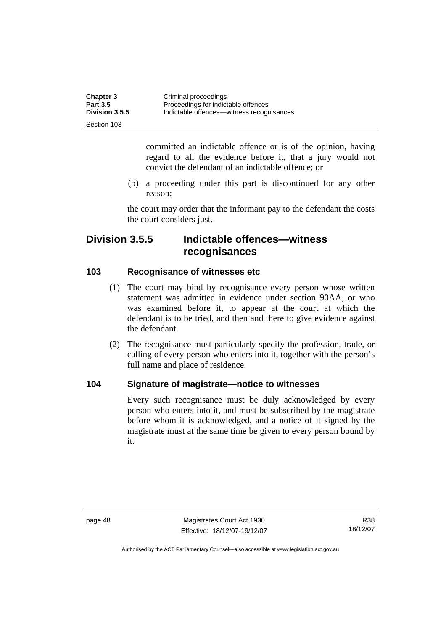| <b>Chapter 3</b> | Criminal proceedings                      |
|------------------|-------------------------------------------|
| <b>Part 3.5</b>  | Proceedings for indictable offences       |
| Division 3.5.5   | Indictable offences—witness recognisances |
| Section 103      |                                           |

committed an indictable offence or is of the opinion, having regard to all the evidence before it, that a jury would not convict the defendant of an indictable offence; or

 (b) a proceeding under this part is discontinued for any other reason;

the court may order that the informant pay to the defendant the costs the court considers just.

## **Division 3.5.5 Indictable offences—witness recognisances**

#### **103 Recognisance of witnesses etc**

- (1) The court may bind by recognisance every person whose written statement was admitted in evidence under section 90AA, or who was examined before it, to appear at the court at which the defendant is to be tried, and then and there to give evidence against the defendant.
- (2) The recognisance must particularly specify the profession, trade, or calling of every person who enters into it, together with the person's full name and place of residence.

#### **104 Signature of magistrate—notice to witnesses**

Every such recognisance must be duly acknowledged by every person who enters into it, and must be subscribed by the magistrate before whom it is acknowledged, and a notice of it signed by the magistrate must at the same time be given to every person bound by it.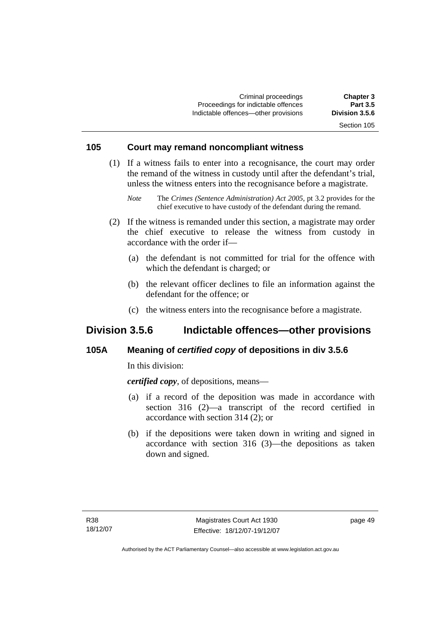Criminal proceedings **Chapter 3**  Proceedings for indictable offences **Part 3.5**<br> **Part 3.5 Part 3.5 6**<br> **Proceeding a contract of the contract of the Proceeding State Proceeding Contract Proceeding Contract Proceeding Contract Proceeding Contract Procee** Indictable offences-other provisions Section 105

## **105 Court may remand noncompliant witness**

- (1) If a witness fails to enter into a recognisance, the court may order the remand of the witness in custody until after the defendant's trial, unless the witness enters into the recognisance before a magistrate.
	- *Note* The *Crimes (Sentence Administration) Act 2005*, pt 3.2 provides for the chief executive to have custody of the defendant during the remand.
- (2) If the witness is remanded under this section, a magistrate may order the chief executive to release the witness from custody in accordance with the order if—
	- (a) the defendant is not committed for trial for the offence with which the defendant is charged; or
	- (b) the relevant officer declines to file an information against the defendant for the offence; or
	- (c) the witness enters into the recognisance before a magistrate.

## **Division 3.5.6 Indictable offences—other provisions**

#### **105A Meaning of** *certified copy* **of depositions in div 3.5.6**

In this division:

*certified copy*, of depositions, means—

- (a) if a record of the deposition was made in accordance with section 316 (2)—a transcript of the record certified in accordance with section 314 (2); or
- (b) if the depositions were taken down in writing and signed in accordance with section 316 (3)—the depositions as taken down and signed.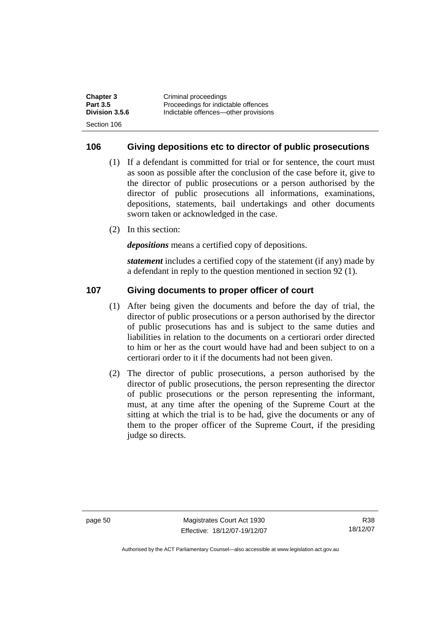| <b>Chapter 3</b> | Criminal proceedings                 |
|------------------|--------------------------------------|
| <b>Part 3.5</b>  | Proceedings for indictable offences  |
| Division 3.5.6   | Indictable offences—other provisions |
| Section 106      |                                      |

#### **106 Giving depositions etc to director of public prosecutions**

- (1) If a defendant is committed for trial or for sentence, the court must as soon as possible after the conclusion of the case before it, give to the director of public prosecutions or a person authorised by the director of public prosecutions all informations, examinations, depositions, statements, bail undertakings and other documents sworn taken or acknowledged in the case.
- (2) In this section:

*depositions* means a certified copy of depositions.

*statement* includes a certified copy of the statement (if any) made by a defendant in reply to the question mentioned in section 92 (1).

#### **107 Giving documents to proper officer of court**

- (1) After being given the documents and before the day of trial, the director of public prosecutions or a person authorised by the director of public prosecutions has and is subject to the same duties and liabilities in relation to the documents on a certiorari order directed to him or her as the court would have had and been subject to on a certiorari order to it if the documents had not been given.
- (2) The director of public prosecutions, a person authorised by the director of public prosecutions, the person representing the director of public prosecutions or the person representing the informant, must, at any time after the opening of the Supreme Court at the sitting at which the trial is to be had, give the documents or any of them to the proper officer of the Supreme Court, if the presiding judge so directs.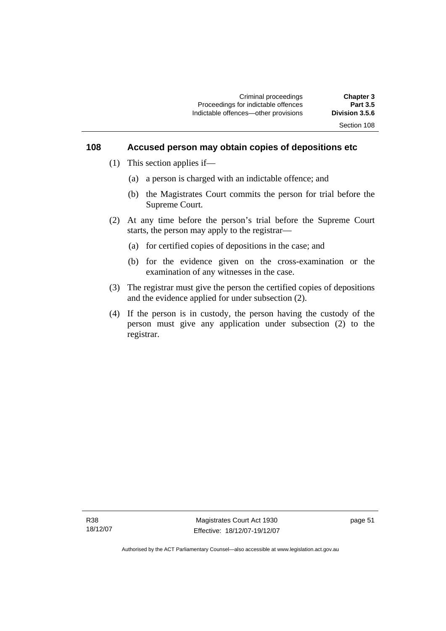#### **108 Accused person may obtain copies of depositions etc**

- (1) This section applies if—
	- (a) a person is charged with an indictable offence; and
	- (b) the Magistrates Court commits the person for trial before the Supreme Court.
- (2) At any time before the person's trial before the Supreme Court starts, the person may apply to the registrar—
	- (a) for certified copies of depositions in the case; and
	- (b) for the evidence given on the cross-examination or the examination of any witnesses in the case.
- (3) The registrar must give the person the certified copies of depositions and the evidence applied for under subsection (2).
- (4) If the person is in custody, the person having the custody of the person must give any application under subsection (2) to the registrar.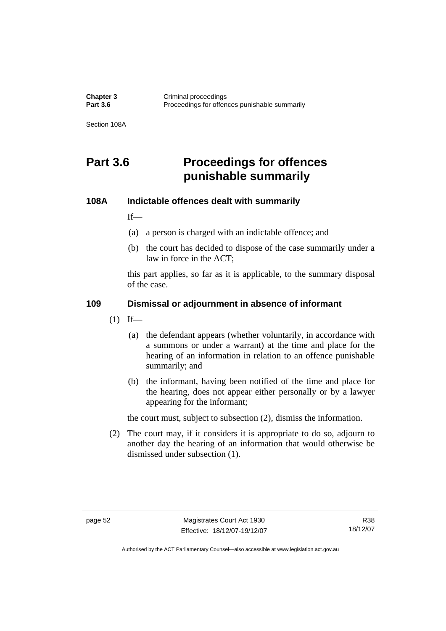**Chapter 3 Criminal proceedings**<br>**Part 3.6 Proceedings** for offen Proceedings for offences punishable summarily

Section 108A

# **Part 3.6 Proceedings for offences punishable summarily**

#### **108A Indictable offences dealt with summarily**

If—

- (a) a person is charged with an indictable offence; and
- (b) the court has decided to dispose of the case summarily under a law in force in the ACT;

this part applies, so far as it is applicable, to the summary disposal of the case.

#### **109 Dismissal or adjournment in absence of informant**

- $(1)$  If—
	- (a) the defendant appears (whether voluntarily, in accordance with a summons or under a warrant) at the time and place for the hearing of an information in relation to an offence punishable summarily; and
	- (b) the informant, having been notified of the time and place for the hearing, does not appear either personally or by a lawyer appearing for the informant;

the court must, subject to subsection (2), dismiss the information.

 (2) The court may, if it considers it is appropriate to do so, adjourn to another day the hearing of an information that would otherwise be dismissed under subsection (1).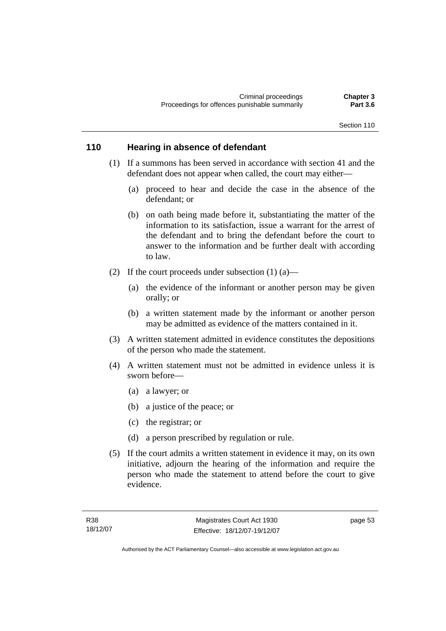#### **110 Hearing in absence of defendant**

- (1) If a summons has been served in accordance with section 41 and the defendant does not appear when called, the court may either—
	- (a) proceed to hear and decide the case in the absence of the defendant; or
	- (b) on oath being made before it, substantiating the matter of the information to its satisfaction, issue a warrant for the arrest of the defendant and to bring the defendant before the court to answer to the information and be further dealt with according to law.
- (2) If the court proceeds under subsection  $(1)$  (a)—
	- (a) the evidence of the informant or another person may be given orally; or
	- (b) a written statement made by the informant or another person may be admitted as evidence of the matters contained in it.
- (3) A written statement admitted in evidence constitutes the depositions of the person who made the statement.
- (4) A written statement must not be admitted in evidence unless it is sworn before—
	- (a) a lawyer; or
	- (b) a justice of the peace; or
	- (c) the registrar; or
	- (d) a person prescribed by regulation or rule.
- (5) If the court admits a written statement in evidence it may, on its own initiative, adjourn the hearing of the information and require the person who made the statement to attend before the court to give evidence.

page 53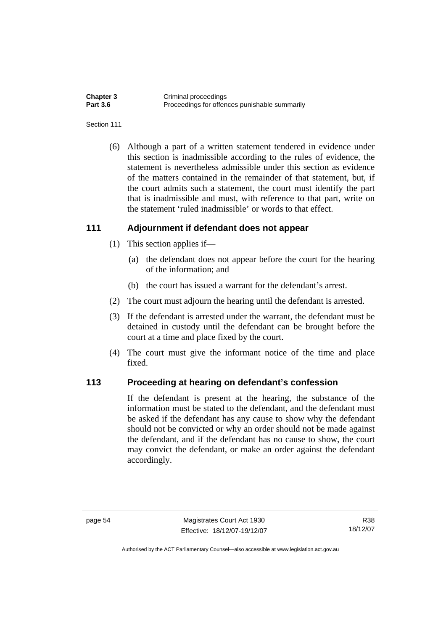| <b>Chapter 3</b> | Criminal proceedings                          |
|------------------|-----------------------------------------------|
| <b>Part 3.6</b>  | Proceedings for offences punishable summarily |

#### Section 111

 (6) Although a part of a written statement tendered in evidence under this section is inadmissible according to the rules of evidence, the statement is nevertheless admissible under this section as evidence of the matters contained in the remainder of that statement, but, if the court admits such a statement, the court must identify the part that is inadmissible and must, with reference to that part, write on the statement 'ruled inadmissible' or words to that effect.

#### **111 Adjournment if defendant does not appear**

- (1) This section applies if—
	- (a) the defendant does not appear before the court for the hearing of the information; and
	- (b) the court has issued a warrant for the defendant's arrest.
- (2) The court must adjourn the hearing until the defendant is arrested.
- (3) If the defendant is arrested under the warrant, the defendant must be detained in custody until the defendant can be brought before the court at a time and place fixed by the court.
- (4) The court must give the informant notice of the time and place fixed.

#### **113 Proceeding at hearing on defendant's confession**

If the defendant is present at the hearing, the substance of the information must be stated to the defendant, and the defendant must be asked if the defendant has any cause to show why the defendant should not be convicted or why an order should not be made against the defendant, and if the defendant has no cause to show, the court may convict the defendant, or make an order against the defendant accordingly.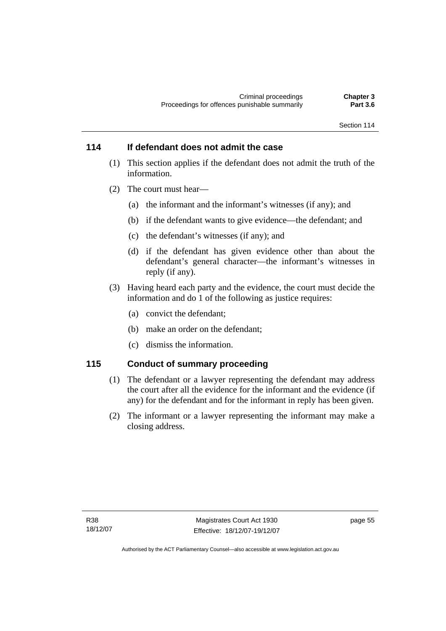#### **114 If defendant does not admit the case**

- (1) This section applies if the defendant does not admit the truth of the information.
- (2) The court must hear—
	- (a) the informant and the informant's witnesses (if any); and
	- (b) if the defendant wants to give evidence—the defendant; and
	- (c) the defendant's witnesses (if any); and
	- (d) if the defendant has given evidence other than about the defendant's general character—the informant's witnesses in reply (if any).
- (3) Having heard each party and the evidence, the court must decide the information and do 1 of the following as justice requires:
	- (a) convict the defendant;
	- (b) make an order on the defendant;
	- (c) dismiss the information.

#### **115 Conduct of summary proceeding**

- (1) The defendant or a lawyer representing the defendant may address the court after all the evidence for the informant and the evidence (if any) for the defendant and for the informant in reply has been given.
- (2) The informant or a lawyer representing the informant may make a closing address.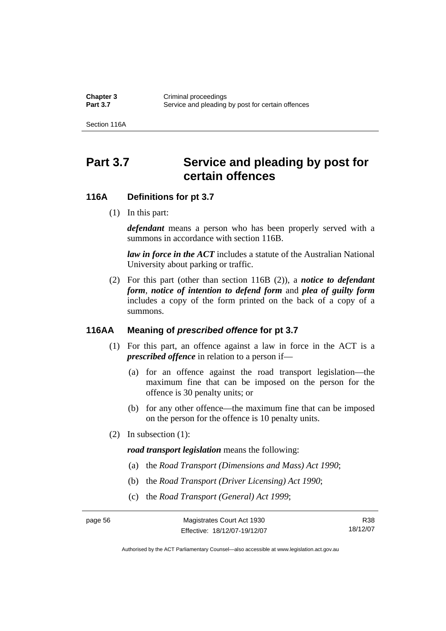**Chapter 3 Criminal proceedings**<br>**Part 3.7 Service and pleading** Service and pleading by post for certain offences

Section 116A

# Part 3.7 Service and pleading by post for **certain offences**

#### **116A Definitions for pt 3.7**

(1) In this part:

*defendant* means a person who has been properly served with a summons in accordance with section 116B.

*law in force in the ACT* includes a statute of the Australian National University about parking or traffic.

 (2) For this part (other than section 116B (2)), a *notice to defendant form*, *notice of intention to defend form* and *plea of guilty form* includes a copy of the form printed on the back of a copy of a summons.

#### **116AA Meaning of** *prescribed offence* **for pt 3.7**

- (1) For this part, an offence against a law in force in the ACT is a *prescribed offence* in relation to a person if—
	- (a) for an offence against the road transport legislation—the maximum fine that can be imposed on the person for the offence is 30 penalty units; or
	- (b) for any other offence—the maximum fine that can be imposed on the person for the offence is 10 penalty units.
- (2) In subsection (1):

*road transport legislation* means the following:

- (a) the *Road Transport (Dimensions and Mass) Act 1990*;
- (b) the *Road Transport (Driver Licensing) Act 1990*;
- (c) the *Road Transport (General) Act 1999*;

R38 18/12/07

Authorised by the ACT Parliamentary Counsel—also accessible at www.legislation.act.gov.au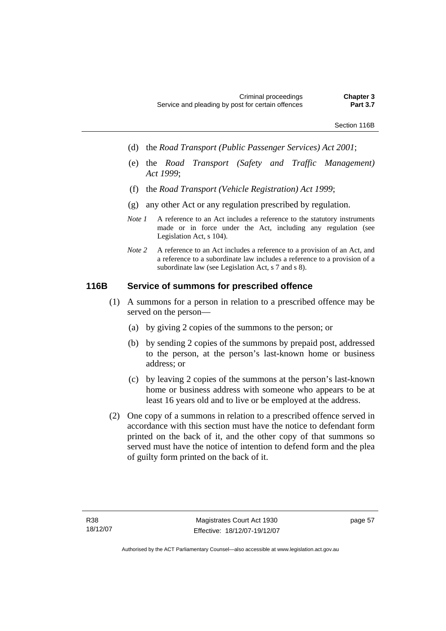- (d) the *Road Transport (Public Passenger Services) Act 2001*;
- (e) the *Road Transport (Safety and Traffic Management) Act 1999*;
- (f) the *Road Transport (Vehicle Registration) Act 1999*;
- (g) any other Act or any regulation prescribed by regulation.
- *Note 1* A reference to an Act includes a reference to the statutory instruments made or in force under the Act, including any regulation (see Legislation Act, s 104).
- *Note 2* A reference to an Act includes a reference to a provision of an Act, and a reference to a subordinate law includes a reference to a provision of a subordinate law (see Legislation Act, s 7 and s 8).

#### **116B Service of summons for prescribed offence**

- (1) A summons for a person in relation to a prescribed offence may be served on the person—
	- (a) by giving 2 copies of the summons to the person; or
	- (b) by sending 2 copies of the summons by prepaid post, addressed to the person, at the person's last-known home or business address; or
	- (c) by leaving 2 copies of the summons at the person's last-known home or business address with someone who appears to be at least 16 years old and to live or be employed at the address.
- (2) One copy of a summons in relation to a prescribed offence served in accordance with this section must have the notice to defendant form printed on the back of it, and the other copy of that summons so served must have the notice of intention to defend form and the plea of guilty form printed on the back of it.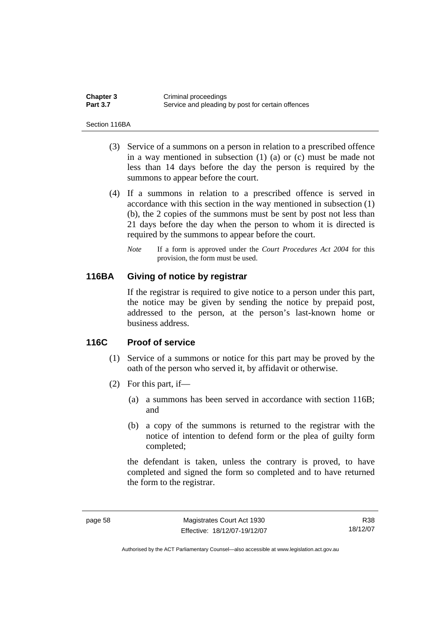| <b>Chapter 3</b> | Criminal proceedings                              |
|------------------|---------------------------------------------------|
| <b>Part 3.7</b>  | Service and pleading by post for certain offences |

Section 116BA

- (3) Service of a summons on a person in relation to a prescribed offence in a way mentioned in subsection (1) (a) or (c) must be made not less than 14 days before the day the person is required by the summons to appear before the court.
- (4) If a summons in relation to a prescribed offence is served in accordance with this section in the way mentioned in subsection (1) (b), the 2 copies of the summons must be sent by post not less than 21 days before the day when the person to whom it is directed is required by the summons to appear before the court.
	- *Note* If a form is approved under the *Court Procedures Act 2004* for this provision, the form must be used.

#### **116BA Giving of notice by registrar**

If the registrar is required to give notice to a person under this part, the notice may be given by sending the notice by prepaid post, addressed to the person, at the person's last-known home or business address.

#### **116C Proof of service**

- (1) Service of a summons or notice for this part may be proved by the oath of the person who served it, by affidavit or otherwise.
- (2) For this part, if—
	- (a) a summons has been served in accordance with section 116B; and
	- (b) a copy of the summons is returned to the registrar with the notice of intention to defend form or the plea of guilty form completed;

the defendant is taken, unless the contrary is proved, to have completed and signed the form so completed and to have returned the form to the registrar.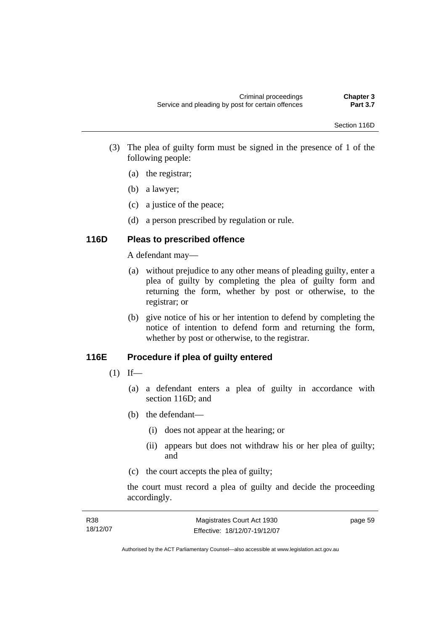- (3) The plea of guilty form must be signed in the presence of 1 of the following people:
	- (a) the registrar;
	- (b) a lawyer;
	- (c) a justice of the peace;
	- (d) a person prescribed by regulation or rule.

# **116D Pleas to prescribed offence**

A defendant may—

- (a) without prejudice to any other means of pleading guilty, enter a plea of guilty by completing the plea of guilty form and returning the form, whether by post or otherwise, to the registrar; or
- (b) give notice of his or her intention to defend by completing the notice of intention to defend form and returning the form, whether by post or otherwise, to the registrar.

# **116E Procedure if plea of guilty entered**

- $(1)$  If—
	- (a) a defendant enters a plea of guilty in accordance with section 116D; and
	- (b) the defendant—
		- (i) does not appear at the hearing; or
		- (ii) appears but does not withdraw his or her plea of guilty; and
	- (c) the court accepts the plea of guilty;

the court must record a plea of guilty and decide the proceeding accordingly.

| R38      | Magistrates Court Act 1930   | page 59 |
|----------|------------------------------|---------|
| 18/12/07 | Effective: 18/12/07-19/12/07 |         |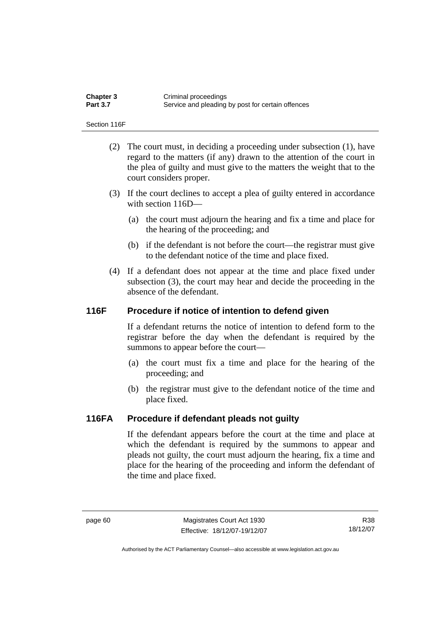| <b>Chapter 3</b> | Criminal proceedings                              |
|------------------|---------------------------------------------------|
| <b>Part 3.7</b>  | Service and pleading by post for certain offences |

Section 116F

- (2) The court must, in deciding a proceeding under subsection (1), have regard to the matters (if any) drawn to the attention of the court in the plea of guilty and must give to the matters the weight that to the court considers proper.
- (3) If the court declines to accept a plea of guilty entered in accordance with section 116D—
	- (a) the court must adjourn the hearing and fix a time and place for the hearing of the proceeding; and
	- (b) if the defendant is not before the court—the registrar must give to the defendant notice of the time and place fixed.
- (4) If a defendant does not appear at the time and place fixed under subsection (3), the court may hear and decide the proceeding in the absence of the defendant.

## **116F Procedure if notice of intention to defend given**

If a defendant returns the notice of intention to defend form to the registrar before the day when the defendant is required by the summons to appear before the court—

- (a) the court must fix a time and place for the hearing of the proceeding; and
- (b) the registrar must give to the defendant notice of the time and place fixed.

#### **116FA Procedure if defendant pleads not guilty**

If the defendant appears before the court at the time and place at which the defendant is required by the summons to appear and pleads not guilty, the court must adjourn the hearing, fix a time and place for the hearing of the proceeding and inform the defendant of the time and place fixed.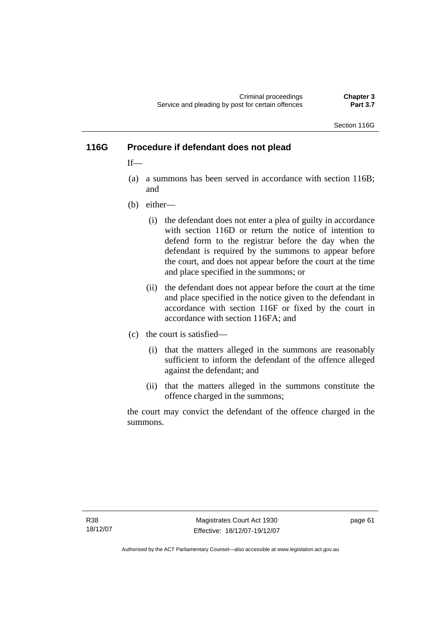Criminal proceedings **Chapter 3**  Service and pleading by post for certain offences

Section 116G

## **116G Procedure if defendant does not plead**

 $If$ <sub>—</sub>

- (a) a summons has been served in accordance with section 116B; and
- (b) either—
	- (i) the defendant does not enter a plea of guilty in accordance with section 116D or return the notice of intention to defend form to the registrar before the day when the defendant is required by the summons to appear before the court, and does not appear before the court at the time and place specified in the summons; or
	- (ii) the defendant does not appear before the court at the time and place specified in the notice given to the defendant in accordance with section 116F or fixed by the court in accordance with section 116FA; and
- (c) the court is satisfied—
	- (i) that the matters alleged in the summons are reasonably sufficient to inform the defendant of the offence alleged against the defendant; and
	- (ii) that the matters alleged in the summons constitute the offence charged in the summons;

the court may convict the defendant of the offence charged in the summons.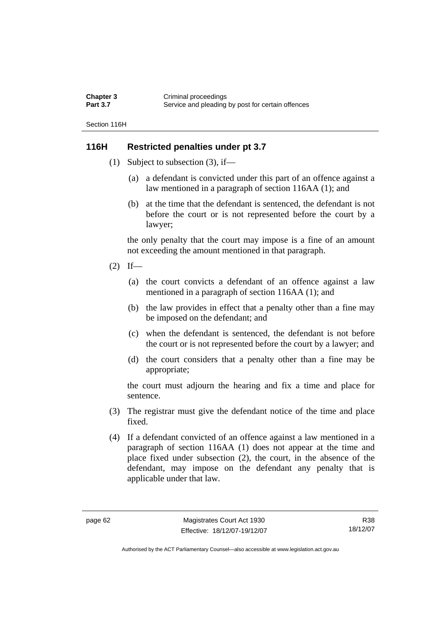| Chapter 3       | Criminal proceedings                              |
|-----------------|---------------------------------------------------|
| <b>Part 3.7</b> | Service and pleading by post for certain offences |

Section 116H

## **116H Restricted penalties under pt 3.7**

- (1) Subject to subsection (3), if—
	- (a) a defendant is convicted under this part of an offence against a law mentioned in a paragraph of section 116AA (1); and
	- (b) at the time that the defendant is sentenced, the defendant is not before the court or is not represented before the court by a lawyer;

the only penalty that the court may impose is a fine of an amount not exceeding the amount mentioned in that paragraph.

- $(2)$  If—
	- (a) the court convicts a defendant of an offence against a law mentioned in a paragraph of section 116AA (1); and
	- (b) the law provides in effect that a penalty other than a fine may be imposed on the defendant; and
	- (c) when the defendant is sentenced, the defendant is not before the court or is not represented before the court by a lawyer; and
	- (d) the court considers that a penalty other than a fine may be appropriate;

the court must adjourn the hearing and fix a time and place for sentence.

- (3) The registrar must give the defendant notice of the time and place fixed.
- (4) If a defendant convicted of an offence against a law mentioned in a paragraph of section 116AA (1) does not appear at the time and place fixed under subsection (2), the court, in the absence of the defendant, may impose on the defendant any penalty that is applicable under that law.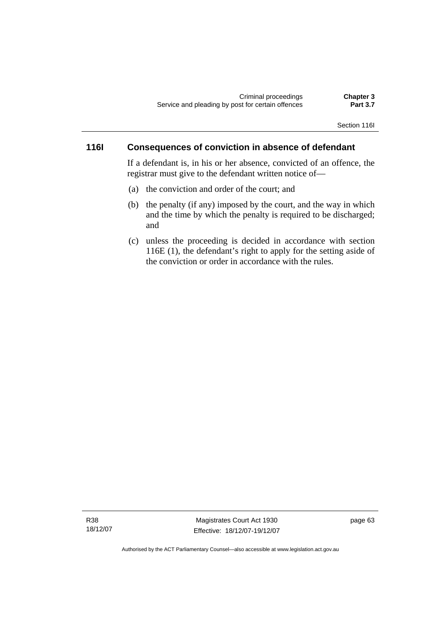#### **116I Consequences of conviction in absence of defendant**

If a defendant is, in his or her absence, convicted of an offence, the registrar must give to the defendant written notice of—

- (a) the conviction and order of the court; and
- (b) the penalty (if any) imposed by the court, and the way in which and the time by which the penalty is required to be discharged; and
- (c) unless the proceeding is decided in accordance with section 116E (1), the defendant's right to apply for the setting aside of the conviction or order in accordance with the rules.

R38 18/12/07

Magistrates Court Act 1930 Effective: 18/12/07-19/12/07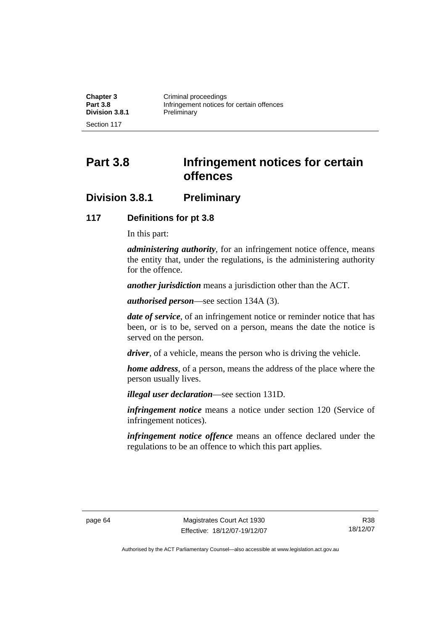| <b>Chapter 3</b> | Criminal proceedings                      |
|------------------|-------------------------------------------|
| <b>Part 3.8</b>  | Infringement notices for certain offences |
| Division 3.8.1   | Preliminary                               |
| Section 117      |                                           |

**Part 3.8 Infringement notices for certain offences** 

# **Division 3.8.1 Preliminary**

#### **117 Definitions for pt 3.8**

In this part:

*administering authority*, for an infringement notice offence, means the entity that, under the regulations, is the administering authority for the offence.

*another jurisdiction* means a jurisdiction other than the ACT.

*authorised person*—see section 134A (3).

*date of service*, of an infringement notice or reminder notice that has been, or is to be, served on a person, means the date the notice is served on the person.

*driver*, of a vehicle, means the person who is driving the vehicle.

*home address*, of a person, means the address of the place where the person usually lives.

*illegal user declaration*—see section 131D.

*infringement notice* means a notice under section 120 (Service of infringement notices).

*infringement notice offence* means an offence declared under the regulations to be an offence to which this part applies.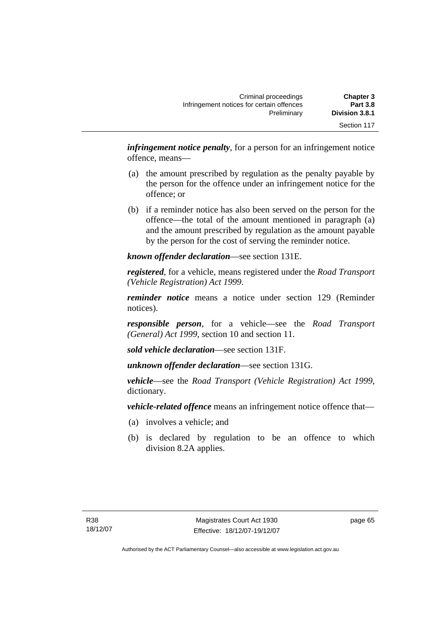| <b>Chapter 3</b> | Criminal proceedings                      |
|------------------|-------------------------------------------|
| <b>Part 3.8</b>  | Infringement notices for certain offences |
| Division 3.8.1   | Preliminary                               |
| Section 117      |                                           |

*infringement notice penalty*, for a person for an infringement notice offence, means—

- (a) the amount prescribed by regulation as the penalty payable by the person for the offence under an infringement notice for the offence; or
- (b) if a reminder notice has also been served on the person for the offence—the total of the amount mentioned in paragraph (a) and the amount prescribed by regulation as the amount payable by the person for the cost of serving the reminder notice.

*known offender declaration*—see section 131E.

*registered*, for a vehicle, means registered under the *Road Transport (Vehicle Registration) Act 1999*.

*reminder notice* means a notice under section 129 (Reminder notices).

*responsible person*, for a vehicle—see the *Road Transport (General) Act 1999*, section 10 and section 11.

*sold vehicle declaration*—see section 131F.

*unknown offender declaration*—see section 131G.

*vehicle*—see the *Road Transport (Vehicle Registration) Act 1999*, dictionary.

*vehicle-related offence* means an infringement notice offence that—

- (a) involves a vehicle; and
- (b) is declared by regulation to be an offence to which division 8.2A applies.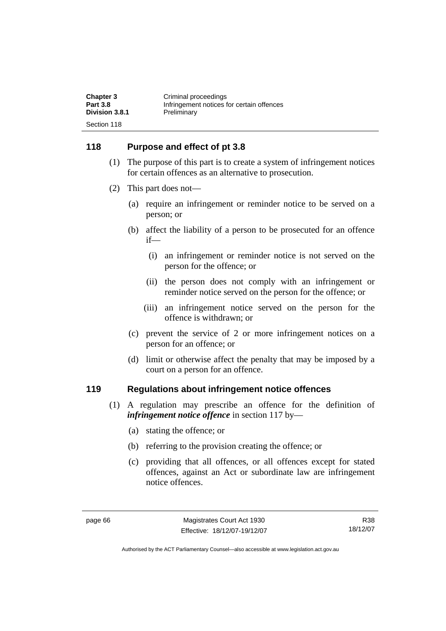| <b>Chapter 3</b> | Criminal proceedings                      |
|------------------|-------------------------------------------|
| <b>Part 3.8</b>  | Infringement notices for certain offences |
| Division 3.8.1   | Preliminary                               |
| Section 118      |                                           |

## **118 Purpose and effect of pt 3.8**

- (1) The purpose of this part is to create a system of infringement notices for certain offences as an alternative to prosecution.
- (2) This part does not—
	- (a) require an infringement or reminder notice to be served on a person; or
	- (b) affect the liability of a person to be prosecuted for an offence if—
		- (i) an infringement or reminder notice is not served on the person for the offence; or
		- (ii) the person does not comply with an infringement or reminder notice served on the person for the offence; or
		- (iii) an infringement notice served on the person for the offence is withdrawn; or
	- (c) prevent the service of 2 or more infringement notices on a person for an offence; or
	- (d) limit or otherwise affect the penalty that may be imposed by a court on a person for an offence.

#### **119 Regulations about infringement notice offences**

- (1) A regulation may prescribe an offence for the definition of *infringement notice offence* in section 117 by—
	- (a) stating the offence; or
	- (b) referring to the provision creating the offence; or
	- (c) providing that all offences, or all offences except for stated offences, against an Act or subordinate law are infringement notice offences.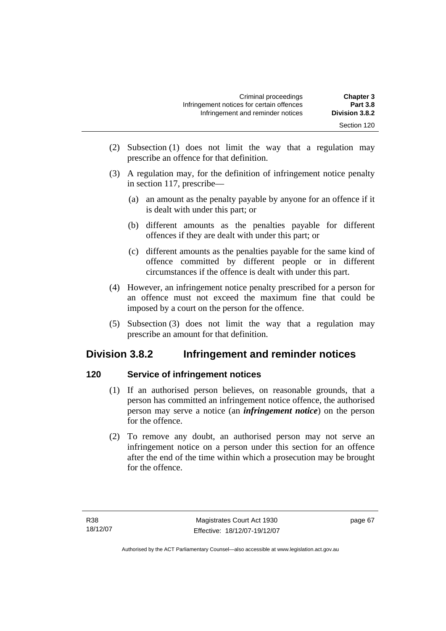- (2) Subsection (1) does not limit the way that a regulation may prescribe an offence for that definition.
- (3) A regulation may, for the definition of infringement notice penalty in section 117, prescribe—
	- (a) an amount as the penalty payable by anyone for an offence if it is dealt with under this part; or
	- (b) different amounts as the penalties payable for different offences if they are dealt with under this part; or
	- (c) different amounts as the penalties payable for the same kind of offence committed by different people or in different circumstances if the offence is dealt with under this part.
- (4) However, an infringement notice penalty prescribed for a person for an offence must not exceed the maximum fine that could be imposed by a court on the person for the offence.
- (5) Subsection (3) does not limit the way that a regulation may prescribe an amount for that definition.

# **Division 3.8.2 Infringement and reminder notices**

# **120 Service of infringement notices**

- (1) If an authorised person believes, on reasonable grounds, that a person has committed an infringement notice offence, the authorised person may serve a notice (an *infringement notice*) on the person for the offence.
- (2) To remove any doubt, an authorised person may not serve an infringement notice on a person under this section for an offence after the end of the time within which a prosecution may be brought for the offence.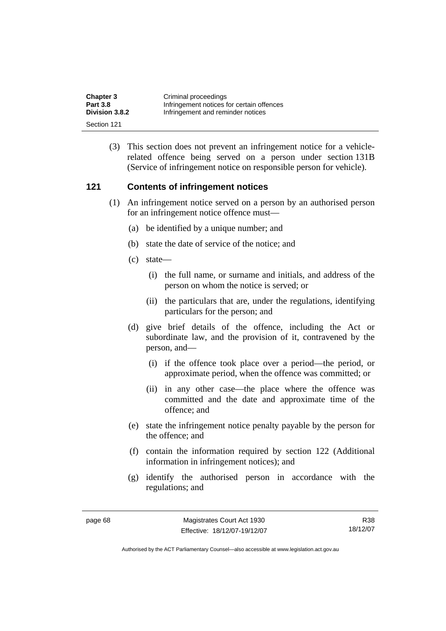| <b>Chapter 3</b> | Criminal proceedings                      |
|------------------|-------------------------------------------|
| <b>Part 3.8</b>  | Infringement notices for certain offences |
| Division 3.8.2   | Infringement and reminder notices         |
| Section 121      |                                           |

 (3) This section does not prevent an infringement notice for a vehiclerelated offence being served on a person under section 131B (Service of infringement notice on responsible person for vehicle).

## **121 Contents of infringement notices**

- (1) An infringement notice served on a person by an authorised person for an infringement notice offence must—
	- (a) be identified by a unique number; and
	- (b) state the date of service of the notice; and
	- (c) state—
		- (i) the full name, or surname and initials, and address of the person on whom the notice is served; or
		- (ii) the particulars that are, under the regulations, identifying particulars for the person; and
	- (d) give brief details of the offence, including the Act or subordinate law, and the provision of it, contravened by the person, and—
		- (i) if the offence took place over a period—the period, or approximate period, when the offence was committed; or
		- (ii) in any other case—the place where the offence was committed and the date and approximate time of the offence; and
	- (e) state the infringement notice penalty payable by the person for the offence; and
	- (f) contain the information required by section 122 (Additional information in infringement notices); and
	- (g) identify the authorised person in accordance with the regulations; and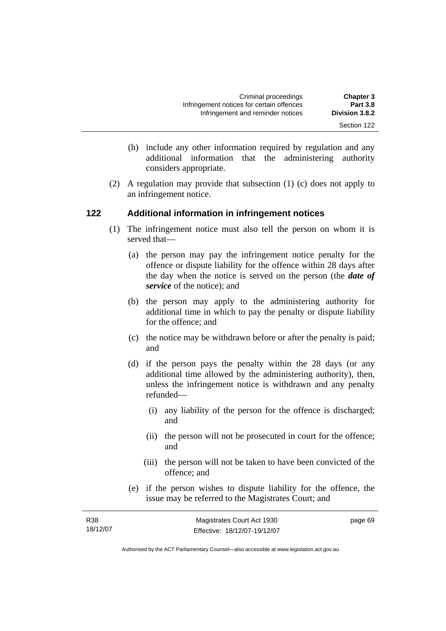- (h) include any other information required by regulation and any additional information that the administering authority considers appropriate.
- (2) A regulation may provide that subsection (1) (c) does not apply to an infringement notice.

# **122 Additional information in infringement notices**

- (1) The infringement notice must also tell the person on whom it is served that—
	- (a) the person may pay the infringement notice penalty for the offence or dispute liability for the offence within 28 days after the day when the notice is served on the person (the *date of service* of the notice); and
	- (b) the person may apply to the administering authority for additional time in which to pay the penalty or dispute liability for the offence; and
	- (c) the notice may be withdrawn before or after the penalty is paid; and
	- (d) if the person pays the penalty within the 28 days (or any additional time allowed by the administering authority), then, unless the infringement notice is withdrawn and any penalty refunded—
		- (i) any liability of the person for the offence is discharged; and
		- (ii) the person will not be prosecuted in court for the offence; and
		- (iii) the person will not be taken to have been convicted of the offence; and
	- (e) if the person wishes to dispute liability for the offence, the issue may be referred to the Magistrates Court; and

| R <sub>38</sub> | Magistrates Court Act 1930   | page 69 |
|-----------------|------------------------------|---------|
| 18/12/07        | Effective: 18/12/07-19/12/07 |         |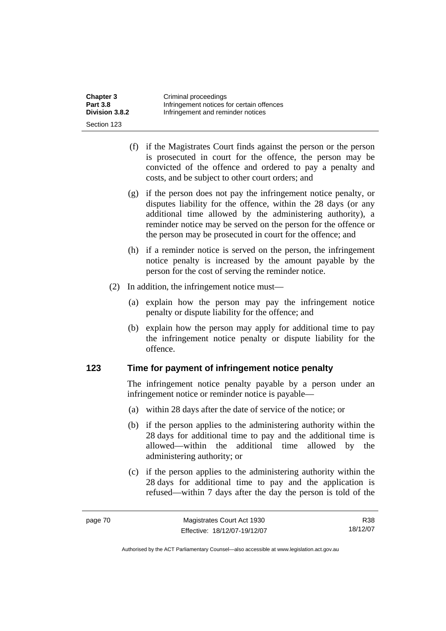| <b>Chapter 3</b> | Criminal proceedings                      |
|------------------|-------------------------------------------|
| <b>Part 3.8</b>  | Infringement notices for certain offences |
| Division 3.8.2   | Infringement and reminder notices         |
| Section 123      |                                           |

- (f) if the Magistrates Court finds against the person or the person is prosecuted in court for the offence, the person may be convicted of the offence and ordered to pay a penalty and costs, and be subject to other court orders; and
- (g) if the person does not pay the infringement notice penalty, or disputes liability for the offence, within the 28 days (or any additional time allowed by the administering authority), a reminder notice may be served on the person for the offence or the person may be prosecuted in court for the offence; and
- (h) if a reminder notice is served on the person, the infringement notice penalty is increased by the amount payable by the person for the cost of serving the reminder notice.
- (2) In addition, the infringement notice must—
	- (a) explain how the person may pay the infringement notice penalty or dispute liability for the offence; and
	- (b) explain how the person may apply for additional time to pay the infringement notice penalty or dispute liability for the offence.

#### **123 Time for payment of infringement notice penalty**

The infringement notice penalty payable by a person under an infringement notice or reminder notice is payable—

- (a) within 28 days after the date of service of the notice; or
- (b) if the person applies to the administering authority within the 28 days for additional time to pay and the additional time is allowed—within the additional time allowed by the administering authority; or
- (c) if the person applies to the administering authority within the 28 days for additional time to pay and the application is refused—within 7 days after the day the person is told of the

R38 18/12/07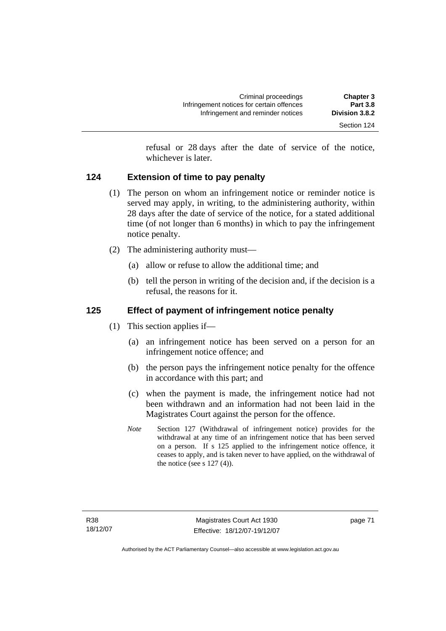refusal or 28 days after the date of service of the notice, whichever is later.

# **124 Extension of time to pay penalty**

- (1) The person on whom an infringement notice or reminder notice is served may apply, in writing, to the administering authority, within 28 days after the date of service of the notice, for a stated additional time (of not longer than 6 months) in which to pay the infringement notice penalty.
- (2) The administering authority must—
	- (a) allow or refuse to allow the additional time; and
	- (b) tell the person in writing of the decision and, if the decision is a refusal, the reasons for it.

# **125 Effect of payment of infringement notice penalty**

- (1) This section applies if—
	- (a) an infringement notice has been served on a person for an infringement notice offence; and
	- (b) the person pays the infringement notice penalty for the offence in accordance with this part; and
	- (c) when the payment is made, the infringement notice had not been withdrawn and an information had not been laid in the Magistrates Court against the person for the offence.
	- *Note* Section 127 (Withdrawal of infringement notice) provides for the withdrawal at any time of an infringement notice that has been served on a person. If s 125 applied to the infringement notice offence, it ceases to apply, and is taken never to have applied, on the withdrawal of the notice (see s  $127(4)$ ).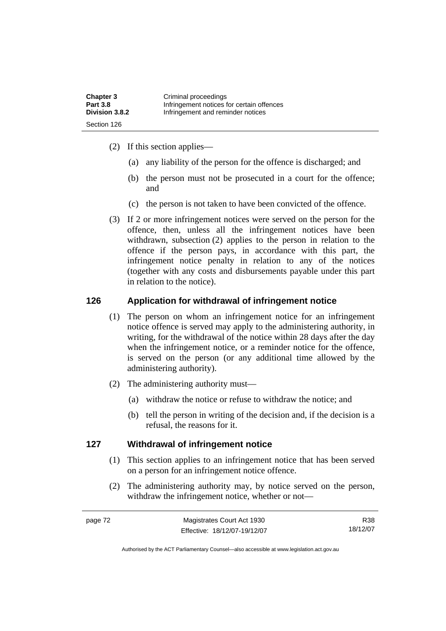| <b>Chapter 3</b> | Criminal proceedings                      |
|------------------|-------------------------------------------|
| <b>Part 3.8</b>  | Infringement notices for certain offences |
| Division 3.8.2   | Infringement and reminder notices         |
| Section 126      |                                           |

- (2) If this section applies—
	- (a) any liability of the person for the offence is discharged; and
	- (b) the person must not be prosecuted in a court for the offence; and
	- (c) the person is not taken to have been convicted of the offence.
- (3) If 2 or more infringement notices were served on the person for the offence, then, unless all the infringement notices have been withdrawn, subsection (2) applies to the person in relation to the offence if the person pays, in accordance with this part, the infringement notice penalty in relation to any of the notices (together with any costs and disbursements payable under this part in relation to the notice).

#### **126 Application for withdrawal of infringement notice**

- (1) The person on whom an infringement notice for an infringement notice offence is served may apply to the administering authority, in writing, for the withdrawal of the notice within 28 days after the day when the infringement notice, or a reminder notice for the offence, is served on the person (or any additional time allowed by the administering authority).
- (2) The administering authority must—
	- (a) withdraw the notice or refuse to withdraw the notice; and
	- (b) tell the person in writing of the decision and, if the decision is a refusal, the reasons for it.

#### **127 Withdrawal of infringement notice**

- (1) This section applies to an infringement notice that has been served on a person for an infringement notice offence.
- (2) The administering authority may, by notice served on the person, withdraw the infringement notice, whether or not—

R38 18/12/07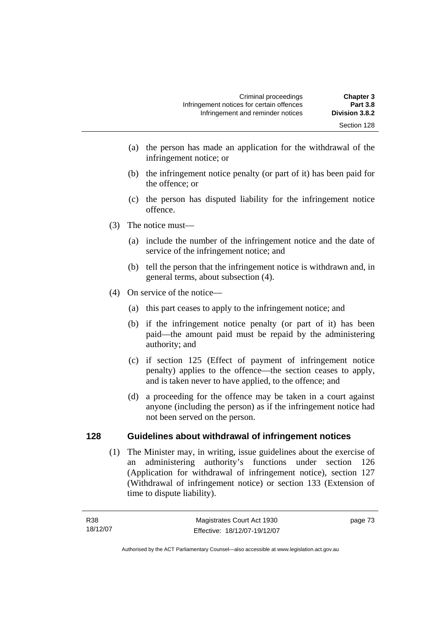- (a) the person has made an application for the withdrawal of the infringement notice; or
- (b) the infringement notice penalty (or part of it) has been paid for the offence; or
- (c) the person has disputed liability for the infringement notice offence.
- (3) The notice must—
	- (a) include the number of the infringement notice and the date of service of the infringement notice; and
	- (b) tell the person that the infringement notice is withdrawn and, in general terms, about subsection (4).
- (4) On service of the notice—
	- (a) this part ceases to apply to the infringement notice; and
	- (b) if the infringement notice penalty (or part of it) has been paid—the amount paid must be repaid by the administering authority; and
	- (c) if section 125 (Effect of payment of infringement notice penalty) applies to the offence—the section ceases to apply, and is taken never to have applied, to the offence; and
	- (d) a proceeding for the offence may be taken in a court against anyone (including the person) as if the infringement notice had not been served on the person.

# **128 Guidelines about withdrawal of infringement notices**

 (1) The Minister may, in writing, issue guidelines about the exercise of an administering authority's functions under section 126 (Application for withdrawal of infringement notice), section 127 (Withdrawal of infringement notice) or section 133 (Extension of time to dispute liability).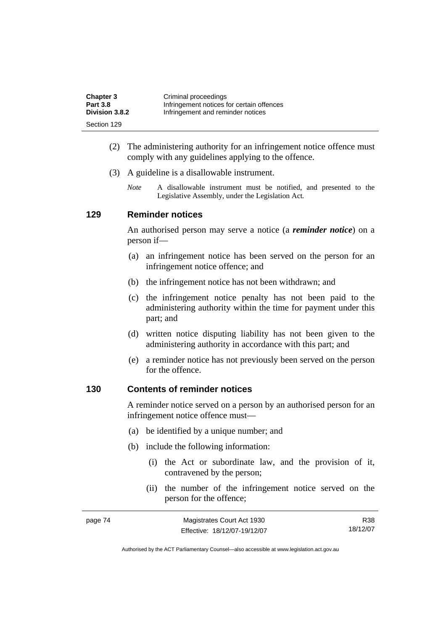| <b>Chapter 3</b> | Criminal proceedings                      |
|------------------|-------------------------------------------|
| <b>Part 3.8</b>  | Infringement notices for certain offences |
| Division 3.8.2   | Infringement and reminder notices         |
| Section 129      |                                           |

- (2) The administering authority for an infringement notice offence must comply with any guidelines applying to the offence.
- (3) A guideline is a disallowable instrument.
	- *Note* A disallowable instrument must be notified, and presented to the Legislative Assembly, under the Legislation Act*.*

## **129 Reminder notices**

An authorised person may serve a notice (a *reminder notice*) on a person if—

- (a) an infringement notice has been served on the person for an infringement notice offence; and
- (b) the infringement notice has not been withdrawn; and
- (c) the infringement notice penalty has not been paid to the administering authority within the time for payment under this part; and
- (d) written notice disputing liability has not been given to the administering authority in accordance with this part; and
- (e) a reminder notice has not previously been served on the person for the offence.

#### **130 Contents of reminder notices**

A reminder notice served on a person by an authorised person for an infringement notice offence must—

- (a) be identified by a unique number; and
- (b) include the following information:
	- (i) the Act or subordinate law, and the provision of it, contravened by the person;
	- (ii) the number of the infringement notice served on the person for the offence;

| page 74 | Magistrates Court Act 1930   | R38      |
|---------|------------------------------|----------|
|         | Effective: 18/12/07-19/12/07 | 18/12/07 |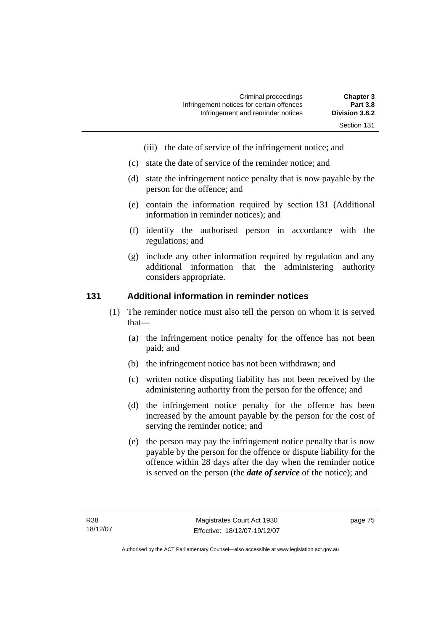- (iii) the date of service of the infringement notice; and
- (c) state the date of service of the reminder notice; and
- (d) state the infringement notice penalty that is now payable by the person for the offence; and
- (e) contain the information required by section 131 (Additional information in reminder notices); and
- (f) identify the authorised person in accordance with the regulations; and
- (g) include any other information required by regulation and any additional information that the administering authority considers appropriate.

#### **131 Additional information in reminder notices**

- (1) The reminder notice must also tell the person on whom it is served that—
	- (a) the infringement notice penalty for the offence has not been paid; and
	- (b) the infringement notice has not been withdrawn; and
	- (c) written notice disputing liability has not been received by the administering authority from the person for the offence; and
	- (d) the infringement notice penalty for the offence has been increased by the amount payable by the person for the cost of serving the reminder notice; and
	- (e) the person may pay the infringement notice penalty that is now payable by the person for the offence or dispute liability for the offence within 28 days after the day when the reminder notice is served on the person (the *date of service* of the notice); and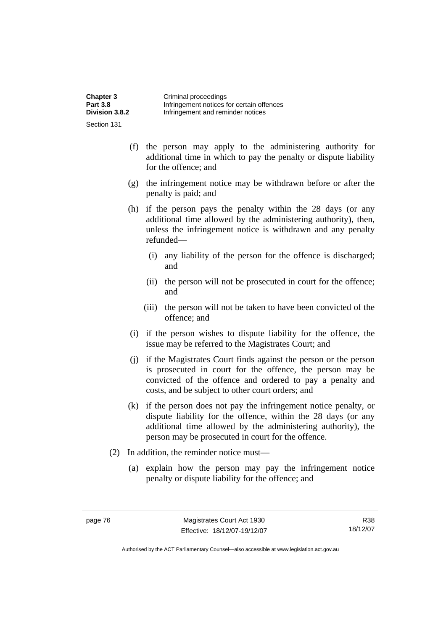| <b>Chapter 3</b> | Criminal proceedings                      |
|------------------|-------------------------------------------|
| <b>Part 3.8</b>  | Infringement notices for certain offences |
| Division 3.8.2   | Infringement and reminder notices         |
| Section 131      |                                           |

- (f) the person may apply to the administering authority for additional time in which to pay the penalty or dispute liability for the offence; and
- (g) the infringement notice may be withdrawn before or after the penalty is paid; and
- (h) if the person pays the penalty within the 28 days (or any additional time allowed by the administering authority), then, unless the infringement notice is withdrawn and any penalty refunded—
	- (i) any liability of the person for the offence is discharged; and
	- (ii) the person will not be prosecuted in court for the offence; and
	- (iii) the person will not be taken to have been convicted of the offence; and
- (i) if the person wishes to dispute liability for the offence, the issue may be referred to the Magistrates Court; and
- (j) if the Magistrates Court finds against the person or the person is prosecuted in court for the offence, the person may be convicted of the offence and ordered to pay a penalty and costs, and be subject to other court orders; and
- (k) if the person does not pay the infringement notice penalty, or dispute liability for the offence, within the 28 days (or any additional time allowed by the administering authority), the person may be prosecuted in court for the offence.
- (2) In addition, the reminder notice must—
	- (a) explain how the person may pay the infringement notice penalty or dispute liability for the offence; and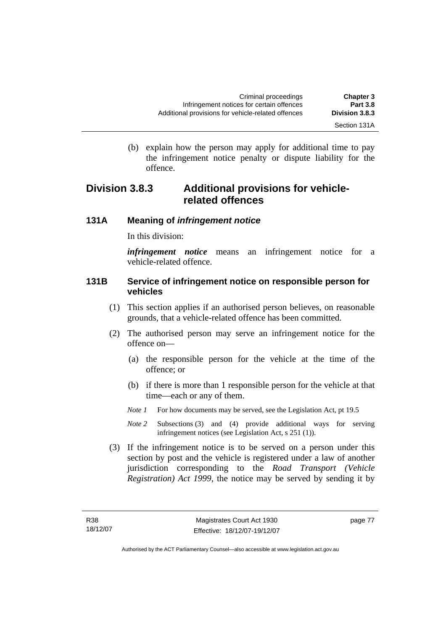(b) explain how the person may apply for additional time to pay the infringement notice penalty or dispute liability for the

# **Division 3.8.3 Additional provisions for vehiclerelated offences**

# **131A Meaning of** *infringement notice*

In this division:

offence.

*infringement notice* means an infringement notice for a vehicle-related offence.

# **131B Service of infringement notice on responsible person for vehicles**

- (1) This section applies if an authorised person believes, on reasonable grounds, that a vehicle-related offence has been committed.
- (2) The authorised person may serve an infringement notice for the offence on—
	- (a) the responsible person for the vehicle at the time of the offence; or
	- (b) if there is more than 1 responsible person for the vehicle at that time—each or any of them.
	- *Note 1* For how documents may be served, see the Legislation Act, pt 19.5
	- *Note 2* Subsections (3) and (4) provide additional ways for serving infringement notices (see Legislation Act, s 251 (1)).
- (3) If the infringement notice is to be served on a person under this section by post and the vehicle is registered under a law of another jurisdiction corresponding to the *Road Transport (Vehicle Registration) Act 1999*, the notice may be served by sending it by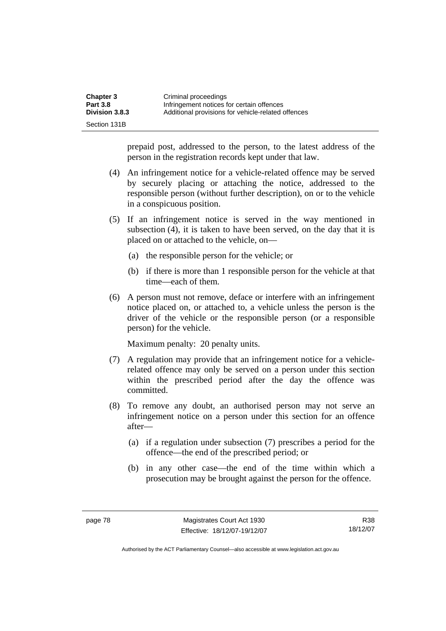| <b>Chapter 3</b> | Criminal proceedings                               |
|------------------|----------------------------------------------------|
| <b>Part 3.8</b>  | Infringement notices for certain offences          |
| Division 3.8.3   | Additional provisions for vehicle-related offences |
| Section 131B     |                                                    |

prepaid post, addressed to the person, to the latest address of the person in the registration records kept under that law.

- (4) An infringement notice for a vehicle-related offence may be served by securely placing or attaching the notice, addressed to the responsible person (without further description), on or to the vehicle in a conspicuous position.
- (5) If an infringement notice is served in the way mentioned in subsection (4), it is taken to have been served, on the day that it is placed on or attached to the vehicle, on—
	- (a) the responsible person for the vehicle; or
	- (b) if there is more than 1 responsible person for the vehicle at that time—each of them.
- (6) A person must not remove, deface or interfere with an infringement notice placed on, or attached to, a vehicle unless the person is the driver of the vehicle or the responsible person (or a responsible person) for the vehicle.

Maximum penalty: 20 penalty units.

- (7) A regulation may provide that an infringement notice for a vehiclerelated offence may only be served on a person under this section within the prescribed period after the day the offence was committed.
- (8) To remove any doubt, an authorised person may not serve an infringement notice on a person under this section for an offence after—
	- (a) if a regulation under subsection (7) prescribes a period for the offence—the end of the prescribed period; or
	- (b) in any other case—the end of the time within which a prosecution may be brought against the person for the offence.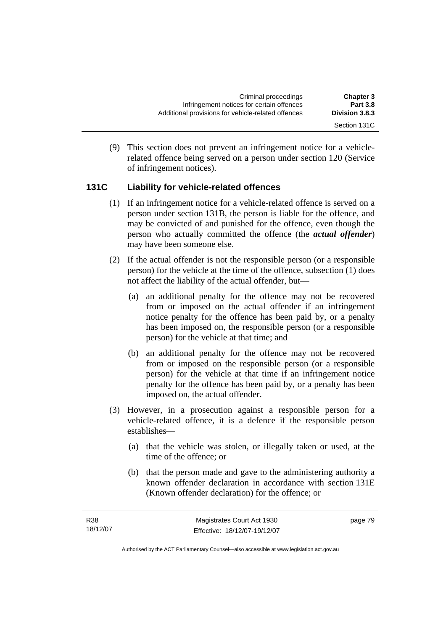(9) This section does not prevent an infringement notice for a vehiclerelated offence being served on a person under section 120 (Service of infringement notices).

# **131C Liability for vehicle-related offences**

- (1) If an infringement notice for a vehicle-related offence is served on a person under section 131B, the person is liable for the offence, and may be convicted of and punished for the offence, even though the person who actually committed the offence (the *actual offender*) may have been someone else.
- (2) If the actual offender is not the responsible person (or a responsible person) for the vehicle at the time of the offence, subsection (1) does not affect the liability of the actual offender, but—
	- (a) an additional penalty for the offence may not be recovered from or imposed on the actual offender if an infringement notice penalty for the offence has been paid by, or a penalty has been imposed on, the responsible person (or a responsible person) for the vehicle at that time; and
	- (b) an additional penalty for the offence may not be recovered from or imposed on the responsible person (or a responsible person) for the vehicle at that time if an infringement notice penalty for the offence has been paid by, or a penalty has been imposed on, the actual offender.
- (3) However, in a prosecution against a responsible person for a vehicle-related offence, it is a defence if the responsible person establishes—
	- (a) that the vehicle was stolen, or illegally taken or used, at the time of the offence; or
	- (b) that the person made and gave to the administering authority a known offender declaration in accordance with section 131E (Known offender declaration) for the offence; or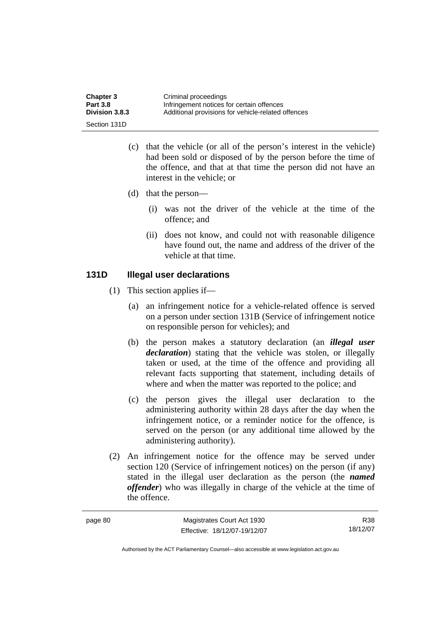| <b>Chapter 3</b>      | Criminal proceedings                               |
|-----------------------|----------------------------------------------------|
| <b>Part 3.8</b>       | Infringement notices for certain offences          |
| <b>Division 3.8.3</b> | Additional provisions for vehicle-related offences |
| Section 131D          |                                                    |

- (c) that the vehicle (or all of the person's interest in the vehicle) had been sold or disposed of by the person before the time of the offence, and that at that time the person did not have an interest in the vehicle; or
- (d) that the person—
	- (i) was not the driver of the vehicle at the time of the offence; and
	- (ii) does not know, and could not with reasonable diligence have found out, the name and address of the driver of the vehicle at that time.

# **131D Illegal user declarations**

- (1) This section applies if—
	- (a) an infringement notice for a vehicle-related offence is served on a person under section 131B (Service of infringement notice on responsible person for vehicles); and
	- (b) the person makes a statutory declaration (an *illegal user declaration*) stating that the vehicle was stolen, or illegally taken or used, at the time of the offence and providing all relevant facts supporting that statement, including details of where and when the matter was reported to the police; and
	- (c) the person gives the illegal user declaration to the administering authority within 28 days after the day when the infringement notice, or a reminder notice for the offence, is served on the person (or any additional time allowed by the administering authority).
- (2) An infringement notice for the offence may be served under section 120 (Service of infringement notices) on the person (if any) stated in the illegal user declaration as the person (the *named offender*) who was illegally in charge of the vehicle at the time of the offence.

| page 80 | Magistrates Court Act 1930   | R38      |
|---------|------------------------------|----------|
|         | Effective: 18/12/07-19/12/07 | 18/12/07 |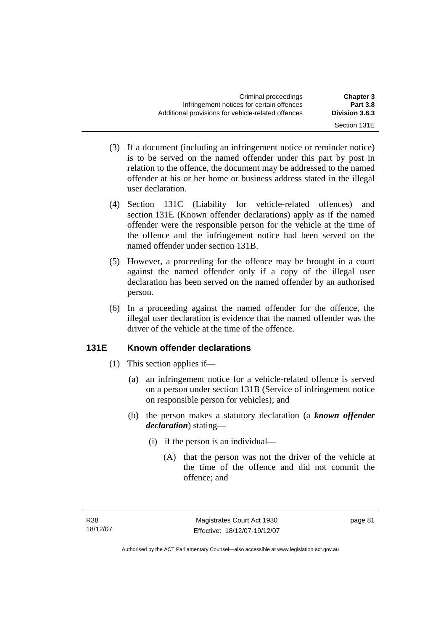- (3) If a document (including an infringement notice or reminder notice) is to be served on the named offender under this part by post in relation to the offence, the document may be addressed to the named offender at his or her home or business address stated in the illegal user declaration.
- (4) Section 131C (Liability for vehicle-related offences) and section 131E (Known offender declarations) apply as if the named offender were the responsible person for the vehicle at the time of the offence and the infringement notice had been served on the named offender under section 131B.
- (5) However, a proceeding for the offence may be brought in a court against the named offender only if a copy of the illegal user declaration has been served on the named offender by an authorised person.
- (6) In a proceeding against the named offender for the offence, the illegal user declaration is evidence that the named offender was the driver of the vehicle at the time of the offence.

# **131E Known offender declarations**

- (1) This section applies if—
	- (a) an infringement notice for a vehicle-related offence is served on a person under section 131B (Service of infringement notice on responsible person for vehicles); and
	- (b) the person makes a statutory declaration (a *known offender declaration*) stating—
		- (i) if the person is an individual—
			- (A) that the person was not the driver of the vehicle at the time of the offence and did not commit the offence; and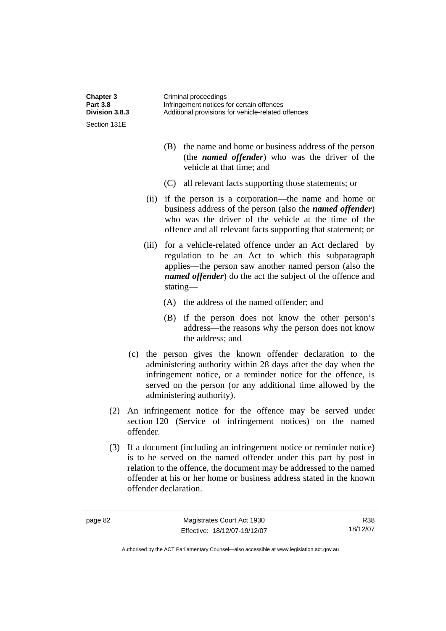| Chapter 3<br><b>Part 3.8</b><br>Division 3.8.3 |           | Criminal proceedings<br>Infringement notices for certain offences<br>Additional provisions for vehicle-related offences                                                                                                                                                                                        |  |
|------------------------------------------------|-----------|----------------------------------------------------------------------------------------------------------------------------------------------------------------------------------------------------------------------------------------------------------------------------------------------------------------|--|
| Section 131E                                   |           |                                                                                                                                                                                                                                                                                                                |  |
|                                                |           | the name and home or business address of the person<br>(B)<br>(the <i>named offender</i> ) who was the driver of the<br>vehicle at that time; and                                                                                                                                                              |  |
|                                                |           | (C) all relevant facts supporting those statements; or                                                                                                                                                                                                                                                         |  |
|                                                | (ii)      | if the person is a corporation—the name and home or<br>business address of the person (also the <i>named offender</i> )<br>who was the driver of the vehicle at the time of the<br>offence and all relevant facts supporting that statement; or                                                                |  |
|                                                | (iii)     | for a vehicle-related offence under an Act declared by<br>regulation to be an Act to which this subparagraph<br>applies—the person saw another named person (also the<br><i>named offender</i> ) do the act the subject of the offence and<br>stating—                                                         |  |
|                                                |           | (A) the address of the named offender; and                                                                                                                                                                                                                                                                     |  |
|                                                |           | (B) if the person does not know the other person's<br>address—the reasons why the person does not know<br>the address; and                                                                                                                                                                                     |  |
|                                                |           | (c) the person gives the known offender declaration to the<br>administering authority within 28 days after the day when the<br>infringement notice, or a reminder notice for the offence, is<br>served on the person (or any additional time allowed by the<br>administering authority).                       |  |
| (2)                                            | offender. | An infringement notice for the offence may be served under<br>section 120 (Service of infringement notices) on the named                                                                                                                                                                                       |  |
| (3)                                            |           | If a document (including an infringement notice or reminder notice)<br>is to be served on the named offender under this part by post in<br>relation to the offence, the document may be addressed to the named<br>offender at his or her home or business address stated in the known<br>offender declaration. |  |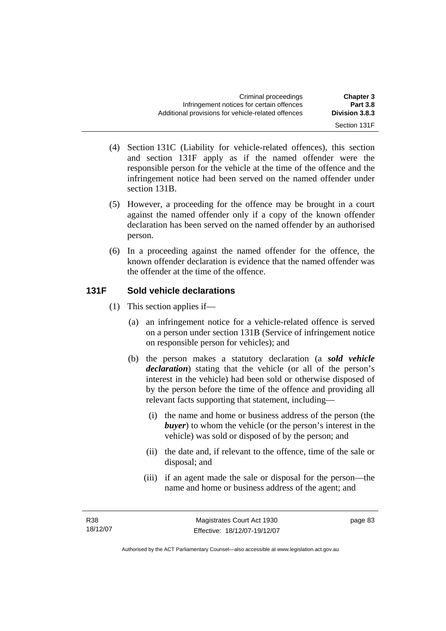- Section 131F
- (4) Section 131C (Liability for vehicle-related offences), this section and section 131F apply as if the named offender were the responsible person for the vehicle at the time of the offence and the infringement notice had been served on the named offender under section 131B.
- (5) However, a proceeding for the offence may be brought in a court against the named offender only if a copy of the known offender declaration has been served on the named offender by an authorised person.
- (6) In a proceeding against the named offender for the offence, the known offender declaration is evidence that the named offender was the offender at the time of the offence.

# **131F Sold vehicle declarations**

- (1) This section applies if—
	- (a) an infringement notice for a vehicle-related offence is served on a person under section 131B (Service of infringement notice on responsible person for vehicles); and
	- (b) the person makes a statutory declaration (a *sold vehicle declaration*) stating that the vehicle (or all of the person's interest in the vehicle) had been sold or otherwise disposed of by the person before the time of the offence and providing all relevant facts supporting that statement, including—
		- (i) the name and home or business address of the person (the *buyer*) to whom the vehicle (or the person's interest in the vehicle) was sold or disposed of by the person; and
		- (ii) the date and, if relevant to the offence, time of the sale or disposal; and
		- (iii) if an agent made the sale or disposal for the person—the name and home or business address of the agent; and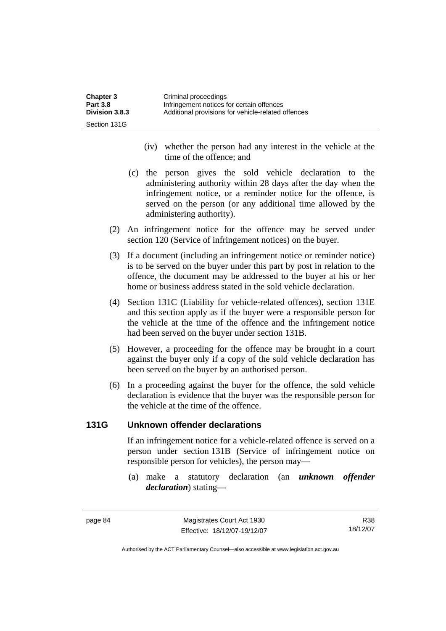| <b>Chapter 3</b> | Criminal proceedings                               |
|------------------|----------------------------------------------------|
| <b>Part 3.8</b>  | Infringement notices for certain offences          |
| Division 3.8.3   | Additional provisions for vehicle-related offences |
| Section 131G     |                                                    |

- (iv) whether the person had any interest in the vehicle at the time of the offence; and
- (c) the person gives the sold vehicle declaration to the administering authority within 28 days after the day when the infringement notice, or a reminder notice for the offence, is served on the person (or any additional time allowed by the administering authority).
- (2) An infringement notice for the offence may be served under section 120 (Service of infringement notices) on the buyer.
- (3) If a document (including an infringement notice or reminder notice) is to be served on the buyer under this part by post in relation to the offence, the document may be addressed to the buyer at his or her home or business address stated in the sold vehicle declaration.
- (4) Section 131C (Liability for vehicle-related offences), section 131E and this section apply as if the buyer were a responsible person for the vehicle at the time of the offence and the infringement notice had been served on the buyer under section 131B.
- (5) However, a proceeding for the offence may be brought in a court against the buyer only if a copy of the sold vehicle declaration has been served on the buyer by an authorised person.
- (6) In a proceeding against the buyer for the offence, the sold vehicle declaration is evidence that the buyer was the responsible person for the vehicle at the time of the offence.

#### **131G Unknown offender declarations**

If an infringement notice for a vehicle-related offence is served on a person under section 131B (Service of infringement notice on responsible person for vehicles), the person may—

 (a) make a statutory declaration (an *unknown offender declaration*) stating—

R38 18/12/07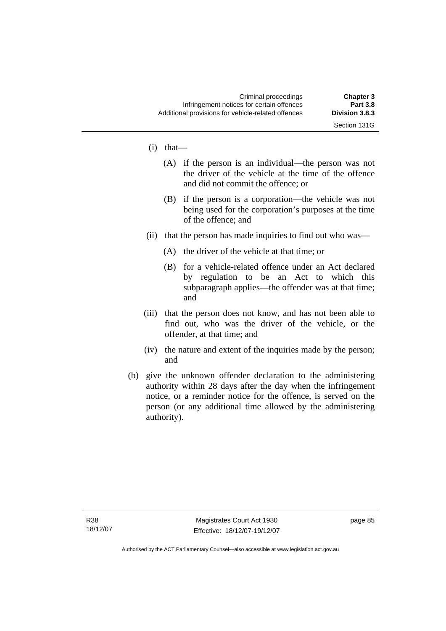Section 131G

- (i) that—
	- (A) if the person is an individual—the person was not the driver of the vehicle at the time of the offence and did not commit the offence; or
	- (B) if the person is a corporation—the vehicle was not being used for the corporation's purposes at the time of the offence; and
- (ii) that the person has made inquiries to find out who was—
	- (A) the driver of the vehicle at that time; or
	- (B) for a vehicle-related offence under an Act declared by regulation to be an Act to which this subparagraph applies—the offender was at that time; and
- (iii) that the person does not know, and has not been able to find out, who was the driver of the vehicle, or the offender, at that time; and
- (iv) the nature and extent of the inquiries made by the person; and
- (b) give the unknown offender declaration to the administering authority within 28 days after the day when the infringement notice, or a reminder notice for the offence, is served on the person (or any additional time allowed by the administering authority).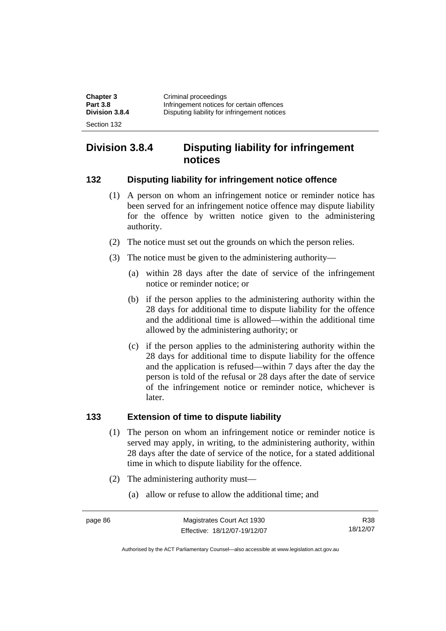| <b>Chapter 3</b> | Criminal proceedings                         |
|------------------|----------------------------------------------|
| <b>Part 3.8</b>  | Infringement notices for certain offences    |
| Division 3.8.4   | Disputing liability for infringement notices |
| Section 132      |                                              |

# **Division 3.8.4 Disputing liability for infringement notices**

#### **132 Disputing liability for infringement notice offence**

- (1) A person on whom an infringement notice or reminder notice has been served for an infringement notice offence may dispute liability for the offence by written notice given to the administering authority.
- (2) The notice must set out the grounds on which the person relies.
- (3) The notice must be given to the administering authority—
	- (a) within 28 days after the date of service of the infringement notice or reminder notice; or
	- (b) if the person applies to the administering authority within the 28 days for additional time to dispute liability for the offence and the additional time is allowed—within the additional time allowed by the administering authority; or
	- (c) if the person applies to the administering authority within the 28 days for additional time to dispute liability for the offence and the application is refused—within 7 days after the day the person is told of the refusal or 28 days after the date of service of the infringement notice or reminder notice, whichever is later.

#### **133 Extension of time to dispute liability**

- (1) The person on whom an infringement notice or reminder notice is served may apply, in writing, to the administering authority, within 28 days after the date of service of the notice, for a stated additional time in which to dispute liability for the offence.
- (2) The administering authority must—
	- (a) allow or refuse to allow the additional time; and

R38 18/12/07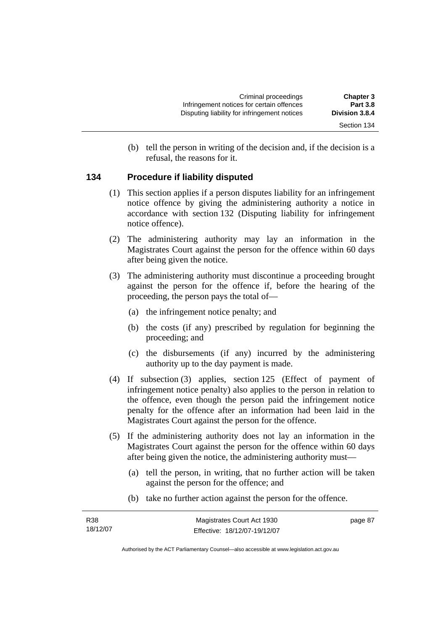(b) tell the person in writing of the decision and, if the decision is a refusal, the reasons for it.

# **134 Procedure if liability disputed**

- (1) This section applies if a person disputes liability for an infringement notice offence by giving the administering authority a notice in accordance with section 132 (Disputing liability for infringement notice offence).
- (2) The administering authority may lay an information in the Magistrates Court against the person for the offence within 60 days after being given the notice.
- (3) The administering authority must discontinue a proceeding brought against the person for the offence if, before the hearing of the proceeding, the person pays the total of—
	- (a) the infringement notice penalty; and
	- (b) the costs (if any) prescribed by regulation for beginning the proceeding; and
	- (c) the disbursements (if any) incurred by the administering authority up to the day payment is made.
- (4) If subsection (3) applies, section 125 (Effect of payment of infringement notice penalty) also applies to the person in relation to the offence, even though the person paid the infringement notice penalty for the offence after an information had been laid in the Magistrates Court against the person for the offence.
- (5) If the administering authority does not lay an information in the Magistrates Court against the person for the offence within 60 days after being given the notice, the administering authority must—
	- (a) tell the person, in writing, that no further action will be taken against the person for the offence; and
	- (b) take no further action against the person for the offence.

| R38      | Magistrates Court Act 1930   | page 87 |
|----------|------------------------------|---------|
| 18/12/07 | Effective: 18/12/07-19/12/07 |         |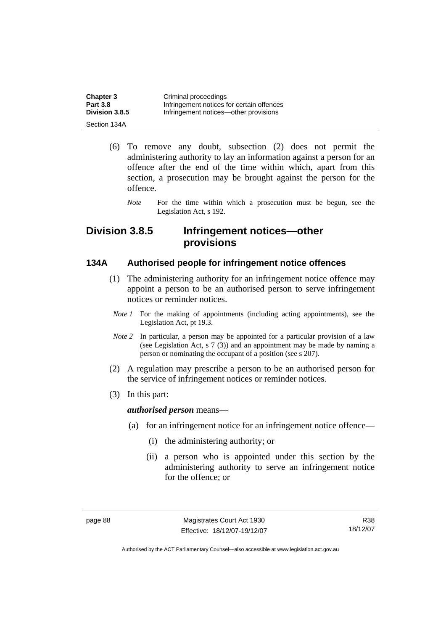| <b>Chapter 3</b> | Criminal proceedings                      |
|------------------|-------------------------------------------|
| <b>Part 3.8</b>  | Infringement notices for certain offences |
| Division 3.8.5   | Infringement notices—other provisions     |
| Section 134A     |                                           |

- (6) To remove any doubt, subsection (2) does not permit the administering authority to lay an information against a person for an offence after the end of the time within which, apart from this section, a prosecution may be brought against the person for the offence.
	- *Note* For the time within which a prosecution must be begun, see the Legislation Act, s 192.

# **Division 3.8.5 Infringement notices—other provisions**

#### **134A Authorised people for infringement notice offences**

- (1) The administering authority for an infringement notice offence may appoint a person to be an authorised person to serve infringement notices or reminder notices.
- *Note 1* For the making of appointments (including acting appointments), see the Legislation Act, pt 19.3.
- *Note 2* In particular, a person may be appointed for a particular provision of a law (see Legislation Act, s 7 (3)) and an appointment may be made by naming a person or nominating the occupant of a position (see s 207).
- (2) A regulation may prescribe a person to be an authorised person for the service of infringement notices or reminder notices.
- (3) In this part:

#### *authorised person* means—

- (a) for an infringement notice for an infringement notice offence—
	- (i) the administering authority; or
	- (ii) a person who is appointed under this section by the administering authority to serve an infringement notice for the offence; or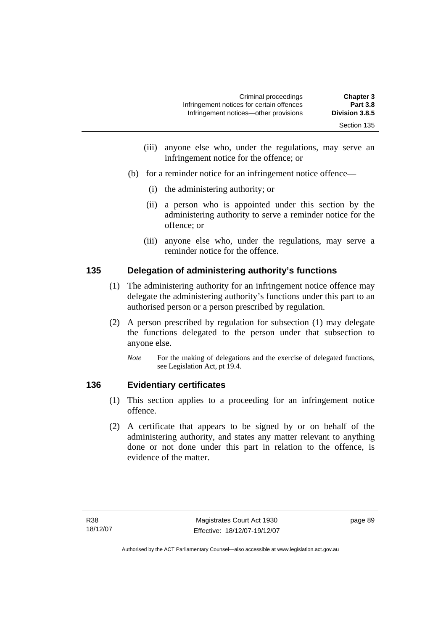- (iii) anyone else who, under the regulations, may serve an infringement notice for the offence; or
- (b) for a reminder notice for an infringement notice offence—
	- (i) the administering authority; or
	- (ii) a person who is appointed under this section by the administering authority to serve a reminder notice for the offence; or
	- (iii) anyone else who, under the regulations, may serve a reminder notice for the offence.

# **135 Delegation of administering authority's functions**

- (1) The administering authority for an infringement notice offence may delegate the administering authority's functions under this part to an authorised person or a person prescribed by regulation.
- (2) A person prescribed by regulation for subsection (1) may delegate the functions delegated to the person under that subsection to anyone else.
	- *Note* For the making of delegations and the exercise of delegated functions, see Legislation Act, pt 19.4.

# **136 Evidentiary certificates**

- (1) This section applies to a proceeding for an infringement notice offence.
- (2) A certificate that appears to be signed by or on behalf of the administering authority, and states any matter relevant to anything done or not done under this part in relation to the offence, is evidence of the matter.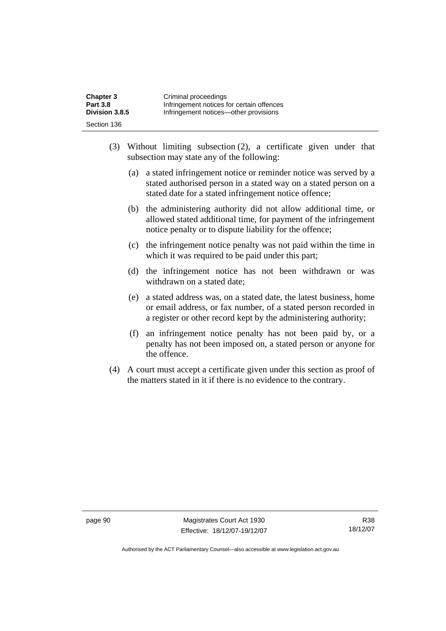| <b>Chapter 3</b> | Criminal proceedings                      |
|------------------|-------------------------------------------|
| <b>Part 3.8</b>  | Infringement notices for certain offences |
| Division 3.8.5   | Infringement notices—other provisions     |
| Section 136      |                                           |

- (3) Without limiting subsection (2), a certificate given under that subsection may state any of the following:
	- (a) a stated infringement notice or reminder notice was served by a stated authorised person in a stated way on a stated person on a stated date for a stated infringement notice offence;
	- (b) the administering authority did not allow additional time, or allowed stated additional time, for payment of the infringement notice penalty or to dispute liability for the offence;
	- (c) the infringement notice penalty was not paid within the time in which it was required to be paid under this part;
	- (d) the infringement notice has not been withdrawn or was withdrawn on a stated date;
	- (e) a stated address was, on a stated date, the latest business, home or email address, or fax number, of a stated person recorded in a register or other record kept by the administering authority;
	- (f) an infringement notice penalty has not been paid by, or a penalty has not been imposed on, a stated person or anyone for the offence.
- (4) A court must accept a certificate given under this section as proof of the matters stated in it if there is no evidence to the contrary.

page 90 Magistrates Court Act 1930 Effective: 18/12/07-19/12/07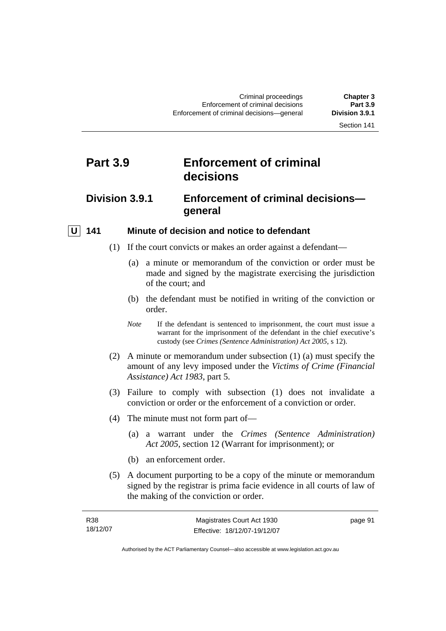# **Part 3.9 Enforcement of criminal decisions**

# **Division 3.9.1 Enforcement of criminal decisions general**

## **U** 141 Minute of decision and notice to defendant

- (1) If the court convicts or makes an order against a defendant—
	- (a) a minute or memorandum of the conviction or order must be made and signed by the magistrate exercising the jurisdiction of the court; and
	- (b) the defendant must be notified in writing of the conviction or order.
	- *Note* If the defendant is sentenced to imprisonment, the court must issue a warrant for the imprisonment of the defendant in the chief executive's custody (see *Crimes (Sentence Administration) Act 2005*, s 12).
- (2) A minute or memorandum under subsection (1) (a) must specify the amount of any levy imposed under the *Victims of Crime (Financial Assistance) Act 1983*, part 5.
- (3) Failure to comply with subsection (1) does not invalidate a conviction or order or the enforcement of a conviction or order.
- (4) The minute must not form part of—
	- (a) a warrant under the *Crimes (Sentence Administration) Act 2005*, section 12 (Warrant for imprisonment); or
	- (b) an enforcement order.
- (5) A document purporting to be a copy of the minute or memorandum signed by the registrar is prima facie evidence in all courts of law of the making of the conviction or order.

| <b>R38</b> | Magistrates Court Act 1930   | page 91 |
|------------|------------------------------|---------|
| 18/12/07   | Effective: 18/12/07-19/12/07 |         |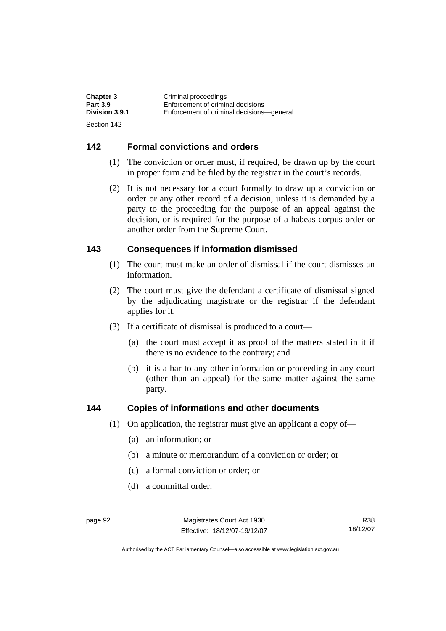| <b>Chapter 3</b> | Criminal proceedings                      |
|------------------|-------------------------------------------|
| <b>Part 3.9</b>  | Enforcement of criminal decisions         |
| Division 3.9.1   | Enforcement of criminal decisions—general |
| Section 142      |                                           |

#### **142 Formal convictions and orders**

- (1) The conviction or order must, if required, be drawn up by the court in proper form and be filed by the registrar in the court's records.
- (2) It is not necessary for a court formally to draw up a conviction or order or any other record of a decision, unless it is demanded by a party to the proceeding for the purpose of an appeal against the decision, or is required for the purpose of a habeas corpus order or another order from the Supreme Court.

## **143 Consequences if information dismissed**

- (1) The court must make an order of dismissal if the court dismisses an information.
- (2) The court must give the defendant a certificate of dismissal signed by the adjudicating magistrate or the registrar if the defendant applies for it.
- (3) If a certificate of dismissal is produced to a court—
	- (a) the court must accept it as proof of the matters stated in it if there is no evidence to the contrary; and
	- (b) it is a bar to any other information or proceeding in any court (other than an appeal) for the same matter against the same party.

#### **144 Copies of informations and other documents**

- (1) On application, the registrar must give an applicant a copy of—
	- (a) an information; or
	- (b) a minute or memorandum of a conviction or order; or
	- (c) a formal conviction or order; or
	- (d) a committal order.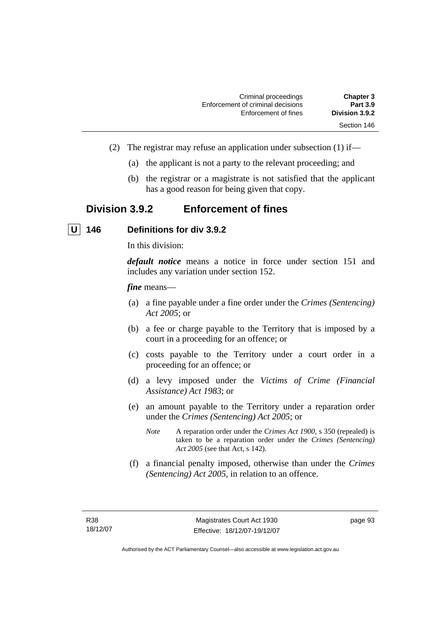| <b>Chapter 3</b> | Criminal proceedings              |
|------------------|-----------------------------------|
| <b>Part 3.9</b>  | Enforcement of criminal decisions |
| Division 3.9.2   | Enforcement of fines              |
| Section 146      |                                   |

- (2) The registrar may refuse an application under subsection (1) if—
	- (a) the applicant is not a party to the relevant proceeding; and
	- (b) the registrar or a magistrate is not satisfied that the applicant has a good reason for being given that copy.

# **Division 3.9.2 Enforcement of fines**

 **U 146 Definitions for div 3.9.2** 

In this division:

*default notice* means a notice in force under section 151 and includes any variation under section 152.

#### *fine* means—

- (a) a fine payable under a fine order under the *Crimes (Sentencing) Act 2005*; or
- (b) a fee or charge payable to the Territory that is imposed by a court in a proceeding for an offence; or
- (c) costs payable to the Territory under a court order in a proceeding for an offence; or
- (d) a levy imposed under the *Victims of Crime (Financial Assistance) Act 1983*; or
- (e) an amount payable to the Territory under a reparation order under the *Crimes (Sentencing) Act 2005*; or
	- *Note* A reparation order under the *Crimes Act 1900*, s 350 (repealed) is taken to be a reparation order under the *Crimes (Sentencing) Act 2005* (see that Act, s 142).
- (f) a financial penalty imposed, otherwise than under the *Crimes (Sentencing) Act 2005*, in relation to an offence.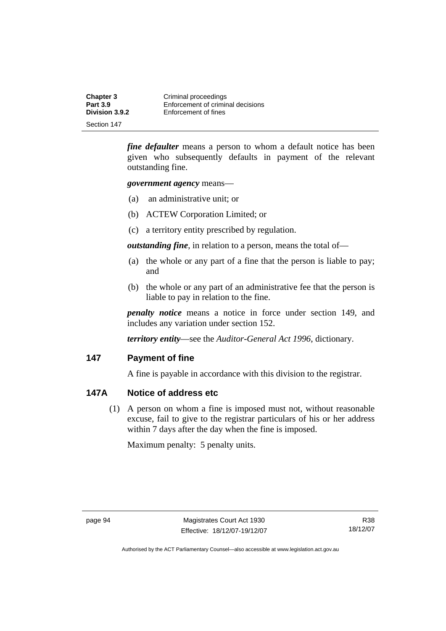| <b>Chapter 3</b>                  | Criminal proceedings                                      |
|-----------------------------------|-----------------------------------------------------------|
| <b>Part 3.9</b><br>Division 3.9.2 | Enforcement of criminal decisions<br>Enforcement of fines |
| Section 147                       |                                                           |

*fine defaulter* means a person to whom a default notice has been given who subsequently defaults in payment of the relevant outstanding fine.

*government agency* means—

- (a) an administrative unit; or
- (b) ACTEW Corporation Limited; or
- (c) a territory entity prescribed by regulation.

*outstanding fine*, in relation to a person, means the total of—

- (a) the whole or any part of a fine that the person is liable to pay; and
- (b) the whole or any part of an administrative fee that the person is liable to pay in relation to the fine.

*penalty notice* means a notice in force under section 149, and includes any variation under section 152.

*territory entity*—see the *Auditor-General Act 1996*, dictionary.

#### **147 Payment of fine**

A fine is payable in accordance with this division to the registrar.

## **147A Notice of address etc**

 (1) A person on whom a fine is imposed must not, without reasonable excuse, fail to give to the registrar particulars of his or her address within 7 days after the day when the fine is imposed.

Maximum penalty: 5 penalty units.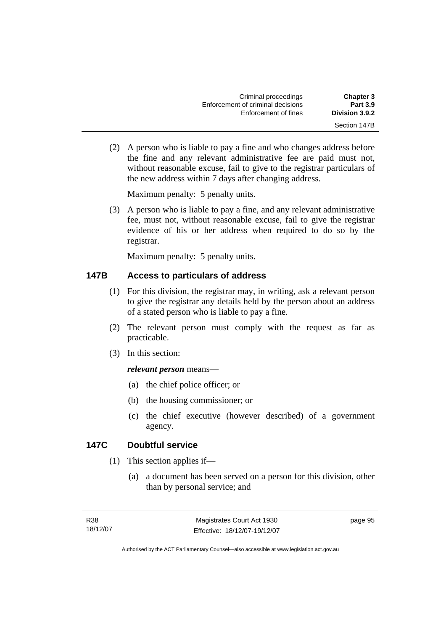| <b>Chapter 3</b> | Criminal proceedings              |
|------------------|-----------------------------------|
| <b>Part 3.9</b>  | Enforcement of criminal decisions |
| Division 3.9.2   | Enforcement of fines              |
| Section 147B     |                                   |

 (2) A person who is liable to pay a fine and who changes address before the fine and any relevant administrative fee are paid must not, without reasonable excuse, fail to give to the registrar particulars of the new address within 7 days after changing address.

Maximum penalty: 5 penalty units.

 (3) A person who is liable to pay a fine, and any relevant administrative fee, must not, without reasonable excuse, fail to give the registrar evidence of his or her address when required to do so by the registrar.

Maximum penalty: 5 penalty units.

## **147B Access to particulars of address**

- (1) For this division, the registrar may, in writing, ask a relevant person to give the registrar any details held by the person about an address of a stated person who is liable to pay a fine.
- (2) The relevant person must comply with the request as far as practicable.
- (3) In this section:

### *relevant person* means—

- (a) the chief police officer; or
- (b) the housing commissioner; or
- (c) the chief executive (however described) of a government agency.

## **147C Doubtful service**

- (1) This section applies if—
	- (a) a document has been served on a person for this division, other than by personal service; and

page 95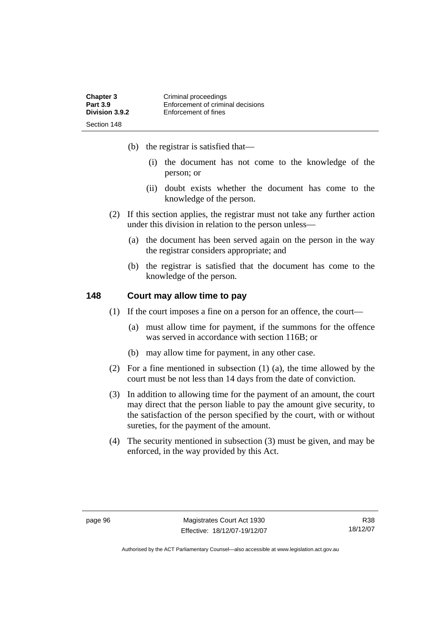| <b>Chapter 3</b> | Criminal proceedings              |
|------------------|-----------------------------------|
| <b>Part 3.9</b>  | Enforcement of criminal decisions |
| Division 3.9.2   | Enforcement of fines              |
| Section 148      |                                   |

- (b) the registrar is satisfied that—
	- (i) the document has not come to the knowledge of the person; or
	- (ii) doubt exists whether the document has come to the knowledge of the person.
- (2) If this section applies, the registrar must not take any further action under this division in relation to the person unless—
	- (a) the document has been served again on the person in the way the registrar considers appropriate; and
	- (b) the registrar is satisfied that the document has come to the knowledge of the person.

## **148 Court may allow time to pay**

- (1) If the court imposes a fine on a person for an offence, the court—
	- (a) must allow time for payment, if the summons for the offence was served in accordance with section 116B; or
	- (b) may allow time for payment, in any other case.
- (2) For a fine mentioned in subsection (1) (a), the time allowed by the court must be not less than 14 days from the date of conviction.
- (3) In addition to allowing time for the payment of an amount, the court may direct that the person liable to pay the amount give security, to the satisfaction of the person specified by the court, with or without sureties, for the payment of the amount.
- (4) The security mentioned in subsection (3) must be given, and may be enforced, in the way provided by this Act.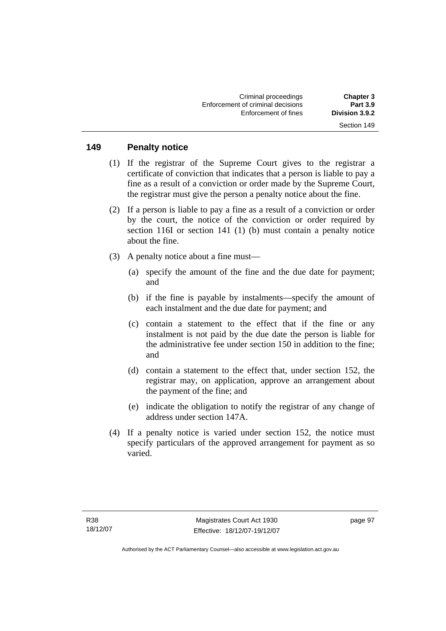#### **149 Penalty notice**

- (1) If the registrar of the Supreme Court gives to the registrar a certificate of conviction that indicates that a person is liable to pay a fine as a result of a conviction or order made by the Supreme Court, the registrar must give the person a penalty notice about the fine.
- (2) If a person is liable to pay a fine as a result of a conviction or order by the court, the notice of the conviction or order required by section 116I or section 141 (1) (b) must contain a penalty notice about the fine.
- (3) A penalty notice about a fine must—
	- (a) specify the amount of the fine and the due date for payment; and
	- (b) if the fine is payable by instalments—specify the amount of each instalment and the due date for payment; and
	- (c) contain a statement to the effect that if the fine or any instalment is not paid by the due date the person is liable for the administrative fee under section 150 in addition to the fine; and
	- (d) contain a statement to the effect that, under section 152, the registrar may, on application, approve an arrangement about the payment of the fine; and
	- (e) indicate the obligation to notify the registrar of any change of address under section 147A.
- (4) If a penalty notice is varied under section 152, the notice must specify particulars of the approved arrangement for payment as so varied.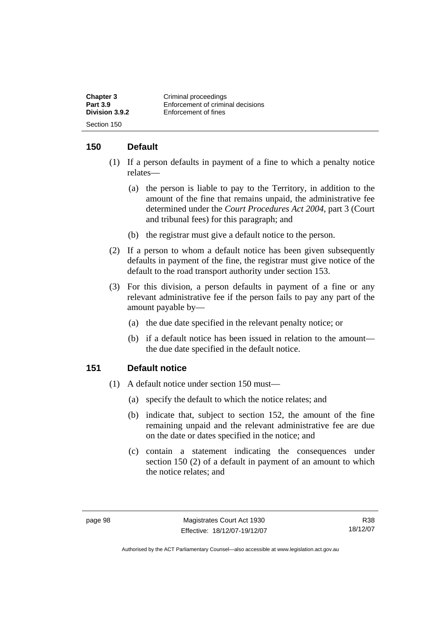| <b>Chapter 3</b> | Criminal proceedings              |
|------------------|-----------------------------------|
| <b>Part 3.9</b>  | Enforcement of criminal decisions |
| Division 3.9.2   | Enforcement of fines              |
| Section 150      |                                   |

## **150 Default**

- (1) If a person defaults in payment of a fine to which a penalty notice relates—
	- (a) the person is liable to pay to the Territory, in addition to the amount of the fine that remains unpaid, the administrative fee determined under the *Court Procedures Act 2004*, part 3 (Court and tribunal fees) for this paragraph; and
	- (b) the registrar must give a default notice to the person.
- (2) If a person to whom a default notice has been given subsequently defaults in payment of the fine, the registrar must give notice of the default to the road transport authority under section 153.
- (3) For this division, a person defaults in payment of a fine or any relevant administrative fee if the person fails to pay any part of the amount payable by—
	- (a) the due date specified in the relevant penalty notice; or
	- (b) if a default notice has been issued in relation to the amount the due date specified in the default notice.

### **151 Default notice**

- (1) A default notice under section 150 must—
	- (a) specify the default to which the notice relates; and
	- (b) indicate that, subject to section 152, the amount of the fine remaining unpaid and the relevant administrative fee are due on the date or dates specified in the notice; and
	- (c) contain a statement indicating the consequences under section 150 (2) of a default in payment of an amount to which the notice relates; and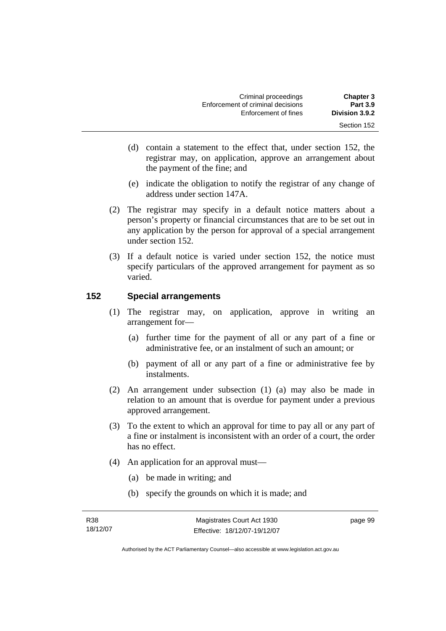| <b>Chapter 3</b> | Criminal proceedings              |
|------------------|-----------------------------------|
| <b>Part 3.9</b>  | Enforcement of criminal decisions |
| Division 3.9.2   | Enforcement of fines              |
| Section 152      |                                   |

- (d) contain a statement to the effect that, under section 152, the registrar may, on application, approve an arrangement about the payment of the fine; and
- (e) indicate the obligation to notify the registrar of any change of address under section 147A.
- (2) The registrar may specify in a default notice matters about a person's property or financial circumstances that are to be set out in any application by the person for approval of a special arrangement under section 152.
- (3) If a default notice is varied under section 152, the notice must specify particulars of the approved arrangement for payment as so varied.

### **152 Special arrangements**

- (1) The registrar may, on application, approve in writing an arrangement for—
	- (a) further time for the payment of all or any part of a fine or administrative fee, or an instalment of such an amount; or
	- (b) payment of all or any part of a fine or administrative fee by instalments.
- (2) An arrangement under subsection (1) (a) may also be made in relation to an amount that is overdue for payment under a previous approved arrangement.
- (3) To the extent to which an approval for time to pay all or any part of a fine or instalment is inconsistent with an order of a court, the order has no effect.
- (4) An application for an approval must—
	- (a) be made in writing; and
	- (b) specify the grounds on which it is made; and

page 99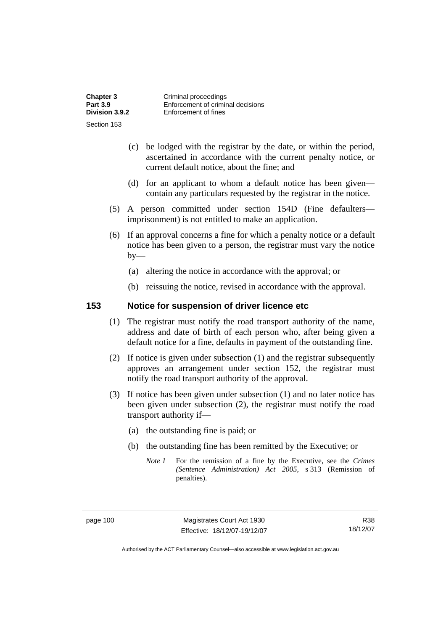| <b>Chapter 3</b> | Criminal proceedings              |
|------------------|-----------------------------------|
| <b>Part 3.9</b>  | Enforcement of criminal decisions |
| Division 3.9.2   | Enforcement of fines              |
| Section 153      |                                   |

- (c) be lodged with the registrar by the date, or within the period, ascertained in accordance with the current penalty notice, or current default notice, about the fine; and
- (d) for an applicant to whom a default notice has been given contain any particulars requested by the registrar in the notice.
- (5) A person committed under section 154D (Fine defaulters imprisonment) is not entitled to make an application.
- (6) If an approval concerns a fine for which a penalty notice or a default notice has been given to a person, the registrar must vary the notice  $by-$ 
	- (a) altering the notice in accordance with the approval; or
	- (b) reissuing the notice, revised in accordance with the approval.

#### **153 Notice for suspension of driver licence etc**

- (1) The registrar must notify the road transport authority of the name, address and date of birth of each person who, after being given a default notice for a fine, defaults in payment of the outstanding fine.
- (2) If notice is given under subsection (1) and the registrar subsequently approves an arrangement under section 152, the registrar must notify the road transport authority of the approval.
- (3) If notice has been given under subsection (1) and no later notice has been given under subsection (2), the registrar must notify the road transport authority if—
	- (a) the outstanding fine is paid; or
	- (b) the outstanding fine has been remitted by the Executive; or
		- *Note 1* For the remission of a fine by the Executive, see the *Crimes (Sentence Administration) Act 2005*, s 313 (Remission of penalties).

R38 18/12/07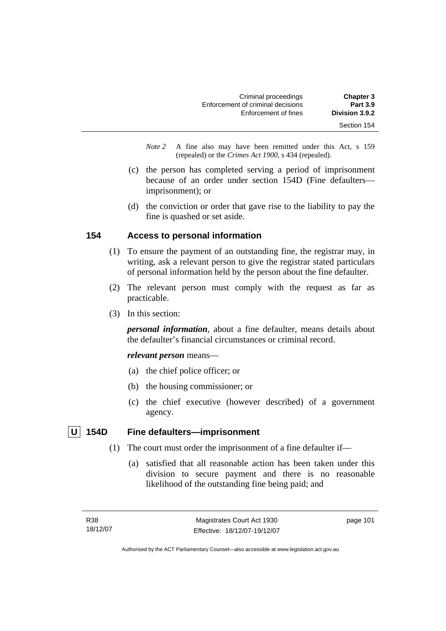| <b>Chapter 3</b> | Criminal proceedings              |
|------------------|-----------------------------------|
| <b>Part 3.9</b>  | Enforcement of criminal decisions |
| Division 3.9.2   | Enforcement of fines              |
| Section 154      |                                   |

*Note 2* A fine also may have been remitted under this Act, s 159 (repealed) or the *Crimes Act 1900*, s 434 (repealed).

- (c) the person has completed serving a period of imprisonment because of an order under section 154D (Fine defaulters imprisonment); or
- (d) the conviction or order that gave rise to the liability to pay the fine is quashed or set aside.

### **154 Access to personal information**

- (1) To ensure the payment of an outstanding fine, the registrar may, in writing, ask a relevant person to give the registrar stated particulars of personal information held by the person about the fine defaulter.
- (2) The relevant person must comply with the request as far as practicable.
- (3) In this section:

*personal information*, about a fine defaulter, means details about the defaulter's financial circumstances or criminal record.

*relevant person* means—

- (a) the chief police officer; or
- (b) the housing commissioner; or
- (c) the chief executive (however described) of a government agency.

## **U 154D Fine defaulters—imprisonment**

- (1) The court must order the imprisonment of a fine defaulter if—
	- (a) satisfied that all reasonable action has been taken under this division to secure payment and there is no reasonable likelihood of the outstanding fine being paid; and

page 101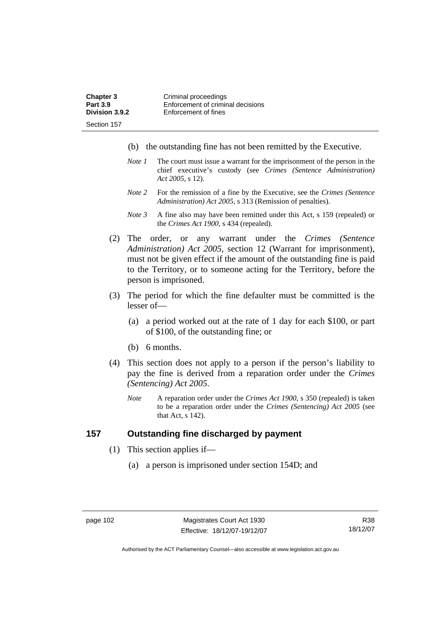| <b>Chapter 3</b> | Criminal proceedings              |
|------------------|-----------------------------------|
| <b>Part 3.9</b>  | Enforcement of criminal decisions |
| Division 3.9.2   | Enforcement of fines              |
| Section 157      |                                   |

- (b) the outstanding fine has not been remitted by the Executive.
- *Note 1* The court must issue a warrant for the imprisonment of the person in the chief executive's custody (see *Crimes (Sentence Administration) Act 2005*, s 12).
- *Note 2* For the remission of a fine by the Executive, see the *Crimes (Sentence Administration) Act 2005*, s 313 (Remission of penalties).
- *Note 3* A fine also may have been remitted under this Act, s 159 (repealed) or the *Crimes Act 1900*, s 434 (repealed).
- (2) The order, or any warrant under the *Crimes (Sentence Administration) Act 2005*, section 12 (Warrant for imprisonment), must not be given effect if the amount of the outstanding fine is paid to the Territory, or to someone acting for the Territory, before the person is imprisoned.
- (3) The period for which the fine defaulter must be committed is the lesser of—
	- (a) a period worked out at the rate of 1 day for each \$100, or part of \$100, of the outstanding fine; or
	- (b) 6 months.
- (4) This section does not apply to a person if the person's liability to pay the fine is derived from a reparation order under the *Crimes (Sentencing) Act 2005*.
	- *Note* A reparation order under the *Crimes Act 1900*, s 350 (repealed) is taken to be a reparation order under the *Crimes (Sentencing) Act 2005* (see that Act, s 142).

### **157 Outstanding fine discharged by payment**

- (1) This section applies if—
	- (a) a person is imprisoned under section 154D; and

R38 18/12/07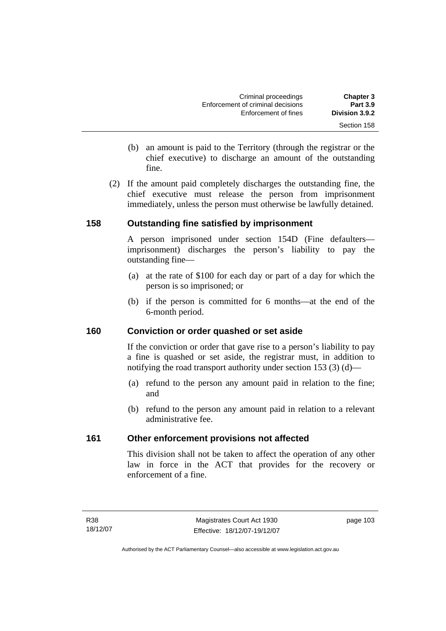| <b>Chapter 3</b> | Criminal proceedings              |
|------------------|-----------------------------------|
| <b>Part 3.9</b>  | Enforcement of criminal decisions |
| Division 3.9.2   | Enforcement of fines              |
| Section 158      |                                   |

- (b) an amount is paid to the Territory (through the registrar or the chief executive) to discharge an amount of the outstanding fine.
- (2) If the amount paid completely discharges the outstanding fine, the chief executive must release the person from imprisonment immediately, unless the person must otherwise be lawfully detained.

### **158 Outstanding fine satisfied by imprisonment**

A person imprisoned under section 154D (Fine defaulters imprisonment) discharges the person's liability to pay the outstanding fine—

- (a) at the rate of \$100 for each day or part of a day for which the person is so imprisoned; or
- (b) if the person is committed for 6 months—at the end of the 6-month period.

### **160 Conviction or order quashed or set aside**

If the conviction or order that gave rise to a person's liability to pay a fine is quashed or set aside, the registrar must, in addition to notifying the road transport authority under section 153 (3) (d)—

- (a) refund to the person any amount paid in relation to the fine; and
- (b) refund to the person any amount paid in relation to a relevant administrative fee.

## **161 Other enforcement provisions not affected**

This division shall not be taken to affect the operation of any other law in force in the ACT that provides for the recovery or enforcement of a fine.

page 103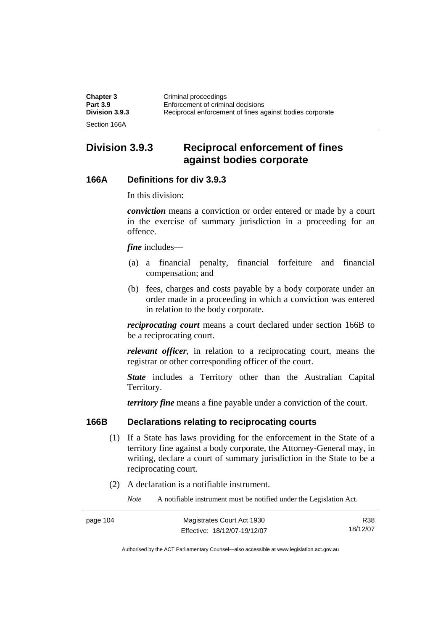| <b>Chapter 3</b> | Criminal proceedings                                     |
|------------------|----------------------------------------------------------|
| <b>Part 3.9</b>  | Enforcement of criminal decisions                        |
| Division 3.9.3   | Reciprocal enforcement of fines against bodies corporate |
| Section 166A     |                                                          |

## **Division 3.9.3 Reciprocal enforcement of fines against bodies corporate**

#### **166A Definitions for div 3.9.3**

In this division:

*conviction* means a conviction or order entered or made by a court in the exercise of summary jurisdiction in a proceeding for an offence.

*fine* includes—

- (a) a financial penalty, financial forfeiture and financial compensation; and
- (b) fees, charges and costs payable by a body corporate under an order made in a proceeding in which a conviction was entered in relation to the body corporate.

*reciprocating court* means a court declared under section 166B to be a reciprocating court.

*relevant officer*, in relation to a reciprocating court, means the registrar or other corresponding officer of the court.

*State* includes a Territory other than the Australian Capital Territory.

*territory fine* means a fine payable under a conviction of the court.

#### **166B Declarations relating to reciprocating courts**

- (1) If a State has laws providing for the enforcement in the State of a territory fine against a body corporate, the Attorney-General may, in writing, declare a court of summary jurisdiction in the State to be a reciprocating court.
- (2) A declaration is a notifiable instrument.

*Note* A notifiable instrument must be notified under the Legislation Act.

| page 104 | Magistrates Court Act 1930   | R38      |
|----------|------------------------------|----------|
|          | Effective: 18/12/07-19/12/07 | 18/12/07 |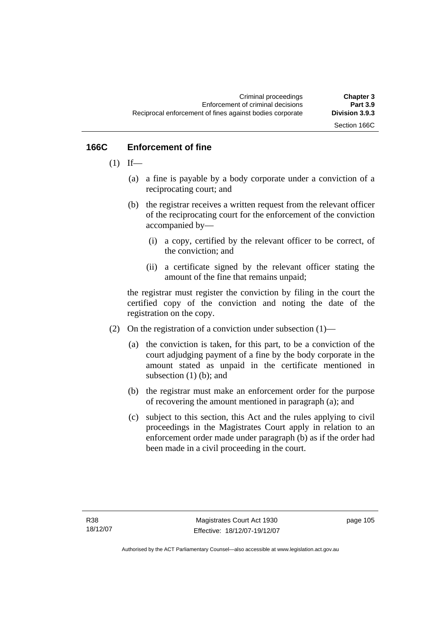Section 166C

## **166C Enforcement of fine**

- $(1)$  If—
	- (a) a fine is payable by a body corporate under a conviction of a reciprocating court; and
	- (b) the registrar receives a written request from the relevant officer of the reciprocating court for the enforcement of the conviction accompanied by—
		- (i) a copy, certified by the relevant officer to be correct, of the conviction; and
		- (ii) a certificate signed by the relevant officer stating the amount of the fine that remains unpaid;

the registrar must register the conviction by filing in the court the certified copy of the conviction and noting the date of the registration on the copy.

- (2) On the registration of a conviction under subsection  $(1)$ 
	- (a) the conviction is taken, for this part, to be a conviction of the court adjudging payment of a fine by the body corporate in the amount stated as unpaid in the certificate mentioned in subsection (1) (b); and
	- (b) the registrar must make an enforcement order for the purpose of recovering the amount mentioned in paragraph (a); and
	- (c) subject to this section, this Act and the rules applying to civil proceedings in the Magistrates Court apply in relation to an enforcement order made under paragraph (b) as if the order had been made in a civil proceeding in the court.

page 105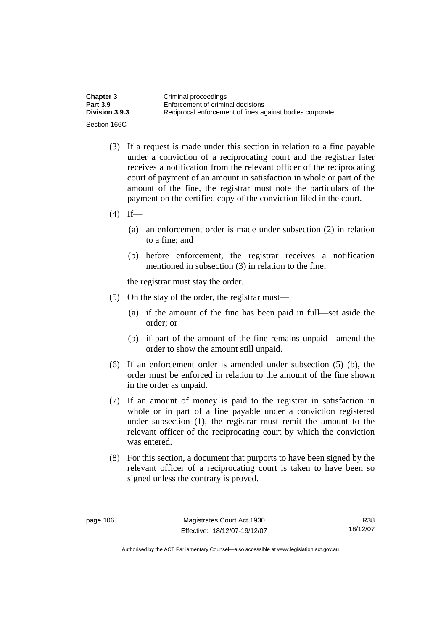| <b>Chapter 3</b>      | Criminal proceedings                                     |
|-----------------------|----------------------------------------------------------|
| <b>Part 3.9</b>       | Enforcement of criminal decisions                        |
| <b>Division 3.9.3</b> | Reciprocal enforcement of fines against bodies corporate |
| Section 166C          |                                                          |

- (3) If a request is made under this section in relation to a fine payable under a conviction of a reciprocating court and the registrar later receives a notification from the relevant officer of the reciprocating court of payment of an amount in satisfaction in whole or part of the amount of the fine, the registrar must note the particulars of the payment on the certified copy of the conviction filed in the court.
- $(4)$  If—
	- (a) an enforcement order is made under subsection (2) in relation to a fine; and
	- (b) before enforcement, the registrar receives a notification mentioned in subsection (3) in relation to the fine;

the registrar must stay the order.

- (5) On the stay of the order, the registrar must—
	- (a) if the amount of the fine has been paid in full—set aside the order; or
	- (b) if part of the amount of the fine remains unpaid—amend the order to show the amount still unpaid.
- (6) If an enforcement order is amended under subsection (5) (b), the order must be enforced in relation to the amount of the fine shown in the order as unpaid.
- (7) If an amount of money is paid to the registrar in satisfaction in whole or in part of a fine payable under a conviction registered under subsection (1), the registrar must remit the amount to the relevant officer of the reciprocating court by which the conviction was entered.
- (8) For this section, a document that purports to have been signed by the relevant officer of a reciprocating court is taken to have been so signed unless the contrary is proved.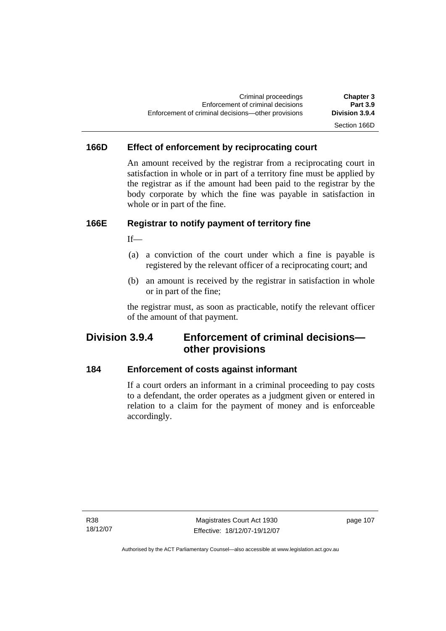## Section 166D

## **166D Effect of enforcement by reciprocating court**

An amount received by the registrar from a reciprocating court in satisfaction in whole or in part of a territory fine must be applied by the registrar as if the amount had been paid to the registrar by the body corporate by which the fine was payable in satisfaction in whole or in part of the fine.

## **166E Registrar to notify payment of territory fine**

If—

- (a) a conviction of the court under which a fine is payable is registered by the relevant officer of a reciprocating court; and
- (b) an amount is received by the registrar in satisfaction in whole or in part of the fine;

the registrar must, as soon as practicable, notify the relevant officer of the amount of that payment.

## **Division 3.9.4 Enforcement of criminal decisions other provisions**

### **184 Enforcement of costs against informant**

If a court orders an informant in a criminal proceeding to pay costs to a defendant, the order operates as a judgment given or entered in relation to a claim for the payment of money and is enforceable accordingly.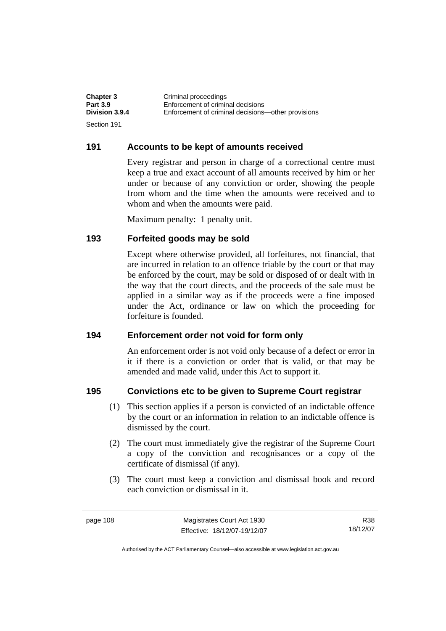| <b>Chapter 3</b> | Criminal proceedings                               |
|------------------|----------------------------------------------------|
| <b>Part 3.9</b>  | Enforcement of criminal decisions                  |
| Division 3.9.4   | Enforcement of criminal decisions—other provisions |
| Section 191      |                                                    |

#### **191 Accounts to be kept of amounts received**

Every registrar and person in charge of a correctional centre must keep a true and exact account of all amounts received by him or her under or because of any conviction or order, showing the people from whom and the time when the amounts were received and to whom and when the amounts were paid.

Maximum penalty: 1 penalty unit.

#### **193 Forfeited goods may be sold**

Except where otherwise provided, all forfeitures, not financial, that are incurred in relation to an offence triable by the court or that may be enforced by the court, may be sold or disposed of or dealt with in the way that the court directs, and the proceeds of the sale must be applied in a similar way as if the proceeds were a fine imposed under the Act, ordinance or law on which the proceeding for forfeiture is founded.

#### **194 Enforcement order not void for form only**

An enforcement order is not void only because of a defect or error in it if there is a conviction or order that is valid, or that may be amended and made valid, under this Act to support it.

#### **195 Convictions etc to be given to Supreme Court registrar**

- (1) This section applies if a person is convicted of an indictable offence by the court or an information in relation to an indictable offence is dismissed by the court.
- (2) The court must immediately give the registrar of the Supreme Court a copy of the conviction and recognisances or a copy of the certificate of dismissal (if any).
- (3) The court must keep a conviction and dismissal book and record each conviction or dismissal in it.

R38 18/12/07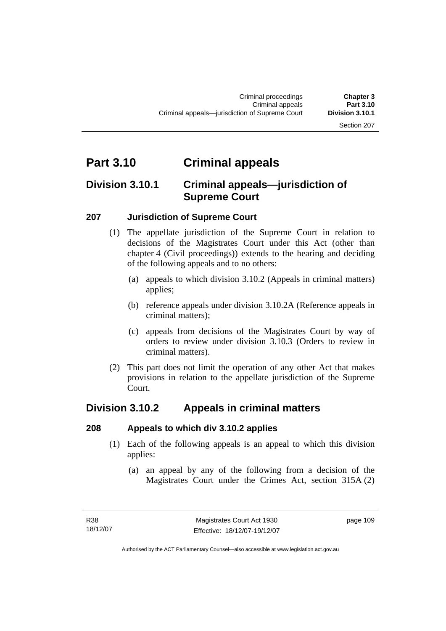#### Section 207

## **Part 3.10 Criminal appeals**

## **Division 3.10.1 Criminal appeals—jurisdiction of Supreme Court**

### **207 Jurisdiction of Supreme Court**

- (1) The appellate jurisdiction of the Supreme Court in relation to decisions of the Magistrates Court under this Act (other than chapter 4 (Civil proceedings)) extends to the hearing and deciding of the following appeals and to no others:
	- (a) appeals to which division 3.10.2 (Appeals in criminal matters) applies;
	- (b) reference appeals under division 3.10.2A (Reference appeals in criminal matters);
	- (c) appeals from decisions of the Magistrates Court by way of orders to review under division 3.10.3 (Orders to review in criminal matters).
- (2) This part does not limit the operation of any other Act that makes provisions in relation to the appellate jurisdiction of the Supreme Court.

## **Division 3.10.2 Appeals in criminal matters**

#### **208 Appeals to which div 3.10.2 applies**

- (1) Each of the following appeals is an appeal to which this division applies:
	- (a) an appeal by any of the following from a decision of the Magistrates Court under the Crimes Act, section 315A (2)

page 109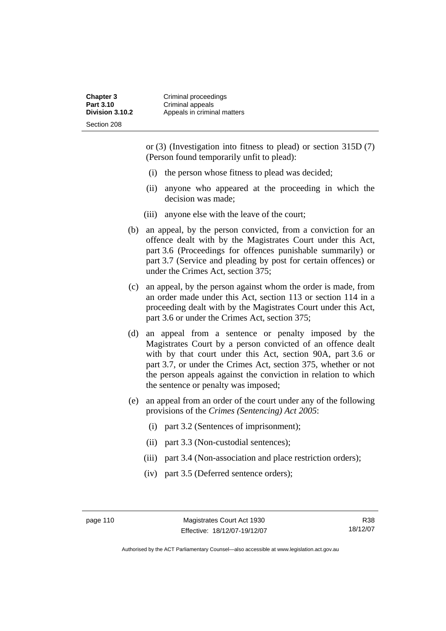or (3) (Investigation into fitness to plead) or section 315D (7) (Person found temporarily unfit to plead):

- (i) the person whose fitness to plead was decided;
- (ii) anyone who appeared at the proceeding in which the decision was made;
- (iii) anyone else with the leave of the court;
- (b) an appeal, by the person convicted, from a conviction for an offence dealt with by the Magistrates Court under this Act, part 3.6 (Proceedings for offences punishable summarily) or part 3.7 (Service and pleading by post for certain offences) or under the Crimes Act, section 375;
- (c) an appeal, by the person against whom the order is made, from an order made under this Act, section 113 or section 114 in a proceeding dealt with by the Magistrates Court under this Act, part 3.6 or under the Crimes Act, section 375;
- (d) an appeal from a sentence or penalty imposed by the Magistrates Court by a person convicted of an offence dealt with by that court under this Act, section 90A, part 3.6 or part 3.7, or under the Crimes Act, section 375, whether or not the person appeals against the conviction in relation to which the sentence or penalty was imposed;
- (e) an appeal from an order of the court under any of the following provisions of the *Crimes (Sentencing) Act 2005*:
	- (i) part 3.2 (Sentences of imprisonment);
	- (ii) part 3.3 (Non-custodial sentences);
	- (iii) part 3.4 (Non-association and place restriction orders);
	- (iv) part 3.5 (Deferred sentence orders);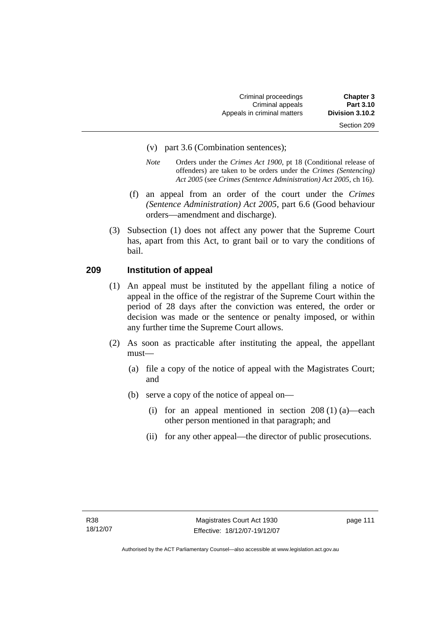- (v) part 3.6 (Combination sentences);
- *Note* Orders under the *Crimes Act 1900*, pt 18 (Conditional release of offenders) are taken to be orders under the *Crimes (Sentencing) Act 2005* (see *Crimes (Sentence Administration) Act 2005*, ch 16).
- (f) an appeal from an order of the court under the *Crimes (Sentence Administration) Act 2005,* part 6.6 (Good behaviour orders—amendment and discharge).
- (3) Subsection (1) does not affect any power that the Supreme Court has, apart from this Act, to grant bail or to vary the conditions of bail.

### **209 Institution of appeal**

- (1) An appeal must be instituted by the appellant filing a notice of appeal in the office of the registrar of the Supreme Court within the period of 28 days after the conviction was entered, the order or decision was made or the sentence or penalty imposed, or within any further time the Supreme Court allows.
- (2) As soon as practicable after instituting the appeal, the appellant must—
	- (a) file a copy of the notice of appeal with the Magistrates Court; and
	- (b) serve a copy of the notice of appeal on—
		- (i) for an appeal mentioned in section  $208(1)(a)$ —each other person mentioned in that paragraph; and
		- (ii) for any other appeal—the director of public prosecutions.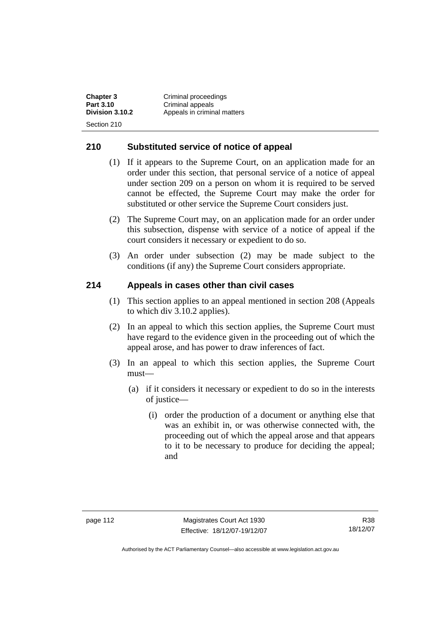**Chapter 3 Criminal proceedings**<br>**Part 3.10 Criminal appeals Part 3.10 Criminal appeals**<br>**Division 3.10.2 Appeals in crimin Division 3.10.2** Appeals in criminal matters Section 210

### **210 Substituted service of notice of appeal**

- (1) If it appears to the Supreme Court, on an application made for an order under this section, that personal service of a notice of appeal under section 209 on a person on whom it is required to be served cannot be effected, the Supreme Court may make the order for substituted or other service the Supreme Court considers just.
- (2) The Supreme Court may, on an application made for an order under this subsection, dispense with service of a notice of appeal if the court considers it necessary or expedient to do so.
- (3) An order under subsection (2) may be made subject to the conditions (if any) the Supreme Court considers appropriate.

## **214 Appeals in cases other than civil cases**

- (1) This section applies to an appeal mentioned in section 208 (Appeals to which div 3.10.2 applies).
- (2) In an appeal to which this section applies, the Supreme Court must have regard to the evidence given in the proceeding out of which the appeal arose, and has power to draw inferences of fact.
- (3) In an appeal to which this section applies, the Supreme Court must—
	- (a) if it considers it necessary or expedient to do so in the interests of justice—
		- (i) order the production of a document or anything else that was an exhibit in, or was otherwise connected with, the proceeding out of which the appeal arose and that appears to it to be necessary to produce for deciding the appeal; and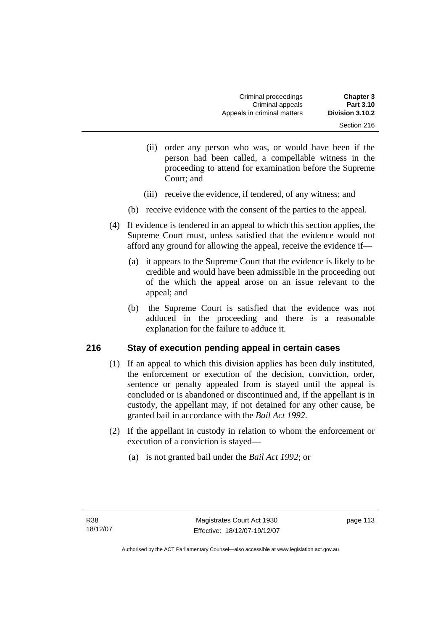- (ii) order any person who was, or would have been if the person had been called, a compellable witness in the proceeding to attend for examination before the Supreme Court; and
- (iii) receive the evidence, if tendered, of any witness; and
- (b) receive evidence with the consent of the parties to the appeal.
- (4) If evidence is tendered in an appeal to which this section applies, the Supreme Court must, unless satisfied that the evidence would not afford any ground for allowing the appeal, receive the evidence if—
	- (a) it appears to the Supreme Court that the evidence is likely to be credible and would have been admissible in the proceeding out of the which the appeal arose on an issue relevant to the appeal; and
	- (b) the Supreme Court is satisfied that the evidence was not adduced in the proceeding and there is a reasonable explanation for the failure to adduce it.

## **216 Stay of execution pending appeal in certain cases**

- (1) If an appeal to which this division applies has been duly instituted, the enforcement or execution of the decision, conviction, order, sentence or penalty appealed from is stayed until the appeal is concluded or is abandoned or discontinued and, if the appellant is in custody, the appellant may, if not detained for any other cause, be granted bail in accordance with the *Bail Act 1992*.
- (2) If the appellant in custody in relation to whom the enforcement or execution of a conviction is stayed—
	- (a) is not granted bail under the *Bail Act 1992*; or

page 113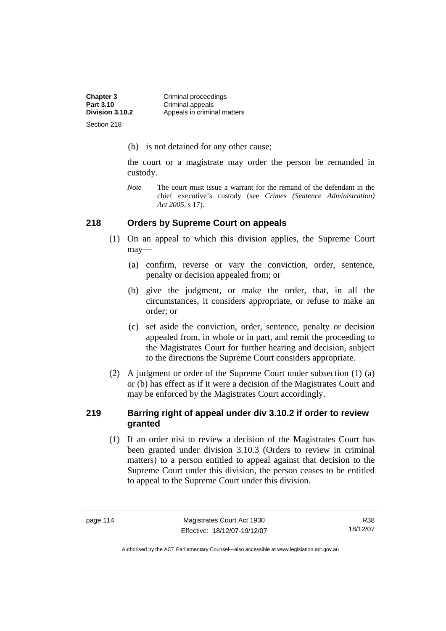| <b>Chapter 3</b> | Criminal proceedings        |
|------------------|-----------------------------|
| Part 3.10        | Criminal appeals            |
| Division 3.10.2  | Appeals in criminal matters |
| Section 218      |                             |

(b) is not detained for any other cause;

the court or a magistrate may order the person be remanded in custody.

*Note* The court must issue a warrant for the remand of the defendant in the chief executive's custody (see *Crimes (Sentence Administration) Act 2005*, s 17).

### **218 Orders by Supreme Court on appeals**

- (1) On an appeal to which this division applies, the Supreme Court may—
	- (a) confirm, reverse or vary the conviction, order, sentence, penalty or decision appealed from; or
	- (b) give the judgment, or make the order, that, in all the circumstances, it considers appropriate, or refuse to make an order; or
	- (c) set aside the conviction, order, sentence, penalty or decision appealed from, in whole or in part, and remit the proceeding to the Magistrates Court for further hearing and decision, subject to the directions the Supreme Court considers appropriate.
- (2) A judgment or order of the Supreme Court under subsection (1) (a) or (b) has effect as if it were a decision of the Magistrates Court and may be enforced by the Magistrates Court accordingly.

## **219 Barring right of appeal under div 3.10.2 if order to review granted**

 (1) If an order nisi to review a decision of the Magistrates Court has been granted under division 3.10.3 (Orders to review in criminal matters) to a person entitled to appeal against that decision to the Supreme Court under this division, the person ceases to be entitled to appeal to the Supreme Court under this division.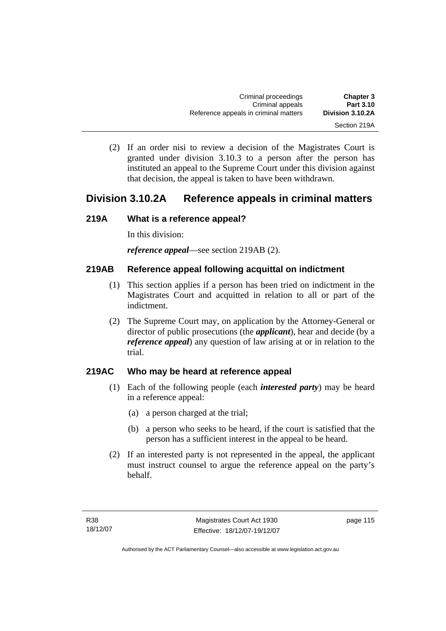(2) If an order nisi to review a decision of the Magistrates Court is granted under division 3.10.3 to a person after the person has instituted an appeal to the Supreme Court under this division against that decision, the appeal is taken to have been withdrawn.

## **Division 3.10.2A Reference appeals in criminal matters**

## **219A What is a reference appeal?**

In this division:

*reference appeal*—see section 219AB (2).

## **219AB Reference appeal following acquittal on indictment**

- (1) This section applies if a person has been tried on indictment in the Magistrates Court and acquitted in relation to all or part of the indictment.
- (2) The Supreme Court may, on application by the Attorney-General or director of public prosecutions (the *applicant*), hear and decide (by a *reference appeal*) any question of law arising at or in relation to the trial.

## **219AC Who may be heard at reference appeal**

- (1) Each of the following people (each *interested party*) may be heard in a reference appeal:
	- (a) a person charged at the trial;
	- (b) a person who seeks to be heard, if the court is satisfied that the person has a sufficient interest in the appeal to be heard.
- (2) If an interested party is not represented in the appeal, the applicant must instruct counsel to argue the reference appeal on the party's behalf.

page 115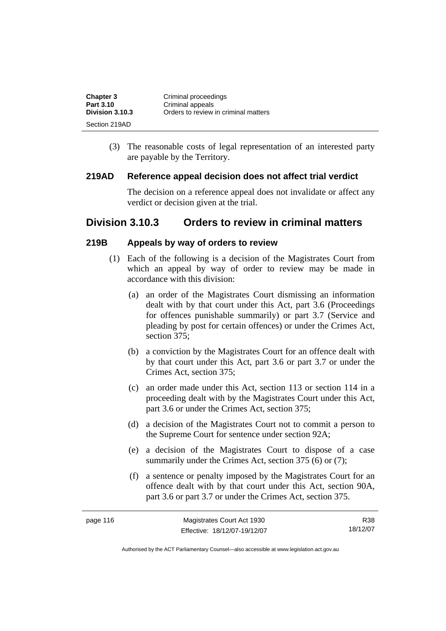| <b>Chapter 3</b> | Criminal proceedings                 |
|------------------|--------------------------------------|
| Part 3.10        | Criminal appeals                     |
| Division 3.10.3  | Orders to review in criminal matters |
| Section 219AD    |                                      |

 (3) The reasonable costs of legal representation of an interested party are payable by the Territory.

#### **219AD Reference appeal decision does not affect trial verdict**

The decision on a reference appeal does not invalidate or affect any verdict or decision given at the trial.

## **Division 3.10.3 Orders to review in criminal matters**

#### **219B Appeals by way of orders to review**

- (1) Each of the following is a decision of the Magistrates Court from which an appeal by way of order to review may be made in accordance with this division:
	- (a) an order of the Magistrates Court dismissing an information dealt with by that court under this Act, part 3.6 (Proceedings for offences punishable summarily) or part 3.7 (Service and pleading by post for certain offences) or under the Crimes Act, section 375;
	- (b) a conviction by the Magistrates Court for an offence dealt with by that court under this Act, part 3.6 or part 3.7 or under the Crimes Act, section 375;
	- (c) an order made under this Act, section 113 or section 114 in a proceeding dealt with by the Magistrates Court under this Act, part 3.6 or under the Crimes Act, section 375;
	- (d) a decision of the Magistrates Court not to commit a person to the Supreme Court for sentence under section 92A;
	- (e) a decision of the Magistrates Court to dispose of a case summarily under the Crimes Act, section 375 (6) or (7):
	- (f) a sentence or penalty imposed by the Magistrates Court for an offence dealt with by that court under this Act, section 90A, part 3.6 or part 3.7 or under the Crimes Act, section 375.

| page 116 | Magistrates Court Act 1930   | R38      |
|----------|------------------------------|----------|
|          | Effective: 18/12/07-19/12/07 | 18/12/07 |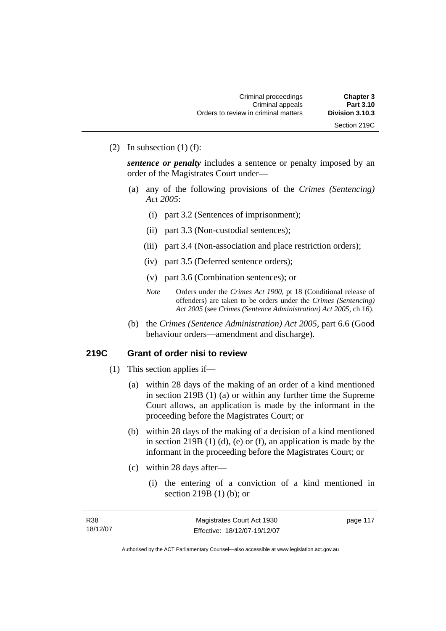(2) In subsection  $(1)$  (f):

*sentence or penalty* includes a sentence or penalty imposed by an order of the Magistrates Court under—

- (a) any of the following provisions of the *Crimes (Sentencing) Act 2005*:
	- (i) part 3.2 (Sentences of imprisonment);
	- (ii) part 3.3 (Non-custodial sentences);
	- (iii) part 3.4 (Non-association and place restriction orders);
	- (iv) part 3.5 (Deferred sentence orders);
	- (v) part 3.6 (Combination sentences); or
	- *Note* Orders under the *Crimes Act 1900*, pt 18 (Conditional release of offenders) are taken to be orders under the *Crimes (Sentencing) Act 2005* (see *Crimes (Sentence Administration) Act 2005*, ch 16).
- (b) the *Crimes (Sentence Administration) Act 2005,* part 6.6 (Good behaviour orders—amendment and discharge).

### **219C Grant of order nisi to review**

- (1) This section applies if—
	- (a) within 28 days of the making of an order of a kind mentioned in section 219B (1) (a) or within any further time the Supreme Court allows, an application is made by the informant in the proceeding before the Magistrates Court; or
	- (b) within 28 days of the making of a decision of a kind mentioned in section 219B  $(1)$   $(d)$ ,  $(e)$  or  $(f)$ , an application is made by the informant in the proceeding before the Magistrates Court; or
	- (c) within 28 days after—
		- (i) the entering of a conviction of a kind mentioned in section 219B (1) (b); or

| R38      | Magistrates Court Act 1930   | page 117 |
|----------|------------------------------|----------|
| 18/12/07 | Effective: 18/12/07-19/12/07 |          |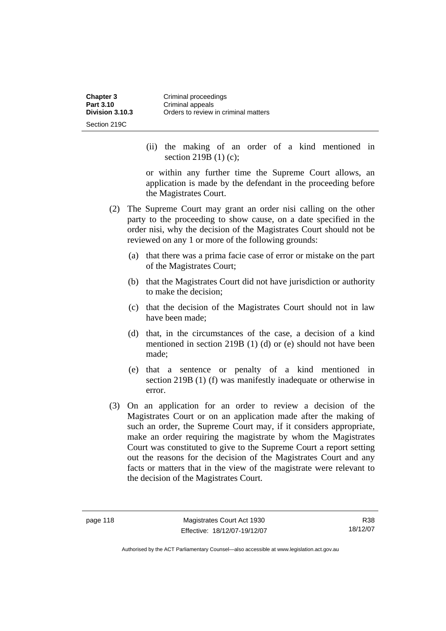| <b>Chapter 3</b> | Criminal proceedings                 |
|------------------|--------------------------------------|
| Part 3.10        | Criminal appeals                     |
| Division 3.10.3  | Orders to review in criminal matters |
| Section 219C     |                                      |

 (ii) the making of an order of a kind mentioned in section 219B (1) (c);

or within any further time the Supreme Court allows, an application is made by the defendant in the proceeding before the Magistrates Court.

- (2) The Supreme Court may grant an order nisi calling on the other party to the proceeding to show cause, on a date specified in the order nisi, why the decision of the Magistrates Court should not be reviewed on any 1 or more of the following grounds:
	- (a) that there was a prima facie case of error or mistake on the part of the Magistrates Court;
	- (b) that the Magistrates Court did not have jurisdiction or authority to make the decision;
	- (c) that the decision of the Magistrates Court should not in law have been made;
	- (d) that, in the circumstances of the case, a decision of a kind mentioned in section 219B (1) (d) or (e) should not have been made;
	- (e) that a sentence or penalty of a kind mentioned in section 219B (1) (f) was manifestly inadequate or otherwise in error.
- (3) On an application for an order to review a decision of the Magistrates Court or on an application made after the making of such an order, the Supreme Court may, if it considers appropriate, make an order requiring the magistrate by whom the Magistrates Court was constituted to give to the Supreme Court a report setting out the reasons for the decision of the Magistrates Court and any facts or matters that in the view of the magistrate were relevant to the decision of the Magistrates Court.

R38 18/12/07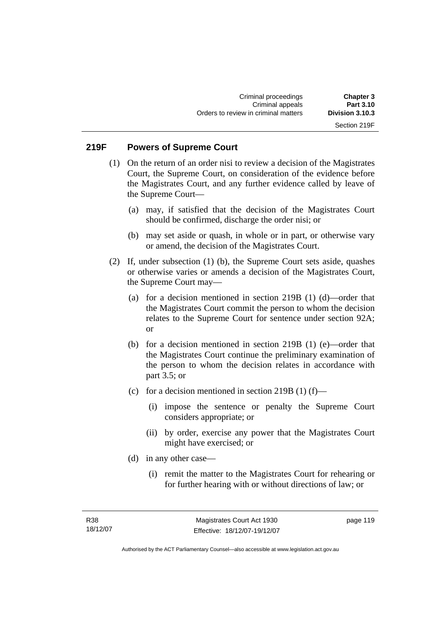## **219F Powers of Supreme Court**

- (1) On the return of an order nisi to review a decision of the Magistrates Court, the Supreme Court, on consideration of the evidence before the Magistrates Court, and any further evidence called by leave of the Supreme Court—
	- (a) may, if satisfied that the decision of the Magistrates Court should be confirmed, discharge the order nisi; or
	- (b) may set aside or quash, in whole or in part, or otherwise vary or amend, the decision of the Magistrates Court.
- (2) If, under subsection (1) (b), the Supreme Court sets aside, quashes or otherwise varies or amends a decision of the Magistrates Court, the Supreme Court may—
	- (a) for a decision mentioned in section 219B (1) (d)—order that the Magistrates Court commit the person to whom the decision relates to the Supreme Court for sentence under section 92A; or
	- (b) for a decision mentioned in section 219B (1) (e)—order that the Magistrates Court continue the preliminary examination of the person to whom the decision relates in accordance with part 3.5; or
	- (c) for a decision mentioned in section 219B  $(1)$  (f)—
		- (i) impose the sentence or penalty the Supreme Court considers appropriate; or
		- (ii) by order, exercise any power that the Magistrates Court might have exercised; or
	- (d) in any other case—
		- (i) remit the matter to the Magistrates Court for rehearing or for further hearing with or without directions of law; or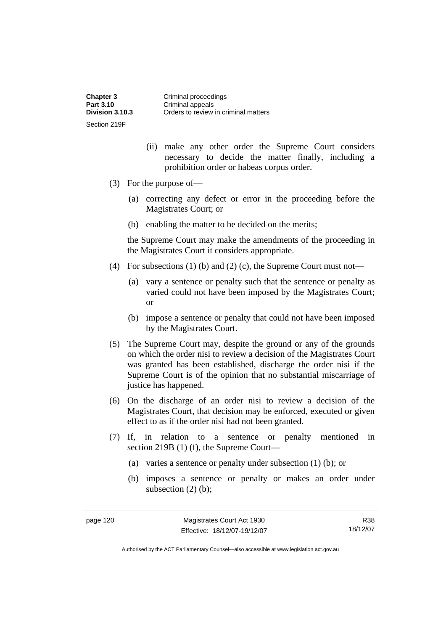| <b>Chapter 3</b> | Criminal proceedings                 |
|------------------|--------------------------------------|
| Part 3.10        | Criminal appeals                     |
| Division 3.10.3  | Orders to review in criminal matters |
| Section 219F     |                                      |

- (ii) make any other order the Supreme Court considers necessary to decide the matter finally, including a prohibition order or habeas corpus order.
- (3) For the purpose of—
	- (a) correcting any defect or error in the proceeding before the Magistrates Court; or
	- (b) enabling the matter to be decided on the merits;

the Supreme Court may make the amendments of the proceeding in the Magistrates Court it considers appropriate.

- (4) For subsections (1) (b) and (2) (c), the Supreme Court must not—
	- (a) vary a sentence or penalty such that the sentence or penalty as varied could not have been imposed by the Magistrates Court; or
	- (b) impose a sentence or penalty that could not have been imposed by the Magistrates Court.
- (5) The Supreme Court may, despite the ground or any of the grounds on which the order nisi to review a decision of the Magistrates Court was granted has been established, discharge the order nisi if the Supreme Court is of the opinion that no substantial miscarriage of justice has happened.
- (6) On the discharge of an order nisi to review a decision of the Magistrates Court, that decision may be enforced, executed or given effect to as if the order nisi had not been granted.
- (7) If, in relation to a sentence or penalty mentioned in section 219B (1) (f), the Supreme Court—
	- (a) varies a sentence or penalty under subsection (1) (b); or
	- (b) imposes a sentence or penalty or makes an order under subsection  $(2)$  (b);

R38 18/12/07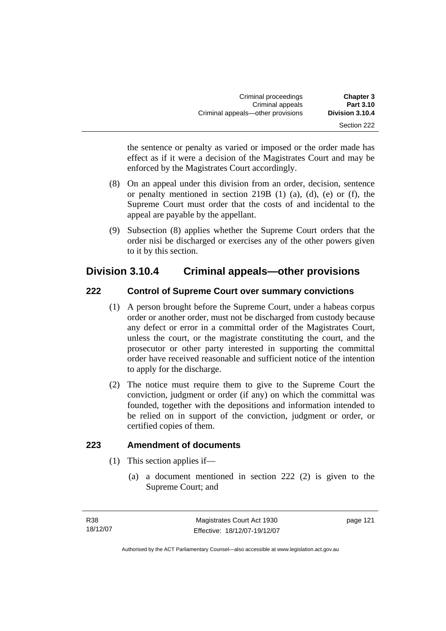| <b>Chapter 3</b><br><b>Part 3.10</b> | Criminal proceedings<br>Criminal appeals |  |
|--------------------------------------|------------------------------------------|--|
| Division 3.10.4                      | Criminal appeals—other provisions        |  |
| Section 222                          |                                          |  |

the sentence or penalty as varied or imposed or the order made has effect as if it were a decision of the Magistrates Court and may be enforced by the Magistrates Court accordingly.

- (8) On an appeal under this division from an order, decision, sentence or penalty mentioned in section 219B (1) (a), (d), (e) or (f), the Supreme Court must order that the costs of and incidental to the appeal are payable by the appellant.
- (9) Subsection (8) applies whether the Supreme Court orders that the order nisi be discharged or exercises any of the other powers given to it by this section.

## **Division 3.10.4 Criminal appeals—other provisions**

## **222 Control of Supreme Court over summary convictions**

- (1) A person brought before the Supreme Court, under a habeas corpus order or another order, must not be discharged from custody because any defect or error in a committal order of the Magistrates Court, unless the court, or the magistrate constituting the court, and the prosecutor or other party interested in supporting the committal order have received reasonable and sufficient notice of the intention to apply for the discharge.
- (2) The notice must require them to give to the Supreme Court the conviction, judgment or order (if any) on which the committal was founded, together with the depositions and information intended to be relied on in support of the conviction, judgment or order, or certified copies of them.

## **223 Amendment of documents**

- (1) This section applies if—
	- (a) a document mentioned in section 222 (2) is given to the Supreme Court; and

page 121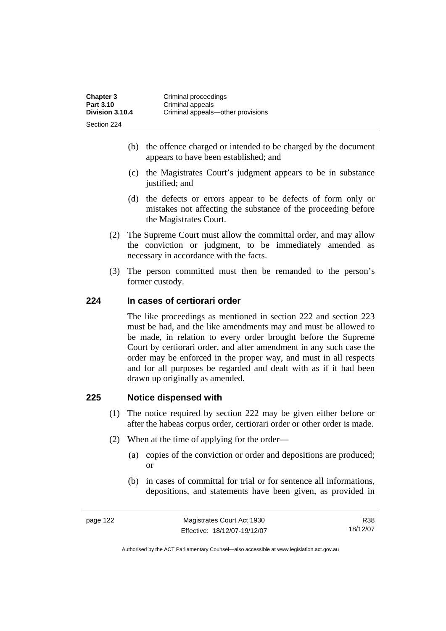| <b>Chapter 3</b> | Criminal proceedings              |
|------------------|-----------------------------------|
| Part 3.10        | Criminal appeals                  |
| Division 3.10.4  | Criminal appeals—other provisions |
| Section 224      |                                   |

- (b) the offence charged or intended to be charged by the document appears to have been established; and
- (c) the Magistrates Court's judgment appears to be in substance justified; and
- (d) the defects or errors appear to be defects of form only or mistakes not affecting the substance of the proceeding before the Magistrates Court.
- (2) The Supreme Court must allow the committal order, and may allow the conviction or judgment, to be immediately amended as necessary in accordance with the facts.
- (3) The person committed must then be remanded to the person's former custody.

## **224 In cases of certiorari order**

The like proceedings as mentioned in section 222 and section 223 must be had, and the like amendments may and must be allowed to be made, in relation to every order brought before the Supreme Court by certiorari order, and after amendment in any such case the order may be enforced in the proper way, and must in all respects and for all purposes be regarded and dealt with as if it had been drawn up originally as amended.

### **225 Notice dispensed with**

- (1) The notice required by section 222 may be given either before or after the habeas corpus order, certiorari order or other order is made.
- (2) When at the time of applying for the order—
	- (a) copies of the conviction or order and depositions are produced; or
	- (b) in cases of committal for trial or for sentence all informations, depositions, and statements have been given, as provided in

R38 18/12/07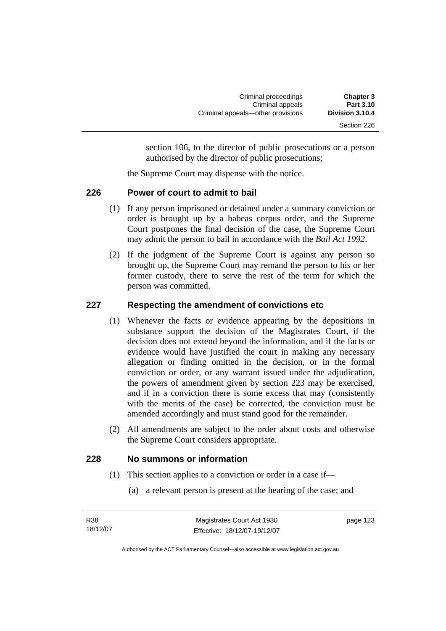section 106, to the director of public prosecutions or a person authorised by the director of public prosecutions;

the Supreme Court may dispense with the notice.

## **226 Power of court to admit to bail**

- (1) If any person imprisoned or detained under a summary conviction or order is brought up by a habeas corpus order, and the Supreme Court postpones the final decision of the case, the Supreme Court may admit the person to bail in accordance with the *Bail Act 1992*.
- (2) If the judgment of the Supreme Court is against any person so brought up, the Supreme Court may remand the person to his or her former custody, there to serve the rest of the term for which the person was committed.

## **227 Respecting the amendment of convictions etc**

- (1) Whenever the facts or evidence appearing by the depositions in substance support the decision of the Magistrates Court, if the decision does not extend beyond the information, and if the facts or evidence would have justified the court in making any necessary allegation or finding omitted in the decision, or in the formal conviction or order, or any warrant issued under the adjudication, the powers of amendment given by section 223 may be exercised, and if in a conviction there is some excess that may (consistently with the merits of the case) be corrected, the conviction must be amended accordingly and must stand good for the remainder.
- (2) All amendments are subject to the order about costs and otherwise the Supreme Court considers appropriate.

## **228 No summons or information**

- (1) This section applies to a conviction or order in a case if—
	- (a) a relevant person is present at the hearing of the case; and

| R38      | Magistrates Court Act 1930   | page 123 |
|----------|------------------------------|----------|
| 18/12/07 | Effective: 18/12/07-19/12/07 |          |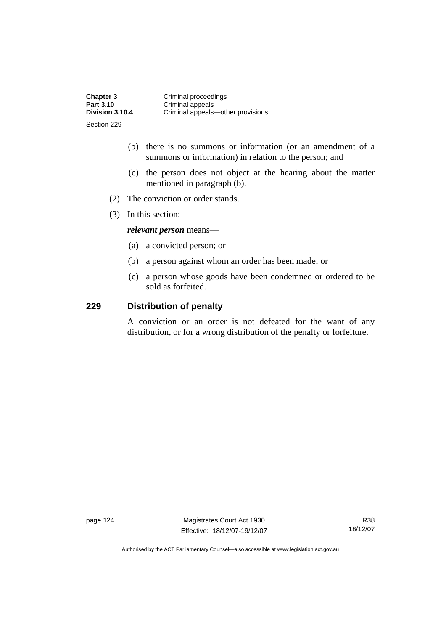| <b>Chapter 3</b> | Criminal proceedings              |
|------------------|-----------------------------------|
| Part 3.10        | Criminal appeals                  |
| Division 3.10.4  | Criminal appeals-other provisions |
| Section 229      |                                   |

- (b) there is no summons or information (or an amendment of a summons or information) in relation to the person; and
- (c) the person does not object at the hearing about the matter mentioned in paragraph (b).
- (2) The conviction or order stands.
- (3) In this section:

*relevant person* means—

- (a) a convicted person; or
- (b) a person against whom an order has been made; or
- (c) a person whose goods have been condemned or ordered to be sold as forfeited.

### **229 Distribution of penalty**

A conviction or an order is not defeated for the want of any distribution, or for a wrong distribution of the penalty or forfeiture.

page 124 Magistrates Court Act 1930 Effective: 18/12/07-19/12/07

R38 18/12/07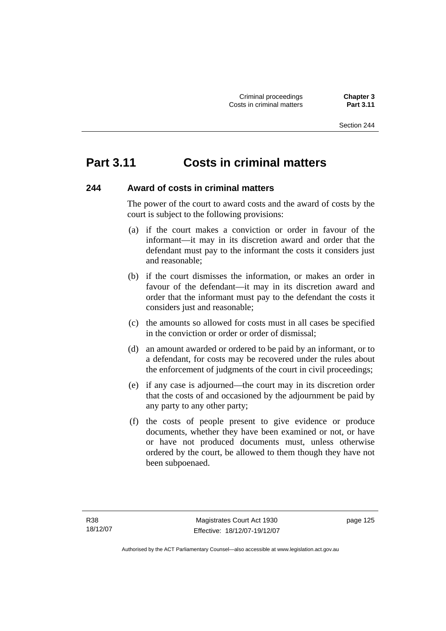## **Part 3.11 Costs in criminal matters**

## **244 Award of costs in criminal matters**

The power of the court to award costs and the award of costs by the court is subject to the following provisions:

- (a) if the court makes a conviction or order in favour of the informant—it may in its discretion award and order that the defendant must pay to the informant the costs it considers just and reasonable;
- (b) if the court dismisses the information, or makes an order in favour of the defendant—it may in its discretion award and order that the informant must pay to the defendant the costs it considers just and reasonable;
- (c) the amounts so allowed for costs must in all cases be specified in the conviction or order or order of dismissal;
- (d) an amount awarded or ordered to be paid by an informant, or to a defendant, for costs may be recovered under the rules about the enforcement of judgments of the court in civil proceedings;
- (e) if any case is adjourned—the court may in its discretion order that the costs of and occasioned by the adjournment be paid by any party to any other party;
- (f) the costs of people present to give evidence or produce documents, whether they have been examined or not, or have or have not produced documents must, unless otherwise ordered by the court, be allowed to them though they have not been subpoenaed.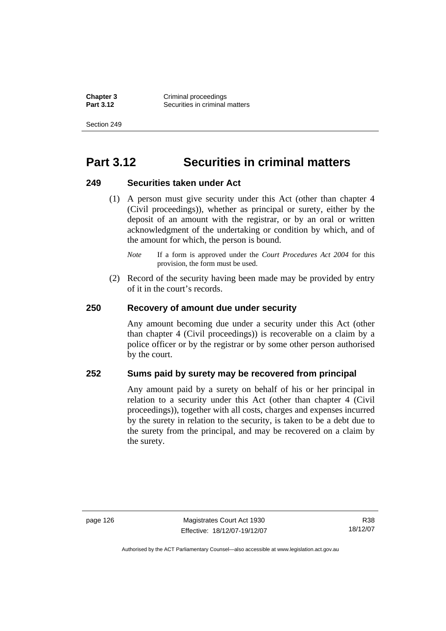**Chapter 3 Criminal proceedings**<br>**Part 3.12 Conservant Securities in criminal Securities in criminal matters** 

Section 249

## **Part 3.12 Securities in criminal matters**

#### **249 Securities taken under Act**

- (1) A person must give security under this Act (other than chapter 4 (Civil proceedings)), whether as principal or surety, either by the deposit of an amount with the registrar, or by an oral or written acknowledgment of the undertaking or condition by which, and of the amount for which, the person is bound.
	- *Note* If a form is approved under the *Court Procedures Act 2004* for this provision, the form must be used.
- (2) Record of the security having been made may be provided by entry of it in the court's records.

#### **250 Recovery of amount due under security**

Any amount becoming due under a security under this Act (other than chapter 4 (Civil proceedings)) is recoverable on a claim by a police officer or by the registrar or by some other person authorised by the court.

## **252 Sums paid by surety may be recovered from principal**

Any amount paid by a surety on behalf of his or her principal in relation to a security under this Act (other than chapter 4 (Civil proceedings)), together with all costs, charges and expenses incurred by the surety in relation to the security, is taken to be a debt due to the surety from the principal, and may be recovered on a claim by the surety.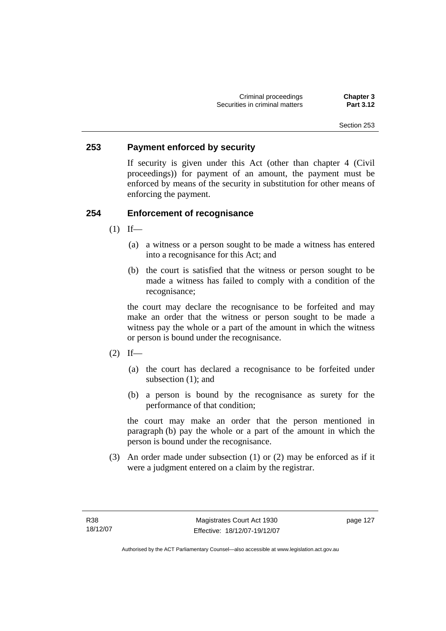### **253 Payment enforced by security**

If security is given under this Act (other than chapter 4 (Civil proceedings)) for payment of an amount, the payment must be enforced by means of the security in substitution for other means of enforcing the payment.

## **254 Enforcement of recognisance**

- $(1)$  If—
	- (a) a witness or a person sought to be made a witness has entered into a recognisance for this Act; and
	- (b) the court is satisfied that the witness or person sought to be made a witness has failed to comply with a condition of the recognisance;

the court may declare the recognisance to be forfeited and may make an order that the witness or person sought to be made a witness pay the whole or a part of the amount in which the witness or person is bound under the recognisance.

- $(2)$  If—
	- (a) the court has declared a recognisance to be forfeited under subsection (1); and
	- (b) a person is bound by the recognisance as surety for the performance of that condition;

the court may make an order that the person mentioned in paragraph (b) pay the whole or a part of the amount in which the person is bound under the recognisance.

 (3) An order made under subsection (1) or (2) may be enforced as if it were a judgment entered on a claim by the registrar.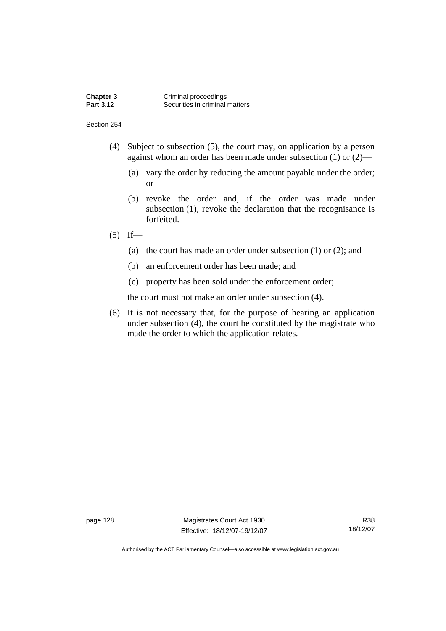Section 254

- (4) Subject to subsection (5), the court may, on application by a person against whom an order has been made under subsection (1) or (2)—
	- (a) vary the order by reducing the amount payable under the order; or
	- (b) revoke the order and, if the order was made under subsection (1), revoke the declaration that the recognisance is forfeited.

### $(5)$  If—

- (a) the court has made an order under subsection (1) or (2); and
- (b) an enforcement order has been made; and
- (c) property has been sold under the enforcement order;

the court must not make an order under subsection (4).

 (6) It is not necessary that, for the purpose of hearing an application under subsection (4), the court be constituted by the magistrate who made the order to which the application relates.

page 128 Magistrates Court Act 1930 Effective: 18/12/07-19/12/07

R38 18/12/07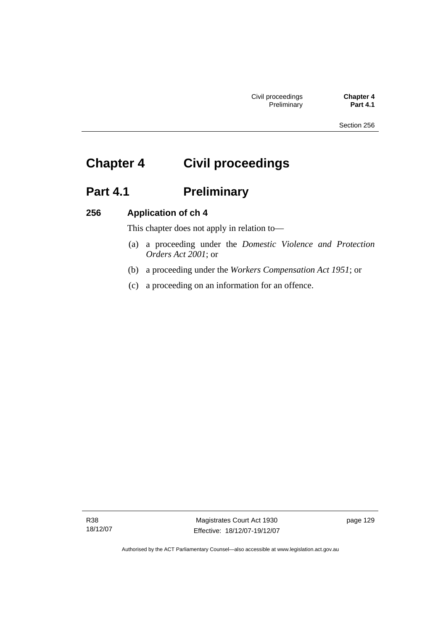Section 256

# **Chapter 4 Civil proceedings**

## **Part 4.1 Preliminary**

## **256 Application of ch 4**

This chapter does not apply in relation to—

- (a) a proceeding under the *Domestic Violence and Protection Orders Act 2001*; or
- (b) a proceeding under the *Workers Compensation Act 1951*; or
- (c) a proceeding on an information for an offence.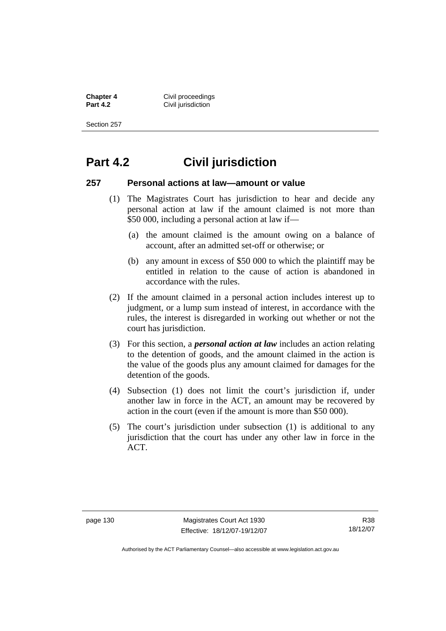**Chapter 4 Civil proceedings**<br>**Part 4.2 Civil invisition Civil jurisdiction** 

Section 257

## **Part 4.2 Civil jurisdiction**

#### **257 Personal actions at law—amount or value**

- (1) The Magistrates Court has jurisdiction to hear and decide any personal action at law if the amount claimed is not more than \$50 000, including a personal action at law if—
	- (a) the amount claimed is the amount owing on a balance of account, after an admitted set-off or otherwise; or
	- (b) any amount in excess of \$50 000 to which the plaintiff may be entitled in relation to the cause of action is abandoned in accordance with the rules.
- (2) If the amount claimed in a personal action includes interest up to judgment, or a lump sum instead of interest, in accordance with the rules, the interest is disregarded in working out whether or not the court has jurisdiction.
- (3) For this section, a *personal action at law* includes an action relating to the detention of goods, and the amount claimed in the action is the value of the goods plus any amount claimed for damages for the detention of the goods.
- (4) Subsection (1) does not limit the court's jurisdiction if, under another law in force in the ACT, an amount may be recovered by action in the court (even if the amount is more than \$50 000).
- (5) The court's jurisdiction under subsection (1) is additional to any jurisdiction that the court has under any other law in force in the ACT.

R38 18/12/07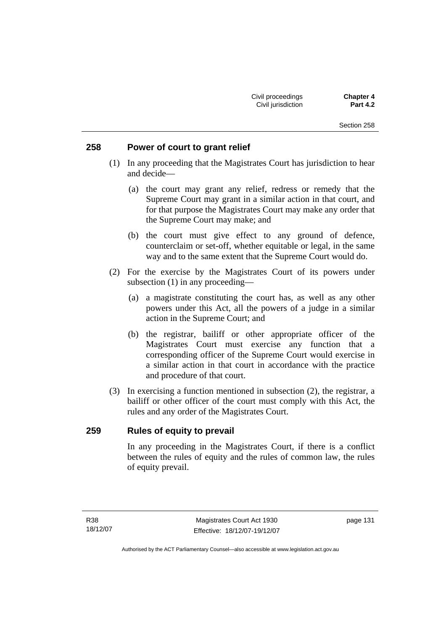### **258 Power of court to grant relief**

- (1) In any proceeding that the Magistrates Court has jurisdiction to hear and decide—
	- (a) the court may grant any relief, redress or remedy that the Supreme Court may grant in a similar action in that court, and for that purpose the Magistrates Court may make any order that the Supreme Court may make; and
	- (b) the court must give effect to any ground of defence, counterclaim or set-off, whether equitable or legal, in the same way and to the same extent that the Supreme Court would do.
- (2) For the exercise by the Magistrates Court of its powers under subsection (1) in any proceeding—
	- (a) a magistrate constituting the court has, as well as any other powers under this Act, all the powers of a judge in a similar action in the Supreme Court; and
	- (b) the registrar, bailiff or other appropriate officer of the Magistrates Court must exercise any function that a corresponding officer of the Supreme Court would exercise in a similar action in that court in accordance with the practice and procedure of that court.
- (3) In exercising a function mentioned in subsection (2), the registrar, a bailiff or other officer of the court must comply with this Act, the rules and any order of the Magistrates Court.

## **259 Rules of equity to prevail**

In any proceeding in the Magistrates Court, if there is a conflict between the rules of equity and the rules of common law, the rules of equity prevail.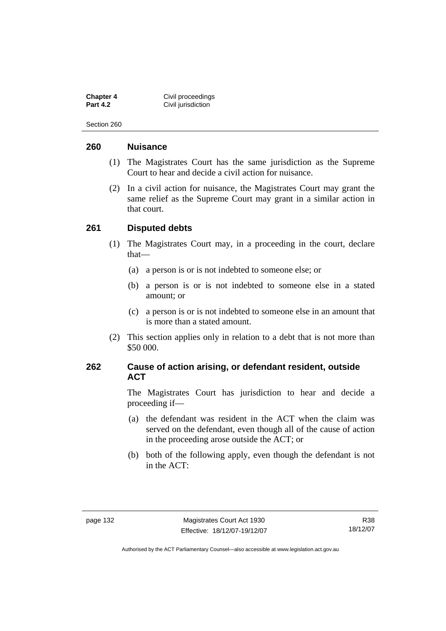**Chapter 4 Civil proceedings**<br>**Part 4.2 Civil invisition Civil jurisdiction** 

Section 260

### **260 Nuisance**

- (1) The Magistrates Court has the same jurisdiction as the Supreme Court to hear and decide a civil action for nuisance.
- (2) In a civil action for nuisance, the Magistrates Court may grant the same relief as the Supreme Court may grant in a similar action in that court.

### **261 Disputed debts**

- (1) The Magistrates Court may, in a proceeding in the court, declare that—
	- (a) a person is or is not indebted to someone else; or
	- (b) a person is or is not indebted to someone else in a stated amount; or
	- (c) a person is or is not indebted to someone else in an amount that is more than a stated amount.
- (2) This section applies only in relation to a debt that is not more than \$50 000.

### **262 Cause of action arising, or defendant resident, outside ACT**

The Magistrates Court has jurisdiction to hear and decide a proceeding if—

- (a) the defendant was resident in the ACT when the claim was served on the defendant, even though all of the cause of action in the proceeding arose outside the ACT; or
- (b) both of the following apply, even though the defendant is not in the ACT: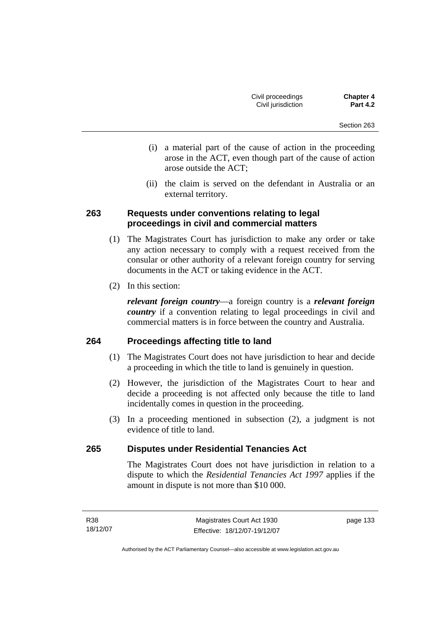- (i) a material part of the cause of action in the proceeding arose in the ACT, even though part of the cause of action arose outside the ACT;
- (ii) the claim is served on the defendant in Australia or an external territory.

## **263 Requests under conventions relating to legal proceedings in civil and commercial matters**

- (1) The Magistrates Court has jurisdiction to make any order or take any action necessary to comply with a request received from the consular or other authority of a relevant foreign country for serving documents in the ACT or taking evidence in the ACT.
- (2) In this section:

*relevant foreign country*—a foreign country is a *relevant foreign country* if a convention relating to legal proceedings in civil and commercial matters is in force between the country and Australia.

## **264 Proceedings affecting title to land**

- (1) The Magistrates Court does not have jurisdiction to hear and decide a proceeding in which the title to land is genuinely in question.
- (2) However, the jurisdiction of the Magistrates Court to hear and decide a proceeding is not affected only because the title to land incidentally comes in question in the proceeding.
- (3) In a proceeding mentioned in subsection (2), a judgment is not evidence of title to land.

## **265 Disputes under Residential Tenancies Act**

The Magistrates Court does not have jurisdiction in relation to a dispute to which the *Residential Tenancies Act 1997* applies if the amount in dispute is not more than \$10 000.

page 133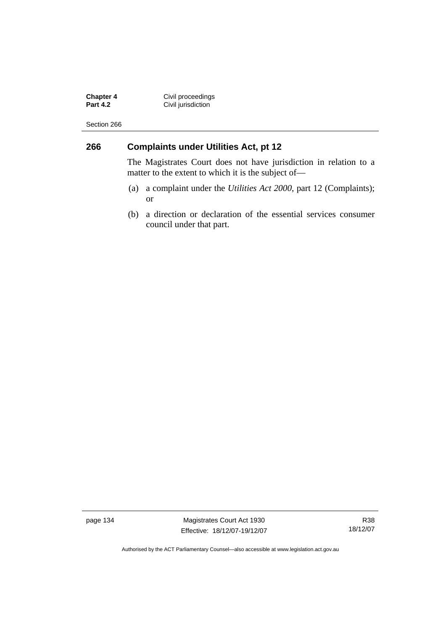**Chapter 4 Civil proceedings Part 4.2 Civil jurisdiction** 

Section 266

# **266 Complaints under Utilities Act, pt 12**

The Magistrates Court does not have jurisdiction in relation to a matter to the extent to which it is the subject of—

- (a) a complaint under the *Utilities Act 2000*, part 12 (Complaints); or
- (b) a direction or declaration of the essential services consumer council under that part.

page 134 Magistrates Court Act 1930 Effective: 18/12/07-19/12/07

R38 18/12/07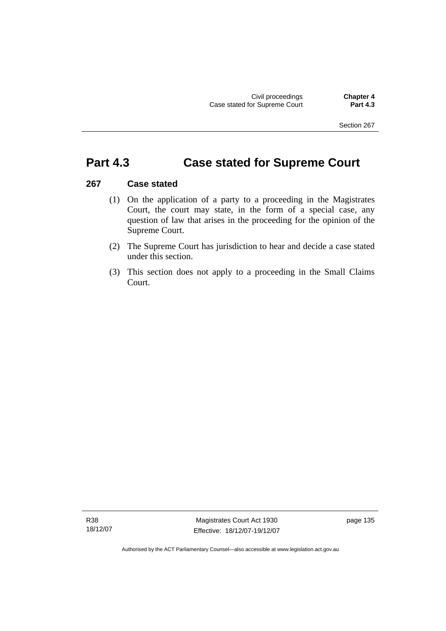# **Part 4.3 Case stated for Supreme Court**

### **267 Case stated**

- (1) On the application of a party to a proceeding in the Magistrates Court, the court may state, in the form of a special case, any question of law that arises in the proceeding for the opinion of the Supreme Court.
- (2) The Supreme Court has jurisdiction to hear and decide a case stated under this section.
- (3) This section does not apply to a proceeding in the Small Claims Court.

R38 18/12/07

Magistrates Court Act 1930 Effective: 18/12/07-19/12/07 page 135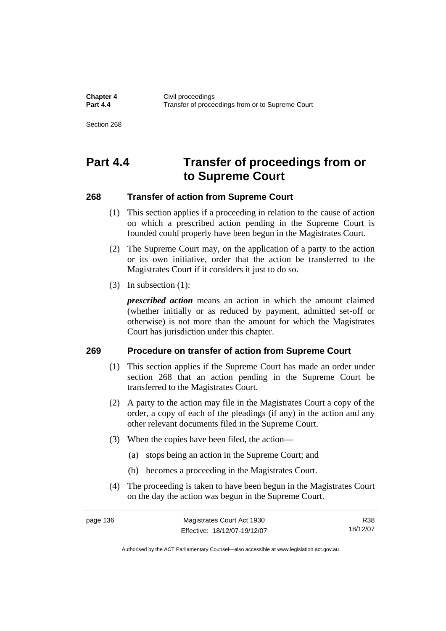**Chapter 4 Civil proceedings**<br>**Part 4.4 CHAPTER CONSIDER Part 4.4** Transfer of proceedings from or to Supreme Court

Section 268

# **Part 4.4 Transfer of proceedings from or to Supreme Court**

### **268 Transfer of action from Supreme Court**

- (1) This section applies if a proceeding in relation to the cause of action on which a prescribed action pending in the Supreme Court is founded could properly have been begun in the Magistrates Court.
- (2) The Supreme Court may, on the application of a party to the action or its own initiative, order that the action be transferred to the Magistrates Court if it considers it just to do so.
- (3) In subsection (1):

*prescribed action* means an action in which the amount claimed (whether initially or as reduced by payment, admitted set-off or otherwise) is not more than the amount for which the Magistrates Court has jurisdiction under this chapter.

### **269 Procedure on transfer of action from Supreme Court**

- (1) This section applies if the Supreme Court has made an order under section 268 that an action pending in the Supreme Court be transferred to the Magistrates Court.
- (2) A party to the action may file in the Magistrates Court a copy of the order, a copy of each of the pleadings (if any) in the action and any other relevant documents filed in the Supreme Court.
- (3) When the copies have been filed, the action—
	- (a) stops being an action in the Supreme Court; and
	- (b) becomes a proceeding in the Magistrates Court.
- (4) The proceeding is taken to have been begun in the Magistrates Court on the day the action was begun in the Supreme Court.

| page 136 | Magistrates Court Act 1930   | R38      |
|----------|------------------------------|----------|
|          | Effective: 18/12/07-19/12/07 | 18/12/07 |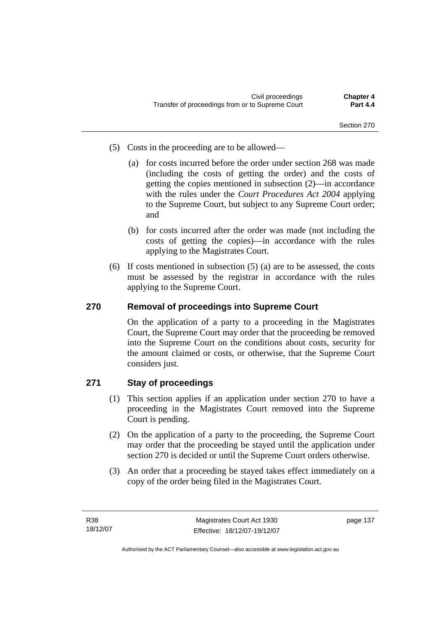- (5) Costs in the proceeding are to be allowed—
	- (a) for costs incurred before the order under section 268 was made (including the costs of getting the order) and the costs of getting the copies mentioned in subsection (2)—in accordance with the rules under the *Court Procedures Act 2004* applying to the Supreme Court, but subject to any Supreme Court order; and
	- (b) for costs incurred after the order was made (not including the costs of getting the copies)—in accordance with the rules applying to the Magistrates Court.
- (6) If costs mentioned in subsection (5) (a) are to be assessed, the costs must be assessed by the registrar in accordance with the rules applying to the Supreme Court.

# **270 Removal of proceedings into Supreme Court**

On the application of a party to a proceeding in the Magistrates Court, the Supreme Court may order that the proceeding be removed into the Supreme Court on the conditions about costs, security for the amount claimed or costs, or otherwise, that the Supreme Court considers just.

# **271 Stay of proceedings**

- (1) This section applies if an application under section 270 to have a proceeding in the Magistrates Court removed into the Supreme Court is pending.
- (2) On the application of a party to the proceeding, the Supreme Court may order that the proceeding be stayed until the application under section 270 is decided or until the Supreme Court orders otherwise.
- (3) An order that a proceeding be stayed takes effect immediately on a copy of the order being filed in the Magistrates Court.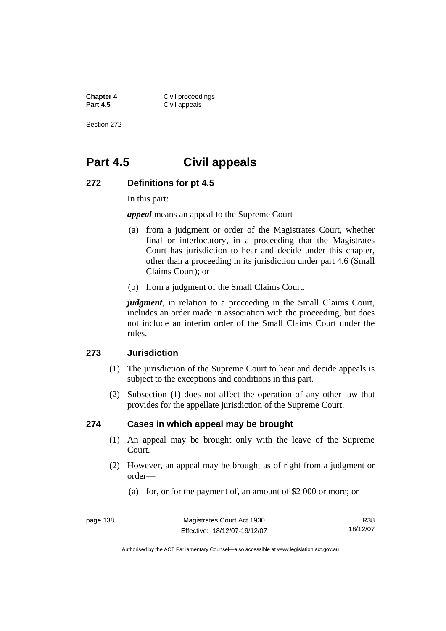**Chapter 4 Civil proceedings**<br>**Part 4.5 Civil appeals Civil appeals** 

Section 272

# **Part 4.5 Civil appeals**

### **272 Definitions for pt 4.5**

In this part:

*appeal* means an appeal to the Supreme Court—

- (a) from a judgment or order of the Magistrates Court, whether final or interlocutory, in a proceeding that the Magistrates Court has jurisdiction to hear and decide under this chapter, other than a proceeding in its jurisdiction under part 4.6 (Small Claims Court); or
- (b) from a judgment of the Small Claims Court.

*judgment*, in relation to a proceeding in the Small Claims Court, includes an order made in association with the proceeding, but does not include an interim order of the Small Claims Court under the rules.

### **273 Jurisdiction**

- (1) The jurisdiction of the Supreme Court to hear and decide appeals is subject to the exceptions and conditions in this part.
- (2) Subsection (1) does not affect the operation of any other law that provides for the appellate jurisdiction of the Supreme Court.

### **274 Cases in which appeal may be brought**

- (1) An appeal may be brought only with the leave of the Supreme Court.
- (2) However, an appeal may be brought as of right from a judgment or order—
	- (a) for, or for the payment of, an amount of \$2 000 or more; or

R38 18/12/07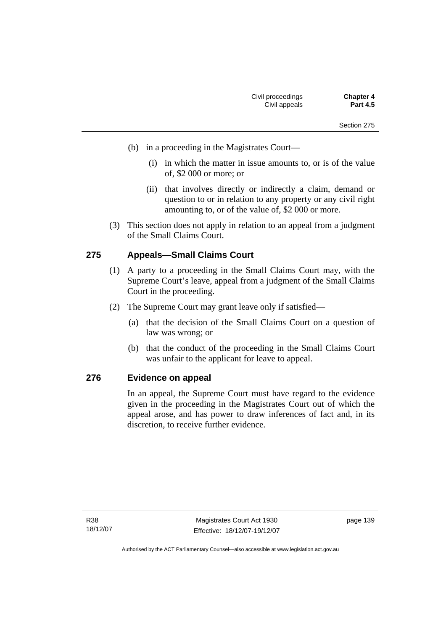- (b) in a proceeding in the Magistrates Court—
	- (i) in which the matter in issue amounts to, or is of the value of, \$2 000 or more; or
	- (ii) that involves directly or indirectly a claim, demand or question to or in relation to any property or any civil right amounting to, or of the value of, \$2 000 or more.
- (3) This section does not apply in relation to an appeal from a judgment of the Small Claims Court.

## **275 Appeals—Small Claims Court**

- (1) A party to a proceeding in the Small Claims Court may, with the Supreme Court's leave, appeal from a judgment of the Small Claims Court in the proceeding.
- (2) The Supreme Court may grant leave only if satisfied—
	- (a) that the decision of the Small Claims Court on a question of law was wrong; or
	- (b) that the conduct of the proceeding in the Small Claims Court was unfair to the applicant for leave to appeal.

## **276 Evidence on appeal**

In an appeal, the Supreme Court must have regard to the evidence given in the proceeding in the Magistrates Court out of which the appeal arose, and has power to draw inferences of fact and, in its discretion, to receive further evidence.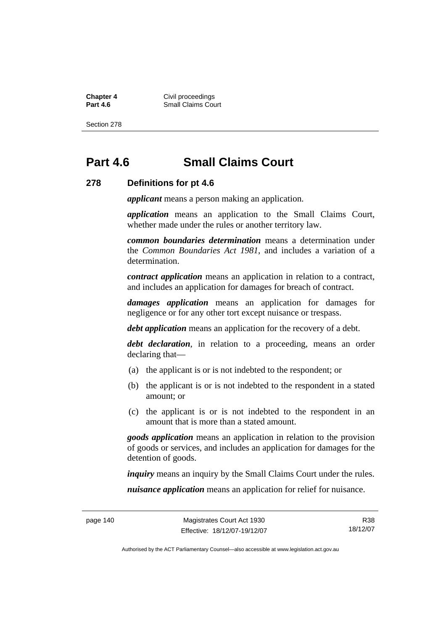**Chapter 4 Civil proceedings**<br>**Part 4.6 Collaims** Collaims Coll **Small Claims Court** 

Section 278

# **Part 4.6 Small Claims Court**

#### **278 Definitions for pt 4.6**

*applicant* means a person making an application.

*application* means an application to the Small Claims Court, whether made under the rules or another territory law.

*common boundaries determination* means a determination under the *Common Boundaries Act 1981*, and includes a variation of a determination.

*contract application* means an application in relation to a contract, and includes an application for damages for breach of contract.

*damages application* means an application for damages for negligence or for any other tort except nuisance or trespass.

*debt application* means an application for the recovery of a debt.

*debt declaration*, in relation to a proceeding, means an order declaring that—

- (a) the applicant is or is not indebted to the respondent; or
- (b) the applicant is or is not indebted to the respondent in a stated amount; or
- (c) the applicant is or is not indebted to the respondent in an amount that is more than a stated amount.

*goods application* means an application in relation to the provision of goods or services, and includes an application for damages for the detention of goods.

*inquiry* means an inquiry by the Small Claims Court under the rules.

*nuisance application* means an application for relief for nuisance.

R38 18/12/07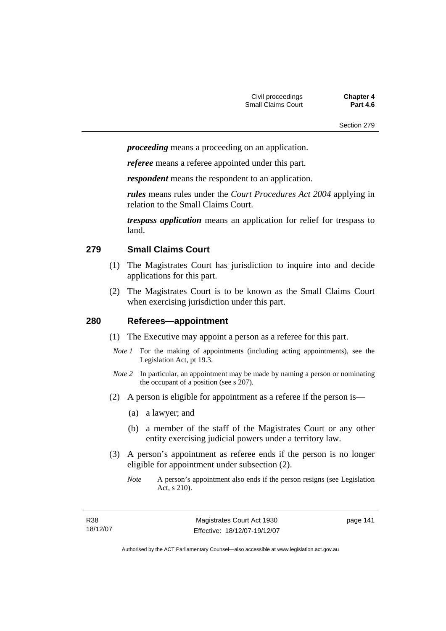*proceeding* means a proceeding on an application.

*referee* means a referee appointed under this part.

*respondent* means the respondent to an application.

*rules* means rules under the *Court Procedures Act 2004* applying in relation to the Small Claims Court.

*trespass application* means an application for relief for trespass to land.

### **279 Small Claims Court**

- (1) The Magistrates Court has jurisdiction to inquire into and decide applications for this part.
- (2) The Magistrates Court is to be known as the Small Claims Court when exercising jurisdiction under this part.

### **280 Referees—appointment**

- (1) The Executive may appoint a person as a referee for this part.
- *Note 1* For the making of appointments (including acting appointments), see the Legislation Act, pt 19.3.
- *Note 2* In particular, an appointment may be made by naming a person or nominating the occupant of a position (see s 207).
- (2) A person is eligible for appointment as a referee if the person is—
	- (a) a lawyer; and
	- (b) a member of the staff of the Magistrates Court or any other entity exercising judicial powers under a territory law.
- (3) A person's appointment as referee ends if the person is no longer eligible for appointment under subsection (2).
	- *Note* A person's appointment also ends if the person resigns (see Legislation Act, s 210).

| R38      |  |
|----------|--|
| 18/12/07 |  |

page 141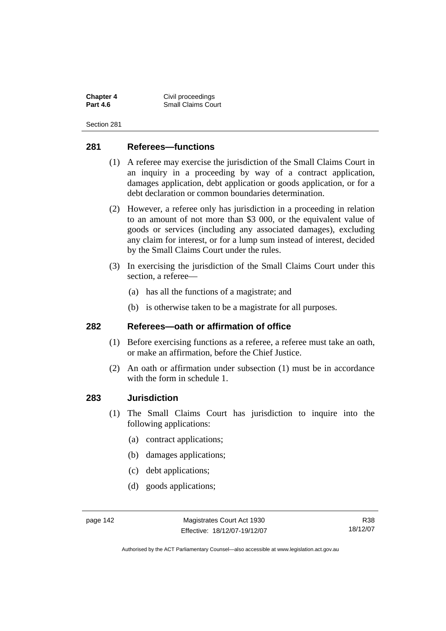**Chapter 4 Civil proceedings**<br>**Part 4.6 Collaims** Collaims Coll **Small Claims Court** 

Section 281

### **281 Referees—functions**

- (1) A referee may exercise the jurisdiction of the Small Claims Court in an inquiry in a proceeding by way of a contract application, damages application, debt application or goods application, or for a debt declaration or common boundaries determination.
- (2) However, a referee only has jurisdiction in a proceeding in relation to an amount of not more than \$3 000, or the equivalent value of goods or services (including any associated damages), excluding any claim for interest, or for a lump sum instead of interest, decided by the Small Claims Court under the rules.
- (3) In exercising the jurisdiction of the Small Claims Court under this section, a referee—
	- (a) has all the functions of a magistrate; and
	- (b) is otherwise taken to be a magistrate for all purposes.

### **282 Referees—oath or affirmation of office**

- (1) Before exercising functions as a referee, a referee must take an oath, or make an affirmation, before the Chief Justice.
- (2) An oath or affirmation under subsection (1) must be in accordance with the form in schedule 1.

### **283 Jurisdiction**

- (1) The Small Claims Court has jurisdiction to inquire into the following applications:
	- (a) contract applications;
	- (b) damages applications;
	- (c) debt applications;
	- (d) goods applications;

R38 18/12/07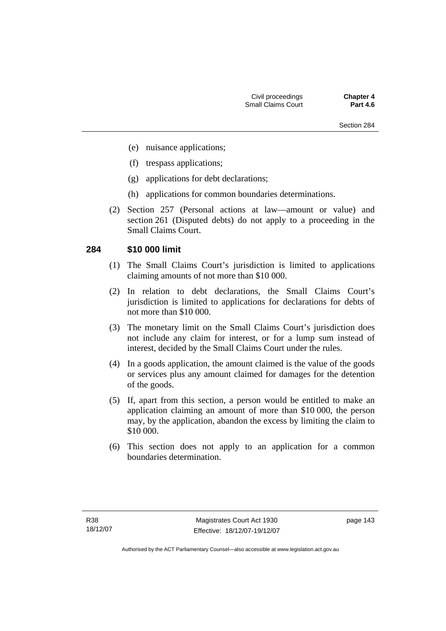- (e) nuisance applications;
- (f) trespass applications;
- (g) applications for debt declarations;
- (h) applications for common boundaries determinations.
- (2) Section 257 (Personal actions at law—amount or value) and section 261 (Disputed debts) do not apply to a proceeding in the Small Claims Court.

### **284 \$10 000 limit**

- (1) The Small Claims Court's jurisdiction is limited to applications claiming amounts of not more than \$10 000.
- (2) In relation to debt declarations, the Small Claims Court's jurisdiction is limited to applications for declarations for debts of not more than \$10 000.
- (3) The monetary limit on the Small Claims Court's jurisdiction does not include any claim for interest, or for a lump sum instead of interest, decided by the Small Claims Court under the rules.
- (4) In a goods application, the amount claimed is the value of the goods or services plus any amount claimed for damages for the detention of the goods.
- (5) If, apart from this section, a person would be entitled to make an application claiming an amount of more than \$10 000, the person may, by the application, abandon the excess by limiting the claim to \$10 000.
- (6) This section does not apply to an application for a common boundaries determination.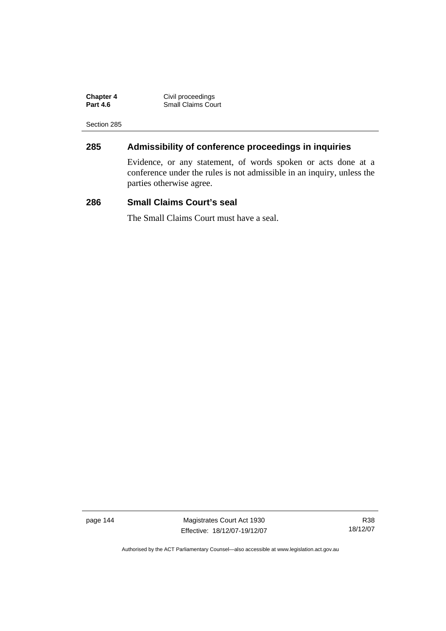| <b>Chapter 4</b> | Civil proceedings         |
|------------------|---------------------------|
| <b>Part 4.6</b>  | <b>Small Claims Court</b> |

# **285 Admissibility of conference proceedings in inquiries**

Evidence, or any statement, of words spoken or acts done at a conference under the rules is not admissible in an inquiry, unless the parties otherwise agree.

### **286 Small Claims Court's seal**

The Small Claims Court must have a seal.

page 144 Magistrates Court Act 1930 Effective: 18/12/07-19/12/07

R38 18/12/07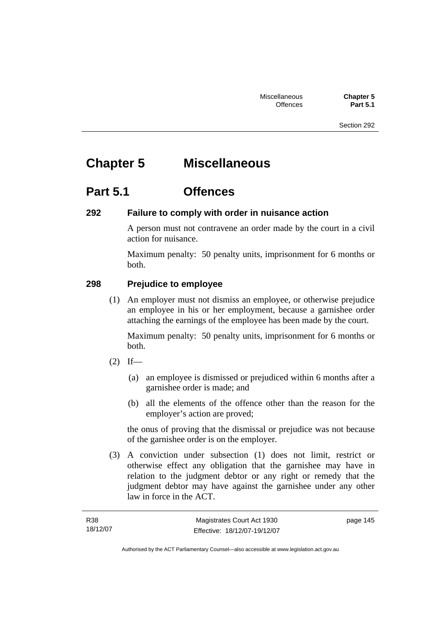# **Chapter 5 Miscellaneous**

# **Part 5.1 Offences**

## **292 Failure to comply with order in nuisance action**

A person must not contravene an order made by the court in a civil action for nuisance.

Maximum penalty: 50 penalty units, imprisonment for 6 months or both.

## **298 Prejudice to employee**

 (1) An employer must not dismiss an employee, or otherwise prejudice an employee in his or her employment, because a garnishee order attaching the earnings of the employee has been made by the court.

Maximum penalty: 50 penalty units, imprisonment for 6 months or both.

- $(2)$  If—
	- (a) an employee is dismissed or prejudiced within 6 months after a garnishee order is made; and
	- (b) all the elements of the offence other than the reason for the employer's action are proved;

the onus of proving that the dismissal or prejudice was not because of the garnishee order is on the employer.

 (3) A conviction under subsection (1) does not limit, restrict or otherwise effect any obligation that the garnishee may have in relation to the judgment debtor or any right or remedy that the judgment debtor may have against the garnishee under any other law in force in the ACT.

| R38      | Magistrates Court Act 1930   | page 145 |
|----------|------------------------------|----------|
| 18/12/07 | Effective: 18/12/07-19/12/07 |          |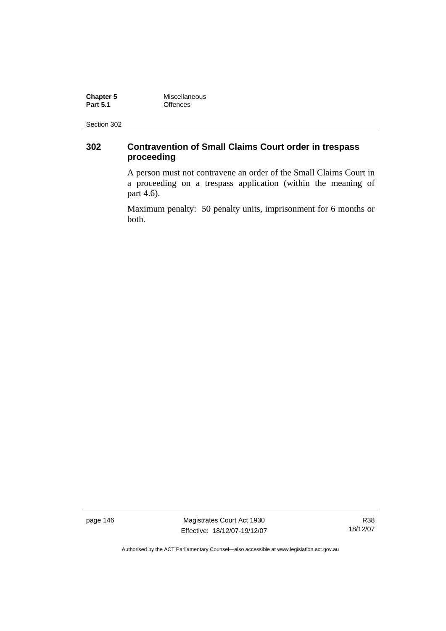**Chapter 5 Miscellaneous**<br> **Part 5.1 C** CHENCES **Part 5.1** Offences

Section 302

# **302 Contravention of Small Claims Court order in trespass proceeding**

A person must not contravene an order of the Small Claims Court in a proceeding on a trespass application (within the meaning of part 4.6).

Maximum penalty: 50 penalty units, imprisonment for 6 months or both.

page 146 Magistrates Court Act 1930 Effective: 18/12/07-19/12/07

R38 18/12/07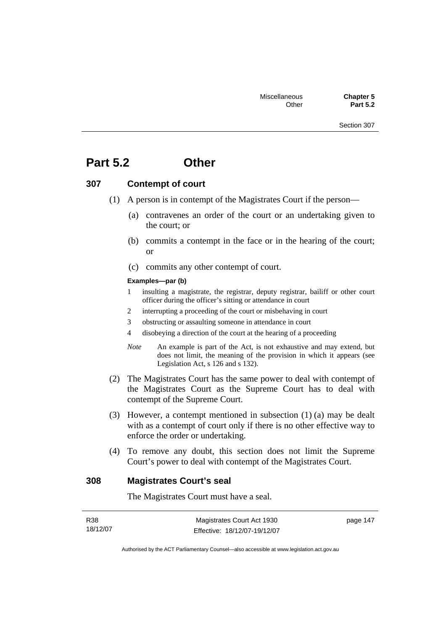# **Part 5.2 Other**

### **307 Contempt of court**

- (1) A person is in contempt of the Magistrates Court if the person—
	- (a) contravenes an order of the court or an undertaking given to the court; or
	- (b) commits a contempt in the face or in the hearing of the court; or
	- (c) commits any other contempt of court.

#### **Examples—par (b)**

- 1 insulting a magistrate, the registrar, deputy registrar, bailiff or other court officer during the officer's sitting or attendance in court
- 2 interrupting a proceeding of the court or misbehaving in court
- 3 obstructing or assaulting someone in attendance in court
- 4 disobeying a direction of the court at the hearing of a proceeding
- *Note* An example is part of the Act, is not exhaustive and may extend, but does not limit, the meaning of the provision in which it appears (see Legislation Act, s 126 and s 132).
- (2) The Magistrates Court has the same power to deal with contempt of the Magistrates Court as the Supreme Court has to deal with contempt of the Supreme Court.
- (3) However, a contempt mentioned in subsection (1) (a) may be dealt with as a contempt of court only if there is no other effective way to enforce the order or undertaking.
- (4) To remove any doubt, this section does not limit the Supreme Court's power to deal with contempt of the Magistrates Court.

### **308 Magistrates Court's seal**

The Magistrates Court must have a seal.

| R38      | Magistrates Court Act 1930   | page 147 |
|----------|------------------------------|----------|
| 18/12/07 | Effective: 18/12/07-19/12/07 |          |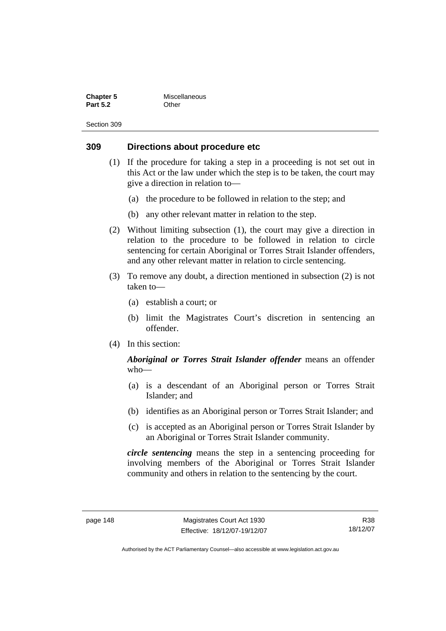| <b>Chapter 5</b> | Miscellaneous |
|------------------|---------------|
| <b>Part 5.2</b>  | Other         |

### **309 Directions about procedure etc**

- (1) If the procedure for taking a step in a proceeding is not set out in this Act or the law under which the step is to be taken, the court may give a direction in relation to—
	- (a) the procedure to be followed in relation to the step; and
	- (b) any other relevant matter in relation to the step.
- (2) Without limiting subsection (1), the court may give a direction in relation to the procedure to be followed in relation to circle sentencing for certain Aboriginal or Torres Strait Islander offenders, and any other relevant matter in relation to circle sentencing.
- (3) To remove any doubt, a direction mentioned in subsection (2) is not taken to—
	- (a) establish a court; or
	- (b) limit the Magistrates Court's discretion in sentencing an offender.
- (4) In this section:

### *Aboriginal or Torres Strait Islander offender* means an offender who—

- (a) is a descendant of an Aboriginal person or Torres Strait Islander; and
- (b) identifies as an Aboriginal person or Torres Strait Islander; and
- (c) is accepted as an Aboriginal person or Torres Strait Islander by an Aboriginal or Torres Strait Islander community.

*circle sentencing* means the step in a sentencing proceeding for involving members of the Aboriginal or Torres Strait Islander community and others in relation to the sentencing by the court.

R38 18/12/07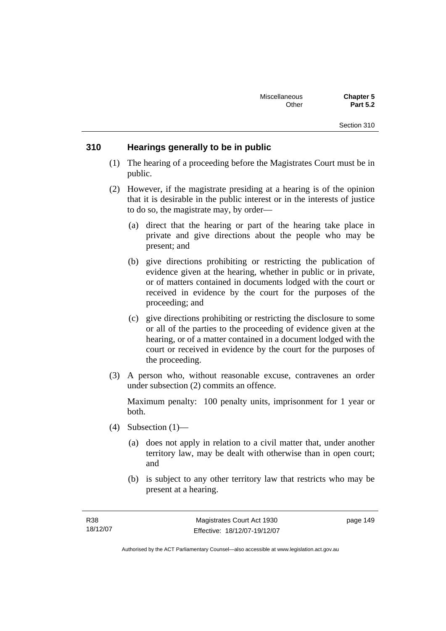### **310 Hearings generally to be in public**

- (1) The hearing of a proceeding before the Magistrates Court must be in public.
- (2) However, if the magistrate presiding at a hearing is of the opinion that it is desirable in the public interest or in the interests of justice to do so, the magistrate may, by order—
	- (a) direct that the hearing or part of the hearing take place in private and give directions about the people who may be present; and
	- (b) give directions prohibiting or restricting the publication of evidence given at the hearing, whether in public or in private, or of matters contained in documents lodged with the court or received in evidence by the court for the purposes of the proceeding; and
	- (c) give directions prohibiting or restricting the disclosure to some or all of the parties to the proceeding of evidence given at the hearing, or of a matter contained in a document lodged with the court or received in evidence by the court for the purposes of the proceeding.
- (3) A person who, without reasonable excuse, contravenes an order under subsection (2) commits an offence.

Maximum penalty: 100 penalty units, imprisonment for 1 year or both.

- (4) Subsection (1)—
	- (a) does not apply in relation to a civil matter that, under another territory law, may be dealt with otherwise than in open court; and
	- (b) is subject to any other territory law that restricts who may be present at a hearing.

page 149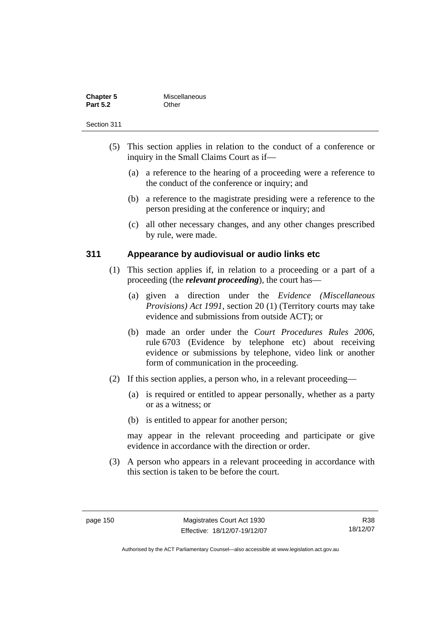| <b>Chapter 5</b> | Miscellaneous |
|------------------|---------------|
| <b>Part 5.2</b>  | Other         |

- (5) This section applies in relation to the conduct of a conference or inquiry in the Small Claims Court as if—
	- (a) a reference to the hearing of a proceeding were a reference to the conduct of the conference or inquiry; and
	- (b) a reference to the magistrate presiding were a reference to the person presiding at the conference or inquiry; and
	- (c) all other necessary changes, and any other changes prescribed by rule, were made.

### **311 Appearance by audiovisual or audio links etc**

- (1) This section applies if, in relation to a proceeding or a part of a proceeding (the *relevant proceeding*), the court has—
	- (a) given a direction under the *Evidence (Miscellaneous Provisions) Act 1991*, section 20 (1) (Territory courts may take evidence and submissions from outside ACT); or
	- (b) made an order under the *Court Procedures Rules 2006*, rule 6703 (Evidence by telephone etc) about receiving evidence or submissions by telephone, video link or another form of communication in the proceeding.
- (2) If this section applies, a person who, in a relevant proceeding—
	- (a) is required or entitled to appear personally, whether as a party or as a witness; or
	- (b) is entitled to appear for another person;

may appear in the relevant proceeding and participate or give evidence in accordance with the direction or order.

 (3) A person who appears in a relevant proceeding in accordance with this section is taken to be before the court.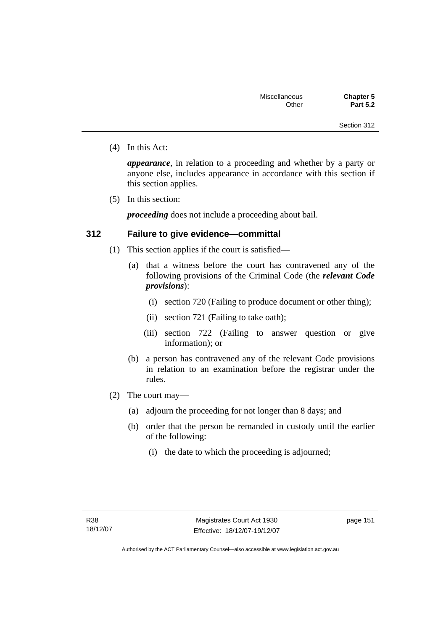(4) In this Act:

*appearance*, in relation to a proceeding and whether by a party or anyone else, includes appearance in accordance with this section if this section applies.

(5) In this section:

*proceeding* does not include a proceeding about bail.

### **312 Failure to give evidence—committal**

- (1) This section applies if the court is satisfied—
	- (a) that a witness before the court has contravened any of the following provisions of the Criminal Code (the *relevant Code provisions*):
		- (i) section 720 (Failing to produce document or other thing);
		- (ii) section 721 (Failing to take oath);
		- (iii) section 722 (Failing to answer question or give information); or
	- (b) a person has contravened any of the relevant Code provisions in relation to an examination before the registrar under the rules.
- (2) The court may—
	- (a) adjourn the proceeding for not longer than 8 days; and
	- (b) order that the person be remanded in custody until the earlier of the following:
		- (i) the date to which the proceeding is adjourned;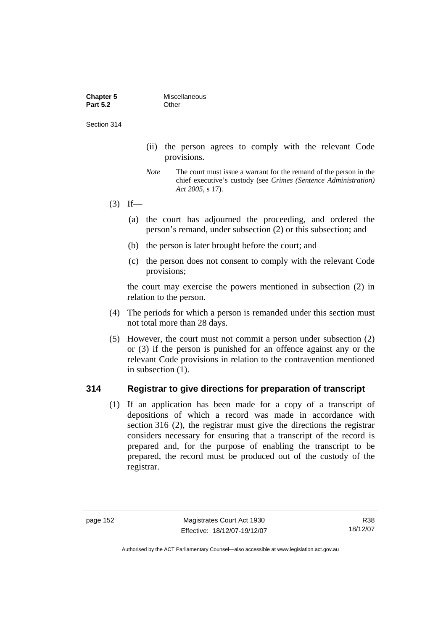| <b>Chapter 5</b> | Miscellaneous |
|------------------|---------------|
| <b>Part 5.2</b>  | Other         |

- (ii) the person agrees to comply with the relevant Code provisions.
- *Note* The court must issue a warrant for the remand of the person in the chief executive's custody (see *Crimes (Sentence Administration) Act 2005*, s 17).
- $(3)$  If—
	- (a) the court has adjourned the proceeding, and ordered the person's remand, under subsection (2) or this subsection; and
	- (b) the person is later brought before the court; and
	- (c) the person does not consent to comply with the relevant Code provisions;

the court may exercise the powers mentioned in subsection (2) in relation to the person.

- (4) The periods for which a person is remanded under this section must not total more than 28 days.
- (5) However, the court must not commit a person under subsection (2) or (3) if the person is punished for an offence against any or the relevant Code provisions in relation to the contravention mentioned in subsection (1).

### **314 Registrar to give directions for preparation of transcript**

 (1) If an application has been made for a copy of a transcript of depositions of which a record was made in accordance with section 316 (2), the registrar must give the directions the registrar considers necessary for ensuring that a transcript of the record is prepared and, for the purpose of enabling the transcript to be prepared, the record must be produced out of the custody of the registrar.

R38 18/12/07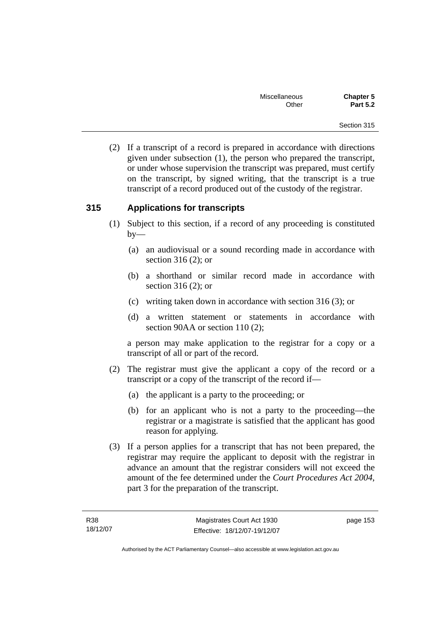(2) If a transcript of a record is prepared in accordance with directions given under subsection (1), the person who prepared the transcript, or under whose supervision the transcript was prepared, must certify on the transcript, by signed writing, that the transcript is a true transcript of a record produced out of the custody of the registrar.

## **315 Applications for transcripts**

- (1) Subject to this section, if a record of any proceeding is constituted  $by-$ 
	- (a) an audiovisual or a sound recording made in accordance with section 316 (2); or
	- (b) a shorthand or similar record made in accordance with section 316 (2); or
	- (c) writing taken down in accordance with section 316 (3); or
	- (d) a written statement or statements in accordance with section 90AA or section 110 (2);

a person may make application to the registrar for a copy or a transcript of all or part of the record.

- (2) The registrar must give the applicant a copy of the record or a transcript or a copy of the transcript of the record if—
	- (a) the applicant is a party to the proceeding; or
	- (b) for an applicant who is not a party to the proceeding—the registrar or a magistrate is satisfied that the applicant has good reason for applying.
- (3) If a person applies for a transcript that has not been prepared, the registrar may require the applicant to deposit with the registrar in advance an amount that the registrar considers will not exceed the amount of the fee determined under the *Court Procedures Act 2004*, part 3 for the preparation of the transcript.

page 153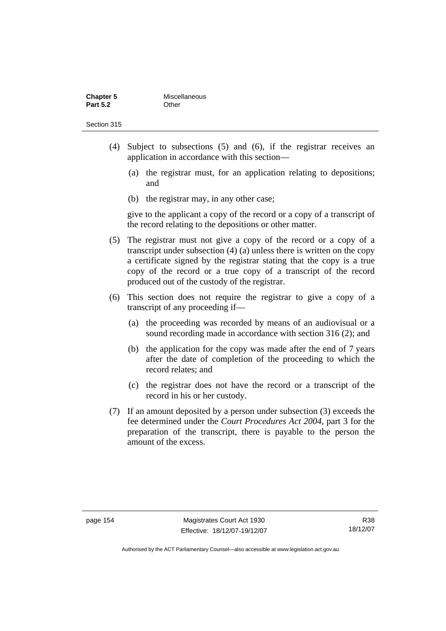| <b>Chapter 5</b> | Miscellaneous |
|------------------|---------------|
| <b>Part 5.2</b>  | Other         |

- (4) Subject to subsections (5) and (6), if the registrar receives an application in accordance with this section—
	- (a) the registrar must, for an application relating to depositions; and
	- (b) the registrar may, in any other case;

give to the applicant a copy of the record or a copy of a transcript of the record relating to the depositions or other matter.

- (5) The registrar must not give a copy of the record or a copy of a transcript under subsection (4) (a) unless there is written on the copy a certificate signed by the registrar stating that the copy is a true copy of the record or a true copy of a transcript of the record produced out of the custody of the registrar.
- (6) This section does not require the registrar to give a copy of a transcript of any proceeding if—
	- (a) the proceeding was recorded by means of an audiovisual or a sound recording made in accordance with section 316 (2); and
	- (b) the application for the copy was made after the end of 7 years after the date of completion of the proceeding to which the record relates; and
	- (c) the registrar does not have the record or a transcript of the record in his or her custody.
- (7) If an amount deposited by a person under subsection (3) exceeds the fee determined under the *Court Procedures Act 2004*, part 3 for the preparation of the transcript, there is payable to the person the amount of the excess.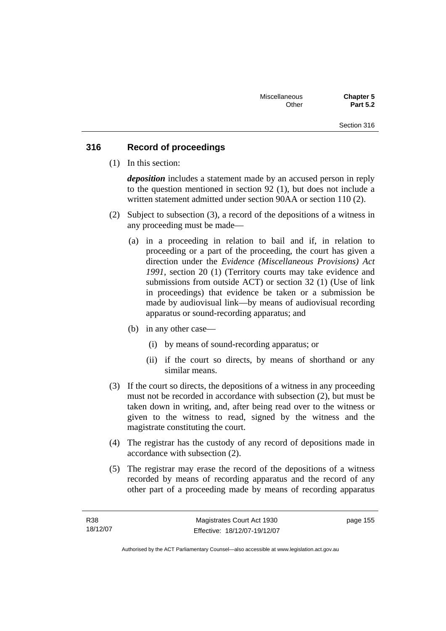### **316 Record of proceedings**

(1) In this section:

*deposition* includes a statement made by an accused person in reply to the question mentioned in section 92 (1), but does not include a written statement admitted under section 90AA or section 110 (2).

- (2) Subject to subsection (3), a record of the depositions of a witness in any proceeding must be made—
	- (a) in a proceeding in relation to bail and if, in relation to proceeding or a part of the proceeding, the court has given a direction under the *Evidence (Miscellaneous Provisions) Act 1991*, section 20 (1) (Territory courts may take evidence and submissions from outside ACT) or section 32 (1) (Use of link in proceedings) that evidence be taken or a submission be made by audiovisual link—by means of audiovisual recording apparatus or sound-recording apparatus; and
	- (b) in any other case—
		- (i) by means of sound-recording apparatus; or
		- (ii) if the court so directs, by means of shorthand or any similar means.
- (3) If the court so directs, the depositions of a witness in any proceeding must not be recorded in accordance with subsection (2), but must be taken down in writing, and, after being read over to the witness or given to the witness to read, signed by the witness and the magistrate constituting the court.
- (4) The registrar has the custody of any record of depositions made in accordance with subsection (2).
- (5) The registrar may erase the record of the depositions of a witness recorded by means of recording apparatus and the record of any other part of a proceeding made by means of recording apparatus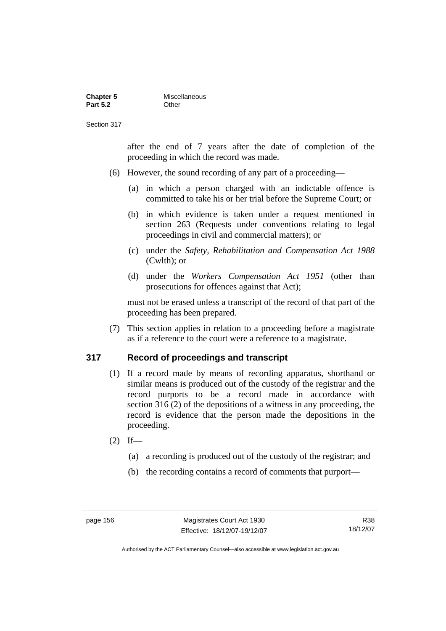| <b>Chapter 5</b> | Miscellaneous |
|------------------|---------------|
| <b>Part 5.2</b>  | Other         |

after the end of 7 years after the date of completion of the proceeding in which the record was made.

- (6) However, the sound recording of any part of a proceeding—
	- (a) in which a person charged with an indictable offence is committed to take his or her trial before the Supreme Court; or
	- (b) in which evidence is taken under a request mentioned in section 263 (Requests under conventions relating to legal proceedings in civil and commercial matters); or
	- (c) under the *Safety, Rehabilitation and Compensation Act 1988* (Cwlth); or
	- (d) under the *Workers Compensation Act 1951* (other than prosecutions for offences against that Act);

must not be erased unless a transcript of the record of that part of the proceeding has been prepared.

 (7) This section applies in relation to a proceeding before a magistrate as if a reference to the court were a reference to a magistrate.

### **317 Record of proceedings and transcript**

- (1) If a record made by means of recording apparatus, shorthand or similar means is produced out of the custody of the registrar and the record purports to be a record made in accordance with section 316 (2) of the depositions of a witness in any proceeding, the record is evidence that the person made the depositions in the proceeding.
- $(2)$  If—
	- (a) a recording is produced out of the custody of the registrar; and
	- (b) the recording contains a record of comments that purport—

R38 18/12/07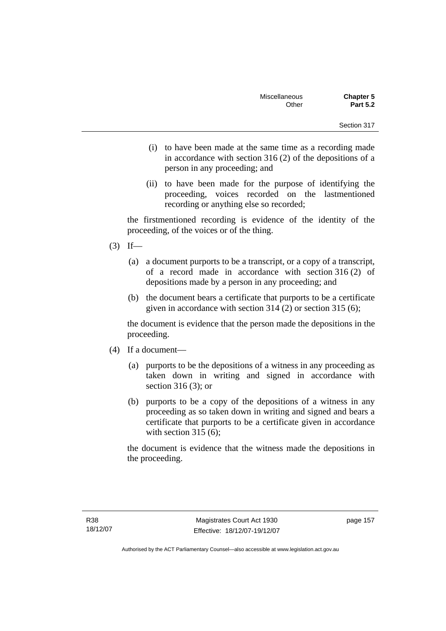- (i) to have been made at the same time as a recording made in accordance with section 316 (2) of the depositions of a person in any proceeding; and
- (ii) to have been made for the purpose of identifying the proceeding, voices recorded on the lastmentioned recording or anything else so recorded;

the firstmentioned recording is evidence of the identity of the proceeding, of the voices or of the thing.

- $(3)$  If—
	- (a) a document purports to be a transcript, or a copy of a transcript, of a record made in accordance with section 316 (2) of depositions made by a person in any proceeding; and
	- (b) the document bears a certificate that purports to be a certificate given in accordance with section 314 (2) or section 315 (6);

the document is evidence that the person made the depositions in the proceeding.

- (4) If a document—
	- (a) purports to be the depositions of a witness in any proceeding as taken down in writing and signed in accordance with section 316 (3); or
	- (b) purports to be a copy of the depositions of a witness in any proceeding as so taken down in writing and signed and bears a certificate that purports to be a certificate given in accordance with section 315 (6):

the document is evidence that the witness made the depositions in the proceeding.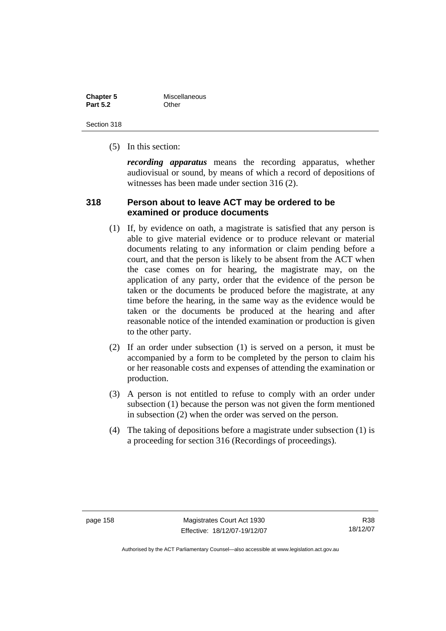| <b>Chapter 5</b> | Miscellaneous |
|------------------|---------------|
| <b>Part 5.2</b>  | Other         |

(5) In this section:

*recording apparatus* means the recording apparatus, whether audiovisual or sound, by means of which a record of depositions of witnesses has been made under section 316 (2).

### **318 Person about to leave ACT may be ordered to be examined or produce documents**

- (1) If, by evidence on oath, a magistrate is satisfied that any person is able to give material evidence or to produce relevant or material documents relating to any information or claim pending before a court, and that the person is likely to be absent from the ACT when the case comes on for hearing, the magistrate may, on the application of any party, order that the evidence of the person be taken or the documents be produced before the magistrate, at any time before the hearing, in the same way as the evidence would be taken or the documents be produced at the hearing and after reasonable notice of the intended examination or production is given to the other party.
- (2) If an order under subsection (1) is served on a person, it must be accompanied by a form to be completed by the person to claim his or her reasonable costs and expenses of attending the examination or production.
- (3) A person is not entitled to refuse to comply with an order under subsection (1) because the person was not given the form mentioned in subsection (2) when the order was served on the person.
- (4) The taking of depositions before a magistrate under subsection (1) is a proceeding for section 316 (Recordings of proceedings).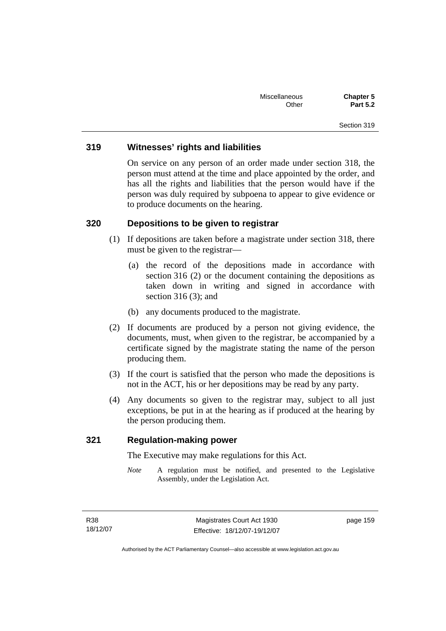### **319 Witnesses' rights and liabilities**

On service on any person of an order made under section 318, the person must attend at the time and place appointed by the order, and has all the rights and liabilities that the person would have if the person was duly required by subpoena to appear to give evidence or to produce documents on the hearing.

### **320 Depositions to be given to registrar**

- (1) If depositions are taken before a magistrate under section 318, there must be given to the registrar—
	- (a) the record of the depositions made in accordance with section 316 (2) or the document containing the depositions as taken down in writing and signed in accordance with section 316 (3); and
	- (b) any documents produced to the magistrate.
- (2) If documents are produced by a person not giving evidence, the documents, must, when given to the registrar, be accompanied by a certificate signed by the magistrate stating the name of the person producing them.
- (3) If the court is satisfied that the person who made the depositions is not in the ACT, his or her depositions may be read by any party.
- (4) Any documents so given to the registrar may, subject to all just exceptions, be put in at the hearing as if produced at the hearing by the person producing them.

### **321 Regulation-making power**

The Executive may make regulations for this Act.

*Note* A regulation must be notified, and presented to the Legislative Assembly, under the Legislation Act.

page 159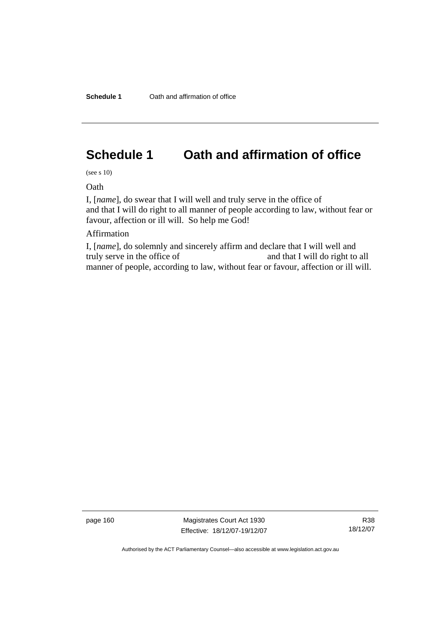# **Schedule 1 Oath and affirmation of office**

(see s 10)

**Oath** 

I, [*name*], do swear that I will well and truly serve in the office of and that I will do right to all manner of people according to law, without fear or favour, affection or ill will. So help me God!

Affirmation

I, [*name*], do solemnly and sincerely affirm and declare that I will well and truly serve in the office of and that I will do right to all manner of people, according to law, without fear or favour, affection or ill will.

page 160 Magistrates Court Act 1930 Effective: 18/12/07-19/12/07

R38 18/12/07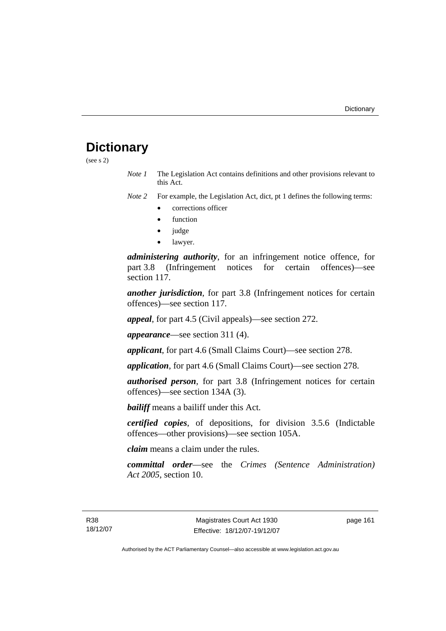# **Dictionary**

(see s 2)

*Note 1* The Legislation Act contains definitions and other provisions relevant to this Act.

*Note 2* For example, the Legislation Act, dict, pt 1 defines the following terms:

- corrections officer
- **function**
- judge
- lawyer.

*administering authority*, for an infringement notice offence, for part 3.8 (Infringement notices for certain offences)—see section 117.

*another jurisdiction*, for part 3.8 (Infringement notices for certain offences)—see section 117.

*appeal*, for part 4.5 (Civil appeals)—see section 272.

*appearance*—see section 311 (4).

*applicant*, for part 4.6 (Small Claims Court)—see section 278.

*application*, for part 4.6 (Small Claims Court)—see section 278.

*authorised person*, for part 3.8 (Infringement notices for certain offences)—see section 134A (3).

*bailiff* means a bailiff under this Act.

*certified copies*, of depositions, for division 3.5.6 (Indictable offences—other provisions)—see section 105A.

*claim* means a claim under the rules.

*committal order*—see the *Crimes (Sentence Administration) Act 2005*, section 10.

page 161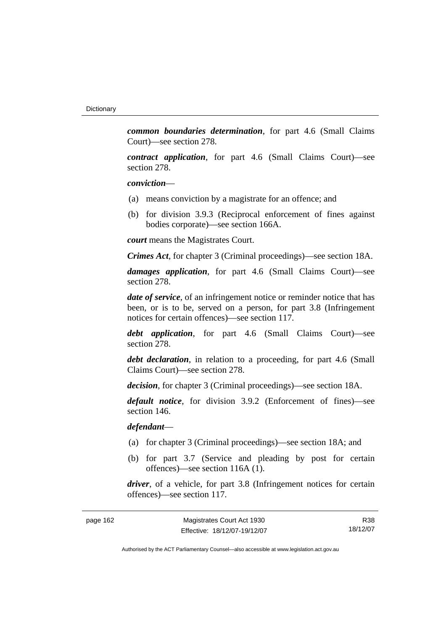*common boundaries determination*, for part 4.6 (Small Claims Court)—see section 278.

*contract application*, for part 4.6 (Small Claims Court)—see section 278.

*conviction*—

- (a) means conviction by a magistrate for an offence; and
- (b) for division 3.9.3 (Reciprocal enforcement of fines against bodies corporate)—see section 166A.

*court* means the Magistrates Court.

*Crimes Act*, for chapter 3 (Criminal proceedings)—see section 18A.

*damages application*, for part 4.6 (Small Claims Court)—see section 278.

*date of service*, of an infringement notice or reminder notice that has been, or is to be, served on a person, for part 3.8 (Infringement notices for certain offences)—see section 117.

*debt application*, for part 4.6 (Small Claims Court)—see section 278.

*debt declaration*, in relation to a proceeding, for part 4.6 (Small Claims Court)—see section 278.

*decision*, for chapter 3 (Criminal proceedings)—see section 18A.

*default notice*, for division 3.9.2 (Enforcement of fines)—see section 146.

*defendant*—

- (a) for chapter 3 (Criminal proceedings)—see section 18A; and
- (b) for part 3.7 (Service and pleading by post for certain offences)—see section 116A (1).

*driver*, of a vehicle, for part 3.8 (Infringement notices for certain offences)—see section 117.

| page 162 |  |
|----------|--|
|----------|--|

R38 18/12/07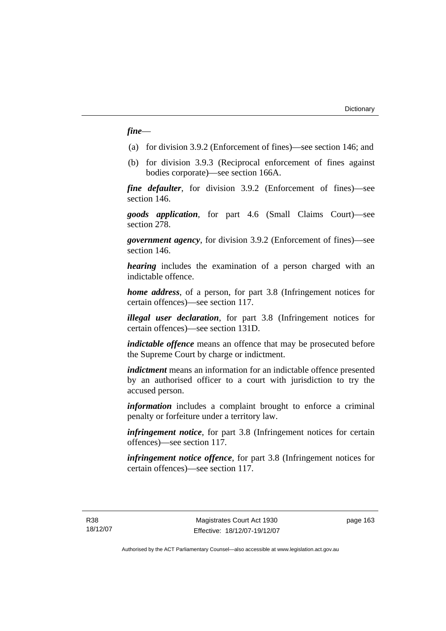### *fine*—

- (a) for division 3.9.2 (Enforcement of fines)—see section 146; and
- (b) for division 3.9.3 (Reciprocal enforcement of fines against bodies corporate)—see section 166A.

*fine defaulter*, for division 3.9.2 (Enforcement of fines)—see section 146.

*goods application*, for part 4.6 (Small Claims Court)—see section 278.

*government agency*, for division 3.9.2 (Enforcement of fines)—see section 146.

*hearing* includes the examination of a person charged with an indictable offence.

*home address*, of a person, for part 3.8 (Infringement notices for certain offences)—see section 117.

*illegal user declaration*, for part 3.8 (Infringement notices for certain offences)—see section 131D.

*indictable offence* means an offence that may be prosecuted before the Supreme Court by charge or indictment.

*indictment* means an information for an indictable offence presented by an authorised officer to a court with jurisdiction to try the accused person.

*information* includes a complaint brought to enforce a criminal penalty or forfeiture under a territory law.

*infringement notice*, for part 3.8 (Infringement notices for certain offences)—see section 117.

*infringement notice offence*, for part 3.8 (Infringement notices for certain offences)—see section 117.

R38 18/12/07 page 163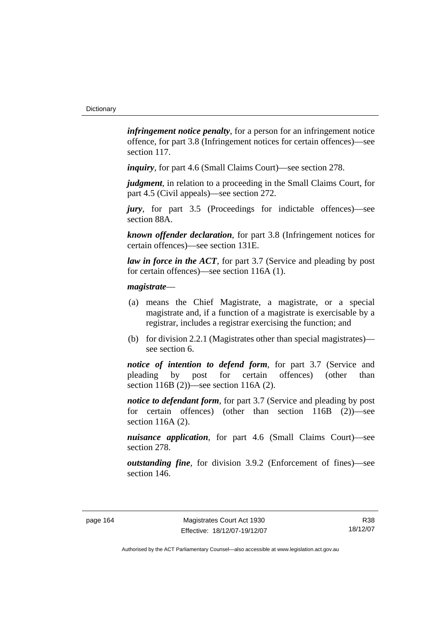*infringement notice penalty*, for a person for an infringement notice offence, for part 3.8 (Infringement notices for certain offences)—see section 117.

*inquiry*, for part 4.6 (Small Claims Court)—see section 278.

*judgment*, in relation to a proceeding in the Small Claims Court, for part 4.5 (Civil appeals)—see section 272.

*jury*, for part 3.5 (Proceedings for indictable offences)—see section 88A.

*known offender declaration*, for part 3.8 (Infringement notices for certain offences)—see section 131E.

*law in force in the ACT*, for part 3.7 (Service and pleading by post for certain offences)—see section 116A (1).

### *magistrate*—

- (a) means the Chief Magistrate, a magistrate, or a special magistrate and, if a function of a magistrate is exercisable by a registrar, includes a registrar exercising the function; and
- (b) for division 2.2.1 (Magistrates other than special magistrates) see section 6.

*notice of intention to defend form*, for part 3.7 (Service and pleading by post for certain offences) (other than section 116B (2))—see section 116A (2).

*notice to defendant form*, for part 3.7 (Service and pleading by post for certain offences) (other than section 116B (2))—see section 116A (2).

*nuisance application*, for part 4.6 (Small Claims Court)—see section 278.

*outstanding fine*, for division 3.9.2 (Enforcement of fines)—see section 146.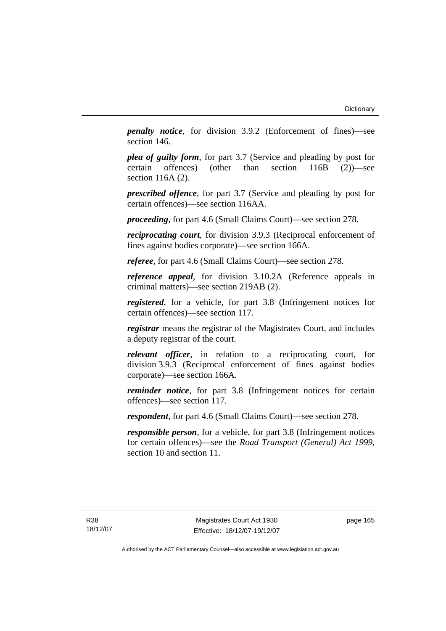*penalty notice*, for division 3.9.2 (Enforcement of fines)—see section 146.

*plea of guilty form*, for part 3.7 (Service and pleading by post for certain offences) (other than section 116B (2))—see section 116A (2).

*prescribed offence*, for part 3.7 (Service and pleading by post for certain offences)—see section 116AA.

*proceeding*, for part 4.6 (Small Claims Court)—see section 278.

*reciprocating court*, for division 3.9.3 (Reciprocal enforcement of fines against bodies corporate)—see section 166A.

*referee*, for part 4.6 (Small Claims Court)—see section 278.

*reference appeal*, for division 3.10.2A (Reference appeals in criminal matters)—see section 219AB (2).

*registered*, for a vehicle, for part 3.8 (Infringement notices for certain offences)—see section 117.

*registrar* means the registrar of the Magistrates Court, and includes a deputy registrar of the court.

*relevant officer*, in relation to a reciprocating court, for division 3.9.3 (Reciprocal enforcement of fines against bodies corporate)—see section 166A.

*reminder notice*, for part 3.8 (Infringement notices for certain offences)—see section 117.

*respondent*, for part 4.6 (Small Claims Court)—see section 278.

*responsible person*, for a vehicle, for part 3.8 (Infringement notices for certain offences)—see the *Road Transport (General) Act 1999*, section 10 and section 11.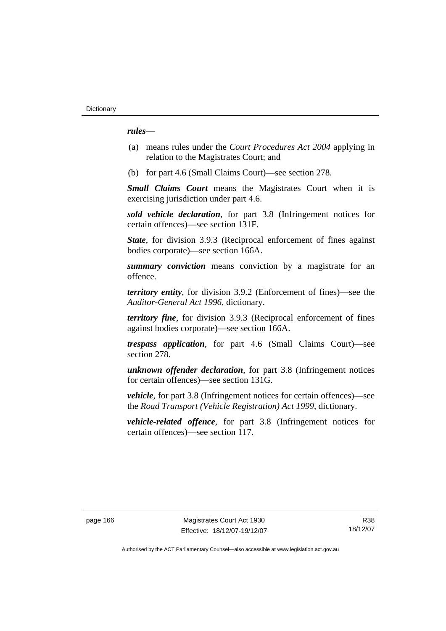*rules*—

- (a) means rules under the *Court Procedures Act 2004* applying in relation to the Magistrates Court; and
- (b) for part 4.6 (Small Claims Court)—see section 278.

*Small Claims Court* means the Magistrates Court when it is exercising jurisdiction under part 4.6.

*sold vehicle declaration*, for part 3.8 (Infringement notices for certain offences)—see section 131F.

*State*, for division 3.9.3 (Reciprocal enforcement of fines against bodies corporate)—see section 166A.

*summary conviction* means conviction by a magistrate for an offence.

*territory entity*, for division 3.9.2 (Enforcement of fines)—see the *Auditor-General Act 1996*, dictionary.

*territory fine*, for division 3.9.3 (Reciprocal enforcement of fines against bodies corporate)—see section 166A.

*trespass application*, for part 4.6 (Small Claims Court)—see section 278.

*unknown offender declaration*, for part 3.8 (Infringement notices for certain offences)—see section 131G.

*vehicle*, for part 3.8 (Infringement notices for certain offences)—see the *Road Transport (Vehicle Registration) Act 1999*, dictionary.

*vehicle-related offence*, for part 3.8 (Infringement notices for certain offences)—see section 117.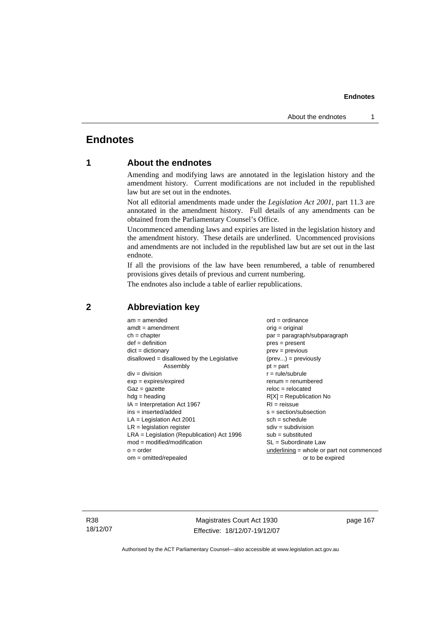# **Endnotes**

# **1 About the endnotes**

Amending and modifying laws are annotated in the legislation history and the amendment history. Current modifications are not included in the republished law but are set out in the endnotes.

Not all editorial amendments made under the *Legislation Act 2001*, part 11.3 are annotated in the amendment history. Full details of any amendments can be obtained from the Parliamentary Counsel's Office.

Uncommenced amending laws and expiries are listed in the legislation history and the amendment history. These details are underlined. Uncommenced provisions and amendments are not included in the republished law but are set out in the last endnote.

If all the provisions of the law have been renumbered, a table of renumbered provisions gives details of previous and current numbering.

The endnotes also include a table of earlier republications.

| $am = amended$                               | $ord = ordinance$                         |
|----------------------------------------------|-------------------------------------------|
| $amdt = amendment$                           | $orig = original$                         |
| $ch = chapter$                               | $par = paragraph/subparagraph$            |
| $def = definition$                           | $pres = present$                          |
| $dict = dictionary$                          | $prev = previous$                         |
| $disallowed = disallowed by the Legislative$ | $(\text{prev}) = \text{previously}$       |
| Assembly                                     | $pt = part$                               |
| $div = division$                             | $r = rule/subrule$                        |
| $exp = expires/expired$                      | $remum = renumbered$                      |
| $Gaz = gazette$                              | $reloc = relocated$                       |
| $hdg =$ heading                              | $R[X]$ = Republication No                 |
| $IA = Interpretation Act 1967$               | $RI = reissue$                            |
| $ins = inserted/added$                       | $s = section/subsection$                  |
| $LA =$ Legislation Act 2001                  | $sch = schedule$                          |
| $LR =$ legislation register                  | $sdiv = subdivision$                      |
| $LRA =$ Legislation (Republication) Act 1996 | $sub =$ substituted                       |
| $mod = modified/modification$                | SL = Subordinate Law                      |
| $o = order$                                  | underlining = whole or part not commenced |
| $om = omitted/report$                        | or to be expired                          |
|                                              |                                           |

# **2 Abbreviation key**

R38 18/12/07

Magistrates Court Act 1930 Effective: 18/12/07-19/12/07 page 167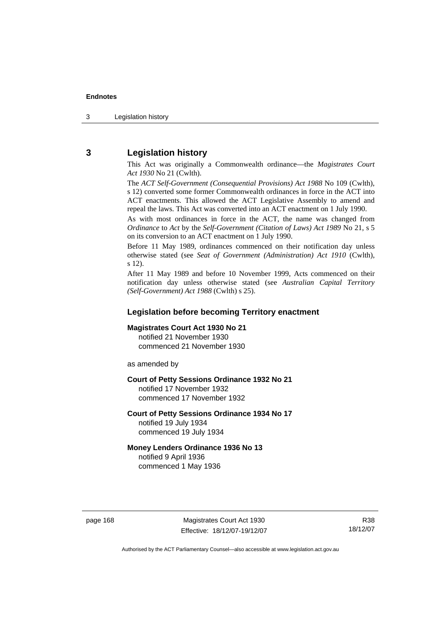# **3 Legislation history**

This Act was originally a Commonwealth ordinance—the *Magistrates Court Act 1930* No 21 (Cwlth).

The *ACT Self-Government (Consequential Provisions) Act 1988* No 109 (Cwlth), s 12) converted some former Commonwealth ordinances in force in the ACT into ACT enactments. This allowed the ACT Legislative Assembly to amend and repeal the laws. This Act was converted into an ACT enactment on 1 July 1990.

As with most ordinances in force in the ACT, the name was changed from *Ordinance* to *Act* by the *Self-Government (Citation of Laws) Act 1989* No 21, s 5 on its conversion to an ACT enactment on 1 July 1990.

Before 11 May 1989, ordinances commenced on their notification day unless otherwise stated (see *Seat of Government (Administration) Act 1910* (Cwlth), s 12).

After 11 May 1989 and before 10 November 1999, Acts commenced on their notification day unless otherwise stated (see *Australian Capital Territory (Self-Government) Act 1988* (Cwlth) s 25).

# **Legislation before becoming Territory enactment**

#### **Magistrates Court Act 1930 No 21**

notified 21 November 1930 commenced 21 November 1930

as amended by

### **Court of Petty Sessions Ordinance 1932 No 21**

notified 17 November 1932 commenced 17 November 1932

#### **Court of Petty Sessions Ordinance 1934 No 17**  notified 19 July 1934

commenced 19 July 1934

# **Money Lenders Ordinance 1936 No 13**

notified 9 April 1936 commenced 1 May 1936

page 168 Magistrates Court Act 1930 Effective: 18/12/07-19/12/07

R38 18/12/07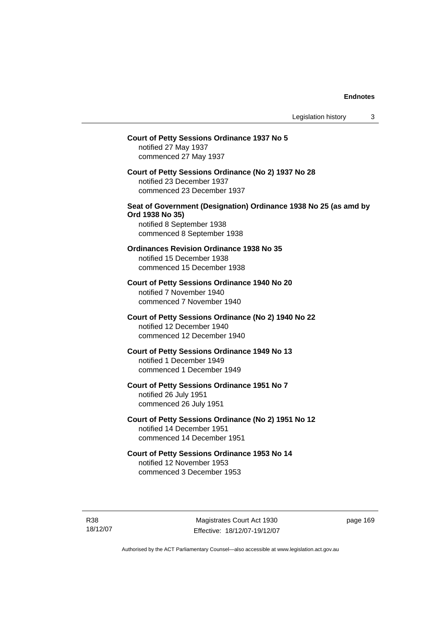# **Court of Petty Sessions Ordinance 1937 No 5**  notified 27 May 1937 commenced 27 May 1937 **Court of Petty Sessions Ordinance (No 2) 1937 No 28**  notified 23 December 1937 commenced 23 December 1937 **Seat of Government (Designation) Ordinance 1938 No 25 (as amd by Ord 1938 No 35)**  notified 8 September 1938 commenced 8 September 1938 **Ordinances Revision Ordinance 1938 No 35**  notified 15 December 1938 commenced 15 December 1938 **Court of Petty Sessions Ordinance 1940 No 20**  notified 7 November 1940 commenced 7 November 1940 **Court of Petty Sessions Ordinance (No 2) 1940 No 22**  notified 12 December 1940 commenced 12 December 1940 **Court of Petty Sessions Ordinance 1949 No 13**  notified 1 December 1949 commenced 1 December 1949 **Court of Petty Sessions Ordinance 1951 No 7**  notified 26 July 1951 commenced 26 July 1951 **Court of Petty Sessions Ordinance (No 2) 1951 No 12**  notified 14 December 1951 commenced 14 December 1951 **Court of Petty Sessions Ordinance 1953 No 14**  notified 12 November 1953 commenced 3 December 1953

R38 18/12/07

Magistrates Court Act 1930 Effective: 18/12/07-19/12/07 page 169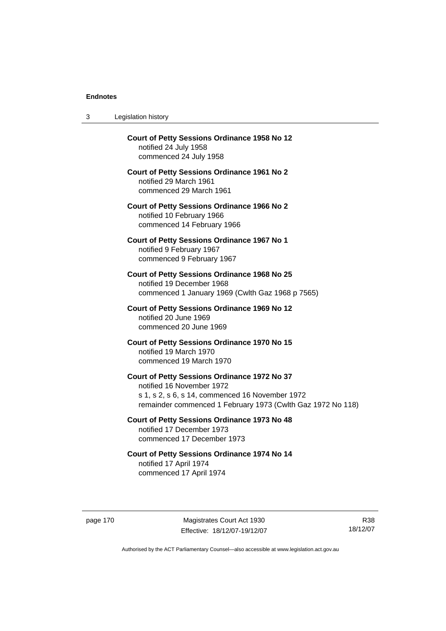3 Legislation history

| Court of Petty Sessions Ordinance 1958 No 12<br>notified 24 July 1958<br>commenced 24 July 1958                                                                                             |
|---------------------------------------------------------------------------------------------------------------------------------------------------------------------------------------------|
| <b>Court of Petty Sessions Ordinance 1961 No 2</b><br>notified 29 March 1961<br>commenced 29 March 1961                                                                                     |
| <b>Court of Petty Sessions Ordinance 1966 No 2</b><br>notified 10 February 1966<br>commenced 14 February 1966                                                                               |
| <b>Court of Petty Sessions Ordinance 1967 No 1</b><br>notified 9 February 1967<br>commenced 9 February 1967                                                                                 |
| Court of Petty Sessions Ordinance 1968 No 25<br>notified 19 December 1968<br>commenced 1 January 1969 (Cwlth Gaz 1968 p 7565)                                                               |
| Court of Petty Sessions Ordinance 1969 No 12<br>notified 20 June 1969<br>commenced 20 June 1969                                                                                             |
| Court of Petty Sessions Ordinance 1970 No 15<br>notified 19 March 1970<br>commenced 19 March 1970                                                                                           |
| Court of Petty Sessions Ordinance 1972 No 37<br>notified 16 November 1972<br>s 1, s 2, s 6, s 14, commenced 16 November 1972<br>remainder commenced 1 February 1973 (Cwlth Gaz 1972 No 118) |
| Court of Petty Sessions Ordinance 1973 No 48<br>notified 17 December 1973<br>commenced 17 December 1973                                                                                     |
| Court of Petty Sessions Ordinance 1974 No 14<br>notified 17 April 1974<br>commenced 17 April 1974                                                                                           |
|                                                                                                                                                                                             |

page 170 Magistrates Court Act 1930 Effective: 18/12/07-19/12/07

R38 18/12/07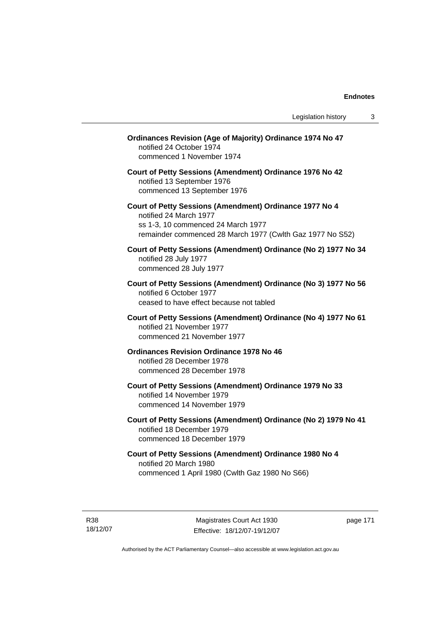| <b>Ordinances Revision (Age of Majority) Ordinance 1974 No 47</b><br>notified 24 October 1974<br>commenced 1 November 1974                                                           |
|--------------------------------------------------------------------------------------------------------------------------------------------------------------------------------------|
| Court of Petty Sessions (Amendment) Ordinance 1976 No 42<br>notified 13 September 1976<br>commenced 13 September 1976                                                                |
| Court of Petty Sessions (Amendment) Ordinance 1977 No 4<br>notified 24 March 1977<br>ss 1-3, 10 commenced 24 March 1977<br>remainder commenced 28 March 1977 (Cwlth Gaz 1977 No S52) |
| Court of Petty Sessions (Amendment) Ordinance (No 2) 1977 No 34<br>notified 28 July 1977<br>commenced 28 July 1977                                                                   |
| Court of Petty Sessions (Amendment) Ordinance (No 3) 1977 No 56<br>notified 6 October 1977<br>ceased to have effect because not tabled                                               |
| Court of Petty Sessions (Amendment) Ordinance (No 4) 1977 No 61<br>notified 21 November 1977<br>commenced 21 November 1977                                                           |
| <b>Ordinances Revision Ordinance 1978 No 46</b><br>notified 28 December 1978<br>commenced 28 December 1978                                                                           |
| Court of Petty Sessions (Amendment) Ordinance 1979 No 33<br>notified 14 November 1979<br>commenced 14 November 1979                                                                  |
| Court of Petty Sessions (Amendment) Ordinance (No 2) 1979 No 41<br>notified 18 December 1979<br>commenced 18 December 1979                                                           |
| Court of Petty Sessions (Amendment) Ordinance 1980 No 4<br>notified 20 March 1980<br>commenced 1 April 1980 (Cwlth Gaz 1980 No S66)                                                  |
|                                                                                                                                                                                      |

R38 18/12/07

Magistrates Court Act 1930 Effective: 18/12/07-19/12/07 page 171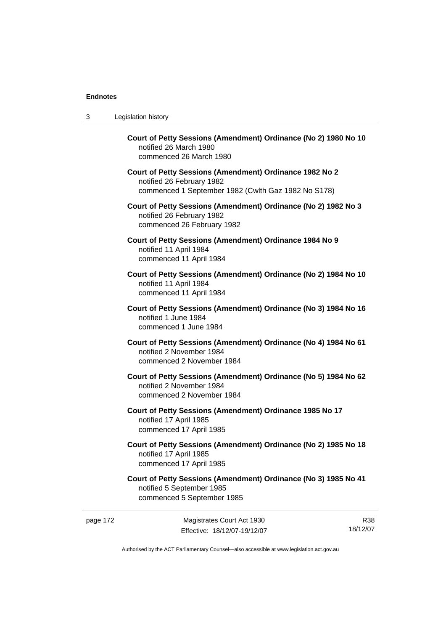| 3 | Legislation history                                                                                                                         |
|---|---------------------------------------------------------------------------------------------------------------------------------------------|
|   | Court of Petty Sessions (Amendment) Ordinance (No 2) 1980 No 10<br>notified 26 March 1980<br>commenced 26 March 1980                        |
|   | Court of Petty Sessions (Amendment) Ordinance 1982 No 2<br>notified 26 February 1982<br>commenced 1 September 1982 (Cwlth Gaz 1982 No S178) |
|   | Court of Petty Sessions (Amendment) Ordinance (No 2) 1982 No 3<br>notified 26 February 1982<br>commenced 26 February 1982                   |
|   | Court of Petty Sessions (Amendment) Ordinance 1984 No 9<br>notified 11 April 1984<br>commenced 11 April 1984                                |
|   | Court of Petty Sessions (Amendment) Ordinance (No 2) 1984 No 10<br>notified 11 April 1984<br>commenced 11 April 1984                        |
|   | Court of Petty Sessions (Amendment) Ordinance (No 3) 1984 No 16<br>notified 1 June 1984<br>commenced 1 June 1984                            |
|   | Court of Petty Sessions (Amendment) Ordinance (No 4) 1984 No 61<br>notified 2 November 1984<br>commenced 2 November 1984                    |
|   | Court of Petty Sessions (Amendment) Ordinance (No 5) 1984 No 62<br>notified 2 November 1984<br>commenced 2 November 1984                    |
|   | Court of Petty Sessions (Amendment) Ordinance 1985 No 17<br>notified 17 April 1985<br>commenced 17 April 1985                               |
|   | Court of Petty Sessions (Amendment) Ordinance (No 2) 1985 No 18<br>notified 17 April 1985<br>commenced 17 April 1985                        |
|   | Court of Petty Sessions (Amendment) Ordinance (No 3) 1985 No 41<br>notified 5 September 1985<br>commenced 5 September 1985                  |

page 172 Magistrates Court Act 1930 Effective: 18/12/07-19/12/07

R38 18/12/07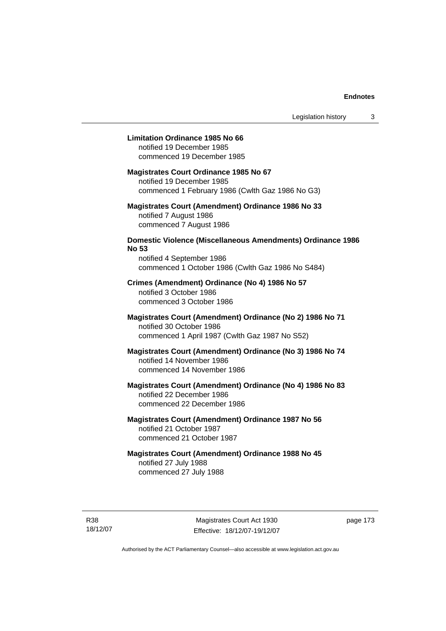### **Limitation Ordinance 1985 No 66**

notified 19 December 1985 commenced 19 December 1985

#### **Magistrates Court Ordinance 1985 No 67**

notified 19 December 1985 commenced 1 February 1986 (Cwlth Gaz 1986 No G3)

# **Magistrates Court (Amendment) Ordinance 1986 No 33**  notified 7 August 1986 commenced 7 August 1986

# **Domestic Violence (Miscellaneous Amendments) Ordinance 1986 No 53**

notified 4 September 1986 commenced 1 October 1986 (Cwlth Gaz 1986 No S484)

# **Crimes (Amendment) Ordinance (No 4) 1986 No 57**  notified 3 October 1986 commenced 3 October 1986

# **Magistrates Court (Amendment) Ordinance (No 2) 1986 No 71**  notified 30 October 1986 commenced 1 April 1987 (Cwlth Gaz 1987 No S52)

# **Magistrates Court (Amendment) Ordinance (No 3) 1986 No 74**  notified 14 November 1986 commenced 14 November 1986

# **Magistrates Court (Amendment) Ordinance (No 4) 1986 No 83**  notified 22 December 1986 commenced 22 December 1986

# **Magistrates Court (Amendment) Ordinance 1987 No 56**  notified 21 October 1987 commenced 21 October 1987

# **Magistrates Court (Amendment) Ordinance 1988 No 45**  notified 27 July 1988 commenced 27 July 1988

R38 18/12/07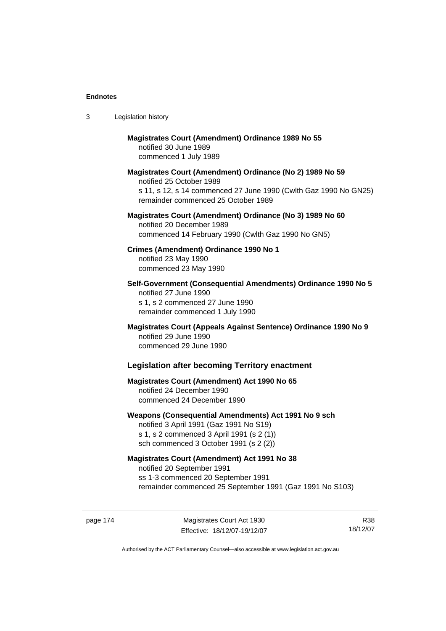| 3 | Legislation history                                                                                                                                                                              |
|---|--------------------------------------------------------------------------------------------------------------------------------------------------------------------------------------------------|
|   | <b>Magistrates Court (Amendment) Ordinance 1989 No 55</b><br>notified 30 June 1989<br>commenced 1 July 1989                                                                                      |
|   | Magistrates Court (Amendment) Ordinance (No 2) 1989 No 59<br>notified 25 October 1989<br>s 11, s 12, s 14 commenced 27 June 1990 (Cwlth Gaz 1990 No GN25)<br>remainder commenced 25 October 1989 |
|   | Magistrates Court (Amendment) Ordinance (No 3) 1989 No 60<br>notified 20 December 1989<br>commenced 14 February 1990 (Cwlth Gaz 1990 No GN5)                                                     |
|   | Crimes (Amendment) Ordinance 1990 No 1<br>notified 23 May 1990<br>commenced 23 May 1990                                                                                                          |
|   | Self-Government (Consequential Amendments) Ordinance 1990 No 5<br>notified 27 June 1990<br>s 1, s 2 commenced 27 June 1990<br>remainder commenced 1 July 1990                                    |
|   | Magistrates Court (Appeals Against Sentence) Ordinance 1990 No 9<br>notified 29 June 1990<br>commenced 29 June 1990                                                                              |
|   | <b>Legislation after becoming Territory enactment</b>                                                                                                                                            |
|   | <b>Magistrates Court (Amendment) Act 1990 No 65</b><br>notified 24 December 1990<br>commenced 24 December 1990                                                                                   |
|   | Weapons (Consequential Amendments) Act 1991 No 9 sch<br>notified 3 April 1991 (Gaz 1991 No S19)<br>s 1, s 2 commenced 3 April 1991 (s 2 (1))<br>sch commenced 3 October 1991 (s 2 (2))           |
|   | <b>Magistrates Court (Amendment) Act 1991 No 38</b><br>notified 20 September 1991<br>ss 1-3 commenced 20 September 1991<br>remainder commenced 25 September 1991 (Gaz 1991 No S103)              |

page 174 Magistrates Court Act 1930 Effective: 18/12/07-19/12/07

R38 18/12/07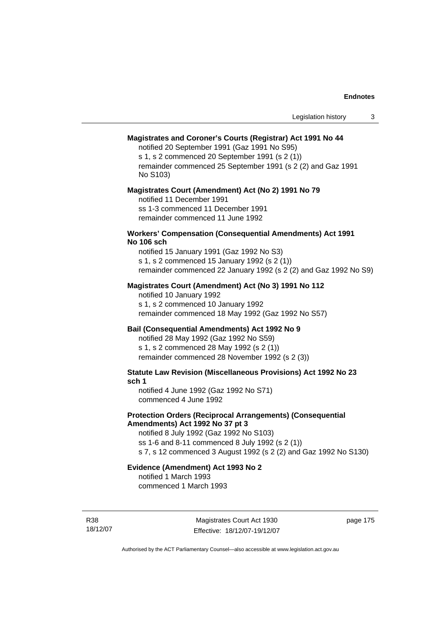### **Magistrates and Coroner's Courts (Registrar) Act 1991 No 44**

notified 20 September 1991 (Gaz 1991 No S95)

s 1, s 2 commenced 20 September 1991 (s 2 (1))

remainder commenced 25 September 1991 (s 2 (2) and Gaz 1991 No S103)

#### **Magistrates Court (Amendment) Act (No 2) 1991 No 79**

notified 11 December 1991 ss 1-3 commenced 11 December 1991 remainder commenced 11 June 1992

#### **Workers' Compensation (Consequential Amendments) Act 1991 No 106 sch**

notified 15 January 1991 (Gaz 1992 No S3) s 1, s 2 commenced 15 January 1992 (s 2 (1)) remainder commenced 22 January 1992 (s 2 (2) and Gaz 1992 No S9)

# **Magistrates Court (Amendment) Act (No 3) 1991 No 112**

notified 10 January 1992 s 1, s 2 commenced 10 January 1992 remainder commenced 18 May 1992 (Gaz 1992 No S57)

# **Bail (Consequential Amendments) Act 1992 No 9**

notified 28 May 1992 (Gaz 1992 No S59) s 1, s 2 commenced 28 May 1992 (s 2 (1)) remainder commenced 28 November 1992 (s 2 (3))

**Statute Law Revision (Miscellaneous Provisions) Act 1992 No 23 sch 1** 

notified 4 June 1992 (Gaz 1992 No S71) commenced 4 June 1992

### **Protection Orders (Reciprocal Arrangements) (Consequential Amendments) Act 1992 No 37 pt 3**

notified 8 July 1992 (Gaz 1992 No S103) ss 1-6 and 8-11 commenced 8 July 1992 (s 2 (1)) s 7, s 12 commenced 3 August 1992 (s 2 (2) and Gaz 1992 No S130)

# **Evidence (Amendment) Act 1993 No 2**

notified 1 March 1993 commenced 1 March 1993

R38 18/12/07

Magistrates Court Act 1930 Effective: 18/12/07-19/12/07 page 175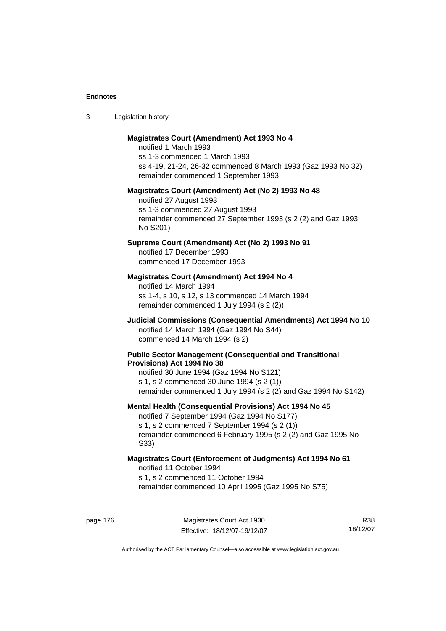| -3 | Legislation history |  |
|----|---------------------|--|
|----|---------------------|--|

### **Magistrates Court (Amendment) Act 1993 No 4**

notified 1 March 1993 ss 1-3 commenced 1 March 1993 ss 4-19, 21-24, 26-32 commenced 8 March 1993 (Gaz 1993 No 32) remainder commenced 1 September 1993

#### **Magistrates Court (Amendment) Act (No 2) 1993 No 48**

notified 27 August 1993 ss 1-3 commenced 27 August 1993 remainder commenced 27 September 1993 (s 2 (2) and Gaz 1993 No S201)

# **Supreme Court (Amendment) Act (No 2) 1993 No 91**

notified 17 December 1993 commenced 17 December 1993

#### **Magistrates Court (Amendment) Act 1994 No 4**

notified 14 March 1994 ss 1-4, s 10, s 12, s 13 commenced 14 March 1994 remainder commenced 1 July 1994 (s 2 (2))

# **Judicial Commissions (Consequential Amendments) Act 1994 No 10**  notified 14 March 1994 (Gaz 1994 No S44) commenced 14 March 1994 (s 2)

#### **Public Sector Management (Consequential and Transitional Provisions) Act 1994 No 38**

notified 30 June 1994 (Gaz 1994 No S121) s 1, s 2 commenced 30 June 1994 (s 2 (1)) remainder commenced 1 July 1994 (s 2 (2) and Gaz 1994 No S142)

#### **Mental Health (Consequential Provisions) Act 1994 No 45**

notified 7 September 1994 (Gaz 1994 No S177) s 1, s 2 commenced 7 September 1994 (s 2 (1)) remainder commenced 6 February 1995 (s 2 (2) and Gaz 1995 No S33)

#### **Magistrates Court (Enforcement of Judgments) Act 1994 No 61**  notified 11 October 1994

s 1, s 2 commenced 11 October 1994

remainder commenced 10 April 1995 (Gaz 1995 No S75)

page 176 Magistrates Court Act 1930 Effective: 18/12/07-19/12/07

R38 18/12/07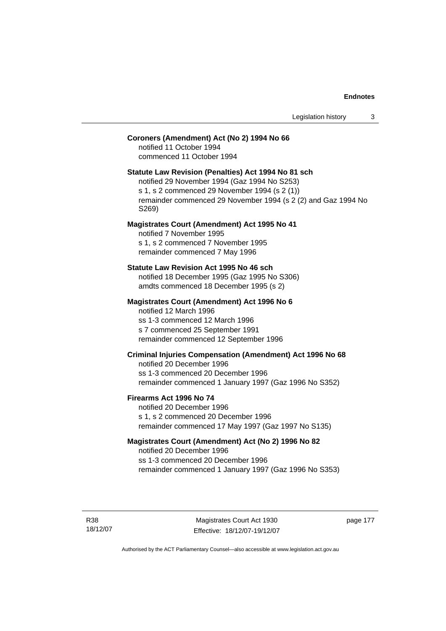# **Coroners (Amendment) Act (No 2) 1994 No 66**

notified 11 October 1994 commenced 11 October 1994

### **Statute Law Revision (Penalties) Act 1994 No 81 sch**

notified 29 November 1994 (Gaz 1994 No S253) s 1, s 2 commenced 29 November 1994 (s 2 (1)) remainder commenced 29 November 1994 (s 2 (2) and Gaz 1994 No S269)

#### **Magistrates Court (Amendment) Act 1995 No 41**

notified 7 November 1995 s 1, s 2 commenced 7 November 1995 remainder commenced 7 May 1996

#### **Statute Law Revision Act 1995 No 46 sch**

notified 18 December 1995 (Gaz 1995 No S306) amdts commenced 18 December 1995 (s 2)

# **Magistrates Court (Amendment) Act 1996 No 6**

notified 12 March 1996 ss 1-3 commenced 12 March 1996 s 7 commenced 25 September 1991 remainder commenced 12 September 1996

# **Criminal Injuries Compensation (Amendment) Act 1996 No 68**

notified 20 December 1996 ss 1-3 commenced 20 December 1996 remainder commenced 1 January 1997 (Gaz 1996 No S352)

#### **Firearms Act 1996 No 74**

notified 20 December 1996 s 1, s 2 commenced 20 December 1996 remainder commenced 17 May 1997 (Gaz 1997 No S135)

# **Magistrates Court (Amendment) Act (No 2) 1996 No 82**

notified 20 December 1996 ss 1-3 commenced 20 December 1996 remainder commenced 1 January 1997 (Gaz 1996 No S353)

R38 18/12/07 page 177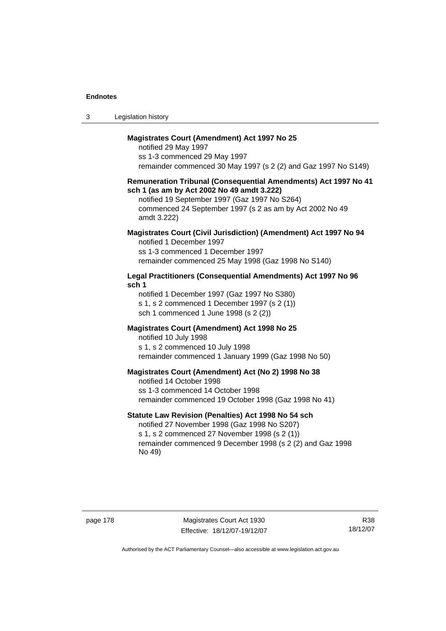| Legislation history<br>-3 |  |
|---------------------------|--|
|---------------------------|--|

### **Magistrates Court (Amendment) Act 1997 No 25**

notified 29 May 1997 ss 1-3 commenced 29 May 1997 remainder commenced 30 May 1997 (s 2 (2) and Gaz 1997 No S149)

#### **Remuneration Tribunal (Consequential Amendments) Act 1997 No 41 sch 1 (as am by Act 2002 No 49 amdt 3.222)**

notified 19 September 1997 (Gaz 1997 No S264) commenced 24 September 1997 (s 2 as am by Act 2002 No 49 amdt 3.222)

# **Magistrates Court (Civil Jurisdiction) (Amendment) Act 1997 No 94**

notified 1 December 1997 ss 1-3 commenced 1 December 1997 remainder commenced 25 May 1998 (Gaz 1998 No S140)

# **Legal Practitioners (Consequential Amendments) Act 1997 No 96 sch 1**

notified 1 December 1997 (Gaz 1997 No S380) s 1, s 2 commenced 1 December 1997 (s 2 (1)) sch 1 commenced 1 June 1998 (s 2 (2))

# **Magistrates Court (Amendment) Act 1998 No 25**

notified 10 July 1998 s 1, s 2 commenced 10 July 1998 remainder commenced 1 January 1999 (Gaz 1998 No 50)

#### **Magistrates Court (Amendment) Act (No 2) 1998 No 38**

notified 14 October 1998 ss 1-3 commenced 14 October 1998 remainder commenced 19 October 1998 (Gaz 1998 No 41)

# **Statute Law Revision (Penalties) Act 1998 No 54 sch**

notified 27 November 1998 (Gaz 1998 No S207) s 1, s 2 commenced 27 November 1998 (s 2 (1)) remainder commenced 9 December 1998 (s 2 (2) and Gaz 1998 No 49)

page 178 Magistrates Court Act 1930 Effective: 18/12/07-19/12/07

R38 18/12/07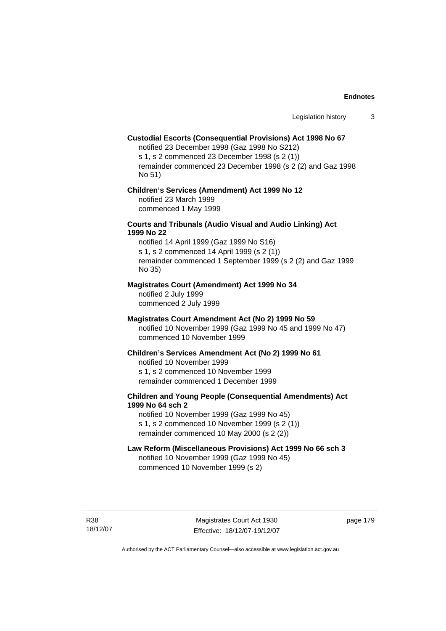### **Custodial Escorts (Consequential Provisions) Act 1998 No 67**

notified 23 December 1998 (Gaz 1998 No S212) s 1, s 2 commenced 23 December 1998 (s 2 (1)) remainder commenced 23 December 1998 (s 2 (2) and Gaz 1998 No 51)

### **Children's Services (Amendment) Act 1999 No 12**  notified 23 March 1999 commenced 1 May 1999

#### **Courts and Tribunals (Audio Visual and Audio Linking) Act 1999 No 22**

notified 14 April 1999 (Gaz 1999 No S16) s 1, s 2 commenced 14 April 1999 (s 2 (1)) remainder commenced 1 September 1999 (s 2 (2) and Gaz 1999 No 35)

### **Magistrates Court (Amendment) Act 1999 No 34**

notified 2 July 1999 commenced 2 July 1999

#### **Magistrates Court Amendment Act (No 2) 1999 No 59**

notified 10 November 1999 (Gaz 1999 No 45 and 1999 No 47) commenced 10 November 1999

#### **Children's Services Amendment Act (No 2) 1999 No 61**

notified 10 November 1999 s 1, s 2 commenced 10 November 1999 remainder commenced 1 December 1999

# **Children and Young People (Consequential Amendments) Act 1999 No 64 sch 2**

notified 10 November 1999 (Gaz 1999 No 45) s 1, s 2 commenced 10 November 1999 (s 2 (1)) remainder commenced 10 May 2000 (s 2 (2))

#### **Law Reform (Miscellaneous Provisions) Act 1999 No 66 sch 3**

notified 10 November 1999 (Gaz 1999 No 45) commenced 10 November 1999 (s 2)

R38 18/12/07 page 179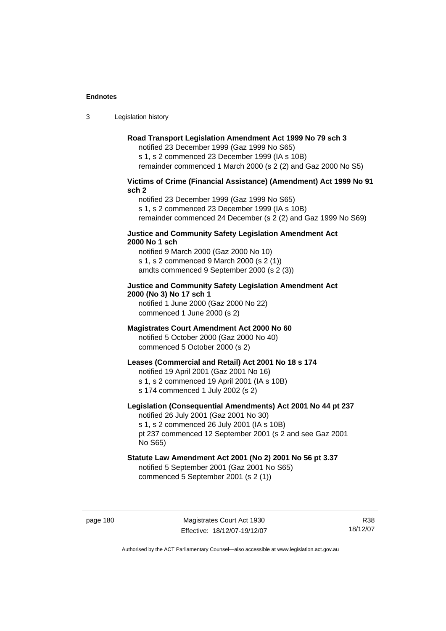3 Legislation history

# **Road Transport Legislation Amendment Act 1999 No 79 sch 3**

notified 23 December 1999 (Gaz 1999 No S65) s 1, s 2 commenced 23 December 1999 (IA s 10B) remainder commenced 1 March 2000 (s 2 (2) and Gaz 2000 No S5)

# **Victims of Crime (Financial Assistance) (Amendment) Act 1999 No 91 sch 2**

notified 23 December 1999 (Gaz 1999 No S65) s 1, s 2 commenced 23 December 1999 (IA s 10B) remainder commenced 24 December (s 2 (2) and Gaz 1999 No S69)

#### **Justice and Community Safety Legislation Amendment Act 2000 No 1 sch**

notified 9 March 2000 (Gaz 2000 No 10) s 1, s 2 commenced 9 March 2000 (s 2 (1)) amdts commenced 9 September 2000 (s 2 (3))

# **Justice and Community Safety Legislation Amendment Act 2000 (No 3) No 17 sch 1**

notified 1 June 2000 (Gaz 2000 No 22) commenced 1 June 2000 (s 2)

# **Magistrates Court Amendment Act 2000 No 60**

notified 5 October 2000 (Gaz 2000 No 40) commenced 5 October 2000 (s 2)

# **Leases (Commercial and Retail) Act 2001 No 18 s 174**

notified 19 April 2001 (Gaz 2001 No 16)

s 1, s 2 commenced 19 April 2001 (IA s 10B)

s 174 commenced 1 July 2002 (s 2)

No S65)

# **Legislation (Consequential Amendments) Act 2001 No 44 pt 237**

notified 26 July 2001 (Gaz 2001 No 30) s 1, s 2 commenced 26 July 2001 (IA s 10B) pt 237 commenced 12 September 2001 (s 2 and see Gaz 2001

# **Statute Law Amendment Act 2001 (No 2) 2001 No 56 pt 3.37**

notified 5 September 2001 (Gaz 2001 No S65) commenced 5 September 2001 (s 2 (1))

page 180 Magistrates Court Act 1930 Effective: 18/12/07-19/12/07

R38 18/12/07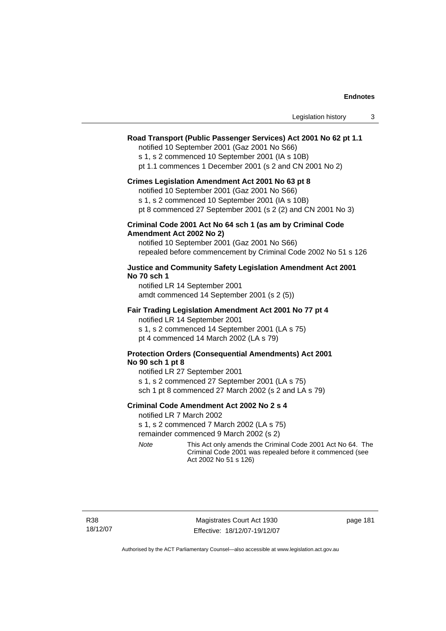| Legislation history |  |
|---------------------|--|
|---------------------|--|

# **Road Transport (Public Passenger Services) Act 2001 No 62 pt 1.1**

notified 10 September 2001 (Gaz 2001 No S66)

s 1, s 2 commenced 10 September 2001 (IA s 10B)

pt 1.1 commences 1 December 2001 (s 2 and CN 2001 No 2)

#### **Crimes Legislation Amendment Act 2001 No 63 pt 8**

notified 10 September 2001 (Gaz 2001 No S66)

s 1, s 2 commenced 10 September 2001 (IA s 10B)

pt 8 commenced 27 September 2001 (s 2 (2) and CN 2001 No 3)

### **Criminal Code 2001 Act No 64 sch 1 (as am by Criminal Code Amendment Act 2002 No 2)**

notified 10 September 2001 (Gaz 2001 No S66) repealed before commencement by Criminal Code 2002 No 51 s 126

### **Justice and Community Safety Legislation Amendment Act 2001 No 70 sch 1**

notified LR 14 September 2001 amdt commenced 14 September 2001 (s 2 (5))

#### **Fair Trading Legislation Amendment Act 2001 No 77 pt 4**

notified LR 14 September 2001 s 1, s 2 commenced 14 September 2001 (LA s 75) pt 4 commenced 14 March 2002 (LA s 79)

# **Protection Orders (Consequential Amendments) Act 2001 No 90 sch 1 pt 8**

notified LR 27 September 2001 s 1, s 2 commenced 27 September 2001 (LA s 75) sch 1 pt 8 commenced 27 March 2002 (s 2 and LA s 79)

#### **Criminal Code Amendment Act 2002 No 2 s 4**

notified LR 7 March 2002

s 1, s 2 commenced 7 March 2002 (LA s 75)

remainder commenced 9 March 2002 (s 2)

*Note* This Act only amends the Criminal Code 2001 Act No 64. The Criminal Code 2001 was repealed before it commenced (see Act 2002 No 51 s 126)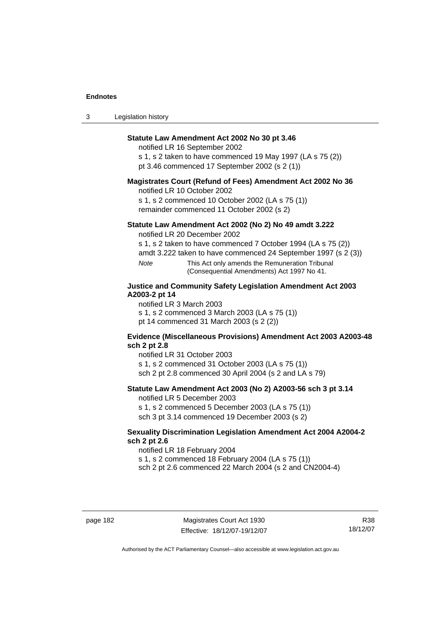| $\sqrt{2}$<br>- 3 | Legislation history |  |
|-------------------|---------------------|--|
|-------------------|---------------------|--|

# **Statute Law Amendment Act 2002 No 30 pt 3.46**

notified LR 16 September 2002

s 1, s 2 taken to have commenced 19 May 1997 (LA s 75 (2)) pt 3.46 commenced 17 September 2002 (s 2 (1))

### **Magistrates Court (Refund of Fees) Amendment Act 2002 No 36**

notified LR 10 October 2002

s 1, s 2 commenced 10 October 2002 (LA s 75 (1)) remainder commenced 11 October 2002 (s 2)

#### **Statute Law Amendment Act 2002 (No 2) No 49 amdt 3.222**

notified LR 20 December 2002

s 1, s 2 taken to have commenced 7 October 1994 (LA s 75 (2))

amdt 3.222 taken to have commenced 24 September 1997 (s 2 (3))

*Note* This Act only amends the Remuneration Tribunal (Consequential Amendments) Act 1997 No 41.

# **Justice and Community Safety Legislation Amendment Act 2003 A2003-2 pt 14**

notified LR 3 March 2003

s 1, s 2 commenced 3 March 2003 (LA s 75 (1))

pt 14 commenced 31 March 2003 (s 2 (2))

#### **Evidence (Miscellaneous Provisions) Amendment Act 2003 A2003-48 sch 2 pt 2.8**

notified LR 31 October 2003

s 1, s 2 commenced 31 October 2003 (LA s 75 (1))

sch 2 pt 2.8 commenced 30 April 2004 (s 2 and LA s 79)

# **Statute Law Amendment Act 2003 (No 2) A2003-56 sch 3 pt 3.14**

notified LR 5 December 2003

s 1, s 2 commenced 5 December 2003 (LA s 75 (1)) sch 3 pt 3.14 commenced 19 December 2003 (s 2)

### **Sexuality Discrimination Legislation Amendment Act 2004 A2004-2 sch 2 pt 2.6**

notified LR 18 February 2004 s 1, s 2 commenced 18 February 2004 (LA s 75 (1))

sch 2 pt 2.6 commenced 22 March 2004 (s 2 and CN2004-4)

R38 18/12/07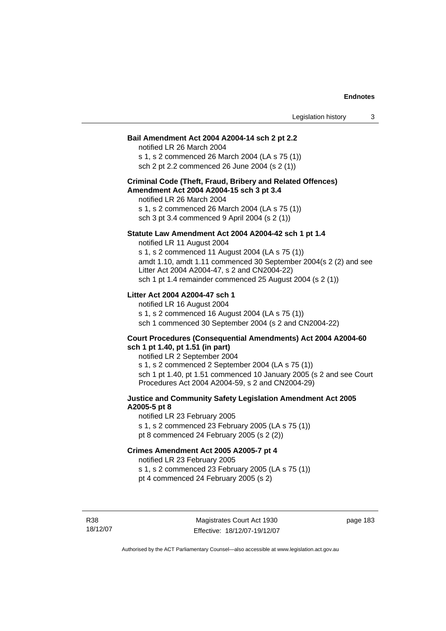#### **Bail Amendment Act 2004 A2004-14 sch 2 pt 2.2**

notified LR 26 March 2004 s 1, s 2 commenced 26 March 2004 (LA s 75 (1)) sch 2 pt 2.2 commenced 26 June 2004 (s 2 (1))

#### **Criminal Code (Theft, Fraud, Bribery and Related Offences) Amendment Act 2004 A2004-15 sch 3 pt 3.4**

notified LR 26 March 2004 s 1, s 2 commenced 26 March 2004 (LA s 75 (1)) sch 3 pt 3.4 commenced 9 April 2004 (s 2 (1))

#### **Statute Law Amendment Act 2004 A2004-42 sch 1 pt 1.4**

notified LR 11 August 2004 s 1, s 2 commenced 11 August 2004 (LA s 75 (1)) amdt 1.10, amdt 1.11 commenced 30 September 2004(s 2 (2) and see Litter Act 2004 A2004-47, s 2 and CN2004-22) sch 1 pt 1.4 remainder commenced 25 August 2004 (s 2 (1))

# **Litter Act 2004 A2004-47 sch 1**

notified LR 16 August 2004 s 1, s 2 commenced 16 August 2004 (LA s 75 (1)) sch 1 commenced 30 September 2004 (s 2 and CN2004-22)

#### **Court Procedures (Consequential Amendments) Act 2004 A2004-60 sch 1 pt 1.40, pt 1.51 (in part)**

notified LR 2 September 2004 s 1, s 2 commenced 2 September 2004 (LA s 75 (1)) sch 1 pt 1.40, pt 1.51 commenced 10 January 2005 (s 2 and see Court Procedures Act 2004 A2004-59, s 2 and CN2004-29)

# **Justice and Community Safety Legislation Amendment Act 2005 A2005-5 pt 8**

notified LR 23 February 2005 s 1, s 2 commenced 23 February 2005 (LA s 75 (1)) pt 8 commenced 24 February 2005 (s 2 (2))

#### **Crimes Amendment Act 2005 A2005-7 pt 4**

notified LR 23 February 2005

s 1, s 2 commenced 23 February 2005 (LA s 75 (1))

pt 4 commenced 24 February 2005 (s 2)

R38 18/12/07 page 183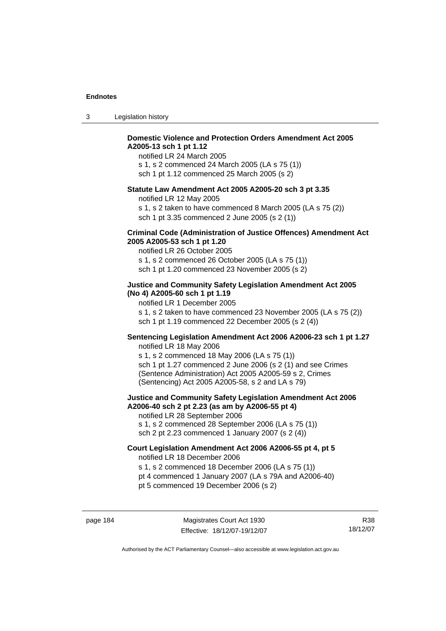| -3 | Legislation history |  |
|----|---------------------|--|
|----|---------------------|--|

# **Domestic Violence and Protection Orders Amendment Act 2005 A2005-13 sch 1 pt 1.12**

notified LR 24 March 2005 s 1, s 2 commenced 24 March 2005 (LA s 75 (1)) sch 1 pt 1.12 commenced 25 March 2005 (s 2)

#### **Statute Law Amendment Act 2005 A2005-20 sch 3 pt 3.35**

notified LR 12 May 2005

s 1, s 2 taken to have commenced 8 March 2005 (LA s 75 (2)) sch 1 pt 3.35 commenced 2 June 2005 (s 2 (1))

#### **Criminal Code (Administration of Justice Offences) Amendment Act 2005 A2005-53 sch 1 pt 1.20**

notified LR 26 October 2005 s 1, s 2 commenced 26 October 2005 (LA s 75 (1)) sch 1 pt 1.20 commenced 23 November 2005 (s 2)

# **Justice and Community Safety Legislation Amendment Act 2005 (No 4) A2005-60 sch 1 pt 1.19**

notified LR 1 December 2005 s 1, s 2 taken to have commenced 23 November 2005 (LA s 75 (2)) sch 1 pt 1.19 commenced 22 December 2005 (s 2 (4))

# **Sentencing Legislation Amendment Act 2006 A2006-23 sch 1 pt 1.27**

notified LR 18 May 2006 s 1, s 2 commenced 18 May 2006 (LA s 75 (1)) sch 1 pt 1.27 commenced 2 June 2006 (s 2 (1) and see Crimes (Sentence Administration) Act 2005 A2005-59 s 2, Crimes (Sentencing) Act 2005 A2005-58, s 2 and LA s 79)

#### **Justice and Community Safety Legislation Amendment Act 2006 A2006-40 sch 2 pt 2.23 (as am by A2006-55 pt 4)**  notified LR 28 September 2006

s 1, s 2 commenced 28 September 2006 (LA s 75 (1)) sch 2 pt 2.23 commenced 1 January 2007 (s 2 (4))

# **Court Legislation Amendment Act 2006 A2006-55 pt 4, pt 5**

notified LR 18 December 2006

s 1, s 2 commenced 18 December 2006 (LA s 75 (1))

- pt 4 commenced 1 January 2007 (LA s 79A and A2006-40)
- pt 5 commenced 19 December 2006 (s 2)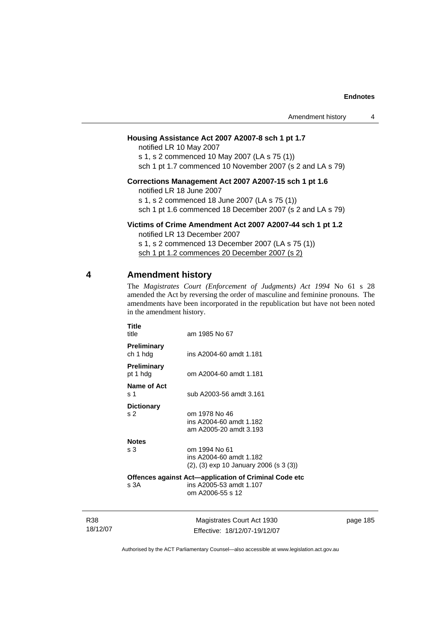# **Housing Assistance Act 2007 A2007-8 sch 1 pt 1.7**

notified LR 10 May 2007 s 1, s 2 commenced 10 May 2007 (LA s 75 (1)) sch 1 pt 1.7 commenced 10 November 2007 (s 2 and LA s 79)

# **Corrections Management Act 2007 A2007-15 sch 1 pt 1.6**

notified LR 18 June 2007 s 1, s 2 commenced 18 June 2007 (LA s 75 (1)) sch 1 pt 1.6 commenced 18 December 2007 (s 2 and LA s 79)

#### **Victims of Crime Amendment Act 2007 A2007-44 sch 1 pt 1.2**

notified LR 13 December 2007 s 1, s 2 commenced 13 December 2007 (LA s 75 (1)) sch 1 pt 1.2 commences 20 December 2007 (s 2)

# **4 Amendment history**

R38 18/12/07 The *Magistrates Court (Enforcement of Judgments) Act 1994* No 61 s 28 amended the Act by reversing the order of masculine and feminine pronouns. The amendments have been incorporated in the republication but have not been noted in the amendment history.

| Title<br>title                      | am 1985 No 67                                                                                        |          |
|-------------------------------------|------------------------------------------------------------------------------------------------------|----------|
| Preliminary<br>ch 1 hdg             | ins A2004-60 amdt 1.181                                                                              |          |
| <b>Preliminary</b><br>pt 1 hdg      | om A2004-60 amdt 1.181                                                                               |          |
| Name of Act<br>s 1                  | sub A2003-56 amdt 3.161                                                                              |          |
| <b>Dictionary</b><br>s <sub>2</sub> | om 1978 No 46<br>ins A2004-60 amdt 1.182<br>am A2005-20 amdt 3.193                                   |          |
| <b>Notes</b><br>s 3                 | om 1994 No 61<br>ins A2004-60 amdt 1.182<br>$(2)$ , $(3)$ exp 10 January 2006 (s 3 $(3)$ )           |          |
| s 3A                                | Offences against Act-application of Criminal Code etc<br>ins A2005-53 amdt 1.107<br>om A2006-55 s 12 |          |
|                                     | Magistrates Court Act 1930                                                                           | page 185 |

Authorised by the ACT Parliamentary Counsel—also accessible at www.legislation.act.gov.au

Effective: 18/12/07-19/12/07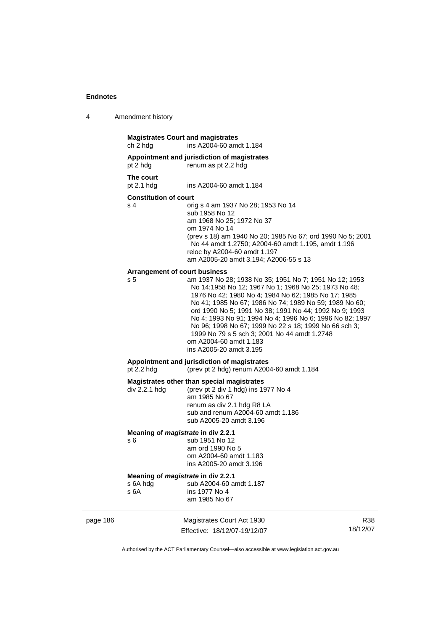| 4 | Amendment history |
|---|-------------------|
|---|-------------------|

|          | ch 2 hdg                                    | <b>Magistrates Court and magistrates</b><br>ins A2004-60 amdt 1.184                                                                                                                                                                                                                                                                                                                                                                                                                                                 |                 |
|----------|---------------------------------------------|---------------------------------------------------------------------------------------------------------------------------------------------------------------------------------------------------------------------------------------------------------------------------------------------------------------------------------------------------------------------------------------------------------------------------------------------------------------------------------------------------------------------|-----------------|
|          | pt 2 hdg                                    | Appointment and jurisdiction of magistrates<br>renum as pt 2.2 hdg                                                                                                                                                                                                                                                                                                                                                                                                                                                  |                 |
|          | The court<br>pt 2.1 hdg                     | ins A2004-60 amdt 1.184                                                                                                                                                                                                                                                                                                                                                                                                                                                                                             |                 |
|          | <b>Constitution of court</b>                |                                                                                                                                                                                                                                                                                                                                                                                                                                                                                                                     |                 |
|          | s 4<br><b>Arrangement of court business</b> | orig s 4 am 1937 No 28; 1953 No 14<br>sub 1958 No 12<br>am 1968 No 25; 1972 No 37<br>om 1974 No 14<br>(prev s 18) am 1940 No 20; 1985 No 67; ord 1990 No 5; 2001<br>No 44 amdt 1.2750; A2004-60 amdt 1.195, amdt 1.196<br>reloc by A2004-60 amdt 1.197<br>am A2005-20 amdt 3.194; A2006-55 s 13                                                                                                                                                                                                                     |                 |
|          | s <sub>5</sub>                              | am 1937 No 28; 1938 No 35; 1951 No 7; 1951 No 12; 1953<br>No 14;1958 No 12; 1967 No 1; 1968 No 25; 1973 No 48;<br>1976 No 42; 1980 No 4; 1984 No 62; 1985 No 17; 1985<br>No 41; 1985 No 67; 1986 No 74; 1989 No 59; 1989 No 60;<br>ord 1990 No 5; 1991 No 38; 1991 No 44; 1992 No 9; 1993<br>No 4; 1993 No 91; 1994 No 4; 1996 No 6; 1996 No 82; 1997<br>No 96; 1998 No 67; 1999 No 22 s 18; 1999 No 66 sch 3;<br>1999 No 79 s 5 sch 3; 2001 No 44 amdt 1.2748<br>om A2004-60 amdt 1.183<br>ins A2005-20 amdt 3.195 |                 |
|          | pt $2.2$ hdg                                | Appointment and jurisdiction of magistrates<br>(prev pt 2 hdg) renum A2004-60 amdt 1.184                                                                                                                                                                                                                                                                                                                                                                                                                            |                 |
|          | div 2.2.1 hdg                               | Magistrates other than special magistrates<br>(prev pt 2 div 1 hdg) ins 1977 No 4<br>am 1985 No 67<br>renum as div 2.1 hdg R8 LA<br>sub and renum A2004-60 amdt 1.186<br>sub A2005-20 amdt 3.196                                                                                                                                                                                                                                                                                                                    |                 |
|          | s 6                                         | Meaning of magistrate in div 2.2.1<br>sub 1951 No 12<br>am ord 1990 No 5<br>om A2004-60 amdt 1.183<br>ins A2005-20 amdt 3.196                                                                                                                                                                                                                                                                                                                                                                                       |                 |
|          | s 6A hdg<br>s 6A                            | Meaning of magistrate in div 2.2.1<br>sub A2004-60 amdt 1.187<br>ins 1977 No 4<br>am 1985 No 67                                                                                                                                                                                                                                                                                                                                                                                                                     |                 |
| page 186 |                                             | Magistrates Court Act 1930<br>Effective: 18/12/07-19/12/07                                                                                                                                                                                                                                                                                                                                                                                                                                                          | R38<br>18/12/07 |
|          |                                             |                                                                                                                                                                                                                                                                                                                                                                                                                                                                                                                     |                 |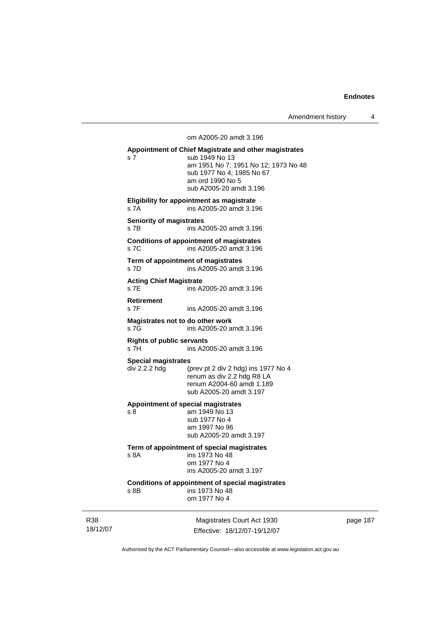Amendment history 4

om A2005-20 amdt 3.196

**Appointment of Chief Magistrate and other magistrates**  s 7 sub 1949 No 13 am 1951 No 7; 1951 No 12; 1973 No 48 sub 1977 No 4; 1985 No 67 am ord 1990 No 5 sub A2005-20 amdt 3.196 **Eligibility for appointment as magistrate**  s 7A ins A2005-20 amdt 3.196 **Seniority of magistrates**  s 7B ins A2005-20 amdt 3.196 **Conditions of appointment of magistrates**  s 7C ins A2005-20 amdt 3.196 **Term of appointment of magistrates**  s 7D ins A2005-20 amdt 3.196 **Acting Chief Magistrate**  s 7E ins A2005-20 amdt 3.196 **Retirement**  s 7F ins A2005-20 amdt 3.196 **Magistrates not to do other work**  s 7G ins A2005-20 amdt 3.196 **Rights of public servants**  s 7H ins A2005-20 amdt 3.196 **Special magistrates**  div 2.2.2 hdg (prev pt 2 div 2 hdg) ins 1977 No 4 renum as div 2.2 hdg R8 LA renum A2004-60 amdt 1.189 sub A2005-20 amdt 3.197 **Appointment of special magistrates**  s 8 am 1949 No 13 sub 1977 No 4 am 1997 No 96 sub A2005-20 amdt 3.197 **Term of appointment of special magistrates**  ins 1973 No 48 om 1977 No 4 ins A2005-20 amdt 3.197 **Conditions of appointment of special magistrates**  s 8B ins 1973 No 48 om 1977 No 4

R38 18/12/07

Magistrates Court Act 1930 Effective: 18/12/07-19/12/07 page 187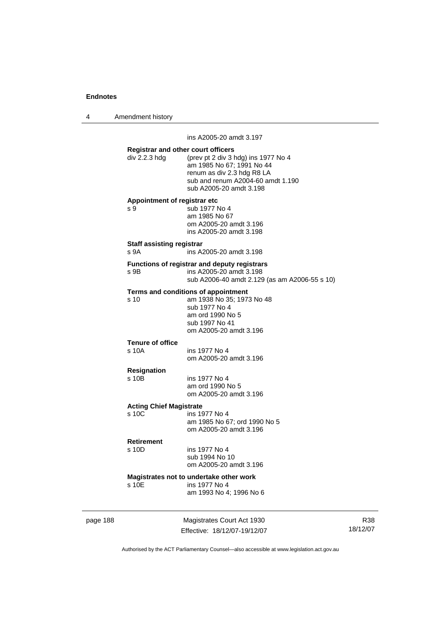4 Amendment history

page 188 Magistrates Court Act 1930 ins A2005-20 amdt 3.197 **Registrar and other court officers**  div 2.2.3 hdg (prev pt 2 div 3 hdg) ins 1977 No 4 am 1985 No 67; 1991 No 44 renum as div 2.3 hdg R8 LA sub and renum A2004-60 amdt 1.190 sub A2005-20 amdt 3.198 **Appointment of registrar etc**  s 9 sub 1977 No 4 am 1985 No 67 om A2005-20 amdt 3.196 ins A2005-20 amdt 3.198 **Staff assisting registrar**  s 9A ins A2005-20 amdt 3.198 **Functions of registrar and deputy registrars**  s 9B ins A2005-20 amdt 3.198 sub A2006-40 amdt 2.129 (as am A2006-55 s 10) **Terms and conditions of appointment**<br>s 10 am 1938 No 35: 197 am 1938 No 35; 1973 No 48 sub 1977 No 4 am ord 1990 No 5 sub 1997 No 41 om A2005-20 amdt 3.196 **Tenure of office**  s 10A ins 1977 No 4 om A2005-20 amdt 3.196 **Resignation**  s 10B ins 1977 No 4 am ord 1990 No 5 om A2005-20 amdt 3.196 **Acting Chief Magistrate**  ins 1977 No 4 am 1985 No 67; ord 1990 No 5 om A2005-20 amdt 3.196 **Retirement**  s 10D ins 1977 No 4 sub 1994 No 10 om A2005-20 amdt 3.196 **Magistrates not to undertake other work**  s 10E ins 1977 No 4 am 1993 No 4; 1996 No 6

Effective: 18/12/07-19/12/07

R38 18/12/07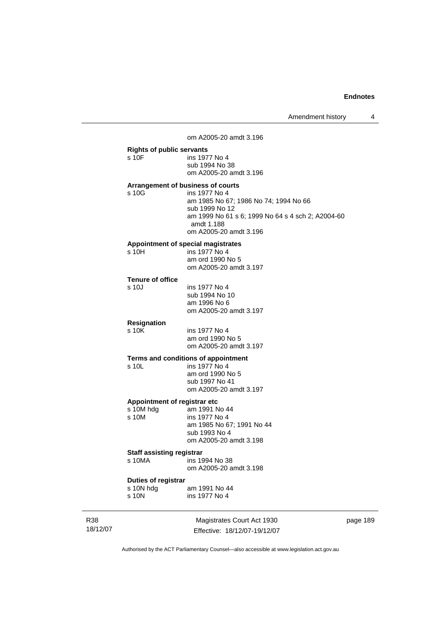Amendment history 4

om A2005-20 amdt 3.196

# **Rights of public servants**  s 10F ins 1977 No 4 sub 1994 No 38 om A2005-20 amdt 3.196 **Arrangement of business of courts**  s 10G ins 1977 No 4 am 1985 No 67; 1986 No 74; 1994 No 66 sub 1999 No 12 am 1999 No 61 s 6; 1999 No 64 s 4 sch 2; A2004-60 amdt 1.188 om A2005-20 amdt 3.196 **Appointment of special magistrates**  s 10H ins 1977 No 4 am ord 1990 No 5 om A2005-20 amdt 3.197 **Tenure of office**  s 10J ins 1977 No 4 sub 1994 No 10 am 1996 No 6

om A2005-20 amdt 3.197

# **Resignation**

ins 1977 No 4 am ord 1990 No 5 om A2005-20 amdt 3.197

# **Terms and conditions of appointment**<br>s 10L ins 1977 No 4

ins 1977 No 4 am ord 1990 No 5 sub 1997 No 41 om A2005-20 amdt 3.197

#### **Appointment of registrar etc**

| s 10M hdg | am 1991 No 44             |
|-----------|---------------------------|
| s 10M     | ins 1977 No 4             |
|           |                           |
|           | am 1985 No 67; 1991 No 44 |
|           | sub 1993 No 4             |
|           | om A2005-20 amdt 3.198    |
|           |                           |

#### **Staff assisting registrar**

| s 10MA | ins 1994 No 38         |
|--------|------------------------|
|        | om A2005-20 amdt 3.198 |

#### **Duties of registrar**

| s 10N hdg | am 1991 No 44 |
|-----------|---------------|
| s 10N     | ins 1977 No 4 |

R38 18/12/07

Magistrates Court Act 1930 Effective: 18/12/07-19/12/07 page 189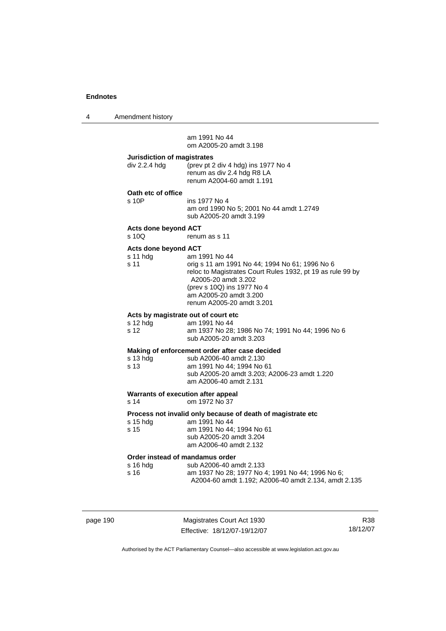4 Amendment history

 am 1991 No 44 om A2005-20 amdt 3.198

| Jurisdiction of magistrates |                                     |
|-----------------------------|-------------------------------------|
| div 2.2.4 hdg               | (prev pt 2 div 4 hdg) ins 1977 No 4 |
|                             | renum as div 2.4 hdg R8 LA          |
|                             | renum A2004-60 amdt 1.191           |

**Oath etc of office** 

| $s$ 10 $P$ | ins 1977 No 4                            |
|------------|------------------------------------------|
|            | am ord 1990 No 5; 2001 No 44 amdt 1.2749 |
|            | sub A2005-20 amdt 3.199                  |

**Acts done beyond ACT** 

renum as s 11

#### **Acts done beyond ACT**

| s 11 hdg | am 1991 No 44                                              |
|----------|------------------------------------------------------------|
| s 11     | orig s 11 am 1991 No 44; 1994 No 61; 1996 No 6             |
|          | reloc to Magistrates Court Rules 1932, pt 19 as rule 99 by |
|          | A2005-20 amdt 3.202                                        |
|          | (prev s 10Q) ins 1977 No 4                                 |
|          | am A2005-20 amdt 3.200                                     |
|          | renum A2005-20 amdt 3.201                                  |
|          |                                                            |

#### **Acts by magistrate out of court etc**<br>s 12 hdg am 1991 No 44  $am 1991$  No  $44$

| S IZ NUY | ani 1991 INO 44                                  |
|----------|--------------------------------------------------|
| s 12     | am 1937 No 28; 1986 No 74; 1991 No 44; 1996 No 6 |
|          | sub A2005-20 amdt 3.203                          |

### **Making of enforcement order after case decided**

| s 13 hda | sub A2006-40 amdt 2.130                      |
|----------|----------------------------------------------|
| s 13     | am 1991 No 44: 1994 No 61                    |
|          | sub A2005-20 amdt 3.203: A2006-23 amdt 1.220 |
|          | am A2006-40 amdt 2.131                       |
|          |                                              |

#### **Warrants of execution after appeal**  s 14 om 1972 No 37

**Process not invalid only because of death of magistrate etc** 

| s 15 hda        | am 1991 No 44             |
|-----------------|---------------------------|
| $\mathrm{s}$ 15 | am 1991 No 44; 1994 No 61 |
|                 | sub A2005-20 amdt 3.204   |
|                 | am A2006-40 amdt 2.132    |
|                 |                           |

# **Order instead of mandamus order**

| s 16 hdg | sub A2006-40 amdt 2.133                              |
|----------|------------------------------------------------------|
| s 16     | am 1937 No 28: 1977 No 4: 1991 No 44: 1996 No 6:     |
|          | A2004-60 amdt 1.192: A2006-40 amdt 2.134, amdt 2.135 |

page 190 Magistrates Court Act 1930 Effective: 18/12/07-19/12/07

R38 18/12/07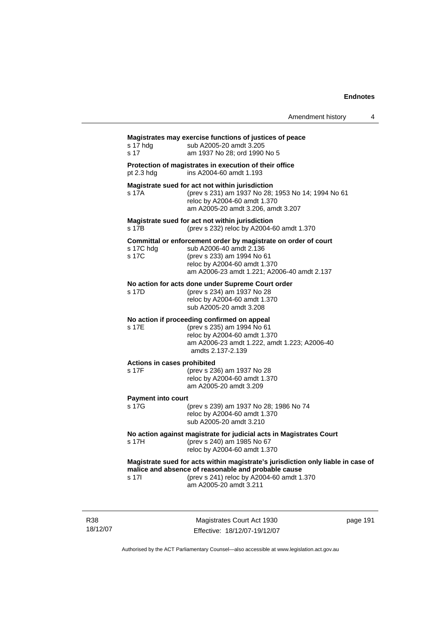# **Magistrates may exercise functions of justices of peace**  s 17 hdg sub A2005-20 amdt 3.205 s 17 am 1937 No 28; ord 1990 No 5 **Protection of magistrates in execution of their office**  pt 2.3 hdg ins A2004-60 amdt 1.193 **Magistrate sued for act not within jurisdiction**  s 17A (prev s 231) am 1937 No 28; 1953 No 14; 1994 No 61 reloc by A2004-60 amdt 1.370 am A2005-20 amdt 3.206, amdt 3.207 **Magistrate sued for act not within jurisdiction**  s 17B (prev s 232) reloc by A2004-60 amdt 1.370 **Committal or enforcement order by magistrate on order of court**  s 17C hdg sub A2006-40 amdt 2.136 s 17C (prev s 233) am 1994 No 61 reloc by A2004-60 amdt 1.370 am A2006-23 amdt 1.221; A2006-40 amdt 2.137 **No action for acts done under Supreme Court order**  s 17D (prev s 234) am 1937 No 28 reloc by A2004-60 amdt 1.370 sub A2005-20 amdt 3.208 **No action if proceeding confirmed on appeal**  s 17E (prev s 235) am 1994 No 61 reloc by A2004-60 amdt 1.370 am A2006-23 amdt 1.222, amdt 1.223; A2006-40 amdts 2.137-2.139 **Actions in cases prohibited**  s 17F (prev s 236) am 1937 No 28 reloc by A2004-60 amdt 1.370 am A2005-20 amdt 3.209 **Payment into court**  (prev s 239) am 1937 No 28; 1986 No 74 reloc by A2004-60 amdt 1.370 sub A2005-20 amdt 3.210 **No action against magistrate for judicial acts in Magistrates Court**  s 17H (prev s 240) am 1985 No 67 reloc by A2004-60 amdt 1.370 **Magistrate sued for acts within magistrate's jurisdiction only liable in case of malice and absence of reasonable and probable cause**  s 17I (prev s 241) reloc by A2004-60 amdt 1.370 am A2005-20 amdt 3.211

R38 18/12/07

Magistrates Court Act 1930 Effective: 18/12/07-19/12/07 page 191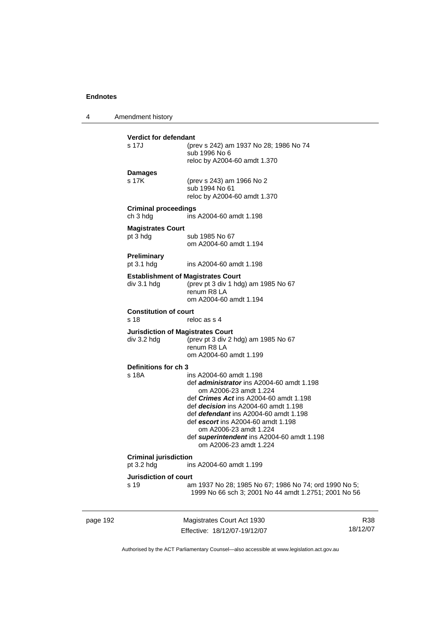4 Amendment history

| <b>Verdict for defendant</b>                            |                                                                                                               |
|---------------------------------------------------------|---------------------------------------------------------------------------------------------------------------|
| s 17.J                                                  | (prev s 242) am 1937 No 28; 1986 No 74<br>sub 1996 No 6                                                       |
|                                                         | reloc by A2004-60 amdt 1.370                                                                                  |
| <b>Damages</b>                                          |                                                                                                               |
| s 17K                                                   | (prev s 243) am 1966 No 2                                                                                     |
|                                                         | sub 1994 No 61<br>reloc by A2004-60 amdt 1.370                                                                |
|                                                         |                                                                                                               |
| <b>Criminal proceedings</b><br>ch 3 hdg                 | ins A2004-60 amdt 1.198                                                                                       |
| <b>Magistrates Court</b>                                |                                                                                                               |
| pt 3 hdg                                                | sub 1985 No 67                                                                                                |
|                                                         | om A2004-60 amdt 1.194                                                                                        |
| Preliminary                                             |                                                                                                               |
| pt 3.1 hdg                                              | ins A2004-60 amdt 1.198                                                                                       |
|                                                         | <b>Establishment of Magistrates Court</b>                                                                     |
| div 3.1 hdg                                             | (prev pt 3 div 1 hdg) am 1985 No 67<br>renum R8 LA                                                            |
|                                                         | om A2004-60 amdt 1.194                                                                                        |
| <b>Constitution of court</b>                            |                                                                                                               |
| s 18                                                    | reloc as s 4                                                                                                  |
| <b>Jurisdiction of Magistrates Court</b><br>div 3.2 hdg |                                                                                                               |
|                                                         | (prev pt 3 div 2 hdg) am 1985 No 67<br>renum R8 LA                                                            |
|                                                         | om A2004-60 amdt 1.199                                                                                        |
| Definitions for ch 3                                    |                                                                                                               |
| s 18A                                                   | ins A2004-60 amdt 1.198                                                                                       |
|                                                         | def <i>administrator</i> ins A2004-60 amdt 1.198<br>om A2006-23 amdt 1.224                                    |
|                                                         | def Crimes Act ins A2004-60 amdt 1.198                                                                        |
|                                                         |                                                                                                               |
|                                                         | def decision ins A2004-60 amdt 1.198                                                                          |
|                                                         | def defendant ins A2004-60 amdt 1.198                                                                         |
|                                                         | def escort ins A2004-60 amdt 1.198                                                                            |
|                                                         | om A2006-23 amdt 1.224                                                                                        |
|                                                         | def superintendent ins A2004-60 amdt 1.198<br>om A2006-23 amdt 1.224                                          |
| <b>Criminal jurisdiction</b>                            |                                                                                                               |
| pt 3.2 hdg                                              | ins A2004-60 amdt 1.199                                                                                       |
| Jurisdiction of court                                   |                                                                                                               |
| s 19                                                    | am 1937 No 28; 1985 No 67; 1986 No 74; ord 1990 No 5;<br>1999 No 66 sch 3; 2001 No 44 amdt 1.2751; 2001 No 56 |

page 192 Magistrates Court Act 1930 Effective: 18/12/07-19/12/07

R38 18/12/07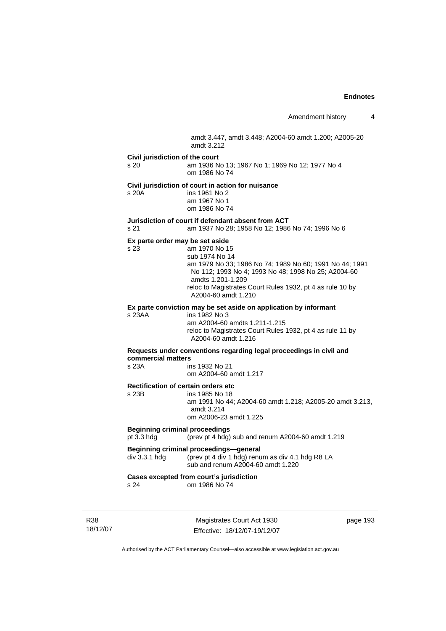Amendment history 4 amdt 3.447, amdt 3.448; A2004-60 amdt 1.200; A2005-20 amdt 3.212 **Civil jurisdiction of the court**  s 20 am 1936 No 13; 1967 No 1; 1969 No 12; 1977 No 4 om 1986 No 74 **Civil jurisdiction of court in action for nuisance**  s 20A ins 1961 No 2 am 1967 No 1 om 1986 No 74 **Jurisdiction of court if defendant absent from ACT**  s 21 am 1937 No 28; 1958 No 12; 1986 No 74; 1996 No 6 **Ex parte order may be set aside**  s 23 am 1970 No 15 sub 1974 No 14 am 1979 No 33; 1986 No 74; 1989 No 60; 1991 No 44; 1991 No 112; 1993 No 4; 1993 No 48; 1998 No 25; A2004-60 amdts 1.201-1.209 reloc to Magistrates Court Rules 1932, pt 4 as rule 10 by A2004-60 amdt 1.210 **Ex parte conviction may be set aside on application by informant**  s 23AA ins 1982 No 3 am A2004-60 amdts 1.211-1.215 reloc to Magistrates Court Rules 1932, pt 4 as rule 11 by A2004-60 amdt 1.216 **Requests under conventions regarding legal proceedings in civil and commercial matters**  ins 1932 No 21 om A2004-60 amdt 1.217 **Rectification of certain orders etc**  s 23B ins 1985 No 18 am 1991 No 44; A2004-60 amdt 1.218; A2005-20 amdt 3.213, amdt 3.214 om A2006-23 amdt 1.225 **Beginning criminal proceedings**  pt 3.3 hdg (prev pt 4 hdg) sub and renum A2004-60 amdt 1.219 **Beginning criminal proceedings—general**<br>div 3.3.1 hdg (prev pt 4 div 1 hdg) renu (prev pt 4 div 1 hdg) renum as div 4.1 hdg R8 LA sub and renum A2004-60 amdt 1.220 **Cases excepted from court's jurisdiction**  s 24 om 1986 No 74

R38 18/12/07

Magistrates Court Act 1930 Effective: 18/12/07-19/12/07 page 193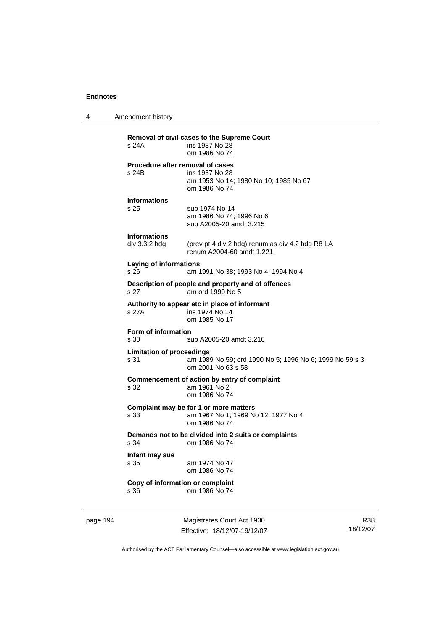4 Amendment history

| page 194 |                                           | Magistrates Court Act 1930                                                                     | <b>R38</b> |
|----------|-------------------------------------------|------------------------------------------------------------------------------------------------|------------|
|          | Copy of information or complaint<br>s 36  | om 1986 No 74                                                                                  |            |
|          | Infant may sue<br>s 35                    | am 1974 No 47<br>om 1986 No 74                                                                 |            |
|          | s 34                                      | Demands not to be divided into 2 suits or complaints<br>om 1986 No 74                          |            |
|          | s 33                                      | Complaint may be for 1 or more matters<br>am 1967 No 1; 1969 No 12; 1977 No 4<br>om 1986 No 74 |            |
|          | s 32                                      | Commencement of action by entry of complaint<br>am 1961 No 2<br>om 1986 No 74                  |            |
|          | <b>Limitation of proceedings</b><br>s 31  | am 1989 No 59; ord 1990 No 5; 1996 No 6; 1999 No 59 s 3<br>om 2001 No 63 s 58                  |            |
|          | Form of information<br>s 30               | sub A2005-20 amdt 3.216                                                                        |            |
|          | s 27A                                     | Authority to appear etc in place of informant<br>ins 1974 No 14<br>om 1985 No 17               |            |
|          | s 27                                      | Description of people and property and of offences<br>am ord 1990 No 5                         |            |
|          | <b>Laying of informations</b><br>s 26     | am 1991 No 38; 1993 No 4; 1994 No 4                                                            |            |
|          | <b>Informations</b><br>div 3.3.2 hdg      | (prev pt 4 div 2 hdg) renum as div 4.2 hdg R8 LA<br>renum A2004-60 amdt 1.221                  |            |
|          | <b>Informations</b><br>s 25               | sub 1974 No 14<br>am 1986 No 74; 1996 No 6<br>sub A2005-20 amdt 3.215                          |            |
|          | Procedure after removal of cases<br>s 24B | ins 1937 No 28<br>am 1953 No 14; 1980 No 10; 1985 No 67<br>om 1986 No 74                       |            |
|          | s 24A                                     | ins 1937 No 28<br>om 1986 No 74                                                                |            |
|          |                                           | Removal of civil cases to the Supreme Court                                                    |            |

Effective: 18/12/07-19/12/07

R38 18/12/07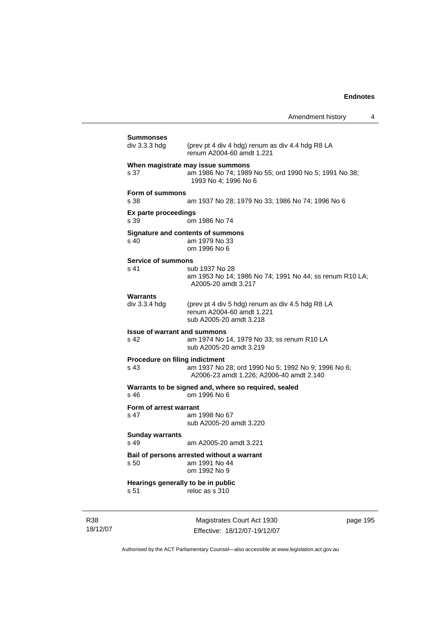|                                               | Amendment history                                                                                                  | 4 |
|-----------------------------------------------|--------------------------------------------------------------------------------------------------------------------|---|
| Summonses<br>div 3.3.3 hdg                    | (prev pt 4 div 4 hdg) renum as div 4.4 hdg R8 LA                                                                   |   |
|                                               | renum A2004-60 amdt 1.221                                                                                          |   |
| s 37                                          | When magistrate may issue summons<br>am 1986 No 74; 1989 No 55; ord 1990 No 5; 1991 No 38;<br>1993 No 4; 1996 No 6 |   |
| <b>Form of summons</b>                        |                                                                                                                    |   |
| s 38                                          | am 1937 No 28; 1979 No 33; 1986 No 74; 1996 No 6                                                                   |   |
| Ex parte proceedings<br>s 39                  | om 1986 No 74                                                                                                      |   |
| s 40                                          | <b>Signature and contents of summons</b><br>am 1979 No 33<br>om 1996 No 6                                          |   |
| <b>Service of summons</b>                     |                                                                                                                    |   |
| s 41                                          | sub 1937 No 28<br>am 1953 No 14; 1986 No 74; 1991 No 44; ss renum R10 LA;<br>A2005-20 amdt 3.217                   |   |
| Warrants                                      |                                                                                                                    |   |
| div 3.3.4 hdg                                 | (prev pt 4 div 5 hdg) renum as div 4.5 hdg R8 LA<br>renum A2004-60 amdt 1.221<br>sub A2005-20 amdt 3.218           |   |
| <b>Issue of warrant and summons</b><br>s 42   | am 1974 No 14, 1979 No 33; ss renum R10 LA                                                                         |   |
|                                               | sub A2005-20 amdt 3.219                                                                                            |   |
| <b>Procedure on filing indictment</b><br>s 43 | am 1937 No 28; ord 1990 No 5; 1992 No 9; 1996 No 6;<br>A2006-23 amdt 1.226; A2006-40 amdt 2.140                    |   |
| s 46                                          | Warrants to be signed and, where so required, sealed<br>om 1996 No 6                                               |   |
| Form of arrest warrant<br>s 47                | am 1998 No 67<br>sub A2005-20 amdt 3.220                                                                           |   |
| <b>Sunday warrants</b>                        |                                                                                                                    |   |
| s 49                                          | am A2005-20 amdt 3.221                                                                                             |   |
| s 50                                          | Bail of persons arrested without a warrant<br>am 1991 No 44<br>om 1992 No 9                                        |   |
| Hearings generally to be in public            |                                                                                                                    |   |
| s 51                                          | reloc as s 310                                                                                                     |   |

R38 18/12/07

Magistrates Court Act 1930 Effective: 18/12/07-19/12/07 page 195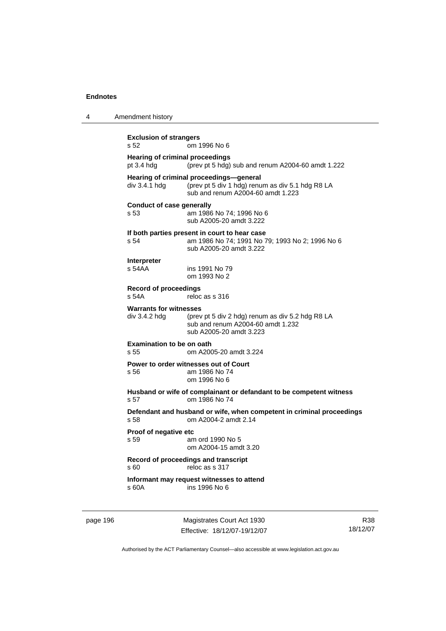| 4 | Amendment history                                     |                                                                                                                                  |  |
|---|-------------------------------------------------------|----------------------------------------------------------------------------------------------------------------------------------|--|
|   | <b>Exclusion of strangers</b><br>s 52<br>om 1996 No 6 |                                                                                                                                  |  |
|   | <b>Hearing of criminal proceedings</b><br>pt 3.4 hdg  | (prev pt 5 hdg) sub and renum A2004-60 amdt 1.222                                                                                |  |
|   | div 3.4.1 hdg                                         | Hearing of criminal proceedings-general<br>(prev pt 5 div 1 hdg) renum as div 5.1 hdg R8 LA<br>sub and renum A2004-60 amdt 1.223 |  |
|   | <b>Conduct of case generally</b><br>s 53              | am 1986 No 74; 1996 No 6<br>sub A2005-20 amdt 3.222                                                                              |  |
|   | s 54                                                  | If both parties present in court to hear case<br>am 1986 No 74; 1991 No 79; 1993 No 2; 1996 No 6<br>sub A2005-20 amdt 3.222      |  |
|   | <b>Interpreter</b><br>s 54AA                          | ins 1991 No 79<br>om 1993 No 2                                                                                                   |  |
|   | <b>Record of proceedings</b><br>s 54A                 | reloc as s 316                                                                                                                   |  |
|   | <b>Warrants for witnesses</b><br>div 3.4.2 hdg        | (prev pt 5 div 2 hdg) renum as div 5.2 hdg R8 LA<br>sub and renum A2004-60 amdt 1.232<br>sub A2005-20 amdt 3.223                 |  |
|   | <b>Examination to be on oath</b><br>s 55              | om A2005-20 amdt 3.224                                                                                                           |  |
|   | Power to order witnesses out of Court<br>s 56         | am 1986 No 74<br>om 1996 No 6                                                                                                    |  |
|   | s 57                                                  | Husband or wife of complainant or defandant to be competent witness<br>om 1986 No 74                                             |  |
|   | s 58                                                  | Defendant and husband or wife, when competent in criminal proceedings<br>om A2004-2 amdt 2.14                                    |  |
|   | Proof of negative etc<br>s 59                         | am ord 1990 No 5<br>om A2004-15 amdt 3.20                                                                                        |  |
|   | Record of proceedings and transcript<br>s 60          | reloc as s 317                                                                                                                   |  |
|   | s 60A                                                 | Informant may request witnesses to attend<br>ins 1996 No 6                                                                       |  |
|   |                                                       |                                                                                                                                  |  |

page 196 Magistrates Court Act 1930 Effective: 18/12/07-19/12/07

R38 18/12/07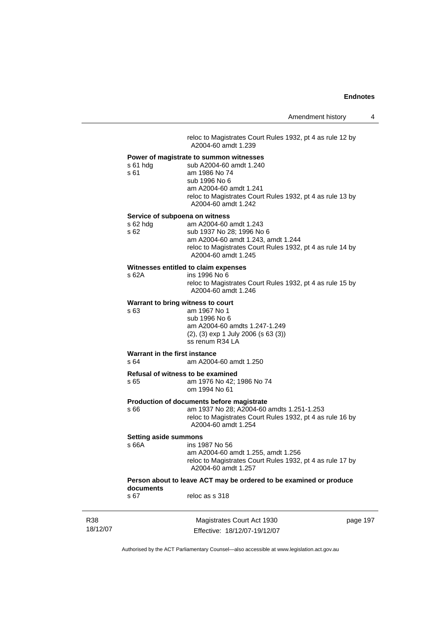reloc to Magistrates Court Rules 1932, pt 4 as rule 12 by A2004-60 amdt 1.239

|          | Power of magistrate to summon witnesses                                          |
|----------|----------------------------------------------------------------------------------|
| s 61 hdg | sub A2004-60 amdt 1.240                                                          |
| s 61     | am 1986 No 74                                                                    |
|          | sub 1996 No 6                                                                    |
|          | am A2004-60 amdt 1.241                                                           |
|          | reloc to Magistrates Court Rules 1932, pt 4 as rule 13 by<br>A2004-60 amdt 1.242 |
|          |                                                                                  |

#### **Service of subpoena on witness**

| s 62 hda | am A2004-60 amdt 1.243                                                           |
|----------|----------------------------------------------------------------------------------|
| s 62     | sub 1937 No 28; 1996 No 6                                                        |
|          | am A2004-60 amdt 1.243, amdt 1.244                                               |
|          | reloc to Magistrates Court Rules 1932, pt 4 as rule 14 by<br>A2004-60 amdt 1.245 |
|          |                                                                                  |

#### **Witnesses entitled to claim expenses**

| s 62A | ins 1996 No 6                                             |
|-------|-----------------------------------------------------------|
|       | reloc to Magistrates Court Rules 1932, pt 4 as rule 15 by |
|       | A2004-60 amdt 1.246                                       |

#### **Warrant to bring witness to court**

| s 63 | am 1967 No 1                                |
|------|---------------------------------------------|
|      | sub 1996 No 6                               |
|      | am A2004-60 amdts 1.247-1.249               |
|      | $(2)$ , $(3)$ exp 1 July 2006 (s 63 $(3)$ ) |
|      | ss renum R34 LA                             |
|      |                                             |

#### **Warrant in the first instance**

s 64 am A2004-60 amdt 1.250

**Refusal of witness to be examined**  s 65 am 1976 No 42; 1986 No 74 om 1994 No 61

#### **Production of documents before magistrate**

s 66 am 1937 No 28; A2004-60 amdts 1.251-1.253 reloc to Magistrates Court Rules 1932, pt 4 as rule 16 by A2004-60 amdt 1.254

# **Setting aside summons**

s 63

# ins 1987 No 56 am A2004-60 amdt 1.255, amdt 1.256 reloc to Magistrates Court Rules 1932, pt 4 as rule 17 by A2004-60 amdt 1.257

#### **Person about to leave ACT may be ordered to be examined or produce documents**  reloc as s 318

| R38      |
|----------|
| 18/12/07 |

Magistrates Court Act 1930 Effective: 18/12/07-19/12/07 page 197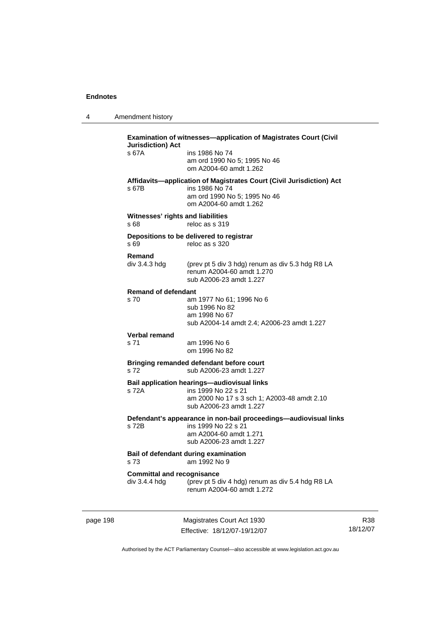4 Amendment history

| s 67A                                              | ins 1986 No 74<br>am ord 1990 No 5; 1995 No 46<br>om A2004-60 amdt 1.262                                                                            |
|----------------------------------------------------|-----------------------------------------------------------------------------------------------------------------------------------------------------|
| s 67B                                              | Affidavits-application of Magistrates Court (Civil Jurisdiction) Act<br>ins 1986 No 74<br>am ord 1990 No 5; 1995 No 46<br>om A2004-60 amdt 1.262    |
| s 68                                               | Witnesses' rights and liabilities<br>reloc as s 319                                                                                                 |
| s 69                                               | Depositions to be delivered to registrar<br>reloc as s 320                                                                                          |
| Remand<br>div 3.4.3 hdg                            | (prev pt 5 div 3 hdg) renum as div 5.3 hdg R8 LA<br>renum A2004-60 amdt 1.270<br>sub A2006-23 amdt 1.227                                            |
| <b>Remand of defendant</b><br>s 70                 | am 1977 No 61; 1996 No 6<br>sub 1996 No 82<br>am 1998 No 67<br>sub A2004-14 amdt 2.4; A2006-23 amdt 1.227                                           |
| <b>Verbal remand</b><br>s 71                       | am 1996 No 6<br>om 1996 No 82                                                                                                                       |
| s 72                                               | Bringing remanded defendant before court<br>sub A2006-23 amdt 1.227                                                                                 |
| s 72A                                              | <b>Bail application hearings-audiovisual links</b><br>ins 1999 No 22 s 21<br>am 2000 No 17 s 3 sch 1; A2003-48 amdt 2.10<br>sub A2006-23 amdt 1.227 |
| s 72B                                              | Defendant's appearance in non-bail proceedings—audiovisual links<br>ins 1999 No 22 s 21<br>am A2004-60 amdt 1.271<br>sub A2006-23 amdt 1.227        |
| s <sub>73</sub>                                    | Bail of defendant during examination<br>am 1992 No 9                                                                                                |
| <b>Committal and recognisance</b><br>div 3.4.4 hdg | (prev pt 5 div 4 hdg) renum as div 5.4 hdg R8 LA<br>renum A2004-60 amdt 1.272                                                                       |

page 198 Magistrates Court Act 1930 Effective: 18/12/07-19/12/07

R38 18/12/07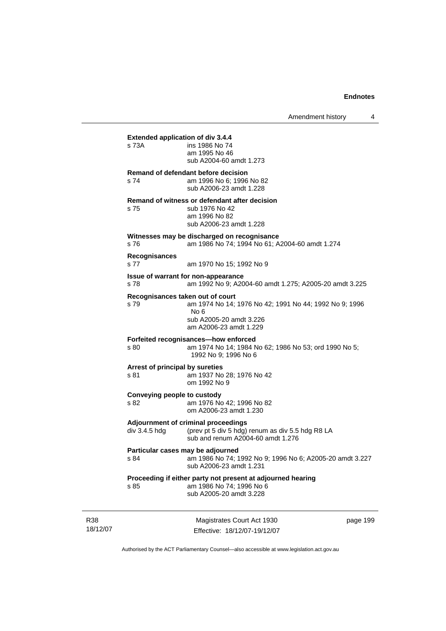Amendment history 4

**Extended application of div 3.4.4**  s 73A ins 1986 No 74 am 1995 No 46 sub A2004-60 amdt 1.273 **Remand of defendant before decision**  s 74 am 1996 No 6; 1996 No 82 sub A2006-23 amdt 1.228 **Remand of witness or defendant after decision**  s 75 sub 1976 No 42 am 1996 No 82 sub A2006-23 amdt 1.228 **Witnesses may be discharged on recognisance**  s 76 am 1986 No 74; 1994 No 61; A2004-60 amdt 1.274 **Recognisances**  s 77 am 1970 No 15; 1992 No 9 **Issue of warrant for non-appearance**  s 78 am 1992 No 9; A2004-60 amdt 1.275; A2005-20 amdt 3.225 **Recognisances taken out of court**  s 79 am 1974 No 14; 1976 No 42; 1991 No 44; 1992 No 9; 1996 No 6 sub A2005-20 amdt 3.226 am A2006-23 amdt 1.229 **Forfeited recognisances—how enforced**  s 80 am 1974 No 14; 1984 No 62; 1986 No 53; ord 1990 No 5; 1992 No 9; 1996 No 6 **Arrest of principal by sureties**  s 81 am 1937 No 28; 1976 No 42 om 1992 No 9 **Conveying people to custody**  s 82 am 1976 No 42; 1996 No 82 om A2006-23 amdt 1.230 **Adjournment of criminal proceedings**  div 3.4.5 hdg (prev pt 5 div 5 hdg) renum as div 5.5 hdg R8 LA sub and renum A2004-60 amdt 1.276 **Particular cases may be adjourned**  s 84 am 1986 No 74; 1992 No 9; 1996 No 6; A2005-20 amdt 3.227 sub A2006-23 amdt 1.231 **Proceeding if either party not present at adjourned hearing**  s 85 am 1986 No 74; 1996 No 6 sub A2005-20 amdt 3.228

R38 18/12/07

Magistrates Court Act 1930 Effective: 18/12/07-19/12/07 page 199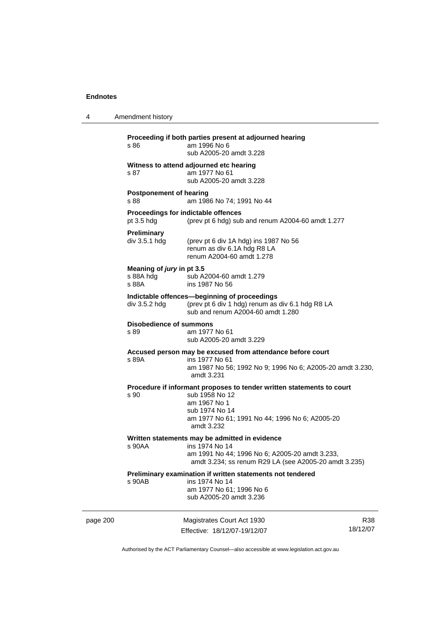| 4        | Amendment history                               |                                                                                                                                                                                           |                 |
|----------|-------------------------------------------------|-------------------------------------------------------------------------------------------------------------------------------------------------------------------------------------------|-----------------|
|          | s 86                                            | Proceeding if both parties present at adjourned hearing<br>am 1996 No 6<br>sub A2005-20 amdt 3.228                                                                                        |                 |
|          | s 87                                            | Witness to attend adjourned etc hearing<br>am 1977 No 61<br>sub A2005-20 amdt 3.228                                                                                                       |                 |
|          | <b>Postponement of hearing</b><br>s 88          | am 1986 No 74; 1991 No 44                                                                                                                                                                 |                 |
|          | pt $3.5$ hdg                                    | Proceedings for indictable offences<br>(prev pt 6 hdg) sub and renum A2004-60 amdt 1.277                                                                                                  |                 |
|          | <b>Preliminary</b><br>div 3.5.1 hdg             | (prev pt 6 div 1A hdg) ins 1987 No 56<br>renum as div 6.1A hdg R8 LA<br>renum A2004-60 amdt 1.278                                                                                         |                 |
|          | Meaning of jury in pt 3.5<br>s 88A hdg<br>s 88A | sub A2004-60 amdt 1.279<br>ins 1987 No 56                                                                                                                                                 |                 |
|          | div 3.5.2 hdg                                   | Indictable offences-beginning of proceedings<br>(prev pt 6 div 1 hdg) renum as div 6.1 hdg R8 LA<br>sub and renum A2004-60 amdt 1.280                                                     |                 |
|          | <b>Disobedience of summons</b><br>s 89          | am 1977 No 61<br>sub A2005-20 amdt 3.229                                                                                                                                                  |                 |
|          | s 89A                                           | Accused person may be excused from attendance before court<br>ins 1977 No 61<br>am 1987 No 56; 1992 No 9; 1996 No 6; A2005-20 amdt 3.230,<br>amdt 3.231                                   |                 |
|          | s 90                                            | Procedure if informant proposes to tender written statements to court<br>sub 1958 No 12<br>am 1967 No 1<br>sub 1974 No 14<br>am 1977 No 61; 1991 No 44; 1996 No 6; A2005-20<br>amdt 3.232 |                 |
|          | s 90AA                                          | Written statements may be admitted in evidence<br>ins 1974 No 14<br>am 1991 No 44; 1996 No 6; A2005-20 amdt 3.233,<br>amdt 3.234; ss renum R29 LA (see A2005-20 amdt 3.235)               |                 |
|          | s 90AB                                          | Preliminary examination if written statements not tendered<br>ins 1974 No 14<br>am 1977 No 61; 1996 No 6<br>sub A2005-20 amdt 3.236                                                       |                 |
| page 200 |                                                 | Magistrates Court Act 1930<br>Effective: 18/12/07-19/12/07                                                                                                                                | R38<br>18/12/07 |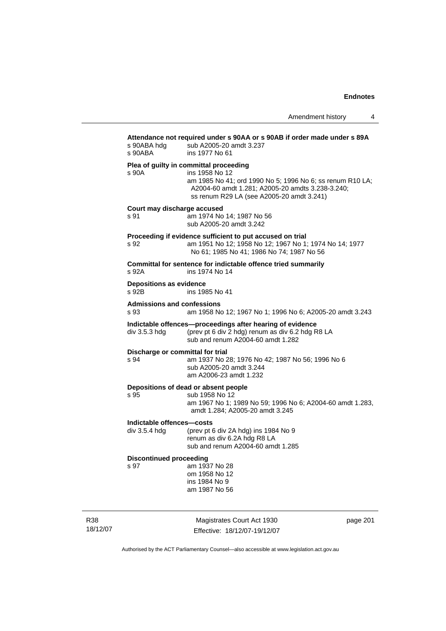| s 90ABA hdg<br>s 90ABA                     | Attendance not required under s 90AA or s 90AB if order made under s 89A<br>sub A2005-20 amdt 3.237<br>ins 1977 No 61                                                                                                  |
|--------------------------------------------|------------------------------------------------------------------------------------------------------------------------------------------------------------------------------------------------------------------------|
| s 90A                                      | Plea of guilty in committal proceeding<br>ins 1958 No 12<br>am 1985 No 41; ord 1990 No 5; 1996 No 6; ss renum R10 LA;<br>A2004-60 amdt 1.281; A2005-20 amdts 3.238-3.240;<br>ss renum R29 LA (see A2005-20 amdt 3.241) |
| Court may discharge accused<br>s 91        | am 1974 No 14; 1987 No 56<br>sub A2005-20 amdt 3.242                                                                                                                                                                   |
| s 92                                       | Proceeding if evidence sufficient to put accused on trial<br>am 1951 No 12; 1958 No 12; 1967 No 1; 1974 No 14; 1977<br>No 61; 1985 No 41; 1986 No 74; 1987 No 56                                                       |
| s 92A                                      | Committal for sentence for indictable offence tried summarily<br>ins 1974 No 14                                                                                                                                        |
| <b>Depositions as evidence</b><br>s 92B    | ins 1985 No 41                                                                                                                                                                                                         |
| <b>Admissions and confessions</b><br>s 93  | am 1958 No 12; 1967 No 1; 1996 No 6; A2005-20 amdt 3.243                                                                                                                                                               |
| div 3.5.3 hdg                              | Indictable offences-proceedings after hearing of evidence<br>(prev pt 6 div 2 hdg) renum as div 6.2 hdg R8 LA<br>sub and renum A2004-60 amdt 1.282                                                                     |
| Discharge or committal for trial<br>s 94   | am 1937 No 28; 1976 No 42; 1987 No 56; 1996 No 6<br>sub A2005-20 amdt 3.244<br>am A2006-23 amdt 1.232                                                                                                                  |
| s 95                                       | Depositions of dead or absent people<br>sub 1958 No 12<br>am 1967 No 1; 1989 No 59; 1996 No 6; A2004-60 amdt 1.283,<br>amdt 1.284; A2005-20 amdt 3.245                                                                 |
| Indictable offences-costs<br>div 3.5.4 hdg | (prev pt 6 div 2A hdg) ins 1984 No 9<br>renum as div 6.2A hdg R8 LA<br>sub and renum A2004-60 amdt 1.285                                                                                                               |
| <b>Discontinued proceeding</b><br>s 97     | am 1937 No 28<br>om 1958 No 12<br>ins 1984 No 9<br>am 1987 No 56                                                                                                                                                       |

R38 18/12/07

Magistrates Court Act 1930 Effective: 18/12/07-19/12/07 page 201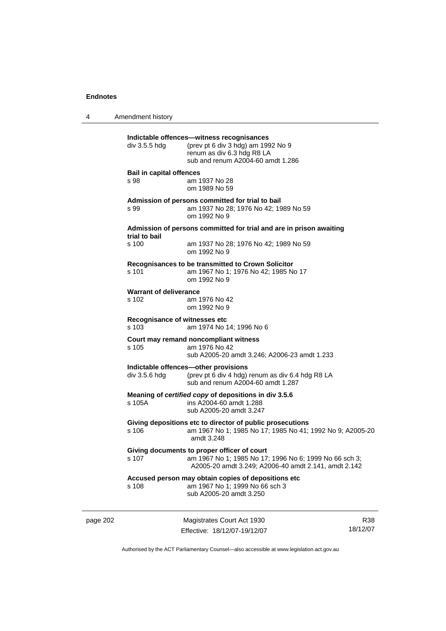4 Amendment history page 202 Magistrates Court Act 1930 R38 **Indictable offences—witness recognisances**  div 3.5.5 hdg (prev pt 6 div 3 hdg) am 1992 No 9 renum as div 6.3 hdg R8 LA sub and renum A2004-60 amdt 1.286 **Bail in capital offences**  s 98 am 1937 No 28 om 1989 No 59 **Admission of persons committed for trial to bail**  s 99 am 1937 No 28; 1976 No 42; 1989 No 59 om 1992 No 9 **Admission of persons committed for trial and are in prison awaiting trial to bail**  am 1937 No 28; 1976 No 42; 1989 No 59 om 1992 No 9 **Recognisances to be transmitted to Crown Solicitor**  s 101 am 1967 No 1; 1976 No 42; 1985 No 17 om 1992 No 9 **Warrant of deliverance**<br>**s** 102 **am** 1 am 1976 No 42 om 1992 No 9 **Recognisance of witnesses etc**  s 103 am 1974 No 14; 1996 No 6 **Court may remand noncompliant witness**  s 105 am 1976 No 42 sub A2005-20 amdt 3.246; A2006-23 amdt 1.233 **Indictable offences—other provisions**<br>div 3.5.6 hdg (prev pt 6 div 4 hdg) (prev pt 6 div 4 hdg) renum as div 6.4 hdg R8 LA sub and renum A2004-60 amdt 1.287 **Meaning of** *certified copy* **of depositions in div 3.5.6**  s 105A ins A2004-60 amdt 1.288 sub A2005-20 amdt 3.247 **Giving depositions etc to director of public prosecutions**  s 106 am 1967 No 1; 1985 No 17; 1985 No 41; 1992 No 9; A2005-20 amdt 3.248 **Giving documents to proper officer of court**  s 107 am 1967 No 1; 1985 No 17; 1996 No 6; 1999 No 66 sch 3; A2005-20 amdt 3.249; A2006-40 amdt 2.141, amdt 2.142 **Accused person may obtain copies of depositions etc**  s 108 am 1967 No 1; 1999 No 66 sch 3 sub A2005-20 amdt 3.250

Authorised by the ACT Parliamentary Counsel—also accessible at www.legislation.act.gov.au

18/12/07

Effective: 18/12/07-19/12/07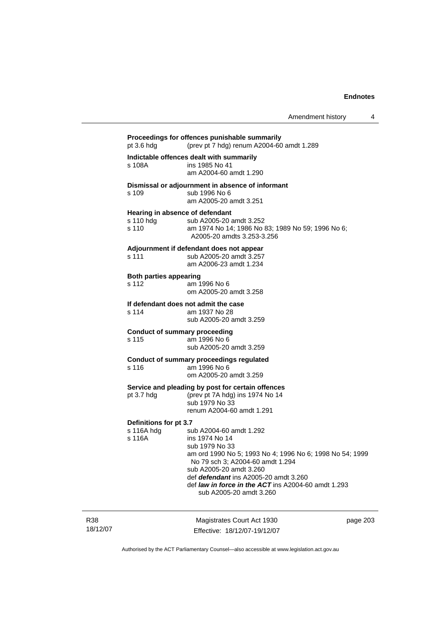## **Proceedings for offences punishable summarily**  pt 3.6 hdg (prev pt 7 hdg) renum A2004-60 amdt 1.289 **Indictable offences dealt with summarily**  s 108A ins 1985 No 41 am A2004-60 amdt 1.290 **Dismissal or adjournment in absence of informant**  s 109 sub 1996 No 6 am A2005-20 amdt 3.251 **Hearing in absence of defendant**  s 110 hdg sub A2005-20 amdt 3.252 s 110 am 1974 No 14; 1986 No 83; 1989 No 59; 1996 No 6; A2005-20 amdts 3.253-3.256 **Adjournment if defendant does not appear**  s 111 sub A2005-20 amdt 3.257 am A2006-23 amdt 1.234 **Both parties appearing**  s 112 am 1996 No 6 om A2005-20 amdt 3.258 **If defendant does not admit the case**  s 114 am 1937 No 28 sub A2005-20 amdt 3.259 **Conduct of summary proceeding**  s 115 am 1996 No 6 sub A2005-20 amdt 3.259 **Conduct of summary proceedings regulated**  s 116 am 1996 No 6 om A2005-20 amdt 3.259 **Service and pleading by post for certain offences**  pt 3.7 hdg (prev pt 7A hdg) ins 1974 No 14 sub 1979 No 33 renum A2004-60 amdt 1.291 **Definitions for pt 3.7**  s 116A hdg sub A2004-60 amdt 1.292 s 116A ins 1974 No 14 sub 1979 No 33 am ord 1990 No 5; 1993 No 4; 1996 No 6; 1998 No 54; 1999 No 79 sch 3; A2004-60 amdt 1.294 sub A2005-20 amdt 3.260 def *defendant* ins A2005-20 amdt 3.260 def *law in force in the ACT* ins A2004-60 amdt 1.293 sub A2005-20 amdt 3.260

R38 18/12/07

Magistrates Court Act 1930 Effective: 18/12/07-19/12/07 page 203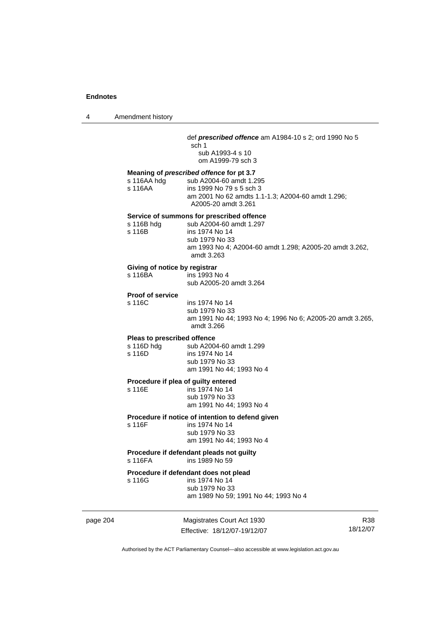| 4 | Amendment history |
|---|-------------------|
|---|-------------------|

#### def *prescribed offence* am A1984-10 s 2; ord 1990 No 5

sch 1 sub A1993-4 s 10 om A1999-79 sch 3

## **Meaning of** *prescribed offence* **for pt 3.7**

s 116AA hdg sub A2004-60 amdt 1.295 s 116AA ins 1999 No 79 s 5 sch 3 am 2001 No 62 amdts 1.1-1.3; A2004-60 amdt 1.296; A2005-20 amdt 3.261

#### **Service of summons for prescribed offence**

| s 116B hdg | sub A2004-60 amdt 1.297                                 |
|------------|---------------------------------------------------------|
| s 116B     | ins 1974 No 14                                          |
|            | sub 1979 No 33                                          |
|            | am 1993 No 4: A2004-60 amdt 1.298: A2005-20 amdt 3.262. |
|            | amdt 3.263                                              |

#### **Giving of notice by registrar**

| s 116BA | ins 1993 No 4           |
|---------|-------------------------|
|         | sub A2005-20 amdt 3.264 |

**Proof of service** 

s 116C ins 1974 No 14 sub 1979 No 33 am 1991 No 44; 1993 No 4; 1996 No 6; A2005-20 amdt 3.265, amdt 3.266

#### **Pleas to prescribed offence**

| s 116D hdg | sub A2004-60 amdt 1.299  |
|------------|--------------------------|
| s 116D     | ins 1974 No 14           |
|            | sub 1979 No 33           |
|            | am 1991 No 44: 1993 No 4 |

# **Procedure if plea of guilty entered**<br>s 116E **ins 1974** No 14

 $ins$  1974 No 14 sub 1979 No 33 am 1991 No 44; 1993 No 4

## **Procedure if notice of intention to defend given**

s 116F ins 1974 No 14 sub 1979 No 33 am 1991 No 44; 1993 No 4

#### **Procedure if defendant pleads not guilty**  s 116FA ins 1989 No 59

# **Procedure if defendant does not plead**

ins 1974 No 14 sub 1979 No 33

am 1989 No 59; 1991 No 44; 1993 No 4

page 204 Magistrates Court Act 1930 Effective: 18/12/07-19/12/07

R38 18/12/07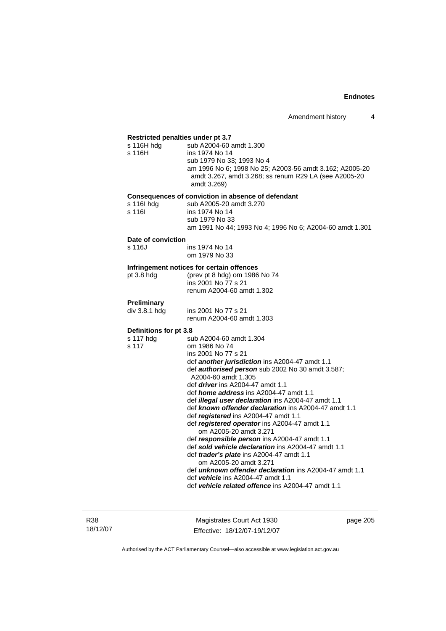### **Restricted penalties under pt 3.7**

| Restricted perimentes under pr 5.7 |                                                               |
|------------------------------------|---------------------------------------------------------------|
| s 116H hdg                         | sub A2004-60 amdt 1.300                                       |
| s 116H                             | ins 1974 No 14                                                |
|                                    | sub 1979 No 33; 1993 No 4                                     |
|                                    | am 1996 No 6; 1998 No 25; A2003-56 amdt 3.162; A2005-20       |
|                                    | amdt 3.267, amdt 3.268; ss renum R29 LA (see A2005-20         |
|                                    | amdt 3.269)                                                   |
|                                    |                                                               |
|                                    | Consequences of conviction in absence of defendant            |
| s 116l hdg                         | sub A2005-20 amdt 3.270                                       |
| s 116I                             | ins 1974 No 14                                                |
|                                    | sub 1979 No 33                                                |
|                                    | am 1991 No 44; 1993 No 4; 1996 No 6; A2004-60 amdt 1.301      |
| Date of conviction                 |                                                               |
| s 116J                             | ins 1974 No 14                                                |
|                                    |                                                               |
|                                    | om 1979 No 33                                                 |
|                                    | Infringement notices for certain offences                     |
| pt 3.8 hdg                         | (prev pt 8 hdg) om 1986 No 74                                 |
|                                    | ins 2001 No 77 s 21                                           |
|                                    | renum A2004-60 amdt 1.302                                     |
|                                    |                                                               |
| Preliminary                        |                                                               |
| div 3.8.1 hdg                      | ins 2001 No 77 s 21                                           |
|                                    | renum A2004-60 amdt 1.303                                     |
| Definitions for pt 3.8             |                                                               |
| s 117 hdg                          | sub A2004-60 amdt 1.304                                       |
| s 117                              | om 1986 No 74                                                 |
|                                    | ins 2001 No 77 s 21                                           |
|                                    | def another jurisdiction ins A2004-47 amdt 1.1                |
|                                    | def authorised person sub 2002 No 30 amdt 3.587;              |
|                                    | A2004-60 amdt 1.305                                           |
|                                    | def <i>driver</i> ins A2004-47 amdt 1.1                       |
|                                    |                                                               |
|                                    | def <i>home address</i> ins A2004-47 amdt 1.1                 |
|                                    | def illegal user declaration ins A2004-47 amdt 1.1            |
|                                    | def known offender declaration ins A2004-47 amdt 1.1          |
|                                    | def registered ins A2004-47 amdt 1.1                          |
|                                    | def registered operator ins A2004-47 amdt 1.1                 |
|                                    | om A2005-20 amdt 3.271                                        |
|                                    | def responsible person ins A2004-47 amdt 1.1                  |
|                                    | def sold vehicle declaration ins A2004-47 amdt 1.1            |
|                                    | def trader's plate ins A2004-47 amdt 1.1                      |
|                                    | om A2005-20 amdt 3.271                                        |
|                                    | def <b>unknown offender declaration</b> ins A2004-47 amdt 1.1 |
|                                    | def vehicle ins A2004-47 amdt 1.1                             |
|                                    | def vehicle related offence ins A2004-47 amdt 1.1             |
|                                    |                                                               |

Magistrates Court Act 1930 Effective: 18/12/07-19/12/07 page 205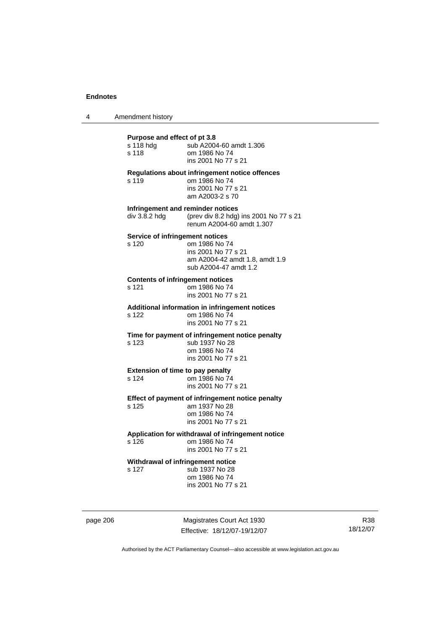4 Amendment history

| Purpose and effect of pt 3.8<br>s 118 hdg<br>s 118 | sub A2004-60 amdt 1.306<br>om 1986 No 74<br>ins 2001 No 77 s 21                                                                    |
|----------------------------------------------------|------------------------------------------------------------------------------------------------------------------------------------|
| s 119                                              | Regulations about infringement notice offences<br>om 1986 No 74<br>ins 2001 No 77 s 21<br>am A2003-2 s 70                          |
| div 3.8.2 hdg                                      | Infringement and reminder notices<br>(prev div 8.2 hdg) ins 2001 No 77 s 21<br>renum A2004-60 amdt 1.307                           |
| s 120                                              | Service of infringement notices<br>om 1986 No 74<br>ins 2001 No 77 s 21<br>am A2004-42 amdt 1.8, amdt 1.9<br>sub A2004-47 amdt 1.2 |
| s 121                                              | <b>Contents of infringement notices</b><br>om 1986 No 74<br>ins 2001 No 77 s 21                                                    |
| s 122                                              | Additional information in infringement notices<br>om 1986 No 74<br>ins 2001 No 77 s 21                                             |
| s 123                                              | Time for payment of infringement notice penalty<br>sub 1937 No 28<br>om 1986 No 74<br>ins 2001 No 77 s 21                          |
| s 124                                              | <b>Extension of time to pay penalty</b><br>om 1986 No 74<br>ins 2001 No 77 s 21                                                    |
| s 125                                              | Effect of payment of infringement notice penalty<br>am 1937 No 28<br>om 1986 No 74<br>ins 2001 No 77 s 21                          |
| s 126                                              | Application for withdrawal of infringement notice<br>om 1986 No 74<br>ins 2001 No 77 s 21                                          |
| s 127                                              | Withdrawal of infringement notice<br>sub 1937 No 28<br>om 1986 No 74<br>ins 2001 No 77 s 21                                        |

page 206 Magistrates Court Act 1930 Effective: 18/12/07-19/12/07

R38 18/12/07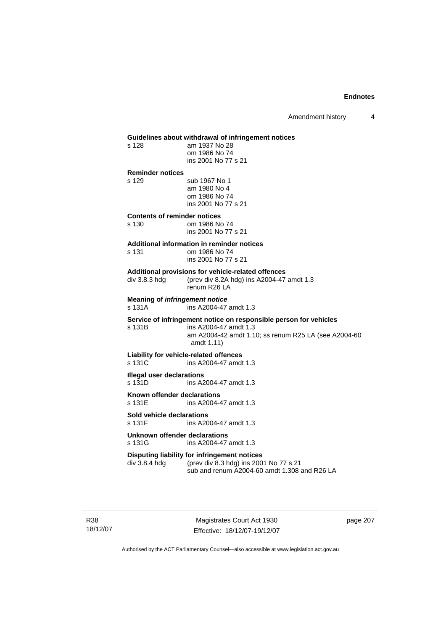Amendment history 4

## **Guidelines about withdrawal of infringement notices**  s 128 am 1937 No 28 om 1986 No 74 ins 2001 No 77 s 21 **Reminder notices**  s 129 sub 1967 No 1 am 1980 No 4 om 1986 No 74 ins 2001 No 77 s 21 **Contents of reminder notices**  s 130 om 1986 No 74 ins 2001 No 77 s 21 **Additional information in reminder notices**  s 131 om 1986 No 74 ins 2001 No 77 s 21 **Additional provisions for vehicle-related offences**  div 3.8.3 hdg (prev div 8.2A hdg) ins A2004-47 amdt 1.3 renum R26 LA **Meaning of** *infringement notice*<br>s 131A ins A2004-47 ins A2004-47 amdt 1.3 **Service of infringement notice on responsible person for vehicles**  s 131B ins A2004-47 amdt 1.3 am A2004-42 amdt 1.10; ss renum R25 LA (see A2004-60 amdt 1.11) **Liability for vehicle-related offences**  s 131C ins A2004-47 amdt 1.3 **Illegal user declarations**<br>s 131D **ins A2** ins A2004-47 amdt 1.3

**Known offender declarations**  s 131E ins A2004-47 amdt 1.3

# **Sold vehicle declarations**

ins A2004-47 amdt 1.3

#### **Unknown offender declarations**  s 131G ins A2004-47 amdt 1.3

# **Disputing liability for infringement notices**<br>div 3.8.4 hdg (prev div 8.3 hdg) ins 200

(prev div 8.3 hdg) ins 2001 No 77 s 21 sub and renum A2004-60 amdt 1.308 and R26 LA

R38 18/12/07

Magistrates Court Act 1930 Effective: 18/12/07-19/12/07 page 207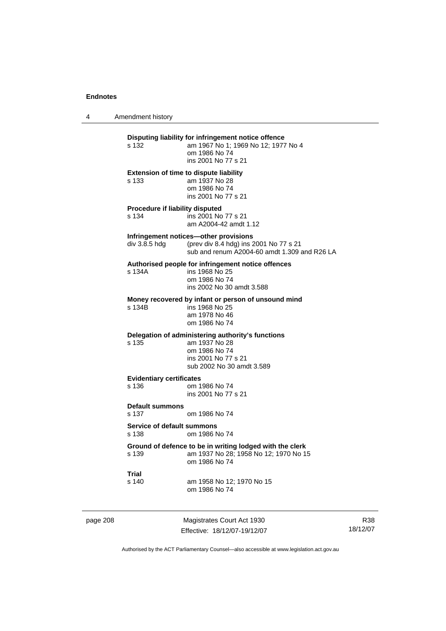4 Amendment history

| s 132                                      | Disputing liability for infringement notice offence<br>am 1967 No 1; 1969 No 12; 1977 No 4<br>om 1986 No 74<br>ins 2001 No 77 s 21      |
|--------------------------------------------|-----------------------------------------------------------------------------------------------------------------------------------------|
| s 133                                      | <b>Extension of time to dispute liability</b><br>am 1937 No 28<br>om 1986 No 74<br>ins 2001 No 77 s 21                                  |
| Procedure if liability disputed<br>s 134   | ins 2001 No 77 s 21<br>am A2004-42 amdt 1.12                                                                                            |
| div 3.8.5 hdg                              | Infringement notices—other provisions<br>(prev div 8.4 hdg) ins 2001 No 77 s 21<br>sub and renum A2004-60 amdt 1.309 and R26 LA         |
| s 134A                                     | Authorised people for infringement notice offences<br>ins 1968 No 25<br>om 1986 No 74<br>ins 2002 No 30 amdt 3.588                      |
| s 134B                                     | Money recovered by infant or person of unsound mind<br>ins 1968 No 25<br>am 1978 No 46<br>om 1986 No 74                                 |
| s 135                                      | Delegation of administering authority's functions<br>am 1937 No 28<br>om 1986 No 74<br>ins 2001 No 77 s 21<br>sub 2002 No 30 amdt 3.589 |
| <b>Evidentiary certificates</b><br>s 136   | om 1986 No 74<br>ins 2001 No 77 s 21                                                                                                    |
| <b>Default summons</b><br>s 137            | om 1986 No 74                                                                                                                           |
| <b>Service of default summons</b><br>s 138 | om 1986 No 74                                                                                                                           |
| s 139                                      | Ground of defence to be in writing lodged with the clerk<br>am 1937 No 28; 1958 No 12; 1970 No 15<br>om 1986 No 74                      |
| Trial<br>s 140                             | am 1958 No 12; 1970 No 15                                                                                                               |

page 208 Magistrates Court Act 1930 Effective: 18/12/07-19/12/07

R38 18/12/07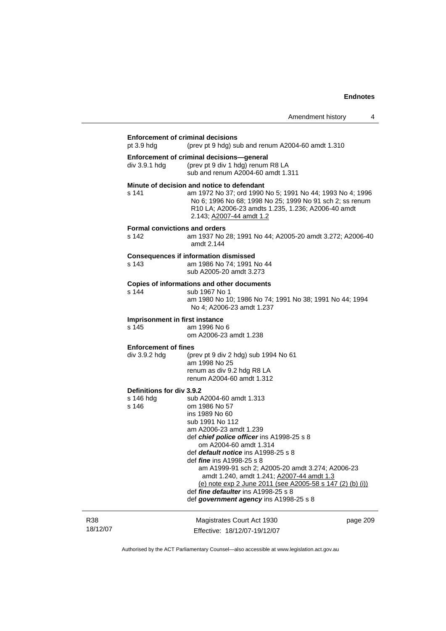|                                                 | <b>Enforcement of criminal decisions</b>                                                                                                                                                                                                                                                                                                                                                                                                                                                                        |
|-------------------------------------------------|-----------------------------------------------------------------------------------------------------------------------------------------------------------------------------------------------------------------------------------------------------------------------------------------------------------------------------------------------------------------------------------------------------------------------------------------------------------------------------------------------------------------|
| pt 3.9 hdg                                      | (prev pt 9 hdg) sub and renum A2004-60 amdt 1.310<br>Enforcement of criminal decisions-general                                                                                                                                                                                                                                                                                                                                                                                                                  |
| div 3.9.1 hdg                                   | (prev pt 9 div 1 hdg) renum R8 LA<br>sub and renum A2004-60 amdt 1.311                                                                                                                                                                                                                                                                                                                                                                                                                                          |
| s 141                                           | Minute of decision and notice to defendant<br>am 1972 No 37; ord 1990 No 5; 1991 No 44; 1993 No 4; 1996<br>No 6; 1996 No 68; 1998 No 25; 1999 No 91 sch 2; ss renum<br>R10 LA; A2006-23 amdts 1.235, 1.236; A2006-40 amdt<br>2.143; A2007-44 amdt 1.2                                                                                                                                                                                                                                                           |
| s 142                                           | <b>Formal convictions and orders</b><br>am 1937 No 28; 1991 No 44; A2005-20 amdt 3.272; A2006-40<br>amdt 2.144                                                                                                                                                                                                                                                                                                                                                                                                  |
| s 143                                           | <b>Consequences if information dismissed</b><br>am 1986 No 74; 1991 No 44<br>sub A2005-20 amdt 3.273                                                                                                                                                                                                                                                                                                                                                                                                            |
| s 144                                           | Copies of informations and other documents<br>sub 1967 No 1<br>am 1980 No 10; 1986 No 74; 1991 No 38; 1991 No 44; 1994<br>No 4; A2006-23 amdt 1.237                                                                                                                                                                                                                                                                                                                                                             |
| s 145                                           | Imprisonment in first instance<br>am 1996 No 6<br>om A2006-23 amdt 1.238                                                                                                                                                                                                                                                                                                                                                                                                                                        |
| <b>Enforcement of fines</b><br>div 3.9.2 hdg    | (prev pt 9 div 2 hdg) sub 1994 No 61<br>am 1998 No 25<br>renum as div 9.2 hdg R8 LA<br>renum A2004-60 amdt 1.312                                                                                                                                                                                                                                                                                                                                                                                                |
| Definitions for div 3.9.2<br>s 146 hdg<br>s 146 | sub A2004-60 amdt 1.313<br>om 1986 No 57<br>ins 1989 No 60<br>sub 1991 No 112<br>am A2006-23 amdt 1.239<br>def chief police officer ins A1998-25 s 8<br>om A2004-60 amdt 1.314<br>def <i>default notice</i> ins A1998-25 s 8<br>def <i>fine</i> ins A1998-25 s 8<br>am A1999-91 sch 2; A2005-20 amdt 3.274; A2006-23<br>amdt 1.240, amdt 1.241; A2007-44 amdt 1.3<br>(e) note exp 2 June 2011 (see A2005-58 s 147 (2) (b) (i))<br>def fine defaulter ins A1998-25 s 8<br>def government agency ins A1998-25 s 8 |
|                                                 | Magistrates Court Act 1930<br>page 209<br>Effective: 18/12/07-19/12/07                                                                                                                                                                                                                                                                                                                                                                                                                                          |

Authorised by the ACT Parliamentary Counsel—also accessible at www.legislation.act.gov.au

R38 18/12/07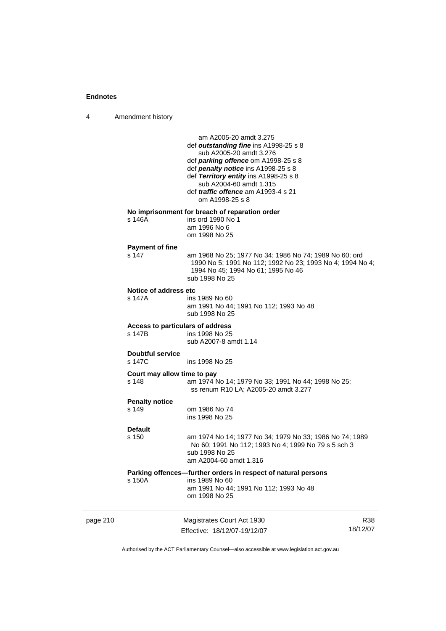4 Amendment history

page 210 Magistrates Court Act 1930 Effective: 18/12/07-19/12/07 R38 18/12/07 am A2005-20 amdt 3.275 def *outstanding fine* ins A1998-25 s 8 sub A2005-20 amdt 3.276 def *parking offence* om A1998-25 s 8 def *penalty notice* ins A1998-25 s 8 def *Territory entity* ins A1998-25 s 8 sub A2004-60 amdt 1.315 def *traffic offence* am A1993-4 s 21 om A1998-25 s 8 **No imprisonment for breach of reparation order**  ins ord 1990 No  $1$  am 1996 No 6 om 1998 No 25 **Payment of fine**  am 1968 No 25; 1977 No 34; 1986 No 74; 1989 No 60; ord 1990 No 5; 1991 No 112; 1992 No 23; 1993 No 4; 1994 No 4; 1994 No 45; 1994 No 61; 1995 No 46 sub 1998 No 25 **Notice of address etc**  s 147A ins 1989 No 60 am 1991 No 44; 1991 No 112; 1993 No 48 sub 1998 No 25 **Access to particulars of address**  s 147B ins 1998 No 25 sub A2007-8 amdt 1.14 **Doubtful service**  s 147C ins 1998 No 25 **Court may allow time to pay**  s 148 am 1974 No 14; 1979 No 33; 1991 No 44; 1998 No 25; ss renum R10 LA; A2005-20 amdt 3.277 **Penalty notice**  s 149 om 1986 No 74 ins 1998 No 25 **Default**  s 150 am 1974 No 14; 1977 No 34; 1979 No 33; 1986 No 74; 1989 No 60; 1991 No 112; 1993 No 4; 1999 No 79 s 5 sch 3 sub 1998 No 25 am A2004-60 amdt 1.316 **Parking offences—further orders in respect of natural persons**  ins 1989 No 60 am 1991 No 44; 1991 No 112; 1993 No 48 om 1998 No 25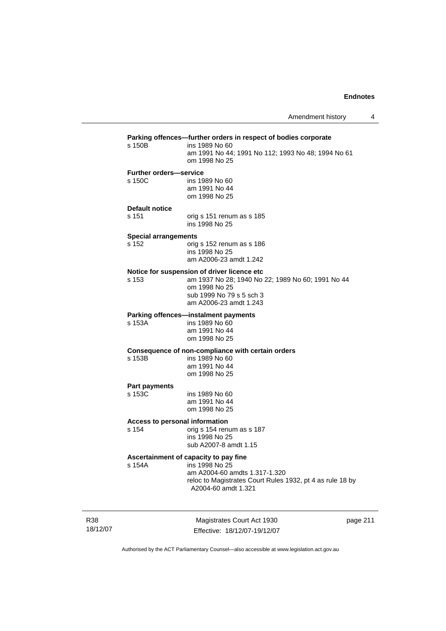## **Parking offences—further orders in respect of bodies corporate**  ins 1989 No 60 am 1991 No 44; 1991 No 112; 1993 No 48; 1994 No 61 om 1998 No 25 **Further orders—service**  s 150C ins 1989 No 60 am 1991 No 44 om 1998 No 25 **Default notice**  s 151 orig s 151 renum as s 185 ins 1998 No 25 **Special arrangements**  s 152 orig s 152 renum as s 186 ins 1998 No 25 am A2006-23 amdt 1.242 **Notice for suspension of driver licence etc**  s 153 am 1937 No 28; 1940 No 22; 1989 No 60; 1991 No 44 om 1998 No 25 sub 1999 No 79 s 5 sch 3 am A2006-23 amdt 1.243 **Parking offences—instalment payments**  ins 1989 No 60 am 1991 No 44 om 1998 No 25 **Consequence of non-compliance with certain orders**  ins 1989 No 60 am 1991 No 44 om 1998 No 25 **Part payments**  s 153C ins 1989 No 60 am 1991 No 44 om 1998 No 25 **Access to personal information**  s 154 orig s 154 renum as s 187 ins 1998 No 25 sub A2007-8 amdt 1.15 **Ascertainment of capacity to pay fine**  ins 1998 No 25 am A2004-60 amdts 1.317-1.320 reloc to Magistrates Court Rules 1932, pt 4 as rule 18 by A2004-60 amdt 1.321

R38 18/12/07

Magistrates Court Act 1930 Effective: 18/12/07-19/12/07 page 211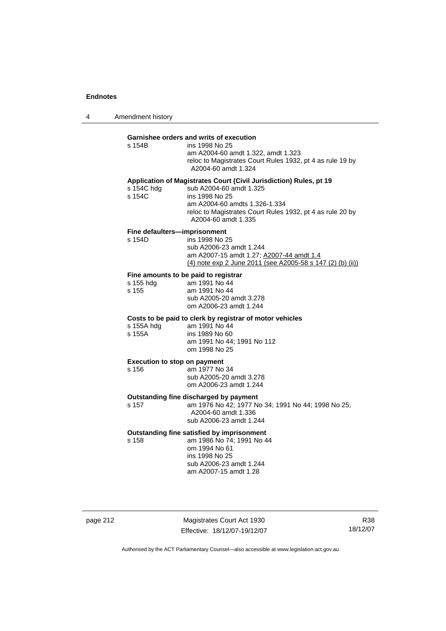4 Amendment history

| s 154B               | Garnishee orders and writs of execution<br>ins 1998 No 25<br>am A2004-60 amdt 1.322, amdt 1.323<br>reloc to Magistrates Court Rules 1932, pt 4 as rule 19 by<br>A2004-60 amdt 1.324                                                  |
|----------------------|--------------------------------------------------------------------------------------------------------------------------------------------------------------------------------------------------------------------------------------|
| s 154C hdg<br>s 154C | Application of Magistrates Court (Civil Jurisdiction) Rules, pt 19<br>sub A2004-60 amdt 1.325<br>ins 1998 No 25<br>am A2004-60 amdts 1.326-1.334<br>reloc to Magistrates Court Rules 1932, pt 4 as rule 20 by<br>A2004-60 amdt 1.335 |
| s 154D               | Fine defaulters-imprisonment<br>ins 1998 No 25<br>sub A2006-23 amdt 1.244<br>am A2007-15 amdt 1.27; A2007-44 amdt 1.4<br>(4) note exp 2 June 2011 (see A2005-58 s 147 (2) (b) (ii))                                                  |
| s 155 hdg<br>s 155   | Fine amounts to be paid to registrar<br>am 1991 No 44<br>am 1991 No 44<br>sub A2005-20 amdt 3.278<br>om A2006-23 amdt 1.244                                                                                                          |
| s 155A hdg<br>s 155A | Costs to be paid to clerk by registrar of motor vehicles<br>am 1991 No 44<br>ins 1989 No 60<br>am 1991 No 44; 1991 No 112<br>om 1998 No 25                                                                                           |
| s 156                | <b>Execution to stop on payment</b><br>am 1977 No 34<br>sub A2005-20 amdt 3.278<br>om A2006-23 amdt 1.244                                                                                                                            |
| s 157                | Outstanding fine discharged by payment<br>am 1976 No 42; 1977 No 34; 1991 No 44; 1998 No 25;<br>A2004-60 amdt 1.336<br>sub A2006-23 amdt 1.244                                                                                       |
| s 158                | Outstanding fine satisfied by imprisonment<br>am 1986 No 74; 1991 No 44<br>om 1994 No 61                                                                                                                                             |

 ins 1998 No 25 sub A2006-23 amdt 1.244 am A2007-15 amdt 1.28

page 212 Magistrates Court Act 1930 Effective: 18/12/07-19/12/07

R38 18/12/07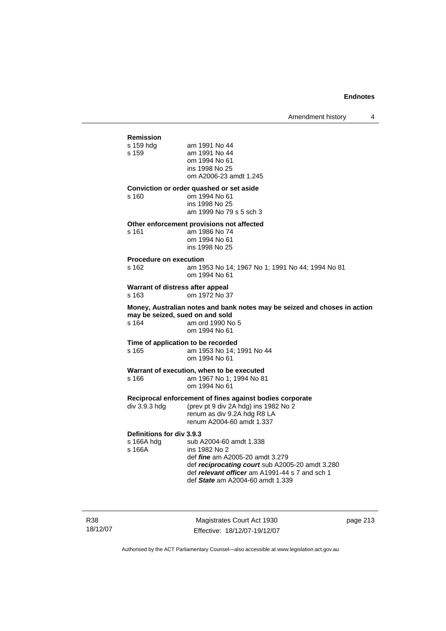Amendment history 4

# **Remission**

am 1991 No 44 s 159 am 1991 No 44 om 1994 No 61 ins 1998 No 25 om A2006-23 amdt 1.245

#### **Conviction or order quashed or set aside**

s 160 om 1994 No 61 ins 1998 No 25 am 1999 No 79 s 5 sch 3

#### **Other enforcement provisions not affected**

s 161 am 1986 No 74 om 1994 No 61 ins 1998 No 25

#### **Procedure on execution**

s 162 am 1953 No 14; 1967 No 1; 1991 No 44; 1994 No 81 om 1994 No 61

**Warrant of distress after appeal**  s 163 om 1972 No 37

**Money, Australian notes and bank notes may be seized and choses in action may be seized, sued on and sold**<br>s 164 **am ord 1990** No am ord 1990 No 5 om 1994 No 61

#### **Time of application to be recorded**  s 165 am 1953 No 14; 1991 No 44 om 1994 No 61

#### **Warrant of execution, when to be executed**

s 166 am 1967 No 1; 1994 No 81 om 1994 No 61

**Reciprocal enforcement of fines against bodies corporate**<br>div 3.9.3 hdg (prev pt 9 div 2A hdg) ins 1982 No 2

(prev pt 9 div 2A hdg) ins 1982 No  $2$  renum as div 9.2A hdg R8 LA renum A2004-60 amdt 1.337

### **Definitions for div 3.9.3**

s 166A hdg sub A2004-60 amdt 1.338<br>s 166A ins 1982 No 2 ins 1982 No 2 def *fine* am A2005-20 amdt 3.279 def *reciprocating court* sub A2005-20 amdt 3.280 def *relevant officer* am A1991-44 s 7 and sch 1 def *State* am A2004-60 amdt 1.339

R38 18/12/07

Magistrates Court Act 1930 Effective: 18/12/07-19/12/07 page 213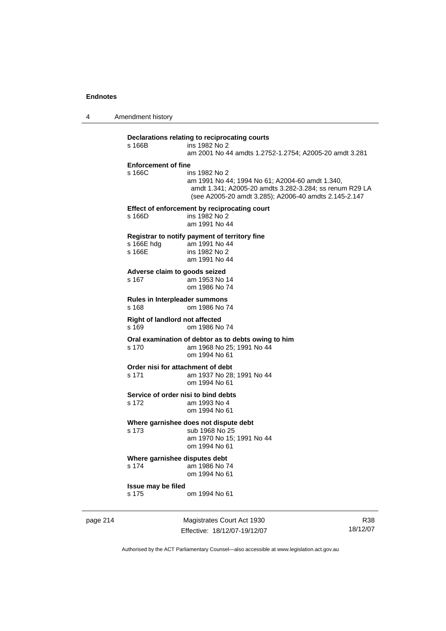4 Amendment history

## **Declarations relating to reciprocating courts**  ins 1982 No 2 am 2001 No 44 amdts 1.2752-1.2754; A2005-20 amdt 3.281 **Enforcement of fine**  ins 1982 No 2 am 1991 No 44; 1994 No 61; A2004-60 amdt 1.340, amdt 1.341; A2005-20 amdts 3.282-3.284; ss renum R29 LA (see A2005-20 amdt 3.285); A2006-40 amdts 2.145-2.147 **Effect of enforcement by reciprocating court**  s 166D ins 1982 No 2 am 1991 No 44 **Registrar to notify payment of territory fine**  am 1991 No 44 s 166E ins 1982 No 2 am 1991 No 44 **Adverse claim to goods seized**  s 167 am 1953 No 14 om 1986 No 74 **Rules in Interpleader summons**  om 1986 No 74 **Right of landlord not affected**  s 169 om 1986 No 74 **Oral examination of debtor as to debts owing to him**  s 170 am 1968 No 25; 1991 No 44 om 1994 No 61 **Order nisi for attachment of debt**<br>s 171 am 1937 No 28 am 1937 No 28; 1991 No 44 om 1994 No 61 **Service of order nisi to bind debts**  s 172 am 1993 No 4 om 1994 No 61 **Where garnishee does not dispute debt**  s 173 sub 1968 No 25 am 1970 No 15; 1991 No 44 om 1994 No 61 **Where garnishee disputes debt**  s 174 am 1986 No 74 om 1994 No 61 **Issue may be filed**  s 175 om 1994 No 61

page 214 Magistrates Court Act 1930 Effective: 18/12/07-19/12/07

R38 18/12/07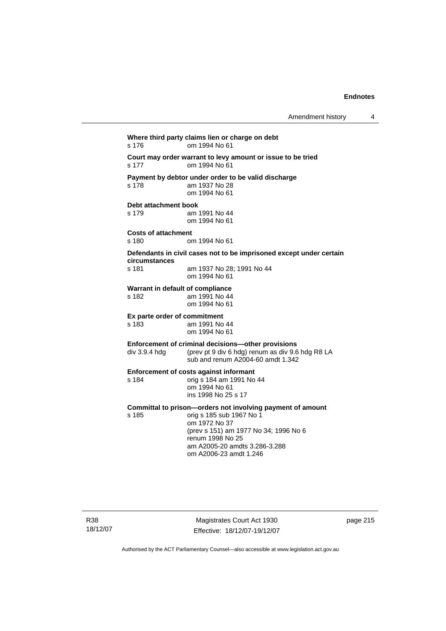**Where third party claims lien or charge on debt**  s 176 om 1994 No 61 **Court may order warrant to levy amount or issue to be tried**  s 177 om 1994 No 61 **Payment by debtor under order to be valid discharge**  am 1937 No 28 om 1994 No 61 **Debt attachment book**  s 179 am 1991 No 44 om 1994 No 61 **Costs of attachment**  om 1994 No 61 **Defendants in civil cases not to be imprisoned except under certain circumstances**  s 181 am 1937 No 28; 1991 No 44 om 1994 No 61 **Warrant in default of compliance**  s 182 am 1991 No 44 om 1994 No 61 **Ex parte order of commitment**  am 1991 No 44 om 1994 No 61 **Enforcement of criminal decisions—other provisions**  div 3.9.4 hdg (prev pt 9 div 6 hdg) renum as div 9.6 hdg R8 LA sub and renum A2004-60 amdt 1.342 **Enforcement of costs against informant**  s 184 orig s 184 am 1991 No 44 om 1994 No 61 ins 1998 No 25 s 17 **Committal to prison—orders not involving payment of amount**<br>s 185 corig s 185 sub 1967 No 1 orig s 185 sub 1967 No 1 om 1972 No 37 (prev s 151) am 1977 No 34; 1996 No 6 renum 1998 No 25 am A2005-20 amdts 3.286-3.288 om A2006-23 amdt 1.246

R38 18/12/07

Magistrates Court Act 1930 Effective: 18/12/07-19/12/07 page 215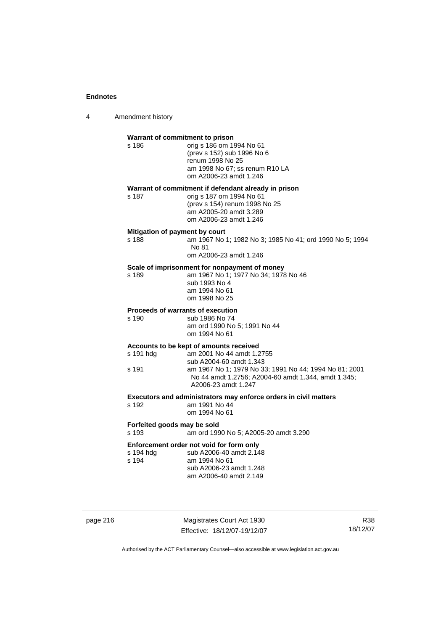4 Amendment history

| s 186                                | Warrant of commitment to prison<br>orig s 186 om 1994 No 61<br>(prev s 152) sub 1996 No 6<br>renum 1998 No 25<br>am 1998 No 67; ss renum R10 LA<br>om A2006-23 amdt 1.246                                                               |
|--------------------------------------|-----------------------------------------------------------------------------------------------------------------------------------------------------------------------------------------------------------------------------------------|
| s 187                                | Warrant of commitment if defendant already in prison<br>orig s 187 om 1994 No 61<br>(prev s 154) renum 1998 No 25<br>am A2005-20 amdt 3.289<br>om A2006-23 amdt 1.246                                                                   |
| s 188                                | Mitigation of payment by court<br>am 1967 No 1; 1982 No 3; 1985 No 41; ord 1990 No 5; 1994<br>No 81<br>om A2006-23 amdt 1.246                                                                                                           |
| s 189                                | Scale of imprisonment for nonpayment of money<br>am 1967 No 1; 1977 No 34; 1978 No 46<br>sub 1993 No 4<br>am 1994 No 61<br>om 1998 No 25                                                                                                |
| s 190                                | Proceeds of warrants of execution<br>sub 1986 No 74<br>am ord 1990 No 5; 1991 No 44<br>om 1994 No 61                                                                                                                                    |
| s 191 hdg<br>s 191                   | Accounts to be kept of amounts received<br>am 2001 No 44 amdt 1.2755<br>sub A2004-60 amdt 1.343<br>am 1967 No 1; 1979 No 33; 1991 No 44; 1994 No 81; 2001<br>No 44 amdt 1.2756; A2004-60 amdt 1.344, amdt 1.345;<br>A2006-23 amdt 1.247 |
| s 192                                | Executors and administrators may enforce orders in civil matters<br>am 1991 No 44<br>om 1994 No 61                                                                                                                                      |
| Forfeited goods may be sold<br>s 193 | am ord 1990 No 5; A2005-20 amdt 3.290                                                                                                                                                                                                   |
| s 194 hdg<br>s 194                   | Enforcement order not void for form only<br>sub A2006-40 amdt 2.148<br>am 1994 No 61<br>sub A2006-23 amdt 1.248<br>am A2006-40 amdt 2.149                                                                                               |

page 216 Magistrates Court Act 1930 Effective: 18/12/07-19/12/07

R38 18/12/07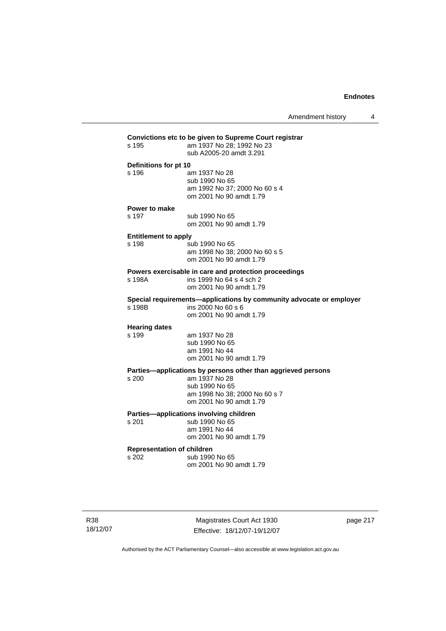| s 195                             | am 1937 No 28; 1992 No 23                                                                 |
|-----------------------------------|-------------------------------------------------------------------------------------------|
|                                   | sub A2005-20 amdt 3.291                                                                   |
| Definitions for pt 10             |                                                                                           |
| s 196                             | am 1937 No 28                                                                             |
|                                   | sub 1990 No 65                                                                            |
|                                   | am 1992 No 37; 2000 No 60 s 4<br>om 2001 No 90 amdt 1.79                                  |
| Power to make                     |                                                                                           |
| s 197                             | sub 1990 No 65                                                                            |
|                                   | om 2001 No 90 amdt 1.79                                                                   |
| <b>Entitlement to apply</b>       |                                                                                           |
| s 198                             | sub 1990 No 65<br>am 1998 No 38; 2000 No 60 s 5                                           |
|                                   | om 2001 No 90 amdt 1.79                                                                   |
|                                   | Powers exercisable in care and protection proceedings                                     |
| s 198A                            | ins 1999 No 64 s 4 sch 2                                                                  |
|                                   | om 2001 No 90 amdt 1.79                                                                   |
| s 198B                            | Special requirements-applications by community advocate or employer<br>ins 2000 No 60 s 6 |
|                                   | om 2001 No 90 amdt 1.79                                                                   |
|                                   |                                                                                           |
| <b>Hearing dates</b><br>s 199     | am 1937 No 28                                                                             |
|                                   | sub 1990 No 65                                                                            |
|                                   | am 1991 No 44                                                                             |
|                                   | om 2001 No 90 amdt 1.79                                                                   |
|                                   | Parties-applications by persons other than aggrieved persons                              |
| s 200                             | am 1937 No 28<br>sub 1990 No 65                                                           |
|                                   | am 1998 No 38; 2000 No 60 s 7                                                             |
|                                   | om 2001 No 90 amdt 1.79                                                                   |
|                                   | Parties-applications involving children                                                   |
| s 201                             | sub 1990 No 65<br>am 1991 No 44                                                           |
|                                   | om 2001 No 90 amdt 1.79                                                                   |
| <b>Representation of children</b> |                                                                                           |
| s 202                             | sub 1990 No 65                                                                            |
|                                   | om 2001 No 90 amdt 1.79                                                                   |

Magistrates Court Act 1930 Effective: 18/12/07-19/12/07 page 217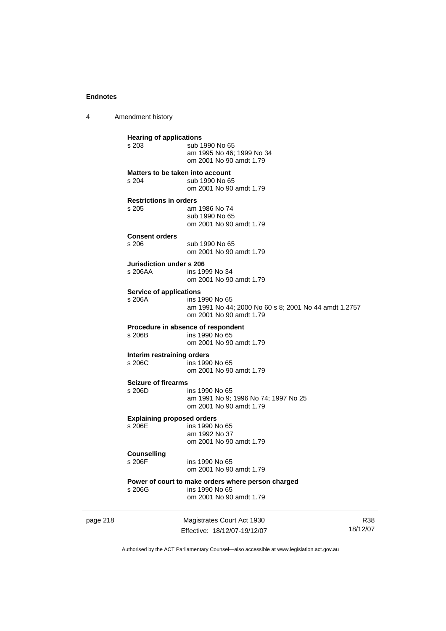4 Amendment history

page 218 Magistrates Court Act 1930 **Hearing of applications**<br>s 203 sub 1 sub 1990 No 65 am 1995 No 46; 1999 No 34 om 2001 No 90 amdt 1.79 **Matters to be taken into account**  s 204 sub 1990 No 65 om 2001 No 90 amdt 1.79 **Restrictions in orders**  am 1986 No 74 sub 1990 No 65 om 2001 No 90 amdt 1.79 **Consent orders**  sub 1990 No 65 om 2001 No 90 amdt 1.79 **Jurisdiction under s 206**  s 206AA ins 1999 No 34 om 2001 No 90 amdt 1.79 **Service of applications**<br>**s** 206A **ins 1** ins 1990 No 65 am 1991 No 44; 2000 No 60 s 8; 2001 No 44 amdt 1.2757 om 2001 No 90 amdt 1.79 **Procedure in absence of respondent**<br>s 206B ins 1990 No 65 ins 1990 No 65 om 2001 No 90 amdt 1.79 **Interim restraining orders**  s 206C ins 1990 No 65 om 2001 No 90 amdt 1.79 **Seizure of firearms**  s 206D ins 1990 No 65 am 1991 No 9; 1996 No 74; 1997 No 25 om 2001 No 90 amdt 1.79 **Explaining proposed orders**  s 206E ins 1990 No 65 am 1992 No 37 om 2001 No 90 amdt 1.79 **Counselling**  s 206F ins 1990 No 65 om 2001 No 90 amdt 1.79 **Power of court to make orders where person charged**  ins 1990 No 65 om 2001 No 90 amdt 1.79

Effective: 18/12/07-19/12/07

R38 18/12/07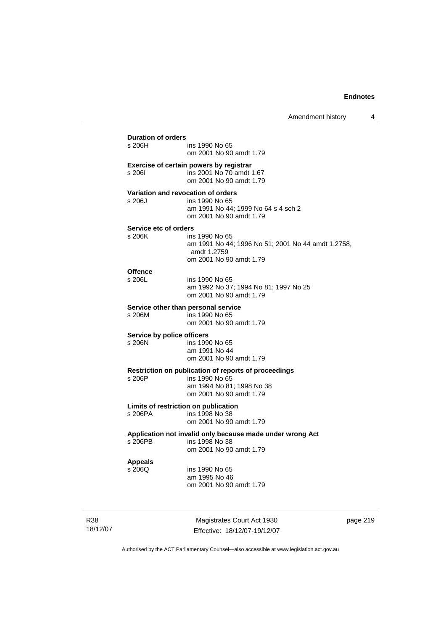| s 206H                     | ins 1990 No 65<br>om 2001 No 90 amdt 1.79                                                      |
|----------------------------|------------------------------------------------------------------------------------------------|
| s 2061                     | Exercise of certain powers by registrar<br>ins 2001 No 70 amdt 1.67<br>om 2001 No 90 amdt 1.79 |
|                            | Variation and revocation of orders                                                             |
| s 206J                     | ins 1990 No 65<br>am 1991 No 44; 1999 No 64 s 4 sch 2<br>om 2001 No 90 amdt 1.79               |
| Service etc of orders      |                                                                                                |
| s 206K                     | ins 1990 No 65<br>am 1991 No 44; 1996 No 51; 2001 No 44 amdt 1.2758,<br>amdt 1.2759            |
|                            | om 2001 No 90 amdt 1.79                                                                        |
| <b>Offence</b><br>s 206L   | ins 1990 No 65<br>am 1992 No 37; 1994 No 81; 1997 No 25<br>om 2001 No 90 amdt 1.79             |
|                            | Service other than personal service                                                            |
| s 206M                     | ins 1990 No 65<br>om 2001 No 90 amdt 1.79                                                      |
| Service by police officers |                                                                                                |
| s 206N                     | ins 1990 No 65<br>am 1991 No 44<br>om 2001 No 90 amdt 1.79                                     |
|                            | Restriction on publication of reports of proceedings                                           |
| s 206P                     | ins 1990 No 65<br>am 1994 No 81; 1998 No 38<br>om 2001 No 90 amdt 1.79                         |
|                            | Limits of restriction on publication                                                           |
| s 206PA                    | ins 1998 No 38<br>om 2001 No 90 amdt 1.79                                                      |
|                            | Application not invalid only because made under wrong Act                                      |
| s 206PB                    | ins 1998 No 38<br>om 2001 No 90 amdt 1.79                                                      |
| <b>Appeals</b>             |                                                                                                |
| s 206Q                     | ins 1990 No 65<br>am 1995 No 46<br>om 2001 No 90 amdt 1.79                                     |

R38 18/12/07

Magistrates Court Act 1930 Effective: 18/12/07-19/12/07 page 219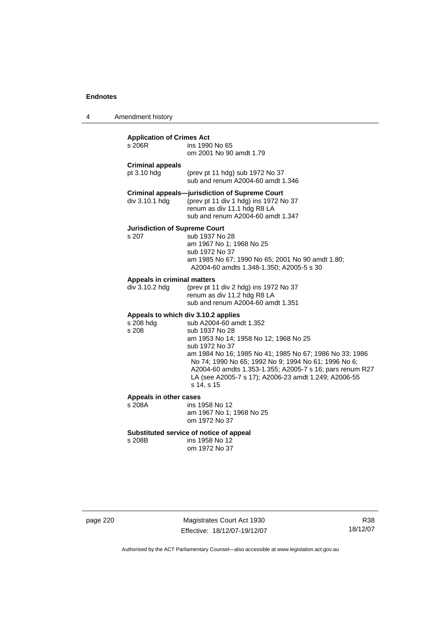4 Amendment history

| <b>Application of Crimes Act</b><br>s 206R<br>ins 1990 No 65<br>om 2001 No 90 amdt 1.79                                                                                                                                                                                                                                                                                                                                |                                                                                                                                                                     |  |
|------------------------------------------------------------------------------------------------------------------------------------------------------------------------------------------------------------------------------------------------------------------------------------------------------------------------------------------------------------------------------------------------------------------------|---------------------------------------------------------------------------------------------------------------------------------------------------------------------|--|
| <b>Criminal appeals</b><br>pt $3.10$ hdg                                                                                                                                                                                                                                                                                                                                                                               | (prev pt 11 hdg) sub 1972 No 37<br>sub and renum A2004-60 amdt 1.346                                                                                                |  |
| div 3.10.1 hdg                                                                                                                                                                                                                                                                                                                                                                                                         | <b>Criminal appeals--jurisdiction of Supreme Court</b><br>(prev pt 11 div 1 hdg) ins 1972 No 37<br>renum as div 11.1 hdg R8 LA<br>sub and renum A2004-60 amdt 1.347 |  |
| <b>Jurisdiction of Supreme Court</b><br>s 207                                                                                                                                                                                                                                                                                                                                                                          | sub 1937 No 28<br>am 1967 No 1; 1968 No 25<br>sub 1972 No 37<br>am 1985 No 67; 1990 No 65; 2001 No 90 amdt 1.80;<br>A2004-60 amdts 1.348-1.350; A2005-5 s 30        |  |
| Appeals in criminal matters<br>div 3.10.2 hdg                                                                                                                                                                                                                                                                                                                                                                          | (prev pt 11 div 2 hdg) ins 1972 No 37<br>renum as div 11.2 hdg R8 LA<br>sub and renum A2004-60 amdt 1.351                                                           |  |
| Appeals to which div 3.10.2 applies<br>sub A2004-60 amdt 1.352<br>s 208 hdg<br>s 208<br>sub 1937 No 28<br>am 1953 No 14; 1958 No 12; 1968 No 25<br>sub 1972 No 37<br>am 1984 No 16; 1985 No 41; 1985 No 67; 1986 No 33; 1986<br>No 74; 1990 No 65; 1992 No 9; 1994 No 61; 1996 No 6;<br>A2004-60 amdts 1.353-1.355; A2005-7 s 16; pars renum R27<br>LA (see A2005-7 s 17); A2006-23 amdt 1.249; A2006-55<br>s 14, s 15 |                                                                                                                                                                     |  |
| Appeals in other cases<br>s 208A                                                                                                                                                                                                                                                                                                                                                                                       | ins 1958 No 12<br>am 1967 No 1; 1968 No 25<br>om 1972 No 37                                                                                                         |  |
| s 208B                                                                                                                                                                                                                                                                                                                                                                                                                 | Substituted service of notice of appeal<br>ins 1958 No 12<br>om 1972 No 37                                                                                          |  |

page 220 Magistrates Court Act 1930 Effective: 18/12/07-19/12/07

R38 18/12/07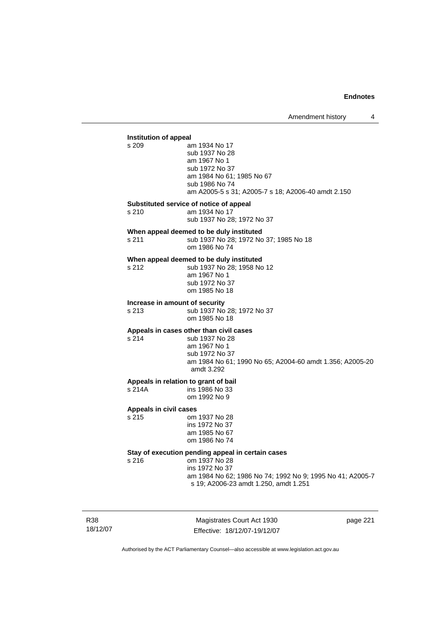## **Institution of appeal**  am 1934 No 17 sub 1937 No 28 am 1967 No 1 sub 1972 No 37 am 1984 No 61; 1985 No 67 sub 1986 No 74 am A2005-5 s 31; A2005-7 s 18; A2006-40 amdt 2.150 **Substituted service of notice of appeal**  s 210 am 1934 No 17 sub 1937 No 28; 1972 No 37 **When appeal deemed to be duly instituted**  s 211 sub 1937 No 28; 1972 No 37; 1985 No 18 om 1986 No 74 **When appeal deemed to be duly instituted**<br>s 212 sub 1937 No 28; 1958 No sub 1937 No 28; 1958 No 12 am 1967 No 1 sub 1972 No 37 om 1985 No 18 **Increase in amount of security**  s 213 sub 1937 No 28; 1972 No 37 om 1985 No 18 **Appeals in cases other than civil cases**  s 214 sub 1937 No 28 am 1967 No 1 sub 1972 No 37 am 1984 No 61; 1990 No 65; A2004-60 amdt 1.356; A2005-20 amdt 3.292 **Appeals in relation to grant of bail**  ins 1986 No 33 om 1992 No 9 **Appeals in civil cases**  om 1937 No 28 ins 1972 No 37 am 1985 No 67 om 1986 No 74 **Stay of execution pending appeal in certain cases**  s 216 om 1937 No 28 ins 1972 No 37 am 1984 No 62; 1986 No 74; 1992 No 9; 1995 No 41; A2005-7 s 19; A2006-23 amdt 1.250, amdt 1.251

R38 18/12/07

Magistrates Court Act 1930 Effective: 18/12/07-19/12/07 page 221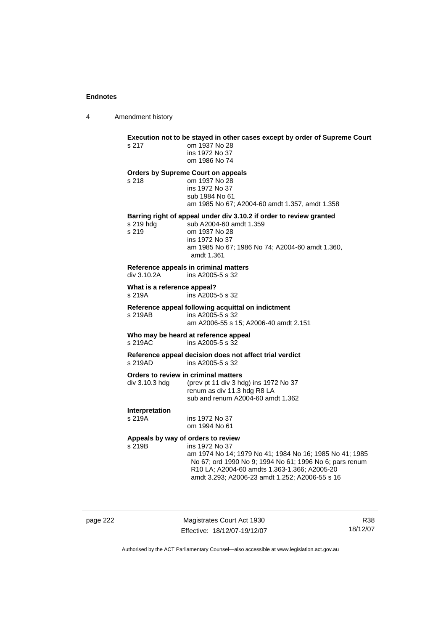4 Amendment history

| s 217                                 | Execution not to be stayed in other cases except by order of Supreme Court<br>om 1937 No 28<br>ins 1972 No 37<br>om 1986 No 74                                                                                                                                               |
|---------------------------------------|------------------------------------------------------------------------------------------------------------------------------------------------------------------------------------------------------------------------------------------------------------------------------|
| s 218                                 | <b>Orders by Supreme Court on appeals</b><br>om 1937 No 28<br>ins 1972 No 37<br>sub 1984 No 61<br>am 1985 No 67; A2004-60 amdt 1.357, amdt 1.358                                                                                                                             |
| s 219 hdg<br>s 219                    | Barring right of appeal under div 3.10.2 if order to review granted<br>sub A2004-60 amdt 1.359<br>om 1937 No 28<br>ins 1972 No 37<br>am 1985 No 67; 1986 No 74; A2004-60 amdt 1.360,<br>amdt 1.361                                                                           |
| div 3.10.2A                           | Reference appeals in criminal matters<br>ins A2005-5 s 32                                                                                                                                                                                                                    |
| What is a reference appeal?<br>s 219A | ins A2005-5 s 32                                                                                                                                                                                                                                                             |
| s 219AB                               | Reference appeal following acquittal on indictment<br>ins A2005-5 s 32<br>am A2006-55 s 15; A2006-40 amdt 2.151                                                                                                                                                              |
| s 219AC                               | Who may be heard at reference appeal<br>ins A2005-5 s 32                                                                                                                                                                                                                     |
| s 219AD                               | Reference appeal decision does not affect trial verdict<br>ins A2005-5 s 32                                                                                                                                                                                                  |
| div 3.10.3 hdg                        | Orders to review in criminal matters<br>(prev pt 11 div 3 hdg) ins 1972 No 37<br>renum as div 11.3 hdg R8 LA<br>sub and renum A2004-60 amdt 1.362                                                                                                                            |
| Interpretation<br>s 219A              | ins 1972 No 37<br>om 1994 No 61                                                                                                                                                                                                                                              |
| s 219B                                | Appeals by way of orders to review<br>ins 1972 No 37<br>am 1974 No 14; 1979 No 41; 1984 No 16; 1985 No 41; 1985<br>No 67; ord 1990 No 9; 1994 No 61; 1996 No 6; pars renum<br>R10 LA; A2004-60 amdts 1.363-1.366; A2005-20<br>amdt 3.293; A2006-23 amdt 1.252; A2006-55 s 16 |

page 222 Magistrates Court Act 1930 Effective: 18/12/07-19/12/07

R38 18/12/07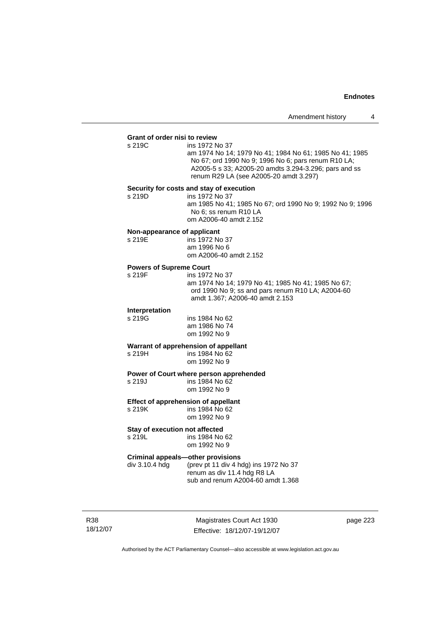## **Grant of order nisi to review**

ins 1972 No 37 am 1974 No 14; 1979 No 41; 1984 No 61; 1985 No 41; 1985 No 67; ord 1990 No 9; 1996 No 6; pars renum R10 LA; A2005-5 s 33; A2005-20 amdts 3.294-3.296; pars and ss renum R29 LA (see A2005-20 amdt 3.297)

#### **Security for costs and stay of execution**

s 219D ins 1972 No 37 am 1985 No 41; 1985 No 67; ord 1990 No 9; 1992 No 9; 1996 No 6; ss renum R10 LA om A2006-40 amdt 2.152

#### **Non-appearance of applicant**

| s 219E | ins 1972 No 37         |
|--------|------------------------|
|        | am 1996 No 6           |
|        | om A2006-40 amdt 2.152 |

#### **Powers of Supreme Court**

| s 219F | ins 1972 No 37                                     |
|--------|----------------------------------------------------|
|        | am 1974 No 14; 1979 No 41; 1985 No 41; 1985 No 67; |
|        | ord 1990 No 9; ss and pars renum R10 LA; A2004-60  |
|        | amdt 1.367; A2006-40 amdt 2.153                    |

## **Interpretation**

ins 1984 No 62 am 1986 No 74 om 1992 No 9

#### **Warrant of apprehension of appellant**

s 219H ins 1984 No 62 om 1992 No 9

**Power of Court where person apprehended**<br>s 219J<br>ins 1984 No 62  $ins$  1984 No 62

om 1992 No 9

#### **Effect of apprehension of appellant**

s 219K ins 1984 No 62 om 1992 No 9

#### **Stay of execution not affected**

s 219L ins 1984 No 62 om 1992 No 9

# **Criminal appeals—other provisions**<br>div 3.10.4 hdg (prev pt 11 div 4 h

(prev pt 11 div 4 hdg) ins 1972 No 37 renum as div 11.4 hdg R8 LA sub and renum A2004-60 amdt 1.368

R38 18/12/07

Magistrates Court Act 1930 Effective: 18/12/07-19/12/07 page 223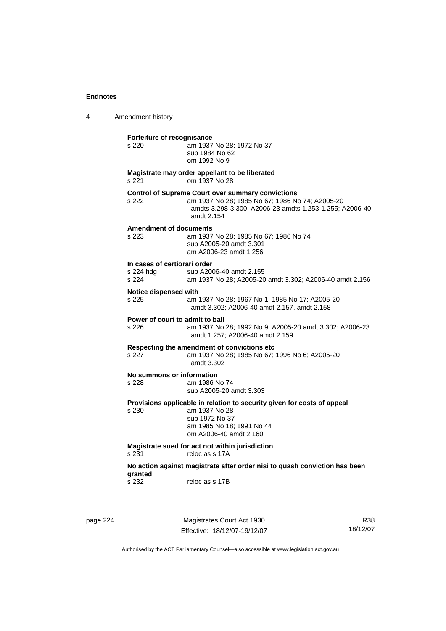4 Amendment history **Forfeiture of recognisance**  s 220 am 1937 No 28; 1972 No 37 sub 1984 No 62 om 1992 No 9 **Magistrate may order appellant to be liberated**  s 221 om 1937 No 28 **Control of Supreme Court over summary convictions**  s 222 am 1937 No 28; 1985 No 67; 1986 No 74; A2005-20 amdts 3.298-3.300; A2006-23 amdts 1.253-1.255; A2006-40 amdt 2.154 **Amendment of documents**  s 223 am 1937 No 28; 1985 No 67; 1986 No 74 sub A2005-20 amdt 3.301 am A2006-23 amdt 1.256 **In cases of certiorari order**  s 224 hdg sub A2006-40 amdt 2.155 s 224 am 1937 No 28; A2005-20 amdt 3.302; A2006-40 amdt 2.156 **Notice dispensed with**  s 225 am 1937 No 28; 1967 No 1; 1985 No 17; A2005-20 amdt 3.302; A2006-40 amdt 2.157, amdt 2.158 **Power of court to admit to bail**  s 226 am 1937 No 28; 1992 No 9; A2005-20 amdt 3.302; A2006-23 amdt 1.257; A2006-40 amdt 2.159 **Respecting the amendment of convictions etc**  s 227 am 1937 No 28; 1985 No 67; 1996 No 6; A2005-20 amdt 3.302 **No summons or information**  s 228 am 1986 No 74 sub A2005-20 amdt 3.303 **Provisions applicable in relation to security given for costs of appeal**  s 230 am 1937 No 28 sub 1972 No 37 am 1985 No 18; 1991 No 44 om A2006-40 amdt 2.160 **Magistrate sued for act not within jurisdiction**  s 231 reloc as s 17A **No action against magistrate after order nisi to quash conviction has been granted**  s 232 reloc as s 17B

page 224 Magistrates Court Act 1930 Effective: 18/12/07-19/12/07

R38 18/12/07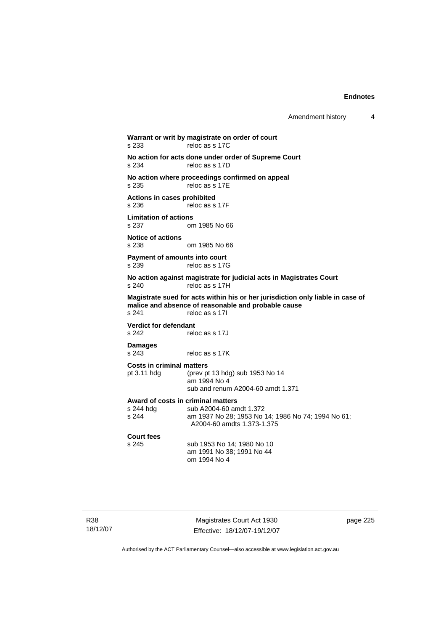Amendment history 4

**Warrant or writ by magistrate on order of court**  s 233 reloc as s 17C **No action for acts done under order of Supreme Court**  s 234 reloc as s 17D **No action where proceedings confirmed on appeal**  s 235 reloc as s 17E **Actions in cases prohibited**  s 236 reloc as s 17F **Limitation of actions**  om 1985 No 66 **Notice of actions**  s 238 om 1985 No 66 **Payment of amounts into court**  s 239 reloc as s 17G **No action against magistrate for judicial acts in Magistrates Court**  s 240 reloc as s 17H **Magistrate sued for acts within his or her jurisdiction only liable in case of malice and absence of reasonable and probable cause**  s 241 reloc as s 17I **Verdict for defendant**<br>s 242 rele reloc as s 17J **Damages**  s 243 reloc as s 17K **Costs in criminal matters**  pt 3.11 hdg (prev pt 13 hdg) sub 1953 No 14 am 1994 No 4 sub and renum A2004-60 amdt 1.371 **Award of costs in criminal matters**  sub A2004-60 amdt 1.372 s 244 am 1937 No 28; 1953 No 14; 1986 No 74; 1994 No 61; A2004-60 amdts 1.373-1.375 **Court fees**  s 245 sub 1953 No 14; 1980 No 10 am 1991 No 38; 1991 No 44 om 1994 No 4

Magistrates Court Act 1930 Effective: 18/12/07-19/12/07 page 225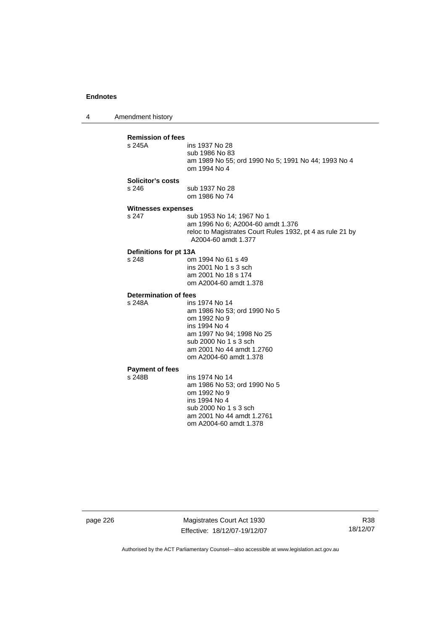4 Amendment history **Remission of fees**  ins 1937 No 28 sub 1986 No 83 am 1989 No 55; ord 1990 No 5; 1991 No 44; 1993 No 4 om 1994 No 4 **Solicitor's costs**  s 246 sub 1937 No 28 om 1986 No 74 **Witnesses expenses**  s 247 sub 1953 No 14; 1967 No 1 am 1996 No 6; A2004-60 amdt 1.376 reloc to Magistrates Court Rules 1932, pt 4 as rule 21 by A2004-60 amdt 1.377 **Definitions for pt 13A**  om 1994 No 61 s 49 ins 2001 No 1 s 3 sch am 2001 No 18 s 174 om A2004-60 amdt 1.378 **Determination of fees**  s 248A ins 1974 No 14 am 1986 No 53; ord 1990 No 5 om 1992 No 9 ins 1994 No 4 am 1997 No 94; 1998 No 25 sub 2000 No 1 s 3 sch am 2001 No 44 amdt 1.2760 om A2004-60 amdt 1.378 **Payment of fees**  ins 1974 No 14 am 1986 No 53; ord 1990 No 5 om 1992 No 9 ins 1994 No 4 sub 2000 No 1 s 3 sch am 2001 No 44 amdt 1.2761 om A2004-60 amdt 1.378

page 226 Magistrates Court Act 1930 Effective: 18/12/07-19/12/07

R38 18/12/07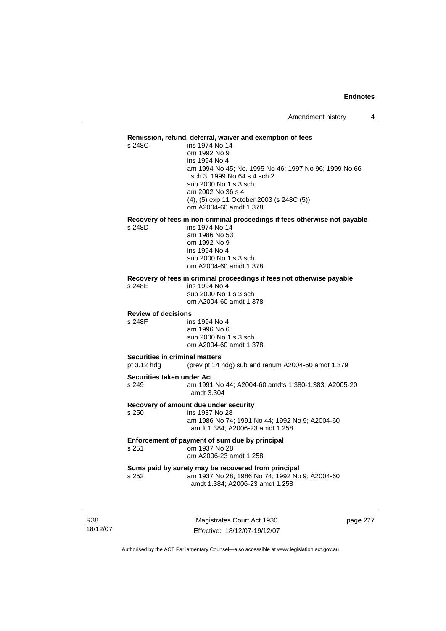#### **Remission, refund, deferral, waiver and exemption of fees**

s 248C ins 1974 No 14 om 1992 No 9 ins 1994 No 4 am 1994 No 45; No. 1995 No 46; 1997 No 96; 1999 No 66 sch 3; 1999 No 64 s 4 sch 2 sub 2000 No 1 s 3 sch am 2002 No 36 s 4 (4), (5) exp 11 October 2003 (s 248C (5)) om A2004-60 amdt 1.378

## **Recovery of fees in non-criminal proceedings if fees otherwise not payable**

ins 1974 No 14 am 1986 No 53 om 1992 No 9 ins 1994 No 4 sub 2000 No 1 s 3 sch om A2004-60 amdt 1.378

#### **Recovery of fees in criminal proceedings if fees not otherwise payable**

s 248E ins 1994 No 4 sub 2000 No 1 s 3 sch

om A2004-60 amdt 1.378

#### **Review of decisions**

s 248F ins 1994 No 4 am 1996 No 6 sub 2000 No 1 s 3 sch om A2004-60 amdt 1.378

#### **Securities in criminal matters**

pt 3.12 hdg (prev pt 14 hdg) sub and renum A2004-60 amdt 1.379

#### **Securities taken under Act**

s 249 am 1991 No 44; A2004-60 amdts 1.380-1.383; A2005-20 amdt 3.304

#### **Recovery of amount due under security**

s 250 ins 1937 No 28

 am 1986 No 74; 1991 No 44; 1992 No 9; A2004-60 amdt 1.384; A2006-23 amdt 1.258

#### **Enforcement of payment of sum due by principal**  s 251 om 1937 No 28 am A2006-23 amdt 1.258

#### **Sums paid by surety may be recovered from principal**  s 252 am 1937 No 28; 1986 No 74; 1992 No 9; A2004-60 amdt 1.384; A2006-23 amdt 1.258

R38 18/12/07

Magistrates Court Act 1930 Effective: 18/12/07-19/12/07 page 227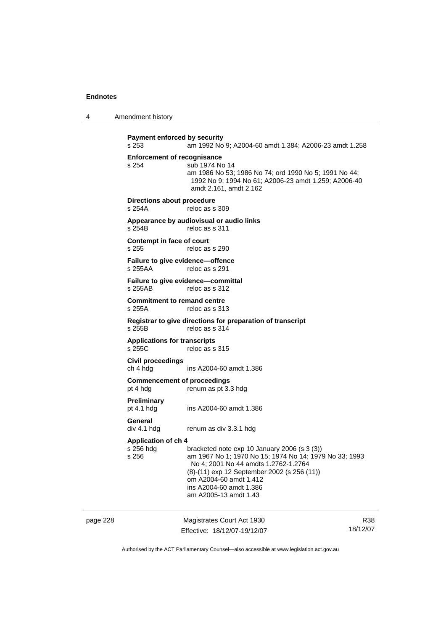4 Amendment history

page 228 Magistrates Court Act 1930 Effective: 18/12/07-19/12/07 R38 18/12/07 **Payment enforced by security**  s 253 am 1992 No 9; A2004-60 amdt 1.384; A2006-23 amdt 1.258 **Enforcement of recognisance**  s 254 sub 1974 No 14 am 1986 No 53; 1986 No 74; ord 1990 No 5; 1991 No 44; 1992 No 9; 1994 No 61; A2006-23 amdt 1.259; A2006-40 amdt 2.161, amdt 2.162 **Directions about procedure**<br>s 254A reloc as s reloc as s 309 **Appearance by audiovisual or audio links**  reloc as s 311 **Contempt in face of court**  s 255 reloc as s 290 **Failure to give evidence—offence**  s 255AA reloc as s 291 **Failure to give evidence—committal**  s 255AB reloc as s 312 **Commitment to remand centre**  s 255A reloc as s 313 **Registrar to give directions for preparation of transcript**  s 255B reloc as s 314 **Applications for transcripts**  s 255C reloc as s 315 **Civil proceedings**  ch 4 hdg ins A2004-60 amdt 1.386 **Commencement of proceedings**  pt 4 hdg renum as pt 3.3 hdg **Preliminary**  pt 4.1 hdg ins A2004-60 amdt 1.386 **General**  div 4.1 hdg renum as div 3.3.1 hdg **Application of ch 4**  s 256 hdg bracketed note exp 10 January 2006 (s 3 (3))<br>s 256 **bracketed note exp 10 January 2006 (s 3 (3)** am 1967 No 1: 1970 No 15: 1974 No 14: 1979 No 33: 1993 No 4; 2001 No 44 amdts 1.2762-1.2764 (8)-(11) exp 12 September 2002 (s 256 (11)) om A2004-60 amdt 1.412 ins A2004-60 amdt 1.386 am A2005-13 amdt 1.43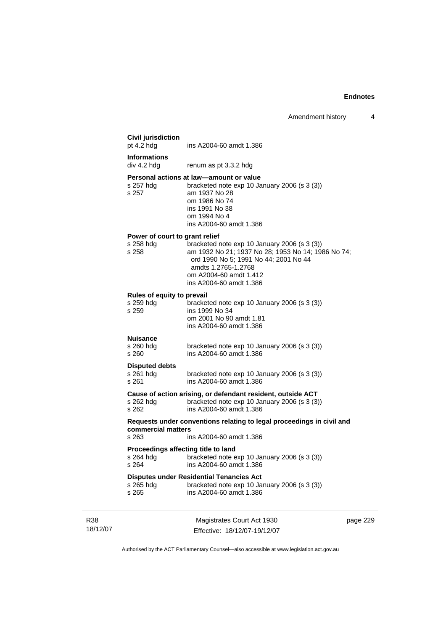|                 | <b>Civil jurisdiction</b><br>pt $4.2$ hdg            | ins A2004-60 amdt 1.386                                                                                                                                                                                                 |          |
|-----------------|------------------------------------------------------|-------------------------------------------------------------------------------------------------------------------------------------------------------------------------------------------------------------------------|----------|
|                 | <b>Informations</b><br>div 4.2 hdg                   | renum as pt 3.3.2 hdg                                                                                                                                                                                                   |          |
|                 | s 257 hdg<br>s 257                                   | Personal actions at law—amount or value<br>bracketed note exp 10 January 2006 (s 3 (3))<br>am 1937 No 28<br>om 1986 No 74<br>ins 1991 No 38<br>om 1994 No 4<br>ins A2004-60 amdt 1.386                                  |          |
|                 | Power of court to grant relief<br>s 258 hdg<br>s 258 | bracketed note exp 10 January 2006 (s 3 (3))<br>am 1932 No 21; 1937 No 28; 1953 No 14; 1986 No 74;<br>ord 1990 No 5; 1991 No 44; 2001 No 44<br>amdts 1.2765-1.2768<br>om A2004-60 amdt 1.412<br>ins A2004-60 amdt 1.386 |          |
|                 | Rules of equity to prevail<br>s 259 hda<br>s 259     | bracketed note exp 10 January 2006 (s 3 (3))<br>ins 1999 No 34<br>om 2001 No 90 amdt 1.81<br>ins A2004-60 amdt 1.386                                                                                                    |          |
|                 | <b>Nuisance</b><br>s 260 hdg<br>s 260                | bracketed note exp 10 January 2006 (s 3 (3))<br>ins A2004-60 amdt 1.386                                                                                                                                                 |          |
|                 | <b>Disputed debts</b><br>s 261 hdg<br>s 261          | bracketed note exp 10 January 2006 (s 3 (3))<br>ins A2004-60 amdt 1.386                                                                                                                                                 |          |
|                 | s 262 hdg<br>s 262                                   | Cause of action arising, or defendant resident, outside ACT<br>bracketed note exp 10 January 2006 (s 3 (3))<br>ins A2004-60 amdt 1.386                                                                                  |          |
|                 | commercial matters<br>s 263                          | Requests under conventions relating to legal proceedings in civil and<br>ins A2004-60 amdt 1.386                                                                                                                        |          |
|                 | Proceedings affecting title to land<br>s 264         | s 264 hdg bracketed note exp 10 January 2006 (s 3 (3))<br>ins A2004-60 amdt 1.386                                                                                                                                       |          |
|                 | s 265 hdg<br>s 265                                   | <b>Disputes under Residential Tenancies Act</b><br>bracketed note exp 10 January 2006 (s 3 (3))<br>ins A2004-60 amdt 1.386                                                                                              |          |
| R38<br>18/12/07 |                                                      | Magistrates Court Act 1930<br>Effective: 18/12/07-19/12/07                                                                                                                                                              | page 229 |

Authorised by the ACT Parliamentary Counsel—also accessible at www.legislation.act.gov.au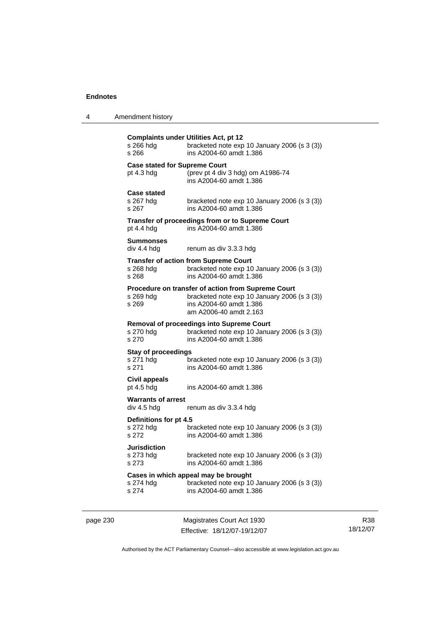| 4 | Amendment history |
|---|-------------------|
|---|-------------------|

| s 266 hdg<br>s 266                                   | <b>Complaints under Utilities Act, pt 12</b><br>bracketed note exp 10 January 2006 (s 3 (3))<br>ins A2004-60 amdt 1.386                                        |
|------------------------------------------------------|----------------------------------------------------------------------------------------------------------------------------------------------------------------|
| <b>Case stated for Supreme Court</b><br>pt $4.3$ hdg | (prev pt 4 div 3 hdg) om A1986-74<br>ins A2004-60 amdt 1.386                                                                                                   |
| <b>Case stated</b><br>s 267 hdg<br>s 267             | bracketed note exp 10 January 2006 (s 3 (3))<br>ins A2004-60 amdt 1.386                                                                                        |
| pt 4.4 hdg                                           | Transfer of proceedings from or to Supreme Court<br>ins A2004-60 amdt 1.386                                                                                    |
| <b>Summonses</b><br>div 4.4 hdg                      | renum as div 3.3.3 hdg                                                                                                                                         |
| s 268 hdg<br>s 268                                   | <b>Transfer of action from Supreme Court</b><br>bracketed note exp 10 January 2006 (s 3 (3))<br>ins A2004-60 amdt 1.386                                        |
| s 269 hdg<br>s 269                                   | <b>Procedure on transfer of action from Supreme Court</b><br>bracketed note exp 10 January 2006 (s 3 (3))<br>ins A2004-60 amdt 1.386<br>am A2006-40 amdt 2.163 |
| s 270 hdg<br>s 270                                   | <b>Removal of proceedings into Supreme Court</b><br>bracketed note exp 10 January 2006 (s 3 (3))<br>ins A2004-60 amdt 1.386                                    |
| <b>Stay of proceedings</b><br>s 271 hdg<br>s 271     | bracketed note $exp 10$ January 2006 (s 3 (3))<br>ins A2004-60 amdt 1.386                                                                                      |
| Civil appeals<br>pt $4.5$ hdg                        | ins A2004-60 amdt 1.386                                                                                                                                        |
| <b>Warrants of arrest</b><br>div 4.5 hdg             | renum as div 3.3.4 hdg                                                                                                                                         |
| Definitions for pt 4.5<br>s 272 hdg<br>s 272         | bracketed note exp 10 January 2006 (s 3 (3))<br>ins A2004-60 amdt 1.386                                                                                        |
| <b>Jurisdiction</b><br>s 273 hdg<br>s 273            | bracketed note $exp 10$ January 2006 (s 3 (3))<br>ins A2004-60 amdt 1.386                                                                                      |
| s 274 hda<br>s 274                                   | Cases in which appeal may be brought<br>bracketed note $exp 10$ January 2006 (s 3 (3))<br>ins A2004-60 amdt 1.386                                              |
|                                                      |                                                                                                                                                                |

page 230 Magistrates Court Act 1930 Effective: 18/12/07-19/12/07

R38 18/12/07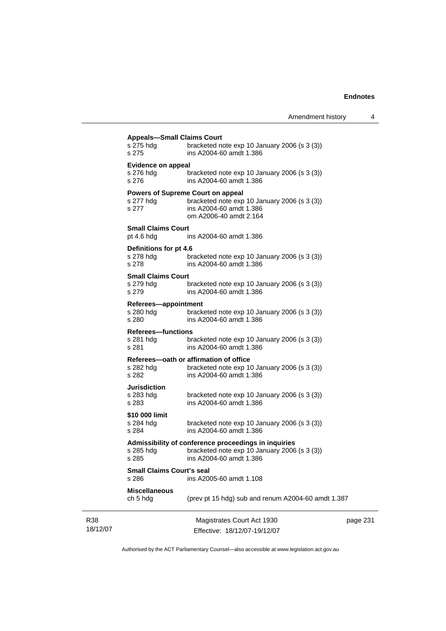|                 | <b>Appeals-Small Claims Court</b><br>s 275 hdg<br>s 275 | bracketed note exp 10 January 2006 (s 3 (3))<br>ins A2004-60 amdt 1.386                                                                       |   |
|-----------------|---------------------------------------------------------|-----------------------------------------------------------------------------------------------------------------------------------------------|---|
|                 | <b>Evidence on appeal</b><br>s 276 hdg<br>s 276         | bracketed note exp 10 January 2006 (s 3 (3))<br>ins A2004-60 amdt 1.386                                                                       |   |
|                 | s 277 hdg<br>s 277                                      | <b>Powers of Supreme Court on appeal</b><br>bracketed note exp 10 January 2006 (s 3 (3))<br>ins A2004-60 amdt 1.386<br>om A2006-40 amdt 2.164 |   |
|                 | <b>Small Claims Court</b><br>pt $4.6$ hdg               | ins A2004-60 amdt 1.386                                                                                                                       |   |
|                 | Definitions for pt 4.6<br>s 278 hdg<br>s 278            | bracketed note exp 10 January 2006 (s 3 (3))<br>ins A2004-60 amdt 1.386                                                                       |   |
|                 | <b>Small Claims Court</b><br>s 279 hdg<br>s 279         | bracketed note $exp 10$ January 2006 (s 3 (3))<br>ins A2004-60 amdt 1.386                                                                     |   |
|                 | Referees-appointment<br>s 280 hdg<br>s 280              | bracketed note exp 10 January 2006 (s 3 (3))<br>ins A2004-60 amdt 1.386                                                                       |   |
|                 | <b>Referees-functions</b><br>s 281 hdg<br>s 281         | bracketed note $exp 10$ January 2006 (s 3 (3))<br>ins A2004-60 amdt 1.386                                                                     |   |
|                 | s 282 hdg<br>s 282                                      | Referees-oath or affirmation of office<br>bracketed note exp 10 January 2006 (s 3 (3))<br>ins A2004-60 amdt 1.386                             |   |
|                 | Jurisdiction<br>s 283 hdg<br>s 283                      | bracketed note $exp 10$ January 2006 (s 3 (3))<br>ins A2004-60 amdt 1.386                                                                     |   |
|                 | \$10 000 limit<br>s 284 hdg<br>s 284                    | bracketed note exp 10 January 2006 (s 3 (3))<br>ins A2004-60 amdt 1.386                                                                       |   |
|                 | s 285 hdg<br>s 285                                      | Admissibility of conference proceedings in inquiries<br>bracketed note exp 10 January 2006 (s 3 (3))<br>ins A2004-60 amdt 1.386               |   |
|                 | <b>Small Claims Court's seal</b><br>s 286               | ins A2005-60 amdt 1.108                                                                                                                       |   |
|                 | <b>Miscellaneous</b><br>ch 5 hdg                        | (prev pt 15 hdg) sub and renum A2004-60 amdt 1.387                                                                                            |   |
| R38<br>18/12/07 |                                                         | Magistrates Court Act 1930<br>Effective: 18/12/07-19/12/07                                                                                    | р |

page 231

Authorised by the ACT Parliamentary Counsel—also accessible at www.legislation.act.gov.au

Effective: 18/12/07-19/12/07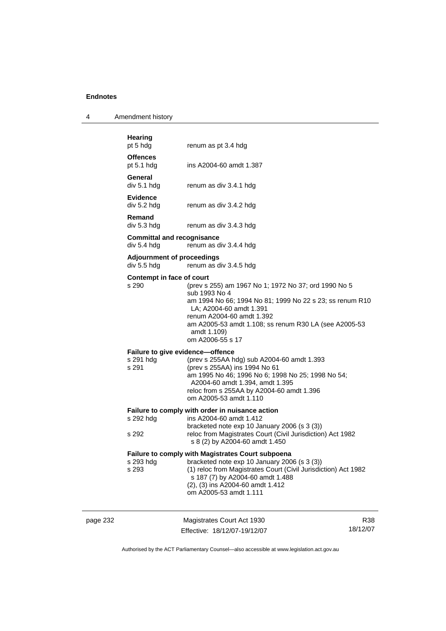| 4 | Amendment history |
|---|-------------------|
|---|-------------------|

|          | <b>Hearing</b><br>pt 5 hdg                             | renum as pt 3.4 hdg                                                                                                                                                                                                                                                                   |                        |
|----------|--------------------------------------------------------|---------------------------------------------------------------------------------------------------------------------------------------------------------------------------------------------------------------------------------------------------------------------------------------|------------------------|
|          | <b>Offences</b><br>pt 5.1 hdg                          | ins A2004-60 amdt 1.387                                                                                                                                                                                                                                                               |                        |
|          | General<br>div 5.1 hdg                                 | renum as div 3.4.1 hdg                                                                                                                                                                                                                                                                |                        |
|          | <b>Evidence</b><br>div 5.2 hdg                         | renum as div 3.4.2 hdg                                                                                                                                                                                                                                                                |                        |
|          | Remand<br>div 5.3 hdg                                  | renum as div 3.4.3 hdg                                                                                                                                                                                                                                                                |                        |
|          | <b>Committal and recognisance</b><br>div 5.4 hdg       | renum as div 3.4.4 hdg                                                                                                                                                                                                                                                                |                        |
|          | <b>Adjournment of proceedings</b><br>div 5.5 hdg       | renum as div 3.4.5 hdg                                                                                                                                                                                                                                                                |                        |
|          | Contempt in face of court<br>s 290                     | (prev s 255) am 1967 No 1; 1972 No 37; ord 1990 No 5<br>sub 1993 No 4<br>am 1994 No 66; 1994 No 81; 1999 No 22 s 23; ss renum R10<br>LA; A2004-60 amdt 1.391<br>renum A2004-60 amdt 1.392<br>am A2005-53 amdt 1.108; ss renum R30 LA (see A2005-53<br>amdt 1.109)<br>om A2006-55 s 17 |                        |
|          | Failure to give evidence-offence<br>s 291 hdg<br>s 291 | (prev s 255AA hdg) sub A2004-60 amdt 1.393<br>(prev s 255AA) ins 1994 No 61<br>am 1995 No 46; 1996 No 6; 1998 No 25; 1998 No 54;<br>A2004-60 amdt 1.394, amdt 1.395<br>reloc from s 255AA by A2004-60 amdt 1.396<br>om A2005-53 amdt 1.110                                            |                        |
|          | s 292 hdg<br>s 292                                     | Failure to comply with order in nuisance action<br>ins A2004-60 amdt 1.412<br>bracketed note exp 10 January 2006 (s 3 (3))<br>reloc from Magistrates Court (Civil Jurisdiction) Act 1982<br>s 8 (2) by A2004-60 amdt 1.450                                                            |                        |
|          | s 293 hdg<br>s 293                                     | Failure to comply with Magistrates Court subpoena<br>bracketed note exp 10 January 2006 (s 3 (3))<br>(1) reloc from Magistrates Court (Civil Jurisdiction) Act 1982<br>s 187 (7) by A2004-60 amdt 1.488<br>(2), (3) ins A2004-60 amdt 1.412<br>om A2005-53 amdt 1.111                 |                        |
| page 232 |                                                        | Magistrates Court Act 1930<br>Effective: 18/12/07-19/12/07                                                                                                                                                                                                                            | <b>R38</b><br>18/12/07 |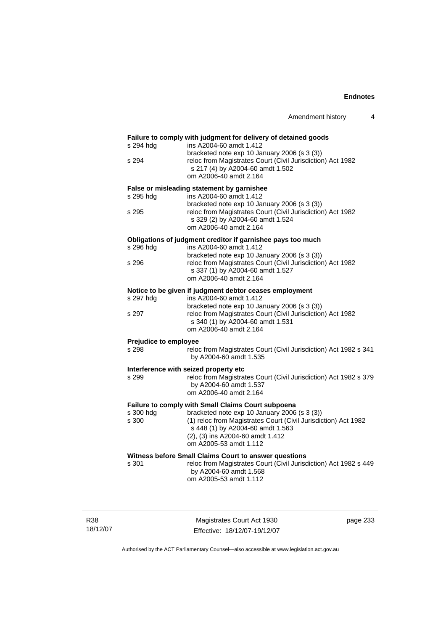|                       | Amendment history                                                                                                                                                                                                | 4 |
|-----------------------|------------------------------------------------------------------------------------------------------------------------------------------------------------------------------------------------------------------|---|
| s 294 hdg             | Failure to comply with judgment for delivery of detained goods<br>ins A2004-60 amdt 1.412<br>bracketed note exp 10 January 2006 (s 3 (3))                                                                        |   |
| s 294                 | reloc from Magistrates Court (Civil Jurisdiction) Act 1982<br>s 217 (4) by A2004-60 amdt 1.502<br>om A2006-40 amdt 2.164                                                                                         |   |
|                       | False or misleading statement by garnishee                                                                                                                                                                       |   |
| s 295 hdg             | ins A2004-60 amdt 1.412                                                                                                                                                                                          |   |
| s 295                 | bracketed note exp 10 January 2006 (s 3 (3))<br>reloc from Magistrates Court (Civil Jurisdiction) Act 1982<br>s 329 (2) by A2004-60 amdt 1.524<br>om A2006-40 amdt 2.164                                         |   |
|                       | Obligations of judgment creditor if garnishee pays too much                                                                                                                                                      |   |
| s 296 hdg             | ins A2004-60 amdt 1.412                                                                                                                                                                                          |   |
| s 296                 | bracketed note exp 10 January 2006 (s 3 (3))<br>reloc from Magistrates Court (Civil Jurisdiction) Act 1982<br>s 337 (1) by A2004-60 amdt 1.527<br>om A2006-40 amdt 2.164                                         |   |
|                       | Notice to be given if judgment debtor ceases employment                                                                                                                                                          |   |
| s 297 hdq             | ins A2004-60 amdt 1.412                                                                                                                                                                                          |   |
| s 297                 | bracketed note exp 10 January 2006 (s 3 (3))<br>reloc from Magistrates Court (Civil Jurisdiction) Act 1982<br>s 340 (1) by A2004-60 amdt 1.531<br>om A2006-40 amdt 2.164                                         |   |
| Prejudice to employee |                                                                                                                                                                                                                  |   |
| s 298                 | reloc from Magistrates Court (Civil Jurisdiction) Act 1982 s 341<br>by A2004-60 amdt 1.535                                                                                                                       |   |
|                       | Interference with seized property etc                                                                                                                                                                            |   |
| s 299                 | reloc from Magistrates Court (Civil Jurisdiction) Act 1982 s 379<br>by A2004-60 amdt 1.537<br>om A2006-40 amdt 2.164                                                                                             |   |
|                       | Failure to comply with Small Claims Court subpoena                                                                                                                                                               |   |
| s 300 hdg<br>s 300    | bracketed note exp 10 January 2006 (s 3 (3))<br>(1) reloc from Magistrates Court (Civil Jurisdiction) Act 1982<br>s 448 (1) by A2004-60 amdt 1.563<br>(2), (3) ins A2004-60 amdt 1.412<br>om A2005-53 amdt 1.112 |   |
|                       | Witness before Small Claims Court to answer questions                                                                                                                                                            |   |
| s 301                 | reloc from Magistrates Court (Civil Jurisdiction) Act 1982 s 449<br>by A2004-60 amdt 1.568<br>om A2005-53 amdt 1.112                                                                                             |   |
|                       |                                                                                                                                                                                                                  |   |

R38 18/12/07

Magistrates Court Act 1930 Effective: 18/12/07-19/12/07 page 233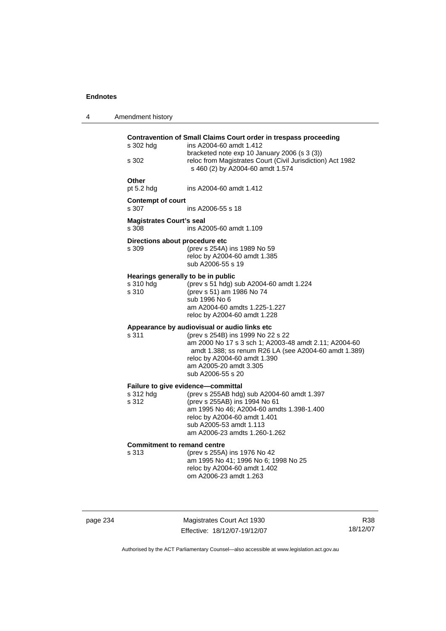| 4 | Amendment history                                        |                                                                                                                                                                                                                                                                                    |
|---|----------------------------------------------------------|------------------------------------------------------------------------------------------------------------------------------------------------------------------------------------------------------------------------------------------------------------------------------------|
|   | s 302 hdg<br>s 302                                       | Contravention of Small Claims Court order in trespass proceeding<br>ins A2004-60 amdt 1.412<br>bracketed note exp 10 January 2006 (s 3 (3))<br>reloc from Magistrates Court (Civil Jurisdiction) Act 1982<br>s 460 (2) by A2004-60 amdt 1.574                                      |
|   | Other<br>pt 5.2 hdg                                      | ins A2004-60 amdt 1.412                                                                                                                                                                                                                                                            |
|   | <b>Contempt of court</b><br>s 307                        | ins A2006-55 s 18                                                                                                                                                                                                                                                                  |
|   | <b>Magistrates Court's seal</b><br>s 308                 | ins A2005-60 amdt 1.109                                                                                                                                                                                                                                                            |
|   | Directions about procedure etc<br>s 309                  | (prev s 254A) ins 1989 No 59<br>reloc by A2004-60 amdt 1.385<br>sub A2006-55 s 19                                                                                                                                                                                                  |
|   | Hearings generally to be in public<br>s 310 hdg<br>s 310 | (prev s 51 hdg) sub A2004-60 amdt 1.224<br>(prev s 51) am 1986 No 74<br>sub 1996 No 6<br>am A2004-60 amdts 1.225-1.227<br>reloc by A2004-60 amdt 1.228                                                                                                                             |
|   | s 311                                                    | Appearance by audiovisual or audio links etc<br>(prev s 254B) ins 1999 No 22 s 22<br>am 2000 No 17 s 3 sch 1; A2003-48 amdt 2.11; A2004-60<br>amdt 1.388; ss renum R26 LA (see A2004-60 amdt 1.389)<br>reloc by A2004-60 amdt 1.390<br>am A2005-20 amdt 3.305<br>sub A2006-55 s 20 |
|   | s 312 hdg<br>s 312                                       | Failure to give evidence-committal<br>(prev s 255AB hdg) sub A2004-60 amdt 1.397<br>(prev s 255AB) ins 1994 No 61<br>am 1995 No 46; A2004-60 amdts 1.398-1.400<br>reloc by A2004-60 amdt 1.401<br>sub A2005-53 amdt 1.113<br>am A2006-23 amdts 1.260-1.262                         |
|   | <b>Commitment to remand centre</b><br>s 313              | (prev s 255A) ins 1976 No 42<br>am 1995 No 41; 1996 No 6; 1998 No 25<br>reloc by A2004-60 amdt 1.402<br>om A2006-23 amdt 1.263                                                                                                                                                     |

page 234 Magistrates Court Act 1930 Effective: 18/12/07-19/12/07

R38 18/12/07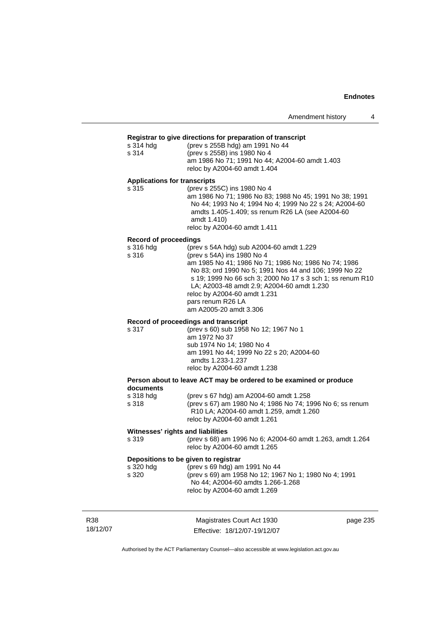#### **Registrar to give directions for preparation of transcript**

| s 314 hda | (prev s 255B hdg) am 1991 No 44                |
|-----------|------------------------------------------------|
| s 314     | (prev s 255B) ins 1980 No 4                    |
|           | am 1986 No 71; 1991 No 44; A2004-60 amdt 1.403 |
|           | reloc by A2004-60 amdt 1.404                   |

#### **Applications for transcripts**

s 315 (prev s 255C) ins 1980 No 4 am 1986 No 71; 1986 No 83; 1988 No 45; 1991 No 38; 1991 No 44; 1993 No 4; 1994 No 4; 1999 No 22 s 24; A2004-60 amdts 1.405-1.409; ss renum R26 LA (see A2004-60 amdt 1.410) reloc by A2004-60 amdt 1.411

#### **Record of proceedings**

| s 316 hdg | (prev s 54A hdg) sub A2004-60 amdt 1.229                   |
|-----------|------------------------------------------------------------|
| s 316     | (prev s 54A) ins 1980 No 4                                 |
|           | am 1985 No 41; 1986 No 71; 1986 No; 1986 No 74; 1986       |
|           | No 83; ord 1990 No 5; 1991 Nos 44 and 106; 1999 No 22      |
|           | s 19: 1999 No 66 sch 3: 2000 No 17 s 3 sch 1: ss renum R10 |
|           | LA; A2003-48 amdt 2.9; A2004-60 amdt 1.230                 |
|           | reloc by A2004-60 amdt 1.231                               |
|           | pars renum R26 LA                                          |
|           | am A2005-20 amdt 3.306                                     |
|           |                                                            |

#### **Record of proceedings and transcript**

| s 317 | (prev s 60) sub 1958 No 12; 1967 No 1    |
|-------|------------------------------------------|
|       | am 1972 No 37                            |
|       | sub 1974 No 14: 1980 No 4                |
|       | am 1991 No 44; 1999 No 22 s 20; A2004-60 |
|       | amdts 1.233-1.237                        |
|       | reloc by A2004-60 amdt 1.238             |
|       |                                          |

#### **Person about to leave ACT may be ordered to be examined or produce documents**   $(nrav \leq 67$  hdg) am  $\triangle 2004 - 60$  amdt 1.258

| S J IO IIUY | $\mu$ is the light and AZ004-00 and $\mu$ . Eventually           |
|-------------|------------------------------------------------------------------|
| s 318       | (prev s 67) am 1980 No 4; 1986 No 74; 1996 No 6; ss renum        |
|             | R <sub>10</sub> LA; A <sub>2004</sub> -60 amdt 1.259, amdt 1.260 |
|             | reloc by A2004-60 amdt 1.261                                     |

#### **Witnesses' rights and liabilities**

s 319 (prev s 68) am 1996 No 6; A2004-60 amdt 1.263, amdt 1.264 reloc by A2004-60 amdt 1.265

## **Depositions to be given to registrar**

| s 320 hdg | (prev s 69 hdg) am 1991 No 44                         |
|-----------|-------------------------------------------------------|
| s 320     | (prev s 69) am 1958 No 12; 1967 No 1; 1980 No 4; 1991 |
|           | No 44: A2004-60 amdts 1.266-1.268                     |
|           | reloc by A2004-60 amdt 1.269                          |

| R38      | Magistrates Court Act 1930   | page 235 |
|----------|------------------------------|----------|
| 18/12/07 | Effective: 18/12/07-19/12/07 |          |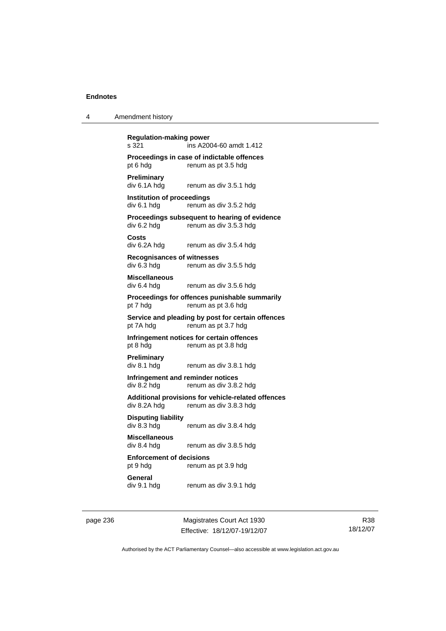| 4 | Amendment history |
|---|-------------------|
|---|-------------------|

**Regulation-making power**  s 321 ins A2004-60 amdt 1.412 **Proceedings in case of indictable offences**  pt 6 hdg renum as pt 3.5 hdg **Preliminary**  renum as div 3.5.1 hdg **Institution of proceedings**  div 6.1 hdg renum as div 3.5.2 hdg **Proceedings subsequent to hearing of evidence**<br>div 6.2 hdg renum as div 3.5.3 hdg renum as div 3.5.3 hdg **Costs**  div 6.2A hdg renum as div 3.5.4 hdg **Recognisances of witnesses**  div 6.3 hdg renum as div 3.5.5 hdg **Miscellaneous**  div 6.4 hdg renum as div 3.5.6 hdg **Proceedings for offences punishable summarily**  pt 7 hdg renum as pt 3.6 hdg **Service and pleading by post for certain offences**  pt 7A hdg renum as pt 3.7 hdg **Infringement notices for certain offences**  pt 8 hdg renum as pt 3.8 hdg **Preliminary**  div 8.1 hdg renum as div 3.8.1 hdg **Infringement and reminder notices**  div 8.2 hdg renum as div 3.8.2 hdg **Additional provisions for vehicle-related offences**  div 8.2A hdg renum as div 3.8.3 hdg **Disputing liability**  renum as div 3.8.4 hdg **Miscellaneous**  div 8.4 hdg renum as div 3.8.5 hdg **Enforcement of decisions**  pt 9 hdg renum as pt 3.9 hdg **General**  div 9.1 hdg renum as div 3.9.1 hdg

page 236 Magistrates Court Act 1930 Effective: 18/12/07-19/12/07

R38 18/12/07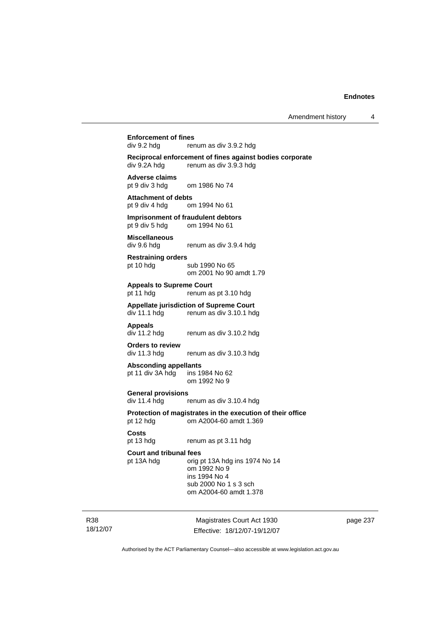# **Enforcement of fines**<br>div 9.2 hda<br>rer

renum as div 3.9.2 hdg

**Reciprocal enforcement of fines against bodies corporate**  div 9.2A hdg renum as div 3.9.3 hdg

**Adverse claims**  om 1986 No 74

**Attachment of debts**  pt 9 div 4 hdg om 1994 No 61

**Imprisonment of fraudulent debtors**<br>
pt 9 div 5 hdg om 1994 No 61 om 1994 No 61

**Miscellaneous**  div 9.6 hdg renum as div 3.9.4 hdg

**Restraining orders**  pt 10 hdg sub 1990 No 65

om 2001 No 90 amdt 1.79

**Appeals to Supreme Court** 

pt 11 hdg renum as pt 3.10 hdg

**Appellate jurisdiction of Supreme Court**  div 11.1 hdg renum as div 3.10.1 hdg

**Appeals** 

renum as div 3.10.2 hdg

**Orders to review**  div 11.3 hdg renum as div 3.10.3 hdg

**Absconding appellants**  pt 11 div  $3A$  hdg

om 1992 No 9

**General provisions**  renum as div 3.10.4 hdg

**Protection of magistrates in the execution of their office**  pt 12 hdg om A2004-60 amdt 1.369

#### **Costs**

pt 13 hdg renum as pt 3.11 hdg

#### **Court and tribunal fees**

pt 13A hdg orig pt 13A hdg ins 1974 No 14 om 1992 No 9 ins 1994 No 4 sub 2000 No 1 s 3 sch om A2004-60 amdt 1.378

R38 18/12/07

Magistrates Court Act 1930 Effective: 18/12/07-19/12/07 page 237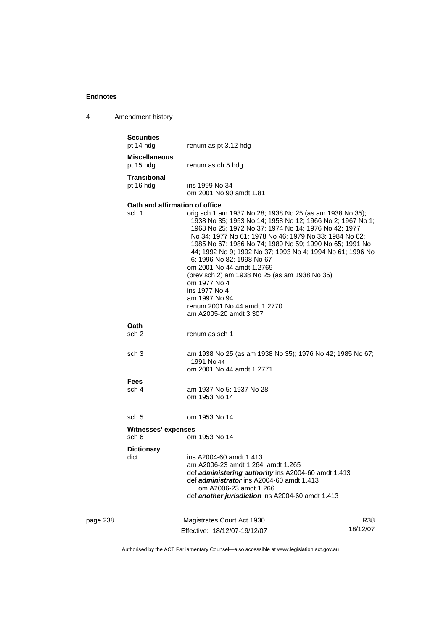| $\boldsymbol{\Lambda}$ | Amendment history |  |
|------------------------|-------------------|--|
|------------------------|-------------------|--|

|     | <b>Securities</b><br>pt 14 hdg          | renum as pt 3.12 hdg                                                                                                                                                                                                                                                                                                                                                                                                                                                                                                                                                                   |     |
|-----|-----------------------------------------|----------------------------------------------------------------------------------------------------------------------------------------------------------------------------------------------------------------------------------------------------------------------------------------------------------------------------------------------------------------------------------------------------------------------------------------------------------------------------------------------------------------------------------------------------------------------------------------|-----|
|     | <b>Miscellaneous</b><br>pt 15 hdg       | renum as ch 5 hdg                                                                                                                                                                                                                                                                                                                                                                                                                                                                                                                                                                      |     |
|     | Transitional<br>pt 16 hdg               | ins 1999 No 34<br>om 2001 No 90 amdt 1.81                                                                                                                                                                                                                                                                                                                                                                                                                                                                                                                                              |     |
|     | Oath and affirmation of office<br>sch 1 | orig sch 1 am 1937 No 28; 1938 No 25 (as am 1938 No 35);<br>1938 No 35; 1953 No 14; 1958 No 12; 1966 No 2; 1967 No 1;<br>1968 No 25; 1972 No 37; 1974 No 14; 1976 No 42; 1977<br>No 34; 1977 No 61; 1978 No 46; 1979 No 33; 1984 No 62;<br>1985 No 67; 1986 No 74; 1989 No 59; 1990 No 65; 1991 No<br>44; 1992 No 9; 1992 No 37; 1993 No 4; 1994 No 61; 1996 No<br>6; 1996 No 82; 1998 No 67<br>om 2001 No 44 amdt 1.2769<br>(prev sch 2) am 1938 No 25 (as am 1938 No 35)<br>om 1977 No 4<br>ins 1977 No 4<br>am 1997 No 94<br>renum 2001 No 44 amdt 1.2770<br>am A2005-20 amdt 3.307 |     |
|     | Oath<br>sch 2                           | renum as sch 1                                                                                                                                                                                                                                                                                                                                                                                                                                                                                                                                                                         |     |
|     | sch <sub>3</sub>                        | am 1938 No 25 (as am 1938 No 35); 1976 No 42; 1985 No 67;<br>1991 No 44<br>om 2001 No 44 amdt 1.2771                                                                                                                                                                                                                                                                                                                                                                                                                                                                                   |     |
|     | Fees<br>sch 4                           | am 1937 No 5; 1937 No 28<br>om 1953 No 14                                                                                                                                                                                                                                                                                                                                                                                                                                                                                                                                              |     |
|     | sch 5                                   | om 1953 No 14                                                                                                                                                                                                                                                                                                                                                                                                                                                                                                                                                                          |     |
|     | <b>Witnesses' expenses</b><br>sch 6     | om 1953 No 14                                                                                                                                                                                                                                                                                                                                                                                                                                                                                                                                                                          |     |
|     | <b>Dictionary</b><br>dict               | ins A2004-60 amdt 1.413<br>am A2006-23 amdt 1.264, amdt 1.265<br>def administering authority ins A2004-60 amdt 1.413<br>def administrator ins A2004-60 amdt 1.413<br>om A2006-23 amdt 1.266<br>def another jurisdiction ins A2004-60 amdt 1.413                                                                                                                                                                                                                                                                                                                                        |     |
| 238 |                                         | Magistrates Court Act 1930                                                                                                                                                                                                                                                                                                                                                                                                                                                                                                                                                             | R38 |

| page 238 | Magistrates Court Act 1930   | R38      |
|----------|------------------------------|----------|
|          | Effective: 18/12/07-19/12/07 | 18/12/07 |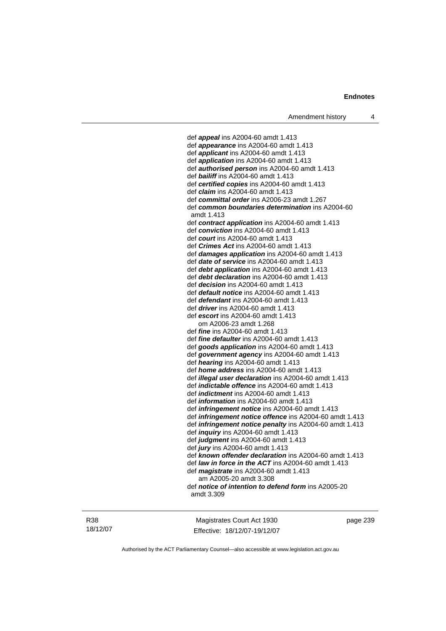def *appeal* ins A2004-60 amdt 1.413 def *appearance* ins A2004-60 amdt 1.413 def *applicant* ins A2004-60 amdt 1.413 def *application* ins A2004-60 amdt 1.413 def *authorised person* ins A2004-60 amdt 1.413 def *bailiff* ins A2004-60 amdt 1.413 def *certified copies* ins A2004-60 amdt 1.413 def *claim* ins A2004-60 amdt 1.413 def *committal order* ins A2006-23 amdt 1.267 def *common boundaries determination* ins A2004-60 amdt 1.413 def *contract application* ins A2004-60 amdt 1.413 def *conviction* ins A2004-60 amdt 1.413 def *court* ins A2004-60 amdt 1.413 def *Crimes Act* ins A2004-60 amdt 1.413 def *damages application* ins A2004-60 amdt 1.413 def *date of service* ins A2004-60 amdt 1.413 def *debt application* ins A2004-60 amdt 1.413 def *debt declaration* ins A2004-60 amdt 1.413 def *decision* ins A2004-60 amdt 1.413 def *default notice* ins A2004-60 amdt 1.413 def *defendant* ins A2004-60 amdt 1.413 def *driver* ins A2004-60 amdt 1.413 def *escort* ins A2004-60 amdt 1.413 om A2006-23 amdt 1.268 def *fine* ins A2004-60 amdt 1.413 def *fine defaulter* ins A2004-60 amdt 1.413 def *goods application* ins A2004-60 amdt 1.413 def *government agency* ins A2004-60 amdt 1.413 def *hearing* ins A2004-60 amdt 1.413 def *home address* ins A2004-60 amdt 1.413 def *illegal user declaration* ins A2004-60 amdt 1.413 def *indictable offence* ins A2004-60 amdt 1.413 def *indictment* ins A2004-60 amdt 1.413 def *information* ins A2004-60 amdt 1.413 def *infringement notice* ins A2004-60 amdt 1.413 def *infringement notice offence* ins A2004-60 amdt 1.413 def *infringement notice penalty* ins A2004-60 amdt 1.413 def *inquiry* ins A2004-60 amdt 1.413 def *judgment* ins A2004-60 amdt 1.413 def *jury* ins A2004-60 amdt 1.413 def *known offender declaration* ins A2004-60 amdt 1.413 def *law in force in the ACT* ins A2004-60 amdt 1.413 def *magistrate* ins A2004-60 amdt 1.413 am A2005-20 amdt 3.308 def *notice of intention to defend form* ins A2005-20 amdt 3.309

R38 18/12/07

Magistrates Court Act 1930 Effective: 18/12/07-19/12/07 page 239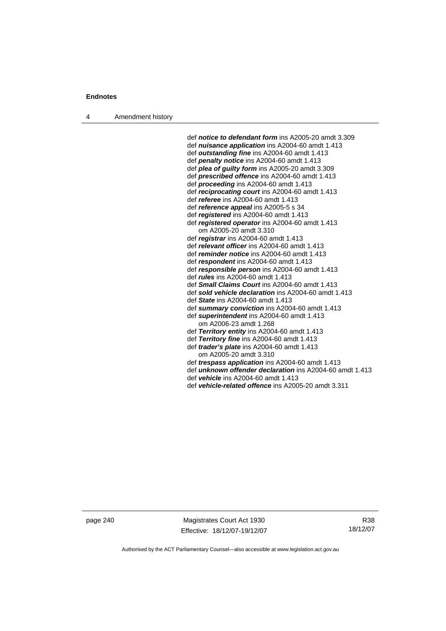4 Amendment history

 def *notice to defendant form* ins A2005-20 amdt 3.309 def *nuisance application* ins A2004-60 amdt 1.413 def *outstanding fine* ins A2004-60 amdt 1.413 def *penalty notice* ins A2004-60 amdt 1.413 def *plea of guilty form* ins A2005-20 amdt 3.309 def *prescribed offence* ins A2004-60 amdt 1.413 def *proceeding* ins A2004-60 amdt 1.413 def *reciprocating court* ins A2004-60 amdt 1.413 def *referee* ins A2004-60 amdt 1.413 def *reference appeal* ins A2005-5 s 34 def *registered* ins A2004-60 amdt 1.413 def *registered operator* ins A2004-60 amdt 1.413 om A2005-20 amdt 3.310 def *registrar* ins A2004-60 amdt 1.413 def *relevant officer* ins A2004-60 amdt 1.413 def *reminder notice* ins A2004-60 amdt 1.413 def *respondent* ins A2004-60 amdt 1.413 def *responsible person* ins A2004-60 amdt 1.413 def *rules* ins A2004-60 amdt 1.413 def *Small Claims Court* ins A2004-60 amdt 1.413 def *sold vehicle declaration* ins A2004-60 amdt 1.413 def *State* ins A2004-60 amdt 1.413 def *summary conviction* ins A2004-60 amdt 1.413 def *superintendent* ins A2004-60 amdt 1.413 om A2006-23 amdt 1.268 def *Territory entity* ins A2004-60 amdt 1.413 def *Territory fine* ins A2004-60 amdt 1.413 def *trader's plate* ins A2004-60 amdt 1.413 om A2005-20 amdt 3.310

def *trespass application* ins A2004-60 amdt 1.413

def *unknown offender declaration* ins A2004-60 amdt 1.413

def *vehicle* ins A2004-60 amdt 1.413

def *vehicle-related offence* ins A2005-20 amdt 3.311

page 240 Magistrates Court Act 1930 Effective: 18/12/07-19/12/07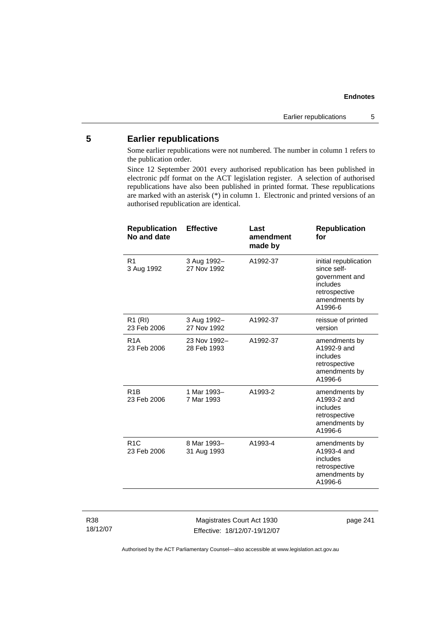### **5 Earlier republications**

Some earlier republications were not numbered. The number in column 1 refers to the publication order.

Since 12 September 2001 every authorised republication has been published in electronic pdf format on the ACT legislation register. A selection of authorised republications have also been published in printed format. These republications are marked with an asterisk (\*) in column 1. Electronic and printed versions of an authorised republication are identical.

| <b>Republication</b><br>No and date | <b>Effective</b>            | Last<br>amendment<br>made by | <b>Republication</b><br>for                                                                                     |
|-------------------------------------|-----------------------------|------------------------------|-----------------------------------------------------------------------------------------------------------------|
| R <sub>1</sub><br>3 Aug 1992        | 3 Aug 1992-<br>27 Nov 1992  | A1992-37                     | initial republication<br>since self-<br>government and<br>includes<br>retrospective<br>amendments by<br>A1996-6 |
| R1 (RI)<br>23 Feb 2006              | 3 Aug 1992-<br>27 Nov 1992  | A1992-37                     | reissue of printed<br>version                                                                                   |
| R <sub>1</sub> A<br>23 Feb 2006     | 23 Nov 1992-<br>28 Feb 1993 | A1992-37                     | amendments by<br>A1992-9 and<br>includes<br>retrospective<br>amendments by<br>A1996-6                           |
| R <sub>1</sub> B<br>23 Feb 2006     | 1 Mar 1993-<br>7 Mar 1993   | A1993-2                      | amendments by<br>A1993-2 and<br>includes<br>retrospective<br>amendments by<br>A1996-6                           |
| R1C<br>23 Feb 2006                  | 8 Mar 1993-<br>31 Aug 1993  | A1993-4                      | amendments by<br>A1993-4 and<br>includes<br>retrospective<br>amendments by<br>A1996-6                           |
|                                     |                             |                              |                                                                                                                 |

R38 18/12/07

Magistrates Court Act 1930 Effective: 18/12/07-19/12/07 page 241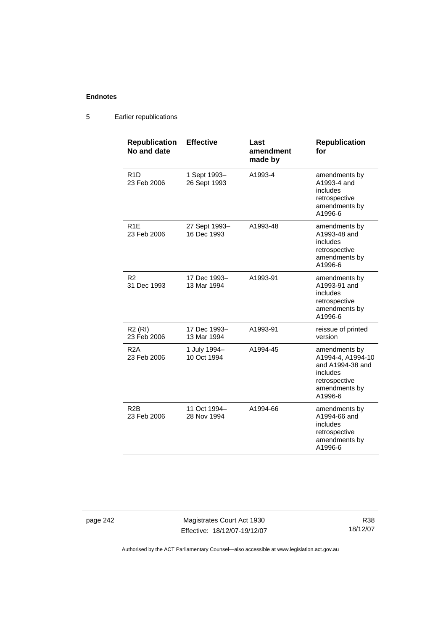#### **Republication No and date Effective Last amendment made by Republication for**  R1D 23 Feb 2006 1 Sept 1993– 26 Sept 1993 A1993-4 amendments by A1993-4 and includes retrospective amendments by A1996-6 R1E 23 Feb 2006 27 Sept 1993– 16 Dec 1993 A1993-48 amendments by A1993-48 and includes retrospective amendments by A1996-6 R2 31 Dec 1993 17 Dec 1993– 13 Mar 1994 A1993-91 amendments by A1993-91 and includes retrospective amendments by A1996-6 R2 (RI) 23 Feb 2006 17 Dec 1993– 13 Mar 1994 A1993-91 reissue of printed version R2A 23 Feb 2006 1 July 1994– 10 Oct 1994 A1994-45 amendments by A1994-4, A1994-10 and A1994-38 and includes retrospective amendments by A1996-6 R2B 23 Feb 2006 11 Oct 1994– 28 Nov 1994 A1994-66 amendments by A1994-66 and includes retrospective amendments by A1996-6

#### 5 Earlier republications

page 242 Magistrates Court Act 1930 Effective: 18/12/07-19/12/07

R38 18/12/07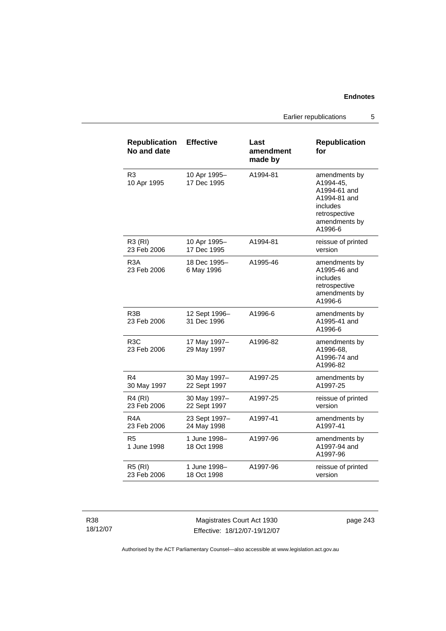Earlier republications 5

| <b>Republication</b><br>No and date | <b>Effective</b>             | Last<br>amendment<br>made by | <b>Republication</b><br>for                                                                                         |
|-------------------------------------|------------------------------|------------------------------|---------------------------------------------------------------------------------------------------------------------|
| R <sub>3</sub><br>10 Apr 1995       | 10 Apr 1995-<br>17 Dec 1995  | A1994-81                     | amendments by<br>A1994-45,<br>A1994-61 and<br>A1994-81 and<br>includes<br>retrospective<br>amendments by<br>A1996-6 |
| <b>R3 (RI)</b><br>23 Feb 2006       | 10 Apr 1995-<br>17 Dec 1995  | A1994-81                     | reissue of printed<br>version                                                                                       |
| R <sub>3</sub> A<br>23 Feb 2006     | 18 Dec 1995-<br>6 May 1996   | A1995-46                     | amendments by<br>A1995-46 and<br>includes<br>retrospective<br>amendments by<br>A1996-6                              |
| R <sub>3</sub> B<br>23 Feb 2006     | 12 Sept 1996-<br>31 Dec 1996 | A1996-6                      | amendments by<br>A1995-41 and<br>A1996-6                                                                            |
| R <sub>3</sub> C<br>23 Feb 2006     | 17 May 1997-<br>29 May 1997  | A1996-82                     | amendments by<br>A1996-68,<br>A1996-74 and<br>A1996-82                                                              |
| R4<br>30 May 1997                   | 30 May 1997-<br>22 Sept 1997 | A1997-25                     | amendments by<br>A1997-25                                                                                           |
| <b>R4 (RI)</b><br>23 Feb 2006       | 30 May 1997-<br>22 Sept 1997 | A1997-25                     | reissue of printed<br>version                                                                                       |
| R <sub>4</sub> A<br>23 Feb 2006     | 23 Sept 1997-<br>24 May 1998 | A1997-41                     | amendments by<br>A1997-41                                                                                           |
| R5<br>1 June 1998                   | 1 June 1998-<br>18 Oct 1998  | A1997-96                     | amendments by<br>A1997-94 and<br>A1997-96                                                                           |
| <b>R5 (RI)</b><br>23 Feb 2006       | 1 June 1998-<br>18 Oct 1998  | A1997-96                     | reissue of printed<br>version                                                                                       |

R38 18/12/07

Magistrates Court Act 1930 Effective: 18/12/07-19/12/07 page 243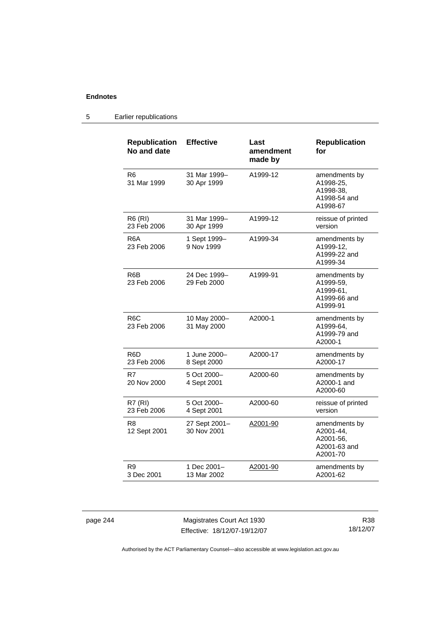#### 5 Earlier republications

| <b>Republication</b><br>No and date | <b>Effective</b>             | Last<br>amendment<br>made by | <b>Republication</b><br>for                                         |
|-------------------------------------|------------------------------|------------------------------|---------------------------------------------------------------------|
| R <sub>6</sub><br>31 Mar 1999       | 31 Mar 1999-<br>30 Apr 1999  | A1999-12                     | amendments by<br>A1998-25,<br>A1998-38,<br>A1998-54 and<br>A1998-67 |
| <b>R6 (RI)</b><br>23 Feb 2006       | 31 Mar 1999-<br>30 Apr 1999  | A1999-12                     | reissue of printed<br>version                                       |
| R6A<br>23 Feb 2006                  | 1 Sept 1999-<br>9 Nov 1999   | A1999-34                     | amendments by<br>A1999-12.<br>A1999-22 and<br>A1999-34              |
| R6B<br>23 Feb 2006                  | 24 Dec 1999-<br>29 Feb 2000  | A1999-91                     | amendments by<br>A1999-59,<br>A1999-61,<br>A1999-66 and<br>A1999-91 |
| R <sub>6</sub> C<br>23 Feb 2006     | 10 May 2000-<br>31 May 2000  | A2000-1                      | amendments by<br>A1999-64.<br>A1999-79 and<br>A2000-1               |
| R6D<br>23 Feb 2006                  | 1 June 2000-<br>8 Sept 2000  | A2000-17                     | amendments by<br>A2000-17                                           |
| R7<br>20 Nov 2000                   | 5 Oct 2000-<br>4 Sept 2001   | A2000-60                     | amendments by<br>A2000-1 and<br>A2000-60                            |
| R7 (RI)<br>23 Feb 2006              | 5 Oct 2000-<br>4 Sept 2001   | A2000-60                     | reissue of printed<br>version                                       |
| R <sub>8</sub><br>12 Sept 2001      | 27 Sept 2001-<br>30 Nov 2001 | A2001-90                     | amendments by<br>A2001-44,<br>A2001-56,<br>A2001-63 and<br>A2001-70 |
| R9<br>3 Dec 2001                    | 1 Dec 2001-<br>13 Mar 2002   | A2001-90                     | amendments by<br>A2001-62                                           |

page 244 Magistrates Court Act 1930 Effective: 18/12/07-19/12/07

R38 18/12/07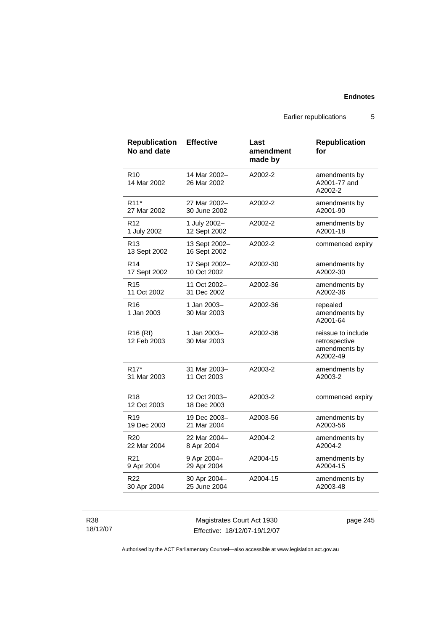Earlier republications 5

| <b>Republication</b><br>No and date | <b>Effective</b>              | Last<br>amendment<br>made by | <b>Republication</b><br>for                                      |
|-------------------------------------|-------------------------------|------------------------------|------------------------------------------------------------------|
| R <sub>10</sub><br>14 Mar 2002      | 14 Mar 2002-<br>26 Mar 2002   | A2002-2                      | amendments by<br>A2001-77 and<br>A2002-2                         |
| R <sub>11</sub> *                   | 27 Mar 2002-                  | A2002-2                      | amendments by                                                    |
| 27 Mar 2002                         | 30 June 2002                  |                              | A2001-90                                                         |
| R <sub>12</sub>                     | 1 July 2002-                  | A2002-2                      | amendments by                                                    |
| 1 July 2002                         | 12 Sept 2002                  |                              | A2001-18                                                         |
| R <sub>13</sub><br>13 Sept 2002     | 13 Sept 2002-<br>16 Sept 2002 | A2002-2                      | commenced expiry                                                 |
| R <sub>14</sub>                     | 17 Sept 2002-                 | A2002-30                     | amendments by                                                    |
| 17 Sept 2002                        | 10 Oct 2002                   |                              | A2002-30                                                         |
| R <sub>15</sub>                     | 11 Oct 2002-                  | A2002-36                     | amendments by                                                    |
| 11 Oct 2002                         | 31 Dec 2002                   |                              | A2002-36                                                         |
| R16<br>1 Jan 2003                   | 1 Jan 2003-<br>30 Mar 2003    | A2002-36                     | repealed<br>amendments by<br>A2001-64                            |
| R <sub>16</sub> (RI)<br>12 Feb 2003 | 1 Jan 2003-<br>30 Mar 2003    | A2002-36                     | reissue to include<br>retrospective<br>amendments by<br>A2002-49 |
| R <sub>17</sub> *                   | 31 Mar 2003-                  | A2003-2                      | amendments by                                                    |
| 31 Mar 2003                         | 11 Oct 2003                   |                              | A2003-2                                                          |
| R <sub>18</sub><br>12 Oct 2003      | 12 Oct 2003-<br>18 Dec 2003   | A2003-2                      | commenced expiry                                                 |
| R <sub>19</sub>                     | 19 Dec 2003-                  | A2003-56                     | amendments by                                                    |
| 19 Dec 2003                         | 21 Mar 2004                   |                              | A2003-56                                                         |
| R <sub>20</sub>                     | 22 Mar 2004-                  | A2004-2                      | amendments by                                                    |
| 22 Mar 2004                         | 8 Apr 2004                    |                              | A2004-2                                                          |
| R <sub>21</sub>                     | 9 Apr 2004-                   | A2004-15                     | amendments by                                                    |
| 9 Apr 2004                          | 29 Apr 2004                   |                              | A2004-15                                                         |
| R22                                 | 30 Apr 2004-                  | A2004-15                     | amendments by                                                    |
| 30 Apr 2004                         | 25 June 2004                  |                              | A2003-48                                                         |

R38 18/12/07

Magistrates Court Act 1930 Effective: 18/12/07-19/12/07 page 245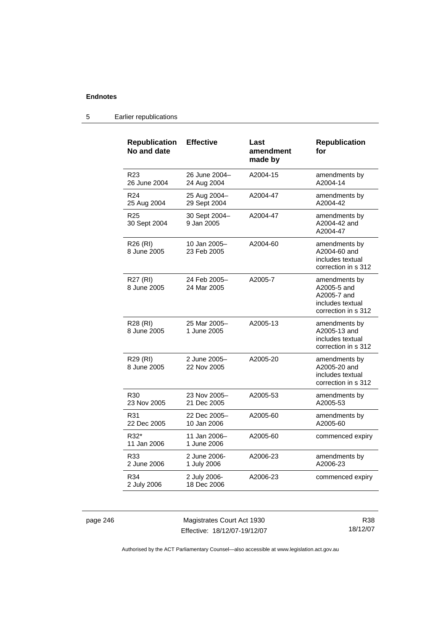| <b>Republication</b><br>No and date | <b>Effective</b>             | Last<br>amendment<br>made by | <b>Republication</b><br>for                                                            |
|-------------------------------------|------------------------------|------------------------------|----------------------------------------------------------------------------------------|
| R <sub>23</sub><br>26 June 2004     | 26 June 2004-<br>24 Aug 2004 | A2004-15                     | amendments by<br>A2004-14                                                              |
| R <sub>24</sub><br>25 Aug 2004      | 25 Aug 2004-<br>29 Sept 2004 | A2004-47                     | amendments by<br>A2004-42                                                              |
| R <sub>25</sub><br>30 Sept 2004     | 30 Sept 2004-<br>9 Jan 2005  | A2004-47                     | amendments by<br>A2004-42 and<br>A2004-47                                              |
| R26 (RI)<br>8 June 2005             | 10 Jan 2005-<br>23 Feb 2005  | A2004-60                     | amendments by<br>A2004-60 and<br>includes textual<br>correction in s 312               |
| R27 (RI)<br>8 June 2005             | 24 Feb 2005-<br>24 Mar 2005  | A2005-7                      | amendments by<br>A2005-5 and<br>A2005-7 and<br>includes textual<br>correction in s 312 |
| R28 (RI)<br>8 June 2005             | 25 Mar 2005-<br>1 June 2005  | A2005-13                     | amendments by<br>A2005-13 and<br>includes textual<br>correction in s 312               |
| R29 (RI)<br>8 June 2005             | 2 June 2005-<br>22 Nov 2005  | A2005-20                     | amendments by<br>A2005-20 and<br>includes textual<br>correction in s 312               |
| R <sub>30</sub><br>23 Nov 2005      | 23 Nov 2005-<br>21 Dec 2005  | A2005-53                     | amendments by<br>A2005-53                                                              |
| R31<br>22 Dec 2005                  | 22 Dec 2005-<br>10 Jan 2006  | A2005-60                     | amendments by<br>A2005-60                                                              |
| R32*<br>11 Jan 2006                 | 11 Jan 2006-<br>1 June 2006  | A2005-60                     | commenced expiry                                                                       |
| R33<br>2 June 2006                  | 2 June 2006-<br>1 July 2006  | A2006-23                     | amendments by<br>A2006-23                                                              |
| R34<br>2 July 2006                  | 2 July 2006-<br>18 Dec 2006  | A2006-23                     | commenced expiry                                                                       |

#### 5 Earlier republications

page 246 Magistrates Court Act 1930 Effective: 18/12/07-19/12/07

R38 18/12/07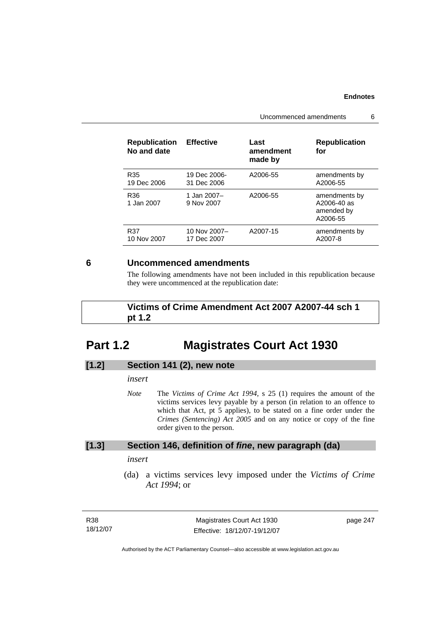Uncommenced amendments 6

| <b>Republication</b><br>No and date | <b>Effective</b>          | Last<br>amendment<br>made by | <b>Republication</b><br>for                            |
|-------------------------------------|---------------------------|------------------------------|--------------------------------------------------------|
| R35                                 | 19 Dec 2006-              | A2006-55                     | amendments by                                          |
| 19 Dec 2006                         | 31 Dec 2006               |                              | A2006-55                                               |
| R36<br>1 Jan 2007                   | 1 Jan 2007–<br>9 Nov 2007 | A2006-55                     | amendments by<br>A2006-40 as<br>amended by<br>A2006-55 |
| R37                                 | 10 Nov 2007-              | A2007-15                     | amendments by                                          |
| 10 Nov 2007                         | 17 Dec 2007               |                              | A2007-8                                                |

#### **6 Uncommenced amendments**

The following amendments have not been included in this republication because they were uncommenced at the republication date:

 **Victims of Crime Amendment Act 2007 A2007-44 sch 1 pt 1.2** 

# **Part 1.2 Magistrates Court Act 1930**

## **[1.2] Section 141 (2), new note**

*insert* 

*Note* The *Victims of Crime Act 1994*, s 25 (1) requires the amount of the victims services levy payable by a person (in relation to an offence to which that Act, pt 5 applies), to be stated on a fine order under the *Crimes (Sentencing) Act 2005* and on any notice or copy of the fine order given to the person.

#### **[1.3] Section 146, definition of** *fine***, new paragraph (da)**

*insert* 

 (da) a victims services levy imposed under the *Victims of Crime Act 1994*; or

| R38      | Magistrates Court Act 1930   | page 247 |
|----------|------------------------------|----------|
| 18/12/07 | Effective: 18/12/07-19/12/07 |          |